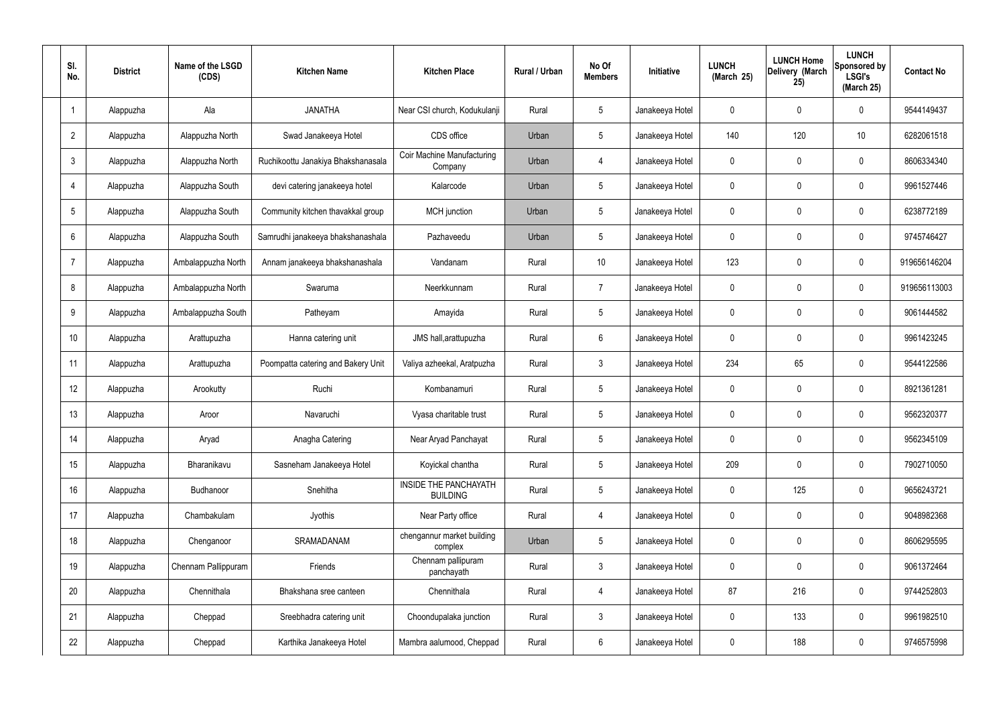| SI.<br>No.      | <b>District</b> | Name of the LSGD<br>(CDS) | <b>Kitchen Name</b>                | <b>Kitchen Place</b>                            | Rural / Urban | No Of<br><b>Members</b> | <b>Initiative</b> | <b>LUNCH</b><br>(March 25) | <b>LUNCH Home</b><br>Delivery (March<br>25) | <b>LUNCH</b><br>Sponsored by<br><b>LSGI's</b><br>(March 25) | <b>Contact No</b> |
|-----------------|-----------------|---------------------------|------------------------------------|-------------------------------------------------|---------------|-------------------------|-------------------|----------------------------|---------------------------------------------|-------------------------------------------------------------|-------------------|
|                 | Alappuzha       | Ala                       | <b>JANATHA</b>                     | Near CSI church, Kodukulanji                    | Rural         | $5\phantom{.0}$         | Janakeeya Hotel   | 0                          | 0                                           | $\mathbf 0$                                                 | 9544149437        |
| $\overline{2}$  | Alappuzha       | Alappuzha North           | Swad Janakeeya Hotel               | CDS office                                      | Urban         | $5\phantom{.0}$         | Janakeeya Hotel   | 140                        | 120                                         | 10                                                          | 6282061518        |
| $\mathbf{3}$    | Alappuzha       | Alappuzha North           | Ruchikoottu Janakiya Bhakshanasala | <b>Coir Machine Manufacturing</b><br>Company    | Urban         | $\overline{4}$          | Janakeeya Hotel   | $\mathbf 0$                | 0                                           | $\mathbf 0$                                                 | 8606334340        |
| $\overline{4}$  | Alappuzha       | Alappuzha South           | devi catering janakeeya hotel      | Kalarcode                                       | Urban         | $5\phantom{.0}$         | Janakeeya Hotel   | $\mathbf 0$                | 0                                           | $\mathbf 0$                                                 | 9961527446        |
| $5\phantom{.0}$ | Alappuzha       | Alappuzha South           | Community kitchen thavakkal group  | MCH junction                                    | Urban         | $5\phantom{.0}$         | Janakeeya Hotel   | $\mathbf 0$                | 0                                           | $\mathbf 0$                                                 | 6238772189        |
| 6               | Alappuzha       | Alappuzha South           | Samrudhi janakeeya bhakshanashala  | Pazhaveedu                                      | Urban         | $5\phantom{.0}$         | Janakeeya Hotel   | $\mathbf 0$                | 0                                           | $\mathbf 0$                                                 | 9745746427        |
| $\overline{7}$  | Alappuzha       | Ambalappuzha North        | Annam janakeeya bhakshanashala     | Vandanam                                        | Rural         | 10 <sup>°</sup>         | Janakeeya Hotel   | 123                        | $\mathbf 0$                                 | $\mathbf 0$                                                 | 919656146204      |
| 8               | Alappuzha       | Ambalappuzha North        | Swaruma                            | Neerkkunnam                                     | Rural         | $\overline{7}$          | Janakeeya Hotel   | $\mathbf 0$                | 0                                           | $\mathbf 0$                                                 | 919656113003      |
| 9               | Alappuzha       | Ambalappuzha South        | Patheyam                           | Amayida                                         | Rural         | $5\phantom{.0}$         | Janakeeya Hotel   | $\mathbf 0$                | 0                                           | $\mathbf 0$                                                 | 9061444582        |
| 10              | Alappuzha       | Arattupuzha               | Hanna catering unit                | JMS hall, arattupuzha                           | Rural         | $6\phantom{.}6$         | Janakeeya Hotel   | $\mathbf 0$                | 0                                           | $\mathbf 0$                                                 | 9961423245        |
| 11              | Alappuzha       | Arattupuzha               | Poompatta catering and Bakery Unit | Valiya azheekal, Aratpuzha                      | Rural         | $\mathbf{3}$            | Janakeeya Hotel   | 234                        | 65                                          | $\mathbf 0$                                                 | 9544122586        |
| 12              | Alappuzha       | Arookutty                 | Ruchi                              | Kombanamuri                                     | Rural         | $5\phantom{.0}$         | Janakeeya Hotel   | $\mathbf 0$                | 0                                           | $\mathbf 0$                                                 | 8921361281        |
| 13              | Alappuzha       | Aroor                     | Navaruchi                          | Vyasa charitable trust                          | Rural         | $5\phantom{.0}$         | Janakeeya Hotel   | $\mathbf 0$                | 0                                           | 0                                                           | 9562320377        |
| 14              | Alappuzha       | Aryad                     | Anagha Catering                    | Near Aryad Panchayat                            | Rural         | $5\phantom{.0}$         | Janakeeya Hotel   | $\mathbf 0$                | $\mathbf 0$                                 | $\mathbf 0$                                                 | 9562345109        |
| 15              | Alappuzha       | Bharanikavu               | Sasneham Janakeeya Hotel           | Koyickal chantha                                | Rural         | $5\phantom{.0}$         | Janakeeya Hotel   | 209                        | $\mathbf 0$                                 | $\mathbf 0$                                                 | 7902710050        |
| 16              | Alappuzha       | <b>Budhanoor</b>          | Snehitha                           | <b>INSIDE THE PANCHAYATH</b><br><b>BUILDING</b> | Rural         | $5\phantom{.0}$         | Janakeeya Hotel   | $\mathbf 0$                | 125                                         | $\mathbf 0$                                                 | 9656243721        |
| 17              | Alappuzha       | Chambakulam               | Jyothis                            | Near Party office                               | Rural         | $\overline{4}$          | Janakeeya Hotel   | $\mathbf 0$                | $\mathbf 0$                                 | $\mathbf 0$                                                 | 9048982368        |
| 18              | Alappuzha       | Chenganoor                | SRAMADANAM                         | chengannur market building<br>complex           | Urban         | $5\phantom{.0}$         | Janakeeya Hotel   | $\mathbf 0$                | $\mathbf 0$                                 | $\mathbf 0$                                                 | 8606295595        |
| 19              | Alappuzha       | Chennam Pallippuram       | Friends                            | Chennam pallipuram<br>panchayath                | Rural         | $\mathbf{3}$            | Janakeeya Hotel   | $\mathbf 0$                | 0                                           | $\mathbf 0$                                                 | 9061372464        |
| 20              | Alappuzha       | Chennithala               | Bhakshana sree canteen             | Chennithala                                     | Rural         | $\overline{4}$          | Janakeeya Hotel   | 87                         | 216                                         | $\mathbf 0$                                                 | 9744252803        |
| 21              | Alappuzha       | Cheppad                   | Sreebhadra catering unit           | Choondupalaka junction                          | Rural         | $\mathbf{3}$            | Janakeeya Hotel   | $\mathbf 0$                | 133                                         | $\mathbf 0$                                                 | 9961982510        |
| 22              | Alappuzha       | Cheppad                   | Karthika Janakeeya Hotel           | Mambra aalumood, Cheppad                        | Rural         | $6\overline{6}$         | Janakeeya Hotel   | 0                          | 188                                         | $\mathbf 0$                                                 | 9746575998        |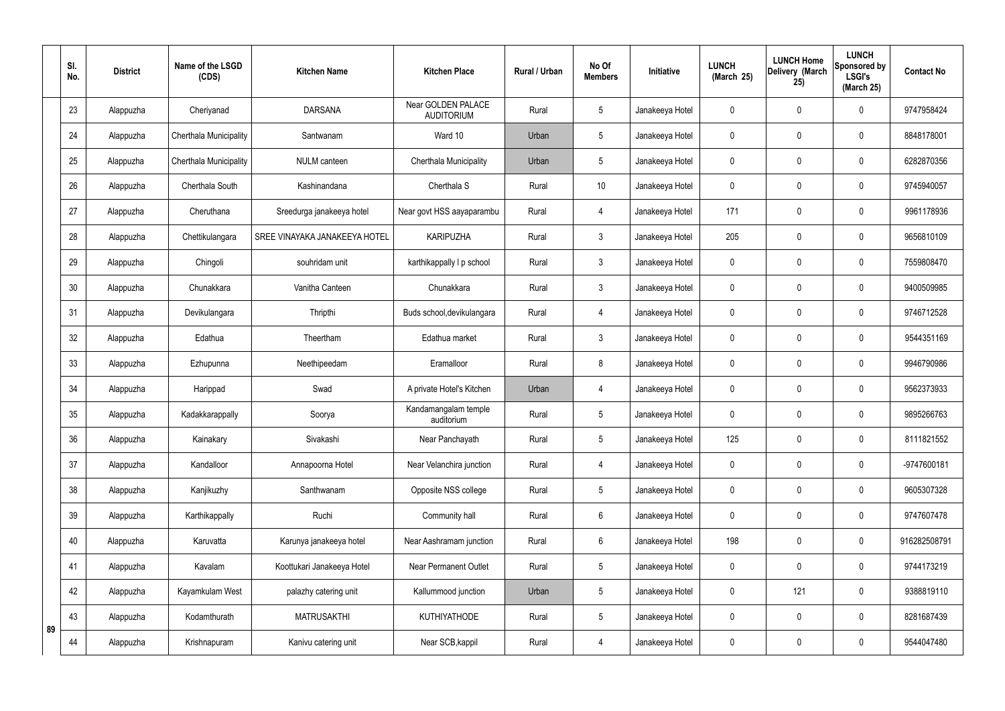|    | SI.<br>No. | <b>District</b> | Name of the LSGD<br>(CDS) | <b>Kitchen Name</b>           | <b>Kitchen Place</b>                    | <b>Rural / Urban</b> | No Of<br><b>Members</b> | Initiative      | <b>LUNCH</b><br>(March 25) | <b>LUNCH Home</b><br>Delivery (March<br>25) | <b>LUNCH</b><br>Sponsored by<br><b>LSGI's</b><br>(March 25) | <b>Contact No</b> |
|----|------------|-----------------|---------------------------|-------------------------------|-----------------------------------------|----------------------|-------------------------|-----------------|----------------------------|---------------------------------------------|-------------------------------------------------------------|-------------------|
|    | 23         | Alappuzha       | Cheriyanad                | <b>DARSANA</b>                | Near GOLDEN PALACE<br><b>AUDITORIUM</b> | Rural                | 5                       | Janakeeya Hotel | 0                          | $\mathbf 0$                                 | $\mathbf 0$                                                 | 9747958424        |
|    | 24         | Alappuzha       | Cherthala Municipality    | Santwanam                     | Ward 10                                 | Urban                | 5                       | Janakeeya Hotel | $\mathbf 0$                | $\mathbf 0$                                 | $\mathbf 0$                                                 | 8848178001        |
|    | 25         | Alappuzha       | Cherthala Municipality    | <b>NULM</b> canteen           | Cherthala Municipality                  | Urban                | 5                       | Janakeeya Hotel | 0                          | $\mathbf 0$                                 | $\mathbf 0$                                                 | 6282870356        |
|    | 26         | Alappuzha       | Cherthala South           | Kashinandana                  | Cherthala S                             | Rural                | 10                      | Janakeeya Hotel | 0                          | $\mathbf 0$                                 | $\pmb{0}$                                                   | 9745940057        |
|    | 27         | Alappuzha       | Cheruthana                | Sreedurga janakeeya hotel     | Near govt HSS aayaparambu               | Rural                | $\overline{4}$          | Janakeeya Hotel | 171                        | $\boldsymbol{0}$                            | $\mathbf 0$                                                 | 9961178936        |
|    | 28         | Alappuzha       | Chettikulangara           | SREE VINAYAKA JANAKEEYA HOTEL | <b>KARIPUZHA</b>                        | Rural                | $\mathfrak{Z}$          | Janakeeya Hotel | 205                        | $\mathbf 0$                                 | $\pmb{0}$                                                   | 9656810109        |
|    | 29         | Alappuzha       | Chingoli                  | souhridam unit                | karthikappally I p school               | Rural                | $\mathbf{3}$            | Janakeeya Hotel | 0                          | $\boldsymbol{0}$                            | $\mathbf 0$                                                 | 7559808470        |
|    | 30         | Alappuzha       | Chunakkara                | Vanitha Canteen               | Chunakkara                              | Rural                | $\mathfrak{Z}$          | Janakeeya Hotel | $\mathbf 0$                | $\mathbf 0$                                 | $\mathbf 0$                                                 | 9400509985        |
|    | 31         | Alappuzha       | Devikulangara             | Thripthi                      | Buds school, devikulangara              | Rural                | $\overline{4}$          | Janakeeya Hotel | 0                          | $\mathbf 0$                                 | $\mathbf 0$                                                 | 9746712528        |
|    | 32         | Alappuzha       | Edathua                   | Theertham                     | Edathua market                          | Rural                | 3                       | Janakeeya Hotel | 0                          | $\mathbf 0$                                 | $\mathbf 0$                                                 | 9544351169        |
|    | 33         | Alappuzha       | Ezhupunna                 | Neethipeedam                  | Eramalloor                              | Rural                | 8                       | Janakeeya Hotel | 0                          | $\boldsymbol{0}$                            | $\mathbf 0$                                                 | 9946790986        |
|    | 34         | Alappuzha       | Harippad                  | Swad                          | A private Hotel's Kitchen               | Urban                | $\overline{4}$          | Janakeeya Hotel | 0                          | 0                                           | $\mathbf 0$                                                 | 9562373933        |
|    | 35         | Alappuzha       | Kadakkarappally           | Soorya                        | Kandamangalam temple<br>auditorium      | Rural                | 5                       | Janakeeya Hotel | 0                          | $\mathbf 0$                                 | $\mathbf 0$                                                 | 9895266763        |
|    | 36         | Alappuzha       | Kainakary                 | Sivakashi                     | Near Panchayath                         | Rural                | 5                       | Janakeeya Hotel | 125                        | $\mathbf 0$                                 | $\mathbf 0$                                                 | 8111821552        |
|    | 37         | Alappuzha       | Kandalloor                | Annapoorna Hotel              | Near Velanchira junction                | Rural                | $\overline{4}$          | Janakeeya Hotel | 0                          | $\mathbf 0$                                 | $\pmb{0}$                                                   | -9747600181       |
|    | 38         | Alappuzha       | Kanjikuzhy                | Santhwanam                    | Opposite NSS college                    | Rural                | 5                       | Janakeeya Hotel | 0                          | $\mathbf 0$                                 | $\pmb{0}$                                                   | 9605307328        |
|    | 39         | Alappuzha       | Karthikappally            | Ruchi                         | Community hall                          | Rural                | $6\phantom{.}6$         | Janakeeya Hotel | 0                          | $\mathbf 0$                                 | $\pmb{0}$                                                   | 9747607478        |
|    | 40         | Alappuzha       | Karuvatta                 | Karunya janakeeya hotel       | Near Aashramam junction                 | Rural                | 6                       | Janakeeya Hotel | 198                        | $\pmb{0}$                                   | $\pmb{0}$                                                   | 916282508791      |
|    | 41         | Alappuzha       | Kavalam                   | Koottukari Janakeeya Hotel    | <b>Near Permanent Outlet</b>            | Rural                | 5                       | Janakeeya Hotel | 0                          | $\mathbf 0$                                 | $\pmb{0}$                                                   | 9744173219        |
|    | 42         | Alappuzha       | Kayamkulam West           | palazhy catering unit         | Kallummood junction                     | Urban                | 5                       | Janakeeya Hotel | $\mathbf 0$                | 121                                         | $\mathbf 0$                                                 | 9388819110        |
| 89 | 43         | Alappuzha       | Kodamthurath              | <b>MATRUSAKTHI</b>            | <b>KUTHIYATHODE</b>                     | Rural                | 5                       | Janakeeya Hotel | $\mathbf 0$                | $\mathbf 0$                                 | $\pmb{0}$                                                   | 8281687439        |
|    | 44         | Alappuzha       | Krishnapuram              | Kanivu catering unit          | Near SCB, kappil                        | Rural                | $\overline{4}$          | Janakeeya Hotel | 0                          | $\boldsymbol{0}$                            | $\pmb{0}$                                                   | 9544047480        |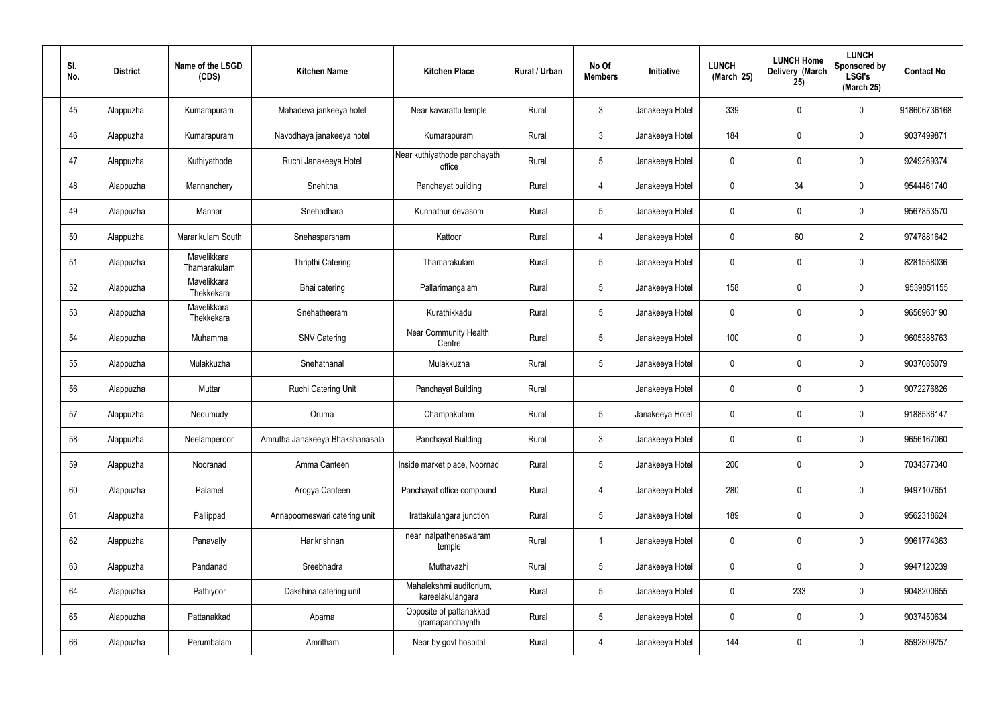| SI.<br>No. | <b>District</b> | Name of the LSGD<br>(CDS)   | <b>Kitchen Name</b>             | <b>Kitchen Place</b>                        | Rural / Urban | No Of<br><b>Members</b> | Initiative      | <b>LUNCH</b><br>(March 25) | <b>LUNCH Home</b><br>Delivery (March<br>25) | <b>LUNCH</b><br>Sponsored by<br><b>LSGI's</b><br>(March 25) | <b>Contact No</b> |
|------------|-----------------|-----------------------------|---------------------------------|---------------------------------------------|---------------|-------------------------|-----------------|----------------------------|---------------------------------------------|-------------------------------------------------------------|-------------------|
| 45         | Alappuzha       | Kumarapuram                 | Mahadeva jankeeya hotel         | Near kavarattu temple                       | Rural         | $\mathbf{3}$            | Janakeeya Hotel | 339                        | 0                                           | $\mathbf 0$                                                 | 918606736168      |
| 46         | Alappuzha       | Kumarapuram                 | Navodhaya janakeeya hotel       | Kumarapuram                                 | Rural         | $\mathbf{3}$            | Janakeeya Hotel | 184                        | 0                                           | $\pmb{0}$                                                   | 9037499871        |
| 47         | Alappuzha       | Kuthiyathode                | Ruchi Janakeeya Hotel           | Near kuthiyathode panchayath<br>office      | Rural         | $5\phantom{.0}$         | Janakeeya Hotel | 0                          | 0                                           | $\mathbf 0$                                                 | 9249269374        |
| 48         | Alappuzha       | Mannanchery                 | Snehitha                        | Panchayat building                          | Rural         | $\overline{4}$          | Janakeeya Hotel | $\mathbf 0$                | 34                                          | $\mathbf 0$                                                 | 9544461740        |
| 49         | Alappuzha       | Mannar                      | Snehadhara                      | Kunnathur devasom                           | Rural         | $5\phantom{.0}$         | Janakeeya Hotel | 0                          | 0                                           | $\mathbf 0$                                                 | 9567853570        |
| 50         | Alappuzha       | Mararikulam South           | Snehasparsham                   | Kattoor                                     | Rural         | $\overline{4}$          | Janakeeya Hotel | $\mathbf 0$                | 60                                          | $\overline{2}$                                              | 9747881642        |
| 51         | Alappuzha       | Mavelikkara<br>Thamarakulam | Thripthi Catering               | Thamarakulam                                | Rural         | $5\phantom{.0}$         | Janakeeya Hotel | 0                          | $\boldsymbol{0}$                            | $\mathbf 0$                                                 | 8281558036        |
| 52         | Alappuzha       | Mavelikkara<br>Thekkekara   | Bhai catering                   | Pallarimangalam                             | Rural         | $5\phantom{.0}$         | Janakeeya Hotel | 158                        | 0                                           | $\mathbf 0$                                                 | 9539851155        |
| 53         | Alappuzha       | Mavelikkara<br>Thekkekara   | Snehatheeram                    | Kurathikkadu                                | Rural         | $5\phantom{.0}$         | Janakeeya Hotel | 0                          | $\boldsymbol{0}$                            | $\mathbf 0$                                                 | 9656960190        |
| 54         | Alappuzha       | Muhamma                     | <b>SNV Catering</b>             | <b>Near Community Health</b><br>Centre      | Rural         | $5\phantom{.0}$         | Janakeeya Hotel | 100                        | 0                                           | $\boldsymbol{0}$                                            | 9605388763        |
| 55         | Alappuzha       | Mulakkuzha                  | Snehathanal                     | Mulakkuzha                                  | Rural         | $5\phantom{.0}$         | Janakeeya Hotel | 0                          | 0                                           | $\boldsymbol{0}$                                            | 9037085079        |
| 56         | Alappuzha       | Muttar                      | Ruchi Catering Unit             | Panchayat Building                          | Rural         |                         | Janakeeya Hotel | 0                          | 0                                           | $\boldsymbol{0}$                                            | 9072276826        |
| 57         | Alappuzha       | Nedumudy                    | Oruma                           | Champakulam                                 | Rural         | $5\phantom{.0}$         | Janakeeya Hotel | 0                          | 0                                           | 0                                                           | 9188536147        |
| 58         | Alappuzha       | Neelamperoor                | Amrutha Janakeeya Bhakshanasala | Panchayat Building                          | Rural         | $\mathbf{3}$            | Janakeeya Hotel | $\mathbf 0$                | 0                                           | $\mathbf 0$                                                 | 9656167060        |
| 59         | Alappuzha       | Nooranad                    | Amma Canteen                    | Inside market place, Noornad                | Rural         | $5\phantom{.0}$         | Janakeeya Hotel | 200                        | $\mathsf{0}$                                | $\mathbf 0$                                                 | 7034377340        |
| 60         | Alappuzha       | Palamel                     | Arogya Canteen                  | Panchayat office compound                   | Rural         | $\overline{4}$          | Janakeeya Hotel | 280                        | $\mathbf 0$                                 | $\mathbf 0$                                                 | 9497107651        |
| 61         | Alappuzha       | Pallippad                   | Annapoorneswari catering unit   | Irattakulangara junction                    | Rural         | $5\phantom{.0}$         | Janakeeya Hotel | 189                        | $\mathsf{0}$                                | $\mathbf 0$                                                 | 9562318624        |
| 62         | Alappuzha       | Panavally                   | Harikrishnan                    | near nalpatheneswaram<br>temple             | Rural         | $\overline{1}$          | Janakeeya Hotel | $\mathbf 0$                | 0                                           | $\mathbf 0$                                                 | 9961774363        |
| 63         | Alappuzha       | Pandanad                    | Sreebhadra                      | Muthavazhi                                  | Rural         | $5\phantom{.0}$         | Janakeeya Hotel | $\mathbf 0$                | $\mathbf 0$                                 | $\mathbf 0$                                                 | 9947120239        |
| 64         | Alappuzha       | Pathiyoor                   | Dakshina catering unit          | Mahalekshmi auditorium,<br>kareelakulangara | Rural         | $5\phantom{.0}$         | Janakeeya Hotel | $\mathbf 0$                | 233                                         | $\mathbf 0$                                                 | 9048200655        |
| 65         | Alappuzha       | Pattanakkad                 | Aparna                          | Opposite of pattanakkad<br>gramapanchayath  | Rural         | $5\phantom{.0}$         | Janakeeya Hotel | $\mathbf 0$                | 0                                           | $\mathbf 0$                                                 | 9037450634        |
| 66         | Alappuzha       | Perumbalam                  | Amritham                        | Near by govt hospital                       | Rural         | 4                       | Janakeeya Hotel | 144                        | $\pmb{0}$                                   | $\boldsymbol{0}$                                            | 8592809257        |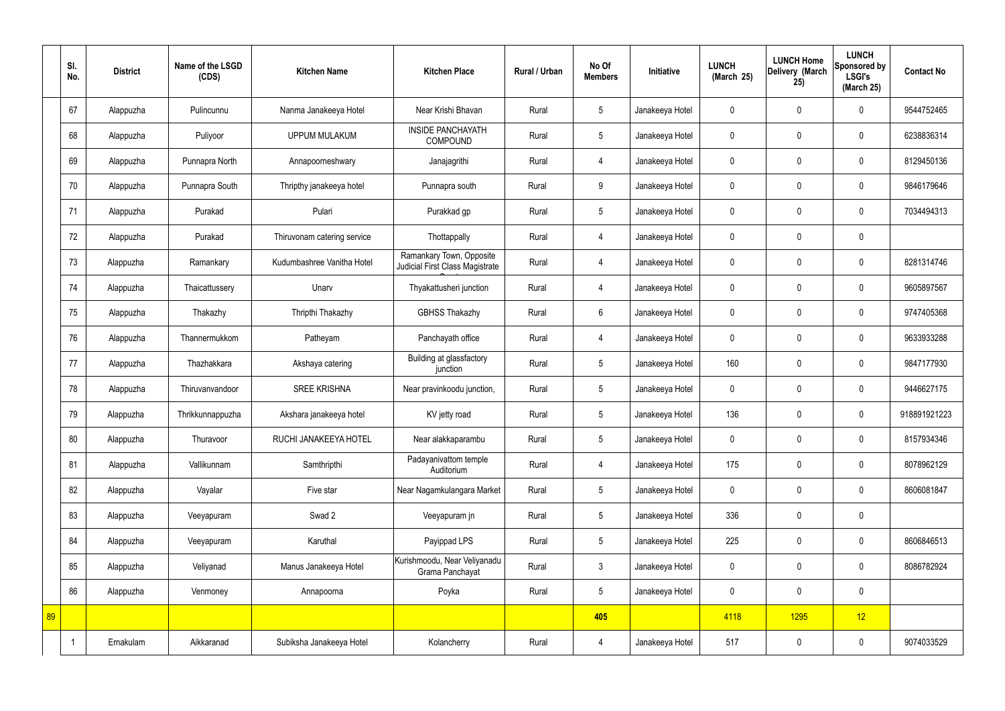|    | SI.<br>No. | <b>District</b> | Name of the LSGD<br>(CDS) | <b>Kitchen Name</b>         | <b>Kitchen Place</b>                                        | Rural / Urban | No Of<br><b>Members</b> | Initiative      | <b>LUNCH</b><br>(March 25) | <b>LUNCH Home</b><br>Delivery (March<br>25) | <b>LUNCH</b><br>Sponsored by<br><b>LSGI's</b><br>(March 25) | <b>Contact No</b> |
|----|------------|-----------------|---------------------------|-----------------------------|-------------------------------------------------------------|---------------|-------------------------|-----------------|----------------------------|---------------------------------------------|-------------------------------------------------------------|-------------------|
|    | 67         | Alappuzha       | Pulincunnu                | Nanma Janakeeya Hotel       | Near Krishi Bhavan                                          | Rural         | $5\phantom{.0}$         | Janakeeya Hotel | $\mathbf 0$                | $\mathbf 0$                                 | $\mathbf 0$                                                 | 9544752465        |
|    | 68         | Alappuzha       | Puliyoor                  | <b>UPPUM MULAKUM</b>        | <b>INSIDE PANCHAYATH</b><br><b>COMPOUND</b>                 | Rural         | $5\overline{)}$         | Janakeeya Hotel | $\mathbf 0$                | $\mathbf 0$                                 | $\mathbf 0$                                                 | 6238836314        |
|    | 69         | Alappuzha       | Punnapra North            | Annapoorneshwary            | Janajagrithi                                                | Rural         | $\overline{4}$          | Janakeeya Hotel | $\mathbf 0$                | $\mathbf 0$                                 | $\mathbf 0$                                                 | 8129450136        |
|    | 70         | Alappuzha       | Punnapra South            | Thripthy janakeeya hotel    | Punnapra south                                              | Rural         | 9                       | Janakeeya Hotel | $\mathbf 0$                | $\mathbf 0$                                 | $\mathbf 0$                                                 | 9846179646        |
|    | 71         | Alappuzha       | Purakad                   | Pulari                      | Purakkad gp                                                 | Rural         | $5\phantom{.0}$         | Janakeeya Hotel | $\mathbf 0$                | $\mathbf 0$                                 | $\mathbf 0$                                                 | 7034494313        |
|    | 72         | Alappuzha       | Purakad                   | Thiruvonam catering service | Thottappally                                                | Rural         | $\overline{4}$          | Janakeeya Hotel | $\mathbf 0$                | $\mathbf 0$                                 | $\mathbf 0$                                                 |                   |
|    | 73         | Alappuzha       | Ramankary                 | Kudumbashree Vanitha Hotel  | Ramankary Town, Opposite<br>Judicial First Class Magistrate | Rural         | $\overline{4}$          | Janakeeya Hotel | $\mathbf 0$                | $\mathbf 0$                                 | $\mathbf 0$                                                 | 8281314746        |
|    | 74         | Alappuzha       | Thaicattussery            | Unarv                       | Thyakattusheri junction                                     | Rural         | $\overline{4}$          | Janakeeya Hotel | $\mathbf 0$                | $\mathbf 0$                                 | $\mathbf 0$                                                 | 9605897567        |
|    | 75         | Alappuzha       | Thakazhy                  | Thripthi Thakazhy           | <b>GBHSS Thakazhy</b>                                       | Rural         | $6\overline{6}$         | Janakeeya Hotel | $\mathbf 0$                | $\mathbf 0$                                 | $\mathbf 0$                                                 | 9747405368        |
|    | 76         | Alappuzha       | Thannermukkom             | Patheyam                    | Panchayath office                                           | Rural         | 4                       | Janakeeya Hotel | $\mathbf 0$                | $\mathbf 0$                                 | $\mathbf 0$                                                 | 9633933288        |
|    | 77         | Alappuzha       | Thazhakkara               | Akshaya catering            | Building at glassfactory<br>junction                        | Rural         | $5\phantom{.0}$         | Janakeeya Hotel | 160                        | $\mathbf 0$                                 | $\mathbf 0$                                                 | 9847177930        |
|    | 78         | Alappuzha       | Thiruvanvandoor           | <b>SREE KRISHNA</b>         | Near pravinkoodu junction,                                  | Rural         | $5\phantom{.0}$         | Janakeeya Hotel | $\mathbf 0$                | $\mathbf 0$                                 | $\mathbf 0$                                                 | 9446627175        |
|    | 79         | Alappuzha       | Thrikkunnappuzha          | Akshara janakeeya hotel     | KV jetty road                                               | Rural         | 5                       | Janakeeya Hotel | 136                        | $\mathbf 0$                                 | $\mathbf 0$                                                 | 918891921223      |
|    | 80         | Alappuzha       | Thuravoor                 | RUCHI JANAKEEYA HOTEL       | Near alakkaparambu                                          | Rural         | $5\phantom{.0}$         | Janakeeya Hotel | $\mathbf 0$                | $\mathbf 0$                                 | $\mathbf 0$                                                 | 8157934346        |
|    | 81         | Alappuzha       | Vallikunnam               | Samthripthi                 | Padayanivattom temple<br>Auditorium                         | Rural         | $\overline{4}$          | Janakeeya Hotel | 175                        | $\mathbf 0$                                 | $\mathbf 0$                                                 | 8078962129        |
|    | 82         | Alappuzha       | Vayalar                   | Five star                   | Near Nagamkulangara Market                                  | Rural         | $5\overline{)}$         | Janakeeya Hotel | $\pmb{0}$                  | $\mathbf 0$                                 | $\mathbf 0$                                                 | 8606081847        |
|    | 83         | Alappuzha       | Veeyapuram                | Swad 2                      | Veeyapuram jn                                               | Rural         | $5\overline{)}$         | Janakeeya Hotel | 336                        | $\mathbf 0$                                 | $\mathbf 0$                                                 |                   |
|    | 84         | Alappuzha       | Veeyapuram                | Karuthal                    | Payippad LPS                                                | Rural         | $5\overline{)}$         | Janakeeya Hotel | 225                        | $\mathbf 0$                                 | $\mathbf 0$                                                 | 8606846513        |
|    | 85         | Alappuzha       | Veliyanad                 | Manus Janakeeya Hotel       | Kurishmoodu, Near Veliyanadu<br>Grama Panchayat             | Rural         | $\mathbf{3}$            | Janakeeya Hotel | $\pmb{0}$                  | $\pmb{0}$                                   | $\mathbf 0$                                                 | 8086782924        |
|    | 86         | Alappuzha       | Venmoney                  | Annapoorna                  | Poyka                                                       | Rural         | $5\overline{)}$         | Janakeeya Hotel | $\pmb{0}$                  | $\pmb{0}$                                   | $\mathbf 0$                                                 |                   |
| 89 |            |                 |                           |                             |                                                             |               | 405                     |                 | 4118                       | 1295                                        | 12                                                          |                   |
|    |            | Ernakulam       | Aikkaranad                | Subiksha Janakeeya Hotel    | Kolancherry                                                 | Rural         | 4                       | Janakeeya Hotel | 517                        | $\pmb{0}$                                   | $\boldsymbol{0}$                                            | 9074033529        |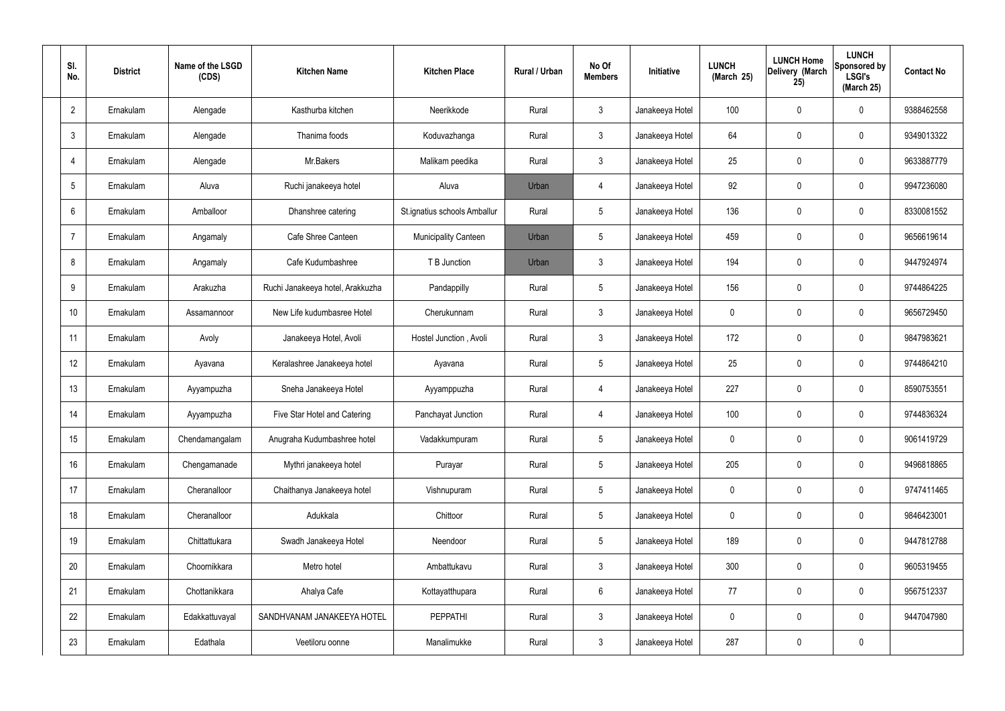| SI.<br>No.      | <b>District</b> | Name of the LSGD<br>(CDS) | <b>Kitchen Name</b>              | <b>Kitchen Place</b>         | Rural / Urban | No Of<br><b>Members</b> | Initiative      | <b>LUNCH</b><br>(March 25) | <b>LUNCH Home</b><br>Delivery (March<br>25) | <b>LUNCH</b><br>Sponsored by<br><b>LSGI's</b><br>(March 25) | <b>Contact No</b> |
|-----------------|-----------------|---------------------------|----------------------------------|------------------------------|---------------|-------------------------|-----------------|----------------------------|---------------------------------------------|-------------------------------------------------------------|-------------------|
| $\overline{2}$  | Ernakulam       | Alengade                  | Kasthurba kitchen                | Neerikkode                   | Rural         | $\mathbf{3}$            | Janakeeya Hotel | 100                        | $\mathbf 0$                                 | 0                                                           | 9388462558        |
| $\mathbf{3}$    | Ernakulam       | Alengade                  | Thanima foods                    | Koduvazhanga                 | Rural         | $\mathbf{3}$            | Janakeeya Hotel | 64                         | $\mathbf 0$                                 | 0                                                           | 9349013322        |
| $\overline{4}$  | Ernakulam       | Alengade                  | Mr.Bakers                        | Malikam peedika              | Rural         | $\mathbf{3}$            | Janakeeya Hotel | 25                         | $\mathbf 0$                                 | 0                                                           | 9633887779        |
| $5\overline{)}$ | Ernakulam       | Aluva                     | Ruchi janakeeya hotel            | Aluva                        | Urban         | $\overline{4}$          | Janakeeya Hotel | 92                         | $\mathbf 0$                                 | 0                                                           | 9947236080        |
| 6               | Ernakulam       | Amballoor                 | Dhanshree catering               | St.ignatius schools Amballur | Rural         | $5\phantom{.0}$         | Janakeeya Hotel | 136                        | $\mathbf 0$                                 | 0                                                           | 8330081552        |
| $\overline{7}$  | Ernakulam       | Angamaly                  | Cafe Shree Canteen               | <b>Municipality Canteen</b>  | Urban         | $5\phantom{.0}$         | Janakeeya Hotel | 459                        | $\mathbf 0$                                 | 0                                                           | 9656619614        |
| 8               | Ernakulam       | Angamaly                  | Cafe Kudumbashree                | T B Junction                 | Urban         | $\mathbf{3}$            | Janakeeya Hotel | 194                        | $\mathbf 0$                                 | 0                                                           | 9447924974        |
| 9               | Ernakulam       | Arakuzha                  | Ruchi Janakeeya hotel, Arakkuzha | Pandappilly                  | Rural         | $5\phantom{.0}$         | Janakeeya Hotel | 156                        | $\mathbf 0$                                 | 0                                                           | 9744864225        |
| 10              | Ernakulam       | Assamannoor               | New Life kudumbasree Hotel       | Cherukunnam                  | Rural         | $\mathbf{3}$            | Janakeeya Hotel | $\mathbf 0$                | $\mathbf 0$                                 | 0                                                           | 9656729450        |
| 11              | Ernakulam       | Avoly                     | Janakeeya Hotel, Avoli           | Hostel Junction, Avoli       | Rural         | $\mathbf{3}$            | Janakeeya Hotel | 172                        | $\mathbf 0$                                 | 0                                                           | 9847983621        |
| 12              | Ernakulam       | Ayavana                   | Keralashree Janakeeya hotel      | Ayavana                      | Rural         | $5\phantom{.0}$         | Janakeeya Hotel | 25                         | 0                                           | 0                                                           | 9744864210        |
| 13              | Ernakulam       | Ayyampuzha                | Sneha Janakeeya Hotel            | Ayyamppuzha                  | Rural         | $\overline{4}$          | Janakeeya Hotel | 227                        | 0                                           | 0                                                           | 8590753551        |
| 14              | Ernakulam       | Ayyampuzha                | Five Star Hotel and Catering     | Panchayat Junction           | Rural         | $\overline{4}$          | Janakeeya Hotel | 100                        | $\mathbf 0$                                 | 0                                                           | 9744836324        |
| 15              | Ernakulam       | Chendamangalam            | Anugraha Kudumbashree hotel      | Vadakkumpuram                | Rural         | $5\phantom{.0}$         | Janakeeya Hotel | $\mathbf 0$                | $\mathbf 0$                                 | 0                                                           | 9061419729        |
| 16              | Ernakulam       | Chengamanade              | Mythri janakeeya hotel           | Purayar                      | Rural         | $5\phantom{.0}$         | Janakeeya Hotel | 205                        | $\mathbf 0$                                 | 0                                                           | 9496818865        |
| 17              | Ernakulam       | Cheranalloor              | Chaithanya Janakeeya hotel       | Vishnupuram                  | Rural         | $5\phantom{.0}$         | Janakeeya Hotel | $\mathbf 0$                | $\mathbf 0$                                 | 0                                                           | 9747411465        |
| 18              | Ernakulam       | Cheranalloor              | Adukkala                         | Chittoor                     | Rural         | $5\phantom{.0}$         | Janakeeya Hotel | $\mathbf 0$                | $\mathbf 0$                                 | 0                                                           | 9846423001        |
| 19              | Ernakulam       | Chittattukara             | Swadh Janakeeya Hotel            | Neendoor                     | Rural         | $5\phantom{.0}$         | Janakeeya Hotel | 189                        | $\mathbf 0$                                 | 0                                                           | 9447812788        |
| 20              | Ernakulam       | Choornikkara              | Metro hotel                      | Ambattukavu                  | Rural         | $\mathbf{3}$            | Janakeeya Hotel | 300                        | $\mathbf 0$                                 | 0                                                           | 9605319455        |
| 21              | Ernakulam       | Chottanikkara             | Ahalya Cafe                      | Kottayatthupara              | Rural         | $6\overline{6}$         | Janakeeya Hotel | 77                         | $\mathbf 0$                                 | 0                                                           | 9567512337        |
| 22              | Ernakulam       | Edakkattuvayal            | SANDHVANAM JANAKEEYA HOTEL       | <b>PEPPATHI</b>              | Rural         | $\mathbf{3}$            | Janakeeya Hotel | $\mathbf 0$                | $\mathbf 0$                                 | $\mathbf 0$                                                 | 9447047980        |
| 23              | Ernakulam       | Edathala                  | Veetiloru oonne                  | Manalimukke                  | Rural         | $\mathbf{3}$            | Janakeeya Hotel | 287                        | $\pmb{0}$                                   | 0                                                           |                   |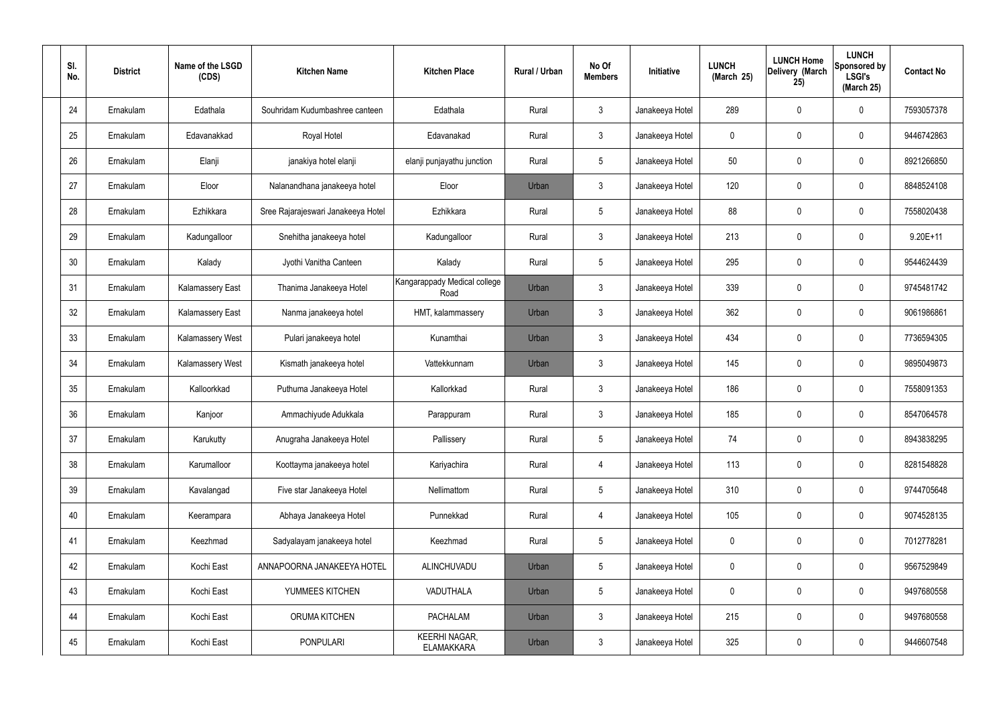| SI.<br>No. | <b>District</b> | Name of the LSGD<br>(CDS) | <b>Kitchen Name</b>                | <b>Kitchen Place</b>                      | Rural / Urban | No Of<br><b>Members</b> | Initiative      | <b>LUNCH</b><br>(March 25) | <b>LUNCH Home</b><br>Delivery (March<br>25) | <b>LUNCH</b><br>Sponsored by<br><b>LSGI's</b><br>(March 25) | <b>Contact No</b> |
|------------|-----------------|---------------------------|------------------------------------|-------------------------------------------|---------------|-------------------------|-----------------|----------------------------|---------------------------------------------|-------------------------------------------------------------|-------------------|
| 24         | Ernakulam       | Edathala                  | Souhridam Kudumbashree canteen     | Edathala                                  | Rural         | $\mathbf{3}$            | Janakeeya Hotel | 289                        | 0                                           | $\mathbf 0$                                                 | 7593057378        |
| 25         | Ernakulam       | Edavanakkad               | Royal Hotel                        | Edavanakad                                | Rural         | $\mathbf{3}$            | Janakeeya Hotel | $\mathbf 0$                | 0                                           | $\mathbf 0$                                                 | 9446742863        |
| 26         | Ernakulam       | Elanji                    | janakiya hotel elanji              | elanji punjayathu junction                | Rural         | $5\phantom{.0}$         | Janakeeya Hotel | 50                         | 0                                           | $\mathbf 0$                                                 | 8921266850        |
| 27         | Ernakulam       | Eloor                     | Nalanandhana janakeeya hotel       | Eloor                                     | Urban         | $\mathbf{3}$            | Janakeeya Hotel | 120                        | 0                                           | $\mathbf 0$                                                 | 8848524108        |
| 28         | Ernakulam       | Ezhikkara                 | Sree Rajarajeswari Janakeeya Hotel | Ezhikkara                                 | Rural         | $5\phantom{.0}$         | Janakeeya Hotel | 88                         | 0                                           | $\mathbf 0$                                                 | 7558020438        |
| 29         | Ernakulam       | Kadungalloor              | Snehitha janakeeya hotel           | Kadungalloor                              | Rural         | $\mathbf{3}$            | Janakeeya Hotel | 213                        | 0                                           | $\mathbf 0$                                                 | $9.20E + 11$      |
| 30         | Ernakulam       | Kalady                    | Jyothi Vanitha Canteen             | Kalady                                    | Rural         | $5\phantom{.0}$         | Janakeeya Hotel | 295                        | $\boldsymbol{0}$                            | $\mathbf 0$                                                 | 9544624439        |
| 31         | Ernakulam       | <b>Kalamassery East</b>   | Thanima Janakeeya Hotel            | Kangarappady Medical college<br>Road      | Urban         | $\mathbf{3}$            | Janakeeya Hotel | 339                        | 0                                           | $\mathbf 0$                                                 | 9745481742        |
| 32         | Ernakulam       | <b>Kalamassery East</b>   | Nanma janakeeya hotel              | HMT, kalammassery                         | Urban         | $\mathbf{3}$            | Janakeeya Hotel | 362                        | $\boldsymbol{0}$                            | $\mathbf 0$                                                 | 9061986861        |
| 33         | Ernakulam       | Kalamassery West          | Pulari janakeeya hotel             | Kunamthai                                 | Urban         | $\mathbf{3}$            | Janakeeya Hotel | 434                        | 0                                           | $\boldsymbol{0}$                                            | 7736594305        |
| 34         | Ernakulam       | Kalamassery West          | Kismath janakeeya hotel            | Vattekkunnam                              | Urban         | $\mathbf{3}$            | Janakeeya Hotel | 145                        | 0                                           | $\boldsymbol{0}$                                            | 9895049873        |
| 35         | Ernakulam       | Kalloorkkad               | Puthuma Janakeeya Hotel            | Kallorkkad                                | Rural         | $\mathfrak{Z}$          | Janakeeya Hotel | 186                        | 0                                           | $\boldsymbol{0}$                                            | 7558091353        |
| 36         | Ernakulam       | Kanjoor                   | Ammachiyude Adukkala               | Parappuram                                | Rural         | $\mathbf{3}$            | Janakeeya Hotel | 185                        | 0                                           | 0                                                           | 8547064578        |
| 37         | Ernakulam       | Karukutty                 | Anugraha Janakeeya Hotel           | Pallissery                                | Rural         | $5\phantom{.0}$         | Janakeeya Hotel | 74                         | 0                                           | $\mathbf 0$                                                 | 8943838295        |
| 38         | Ernakulam       | Karumalloor               | Koottayma janakeeya hotel          | Kariyachira                               | Rural         | $\overline{4}$          | Janakeeya Hotel | 113                        | $\mathsf{0}$                                | $\mathbf 0$                                                 | 8281548828        |
| 39         | Ernakulam       | Kavalangad                | Five star Janakeeya Hotel          | Nellimattom                               | Rural         | $5\phantom{.0}$         | Janakeeya Hotel | 310                        | $\mathbf 0$                                 | $\mathbf 0$                                                 | 9744705648        |
| 40         | Ernakulam       | Keerampara                | Abhaya Janakeeya Hotel             | Punnekkad                                 | Rural         | $\overline{4}$          | Janakeeya Hotel | 105                        | $\mathsf{0}$                                | $\mathbf 0$                                                 | 9074528135        |
| 41         | Ernakulam       | Keezhmad                  | Sadyalayam janakeeya hotel         | Keezhmad                                  | Rural         | $5\phantom{.0}$         | Janakeeya Hotel | $\mathbf 0$                | $\mathbf 0$                                 | $\mathbf 0$                                                 | 7012778281        |
| 42         | Ernakulam       | Kochi East                | ANNAPOORNA JANAKEEYA HOTEL         | ALINCHUVADU                               | Urban         | $5\phantom{.0}$         | Janakeeya Hotel | $\mathbf 0$                | $\mathbf 0$                                 | $\mathbf 0$                                                 | 9567529849        |
| 43         | Ernakulam       | Kochi East                | YUMMEES KITCHEN                    | VADUTHALA                                 | Urban         | $5\phantom{.0}$         | Janakeeya Hotel | $\mathbf 0$                | $\mathbf 0$                                 | $\mathbf 0$                                                 | 9497680558        |
| 44         | Ernakulam       | Kochi East                | ORUMA KITCHEN                      | <b>PACHALAM</b>                           | Urban         | $\mathfrak{Z}$          | Janakeeya Hotel | 215                        | 0                                           | $\mathbf 0$                                                 | 9497680558        |
| 45         | Ernakulam       | Kochi East                | <b>PONPULARI</b>                   | <b>KEERHI NAGAR,</b><br><b>ELAMAKKARA</b> | Urban         | $\mathbf{3}$            | Janakeeya Hotel | 325                        | $\pmb{0}$                                   | $\bf{0}$                                                    | 9446607548        |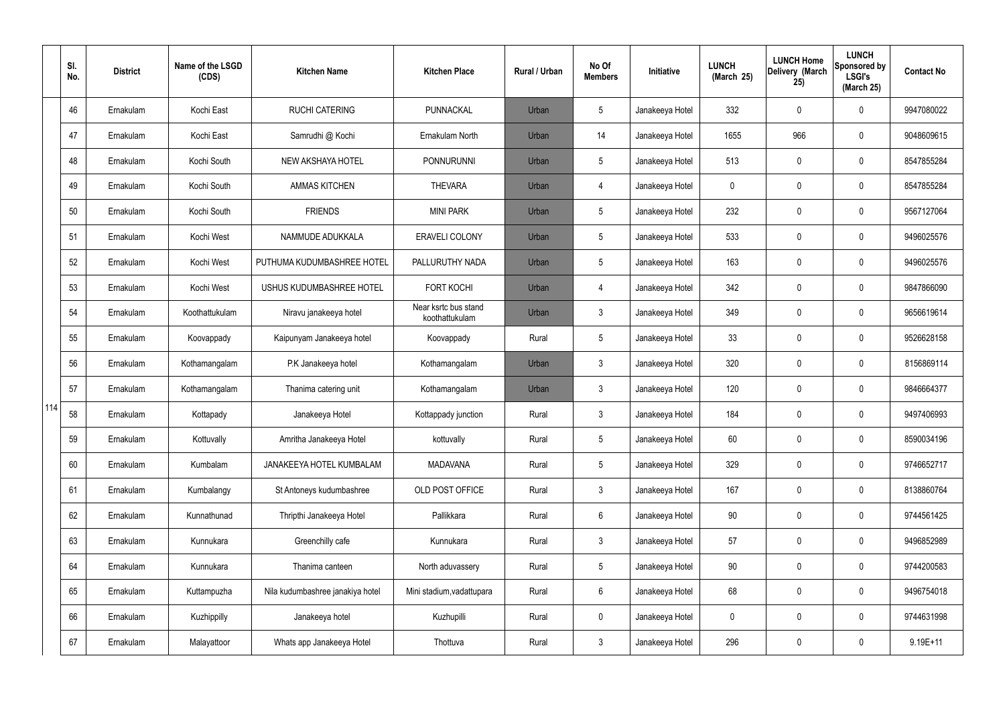|     | SI.<br>No. | <b>District</b> | Name of the LSGD<br>(CDS) | <b>Kitchen Name</b>              | <b>Kitchen Place</b>                   | <b>Rural / Urban</b> | No Of<br><b>Members</b> | Initiative      | <b>LUNCH</b><br>(March 25) | <b>LUNCH Home</b><br>Delivery (March<br>25) | <b>LUNCH</b><br>Sponsored by<br><b>LSGI's</b><br>(March 25) | <b>Contact No</b> |
|-----|------------|-----------------|---------------------------|----------------------------------|----------------------------------------|----------------------|-------------------------|-----------------|----------------------------|---------------------------------------------|-------------------------------------------------------------|-------------------|
|     | 46         | Ernakulam       | Kochi East                | <b>RUCHI CATERING</b>            | PUNNACKAL                              | Urban                | 5                       | Janakeeya Hotel | 332                        | 0                                           | $\mathbf 0$                                                 | 9947080022        |
|     | 47         | Ernakulam       | Kochi East                | Samrudhi @ Kochi                 | Ernakulam North                        | Urban                | 14                      | Janakeeya Hotel | 1655                       | 966                                         | $\boldsymbol{0}$                                            | 9048609615        |
|     | 48         | Ernakulam       | Kochi South               | NEW AKSHAYA HOTEL                | <b>PONNURUNNI</b>                      | Urban                | 5                       | Janakeeya Hotel | 513                        | 0                                           | $\boldsymbol{0}$                                            | 8547855284        |
|     | 49         | Ernakulam       | Kochi South               | <b>AMMAS KITCHEN</b>             | <b>THEVARA</b>                         | Urban                | 4                       | Janakeeya Hotel | 0                          | 0                                           | $\boldsymbol{0}$                                            | 8547855284        |
|     | 50         | Ernakulam       | Kochi South               | <b>FRIENDS</b>                   | <b>MINI PARK</b>                       | Urban                | 5                       | Janakeeya Hotel | 232                        | 0                                           | $\mathbf 0$                                                 | 9567127064        |
|     | 51         | Ernakulam       | Kochi West                | NAMMUDE ADUKKALA                 | <b>ERAVELI COLONY</b>                  | Urban                | 5                       | Janakeeya Hotel | 533                        | 0                                           | $\mathbf 0$                                                 | 9496025576        |
|     | 52         | Ernakulam       | Kochi West                | PUTHUMA KUDUMBASHREE HOTEL       | PALLURUTHY NADA                        | Urban                | 5                       | Janakeeya Hotel | 163                        | 0                                           | $\mathbf 0$                                                 | 9496025576        |
|     | 53         | Ernakulam       | Kochi West                | USHUS KUDUMBASHREE HOTEL         | <b>FORT KOCHI</b>                      | Urban                | $\overline{4}$          | Janakeeya Hotel | 342                        | 0                                           | $\mathbf 0$                                                 | 9847866090        |
|     | 54         | Ernakulam       | Koothattukulam            | Niravu janakeeya hotel           | Near ksrtc bus stand<br>koothattukulam | Urban                | $\mathbf{3}$            | Janakeeya Hotel | 349                        | 0                                           | $\mathbf 0$                                                 | 9656619614        |
|     | 55         | Ernakulam       | Koovappady                | Kaipunyam Janakeeya hotel        | Koovappady                             | Rural                | 5                       | Janakeeya Hotel | 33                         | 0                                           | $\pmb{0}$                                                   | 9526628158        |
|     | 56         | Ernakulam       | Kothamangalam             | P.K Janakeeya hotel              | Kothamangalam                          | Urban                | $\mathbf{3}$            | Janakeeya Hotel | 320                        | 0                                           | $\pmb{0}$                                                   | 8156869114        |
|     | 57         | Ernakulam       | Kothamangalam             | Thanima catering unit            | Kothamangalam                          | Urban                | $\mathbf{3}$            | Janakeeya Hotel | 120                        | 0                                           | $\boldsymbol{0}$                                            | 9846664377        |
| 114 | 58         | Ernakulam       | Kottapady                 | Janakeeya Hotel                  | Kottappady junction                    | Rural                | $\mathbf{3}$            | Janakeeya Hotel | 184                        | 0                                           | $\mathbf 0$                                                 | 9497406993        |
|     | 59         | Ernakulam       | Kottuvally                | Amritha Janakeeya Hotel          | kottuvally                             | Rural                | 5                       | Janakeeya Hotel | 60                         | 0                                           | $\mathbf 0$                                                 | 8590034196        |
|     | 60         | Ernakulam       | Kumbalam                  | JANAKEEYA HOTEL KUMBALAM         | <b>MADAVANA</b>                        | Rural                | 5                       | Janakeeya Hotel | 329                        | 0                                           | $\mathbf 0$                                                 | 9746652717        |
|     | 61         | Ernakulam       | Kumbalangy                | St Antoneys kudumbashree         | OLD POST OFFICE                        | Rural                | $\mathbf{3}$            | Janakeeya Hotel | 167                        | 0                                           | $\mathbf 0$                                                 | 8138860764        |
|     | 62         | Ernakulam       | Kunnathunad               | Thripthi Janakeeya Hotel         | Pallikkara                             | Rural                | 6                       | Janakeeya Hotel | 90                         | 0                                           | $\pmb{0}$                                                   | 9744561425        |
|     | 63         | Ernakulam       | Kunnukara                 | Greenchilly cafe                 | Kunnukara                              | Rural                | $\mathbf{3}$            | Janakeeya Hotel | 57                         | 0                                           | $\mathbf 0$                                                 | 9496852989        |
|     | 64         | Ernakulam       | Kunnukara                 | Thanima canteen                  | North aduvassery                       | Rural                | 5                       | Janakeeya Hotel | 90                         | 0                                           | $\pmb{0}$                                                   | 9744200583        |
|     | 65         | Ernakulam       | Kuttampuzha               | Nila kudumbashree janakiya hotel | Mini stadium, vadattupara              | Rural                | $6\phantom{.}6$         | Janakeeya Hotel | 68                         | 0                                           | $\pmb{0}$                                                   | 9496754018        |
|     | 66         | Ernakulam       | Kuzhippilly               | Janakeeya hotel                  | Kuzhupilli                             | Rural                | $\mathbf 0$             | Janakeeya Hotel | 0                          | 0                                           | $\pmb{0}$                                                   | 9744631998        |
|     | 67         | Ernakulam       | Malayattoor               | Whats app Janakeeya Hotel        | Thottuva                               | Rural                | $\mathfrak{Z}$          | Janakeeya Hotel | 296                        | 0                                           | $\pmb{0}$                                                   | $9.19E + 11$      |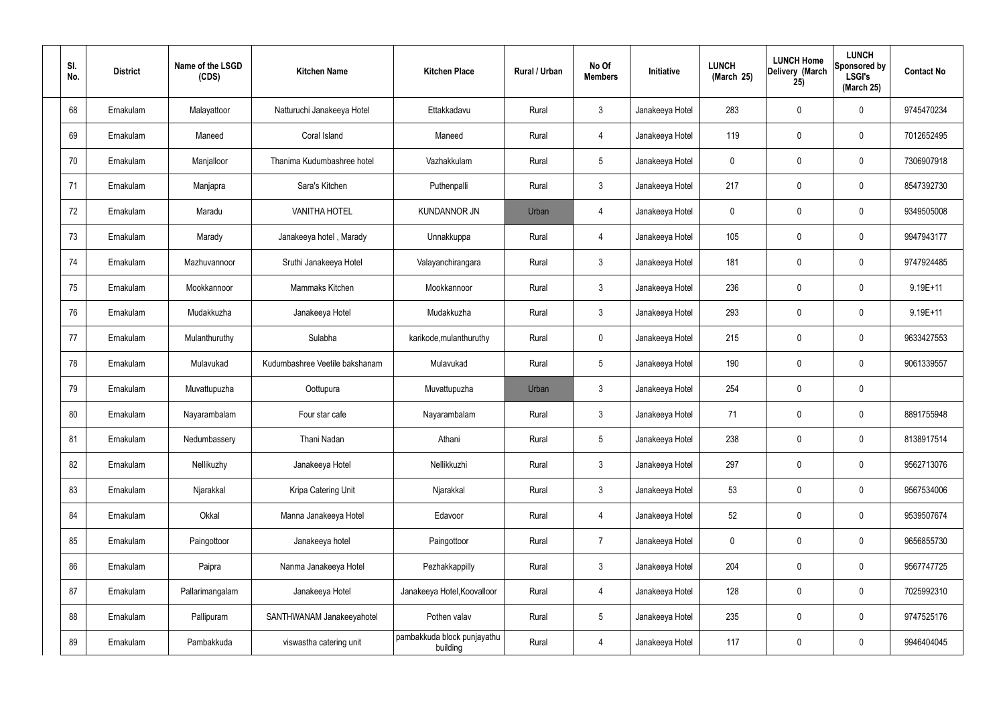| SI.<br>No. | <b>District</b> | Name of the LSGD<br>(CDS) | <b>Kitchen Name</b>            | <b>Kitchen Place</b>                    | Rural / Urban | No Of<br><b>Members</b> | Initiative      | <b>LUNCH</b><br>(March 25) | <b>LUNCH Home</b><br>Delivery (March<br>25) | <b>LUNCH</b><br>Sponsored by<br><b>LSGI's</b><br>(March 25) | <b>Contact No</b> |
|------------|-----------------|---------------------------|--------------------------------|-----------------------------------------|---------------|-------------------------|-----------------|----------------------------|---------------------------------------------|-------------------------------------------------------------|-------------------|
| 68         | Ernakulam       | Malayattoor               | Natturuchi Janakeeya Hotel     | Ettakkadavu                             | Rural         | $\mathbf{3}$            | Janakeeya Hotel | 283                        | 0                                           | $\mathbf 0$                                                 | 9745470234        |
| 69         | Ernakulam       | Maneed                    | Coral Island                   | Maneed                                  | Rural         | $\overline{4}$          | Janakeeya Hotel | 119                        | 0                                           | $\pmb{0}$                                                   | 7012652495        |
| 70         | Ernakulam       | Manjalloor                | Thanima Kudumbashree hotel     | Vazhakkulam                             | Rural         | $5\phantom{.0}$         | Janakeeya Hotel | 0                          | 0                                           | $\mathbf 0$                                                 | 7306907918        |
| 71         | Ernakulam       | Manjapra                  | Sara's Kitchen                 | Puthenpalli                             | Rural         | $\mathbf{3}$            | Janakeeya Hotel | 217                        | 0                                           | $\mathbf 0$                                                 | 8547392730        |
| 72         | Ernakulam       | Maradu                    | <b>VANITHA HOTEL</b>           | <b>KUNDANNOR JN</b>                     | Urban         | $\overline{4}$          | Janakeeya Hotel | 0                          | 0                                           | $\mathbf 0$                                                 | 9349505008        |
| 73         | Ernakulam       | Marady                    | Janakeeya hotel, Marady        | Unnakkuppa                              | Rural         | 4                       | Janakeeya Hotel | 105                        | 0                                           | $\mathbf 0$                                                 | 9947943177        |
| 74         | Ernakulam       | Mazhuvannoor              | Sruthi Janakeeya Hotel         | Valayanchirangara                       | Rural         | $\mathbf{3}$            | Janakeeya Hotel | 181                        | $\boldsymbol{0}$                            | $\mathbf 0$                                                 | 9747924485        |
| 75         | Ernakulam       | Mookkannoor               | Mammaks Kitchen                | Mookkannoor                             | Rural         | $\mathbf{3}$            | Janakeeya Hotel | 236                        | 0                                           | $\mathbf 0$                                                 | $9.19E + 11$      |
| 76         | Ernakulam       | Mudakkuzha                | Janakeeya Hotel                | Mudakkuzha                              | Rural         | $\mathbf{3}$            | Janakeeya Hotel | 293                        | $\boldsymbol{0}$                            | $\mathbf 0$                                                 | 9.19E+11          |
| 77         | Ernakulam       | Mulanthuruthy             | Sulabha                        | karikode, mulanthuruthy                 | Rural         | $\mathbf 0$             | Janakeeya Hotel | 215                        | 0                                           | $\boldsymbol{0}$                                            | 9633427553        |
| 78         | Ernakulam       | Mulavukad                 | Kudumbashree Veetile bakshanam | Mulavukad                               | Rural         | $\sqrt{5}$              | Janakeeya Hotel | 190                        | 0                                           | $\boldsymbol{0}$                                            | 9061339557        |
| 79         | Ernakulam       | Muvattupuzha              | Oottupura                      | Muvattupuzha                            | Urban         | $\mathbf{3}$            | Janakeeya Hotel | 254                        | 0                                           | $\mathbf 0$                                                 |                   |
| 80         | Ernakulam       | Nayarambalam              | Four star cafe                 | Nayarambalam                            | Rural         | $\mathbf{3}$            | Janakeeya Hotel | 71                         | 0                                           | $\boldsymbol{0}$                                            | 8891755948        |
| 81         | Ernakulam       | Nedumbassery              | Thani Nadan                    | Athani                                  | Rural         | $5\phantom{.0}$         | Janakeeya Hotel | 238                        | $\mathbf 0$                                 | $\mathbf 0$                                                 | 8138917514        |
| 82         | Ernakulam       | Nellikuzhy                | Janakeeya Hotel                | Nellikkuzhi                             | Rural         | $\mathbf{3}$            | Janakeeya Hotel | 297                        | $\mathsf{0}$                                | $\mathbf 0$                                                 | 9562713076        |
| 83         | Ernakulam       | Njarakkal                 | Kripa Catering Unit            | Njarakkal                               | Rural         | $\mathbf{3}$            | Janakeeya Hotel | 53                         | $\mathbf 0$                                 | $\mathbf 0$                                                 | 9567534006        |
| 84         | Ernakulam       | Okkal                     | Manna Janakeeya Hotel          | Edavoor                                 | Rural         | $\overline{4}$          | Janakeeya Hotel | 52                         | $\mathsf{0}$                                | $\mathbf 0$                                                 | 9539507674        |
| 85         | Ernakulam       | Paingottoor               | Janakeeya hotel                | Paingottoor                             | Rural         | $\overline{7}$          | Janakeeya Hotel | $\mathbf 0$                | $\mathbf 0$                                 | $\mathbf 0$                                                 | 9656855730        |
| 86         | Ernakulam       | Paipra                    | Nanma Janakeeya Hotel          | Pezhakkappilly                          | Rural         | $\mathbf{3}$            | Janakeeya Hotel | 204                        | $\mathbf 0$                                 | $\mathbf 0$                                                 | 9567747725        |
| 87         | Ernakulam       | Pallarimangalam           | Janakeeya Hotel                | Janakeeya Hotel, Koovalloor             | Rural         | 4                       | Janakeeya Hotel | 128                        | $\mathbf 0$                                 | $\mathbf 0$                                                 | 7025992310        |
| 88         | Ernakulam       | Pallipuram                | SANTHWANAM Janakeeyahotel      | Pothen valav                            | Rural         | $5\,$                   | Janakeeya Hotel | 235                        | 0                                           | $\mathbf 0$                                                 | 9747525176        |
| 89         | Ernakulam       | Pambakkuda                | viswastha catering unit        | pambakkuda block punjayathu<br>building | Rural         | 4                       | Janakeeya Hotel | 117                        | $\pmb{0}$                                   | $\boldsymbol{0}$                                            | 9946404045        |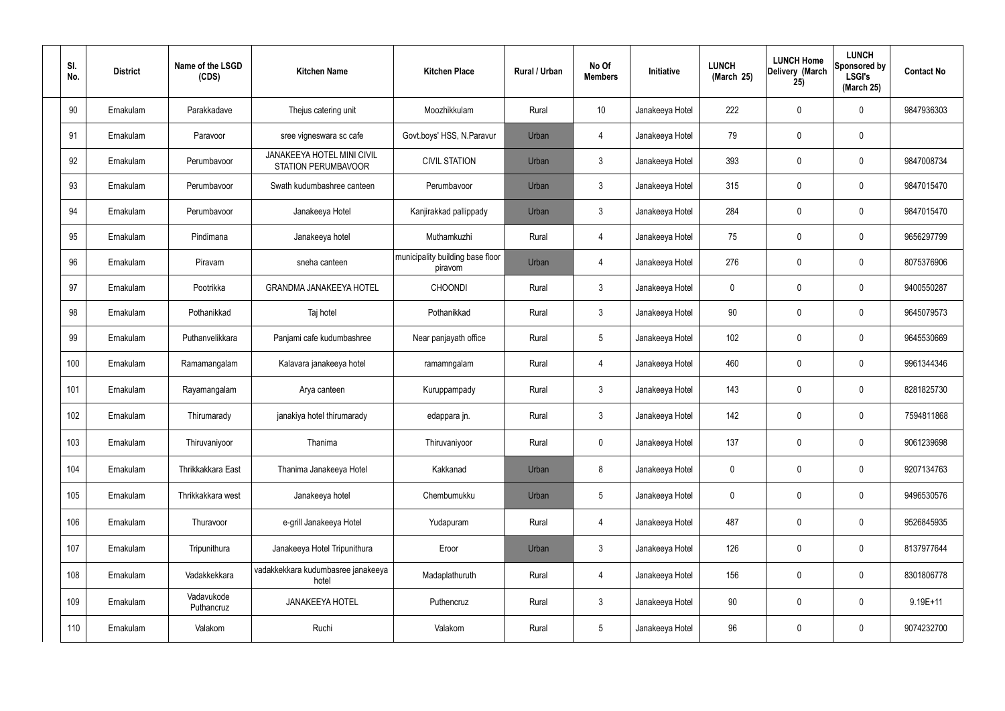| SI.<br>No. | <b>District</b> | Name of the LSGD<br>(CDS) | <b>Kitchen Name</b>                               | <b>Kitchen Place</b>                        | <b>Rural / Urban</b> | No Of<br><b>Members</b> | Initiative      | <b>LUNCH</b><br>(March 25) | <b>LUNCH Home</b><br>Delivery (March<br>25) | <b>LUNCH</b><br>Sponsored by<br><b>LSGI's</b><br>(March 25) | <b>Contact No</b> |
|------------|-----------------|---------------------------|---------------------------------------------------|---------------------------------------------|----------------------|-------------------------|-----------------|----------------------------|---------------------------------------------|-------------------------------------------------------------|-------------------|
| 90         | Ernakulam       | Parakkadave               | Thejus catering unit                              | Moozhikkulam                                | Rural                | 10                      | Janakeeya Hotel | 222                        | 0                                           | 0                                                           | 9847936303        |
| 91         | Ernakulam       | Paravoor                  | sree vigneswara sc cafe                           | Govt.boys' HSS, N.Paravur                   | Urban                | $\overline{4}$          | Janakeeya Hotel | 79                         | $\mathbf 0$                                 | 0                                                           |                   |
| 92         | Ernakulam       | Perumbavoor               | JANAKEEYA HOTEL MINI CIVIL<br>STATION PERUMBAVOOR | <b>CIVIL STATION</b>                        | Urban                | $\mathbf{3}$            | Janakeeya Hotel | 393                        | 0                                           | 0                                                           | 9847008734        |
| 93         | Ernakulam       | Perumbavoor               | Swath kudumbashree canteen                        | Perumbavoor                                 | Urban                | $\mathbf{3}$            | Janakeeya Hotel | 315                        | $\mathbf 0$                                 | 0                                                           | 9847015470        |
| 94         | Ernakulam       | Perumbavoor               | Janakeeya Hotel                                   | Kanjirakkad pallippady                      | <b>Urban</b>         | $\mathbf{3}$            | Janakeeya Hotel | 284                        | 0                                           | 0                                                           | 9847015470        |
| 95         | Ernakulam       | Pindimana                 | Janakeeya hotel                                   | Muthamkuzhi                                 | Rural                | $\overline{4}$          | Janakeeya Hotel | 75                         | $\mathbf 0$                                 | 0                                                           | 9656297799        |
| 96         | Ernakulam       | Piravam                   | sneha canteen                                     | municipality building base floor<br>piravom | Urban                | $\overline{4}$          | Janakeeya Hotel | 276                        | 0                                           | 0                                                           | 8075376906        |
| 97         | Ernakulam       | Pootrikka                 | <b>GRANDMA JANAKEEYA HOTEL</b>                    | <b>CHOONDI</b>                              | Rural                | $\mathbf{3}$            | Janakeeya Hotel | $\mathbf 0$                | 0                                           | 0                                                           | 9400550287        |
| 98         | Ernakulam       | Pothanikkad               | Taj hotel                                         | Pothanikkad                                 | Rural                | $\mathbf{3}$            | Janakeeya Hotel | 90                         | 0                                           | 0                                                           | 9645079573        |
| 99         | Ernakulam       | Puthanvelikkara           | Panjami cafe kudumbashree                         | Near panjayath office                       | Rural                | $5\phantom{.0}$         | Janakeeya Hotel | 102                        | $\mathbf 0$                                 | 0                                                           | 9645530669        |
| 100        | Ernakulam       | Ramamangalam              | Kalavara janakeeya hotel                          | ramamngalam                                 | Rural                | $\overline{4}$          | Janakeeya Hotel | 460                        | $\boldsymbol{0}$                            | 0                                                           | 9961344346        |
| 101        | Ernakulam       | Rayamangalam              | Arya canteen                                      | Kuruppampady                                | Rural                | $\mathbf{3}$            | Janakeeya Hotel | 143                        | $\mathbf 0$                                 | 0                                                           | 8281825730        |
| 102        | Ernakulam       | Thirumarady               | janakiya hotel thirumarady                        | edappara jn.                                | Rural                | $\mathbf{3}$            | Janakeeya Hotel | 142                        | $\mathbf 0$                                 | 0                                                           | 7594811868        |
| 103        | Ernakulam       | Thiruvaniyoor             | Thanima                                           | Thiruvaniyoor                               | Rural                | $\pmb{0}$               | Janakeeya Hotel | 137                        | $\pmb{0}$                                   | 0                                                           | 9061239698        |
| 104        | Ernakulam       | Thrikkakkara East         | Thanima Janakeeya Hotel                           | Kakkanad                                    | Urban                | 8                       | Janakeeya Hotel | $\pmb{0}$                  | $\mathbf 0$                                 | 0                                                           | 9207134763        |
| 105        | Ernakulam       | Thrikkakkara west         | Janakeeya hotel                                   | Chembumukku                                 | Urban                | $5\phantom{.0}$         | Janakeeya Hotel | $\mathbf 0$                | $\mathbf 0$                                 | $\mathbf 0$                                                 | 9496530576        |
| 106        | Ernakulam       | Thuravoor                 | e-grill Janakeeya Hotel                           | Yudapuram                                   | Rural                | $\overline{4}$          | Janakeeya Hotel | 487                        | $\pmb{0}$                                   | 0                                                           | 9526845935        |
| 107        | Ernakulam       | Tripunithura              | Janakeeya Hotel Tripunithura                      | Eroor                                       | Urban                | $\mathbf{3}$            | Janakeeya Hotel | 126                        | $\mathbf 0$                                 | 0                                                           | 8137977644        |
| 108        | Ernakulam       | Vadakkekkara              | vadakkekkara kudumbasree janakeeya<br>hotel       | Madaplathuruth                              | Rural                | $\overline{4}$          | Janakeeya Hotel | 156                        | $\mathbf 0$                                 | 0                                                           | 8301806778        |
| 109        | Ernakulam       | Vadavukode<br>Puthancruz  | <b>JANAKEEYA HOTEL</b>                            | Puthencruz                                  | Rural                | $\mathbf{3}$            | Janakeeya Hotel | 90                         | $\mathbf 0$                                 | 0                                                           | $9.19E + 11$      |
| 110        | Ernakulam       | Valakom                   | Ruchi                                             | Valakom                                     | Rural                | $5\overline{)}$         | Janakeeya Hotel | 96                         | $\boldsymbol{0}$                            | 0                                                           | 9074232700        |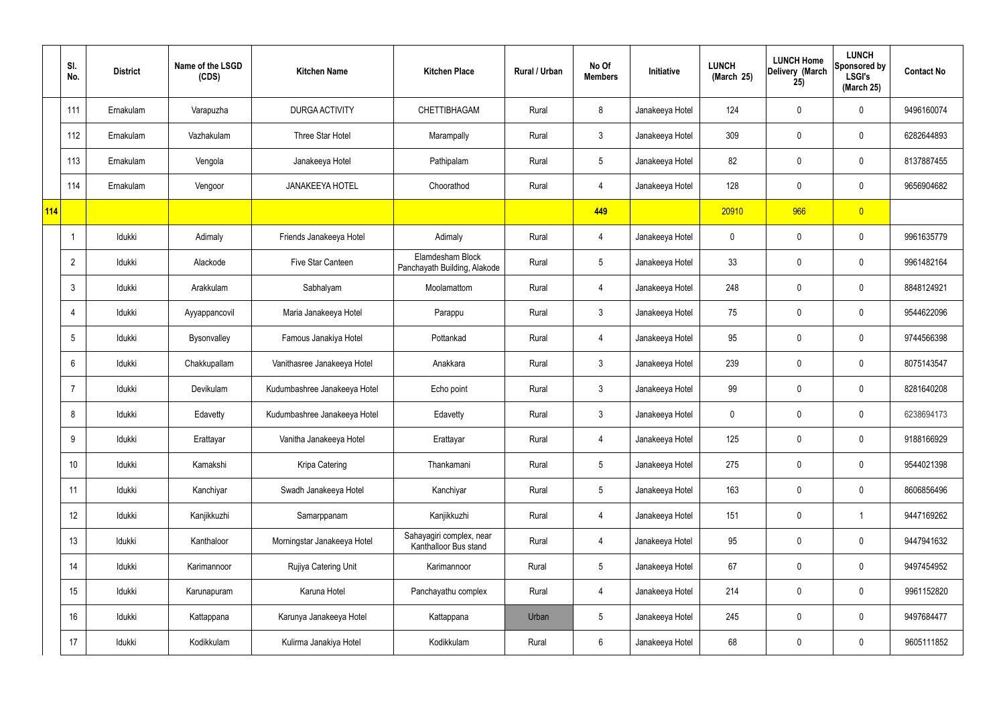|     | SI.<br>No.     | <b>District</b> | Name of the LSGD<br>(CDS) | <b>Kitchen Name</b>          | <b>Kitchen Place</b>                              | Rural / Urban | No Of<br><b>Members</b> | Initiative      | <b>LUNCH</b><br>(March 25) | <b>LUNCH Home</b><br>Delivery (March<br>25) | <b>LUNCH</b><br>Sponsored by<br><b>LSGI's</b><br>(March 25) | <b>Contact No</b> |
|-----|----------------|-----------------|---------------------------|------------------------------|---------------------------------------------------|---------------|-------------------------|-----------------|----------------------------|---------------------------------------------|-------------------------------------------------------------|-------------------|
|     | 111            | Ernakulam       | Varapuzha                 | DURGA ACTIVITY               | CHETTIBHAGAM                                      | Rural         | 8                       | Janakeeya Hotel | 124                        | $\mathbf 0$                                 | $\mathbf 0$                                                 | 9496160074        |
|     | 112            | Ernakulam       | Vazhakulam                | Three Star Hotel             | Marampally                                        | Rural         | $\mathbf{3}$            | Janakeeya Hotel | 309                        | $\mathbf 0$                                 | $\mathbf 0$                                                 | 6282644893        |
|     | 113            | Ernakulam       | Vengola                   | Janakeeya Hotel              | Pathipalam                                        | Rural         | $5\overline{)}$         | Janakeeya Hotel | 82                         | $\mathbf 0$                                 | $\mathbf 0$                                                 | 8137887455        |
|     | 114            | Ernakulam       | Vengoor                   | <b>JANAKEEYA HOTEL</b>       | Choorathod                                        | Rural         | $\overline{4}$          | Janakeeya Hotel | 128                        | $\mathbf 0$                                 | $\mathbf 0$                                                 | 9656904682        |
| 114 |                |                 |                           |                              |                                                   |               | 449                     |                 | 20910                      | 966                                         | $\overline{0}$                                              |                   |
|     |                | Idukki          | Adimaly                   | Friends Janakeeya Hotel      | Adimaly                                           | Rural         | $\overline{4}$          | Janakeeya Hotel | 0                          | $\mathbf 0$                                 | $\mathbf 0$                                                 | 9961635779        |
|     | $\overline{2}$ | Idukki          | Alackode                  | Five Star Canteen            | Elamdesham Block<br>Panchayath Building, Alakode  | Rural         | $5\overline{)}$         | Janakeeya Hotel | 33                         | $\mathbf 0$                                 | $\mathbf 0$                                                 | 9961482164        |
|     | 3              | Idukki          | Arakkulam                 | Sabhalyam                    | Moolamattom                                       | Rural         | $\overline{4}$          | Janakeeya Hotel | 248                        | $\mathbf 0$                                 | $\mathbf 0$                                                 | 8848124921        |
|     | $\overline{4}$ | Idukki          | Ayyappancovil             | Maria Janakeeya Hotel        | Parappu                                           | Rural         | $\mathbf{3}$            | Janakeeya Hotel | 75                         | $\mathbf 0$                                 | $\mathbf 0$                                                 | 9544622096        |
|     | 5              | Idukki          | Bysonvalley               | Famous Janakiya Hotel        | Pottankad                                         | Rural         | $\overline{4}$          | Janakeeya Hotel | 95                         | $\mathbf 0$                                 | $\mathbf 0$                                                 | 9744566398        |
|     | 6              | Idukki          | Chakkupallam              | Vanithasree Janakeeya Hotel  | Anakkara                                          | Rural         | $\mathbf{3}$            | Janakeeya Hotel | 239                        | 0                                           | $\mathbf 0$                                                 | 8075143547        |
|     |                | Idukki          | Devikulam                 | Kudumbashree Janakeeya Hotel | Echo point                                        | Rural         | $\mathbf{3}$            | Janakeeya Hotel | 99                         | $\mathbf 0$                                 | $\mathbf 0$                                                 | 8281640208        |
|     | 8              | Idukki          | Edavetty                  | Kudumbashree Janakeeya Hotel | Edavetty                                          | Rural         | $\mathbf{3}$            | Janakeeya Hotel | 0                          | 0                                           | $\mathbf 0$                                                 | 6238694173        |
|     | 9              | Idukki          | Erattayar                 | Vanitha Janakeeya Hotel      | Erattayar                                         | Rural         | $\overline{4}$          | Janakeeya Hotel | 125                        | $\mathbf 0$                                 | $\mathbf 0$                                                 | 9188166929        |
|     | 10             | Idukki          | Kamakshi                  | Kripa Catering               | Thankamani                                        | Rural         | $5\phantom{.0}$         | Janakeeya Hotel | 275                        | 0                                           | $\mathbf 0$                                                 | 9544021398        |
|     | 11             | Idukki          | Kanchiyar                 | Swadh Janakeeya Hotel        | Kanchiyar                                         | Rural         | $5\overline{)}$         | Janakeeya Hotel | 163                        | 0                                           | $\mathbf 0$                                                 | 8606856496        |
|     | 12             | Idukki          | Kanjikkuzhi               | Samarppanam                  | Kanjikkuzhi                                       | Rural         | $\overline{4}$          | Janakeeya Hotel | 151                        | 0                                           | $\mathbf{1}$                                                | 9447169262        |
|     | 13             | Idukki          | Kanthaloor                | Morningstar Janakeeya Hotel  | Sahayagiri complex, near<br>Kanthalloor Bus stand | Rural         | $\overline{4}$          | Janakeeya Hotel | 95                         | 0                                           | $\mathbf 0$                                                 | 9447941632        |
|     | 14             | Idukki          | Karimannoor               | Rujiya Catering Unit         | Karimannoor                                       | Rural         | $5\overline{)}$         | Janakeeya Hotel | 67                         | 0                                           | $\mathbf 0$                                                 | 9497454952        |
|     | 15             | Idukki          | Karunapuram               | Karuna Hotel                 | Panchayathu complex                               | Rural         | $\overline{4}$          | Janakeeya Hotel | 214                        | 0                                           | $\mathbf 0$                                                 | 9961152820        |
|     | 16             | Idukki          | Kattappana                | Karunya Janakeeya Hotel      | Kattappana                                        | Urban         | $5\phantom{.0}$         | Janakeeya Hotel | 245                        | 0                                           | $\mathbf 0$                                                 | 9497684477        |
|     | 17             | Idukki          | Kodikkulam                | Kulirma Janakiya Hotel       | Kodikkulam                                        | Rural         | $6\phantom{.}6$         | Janakeeya Hotel | 68                         | 0                                           | $\overline{0}$                                              | 9605111852        |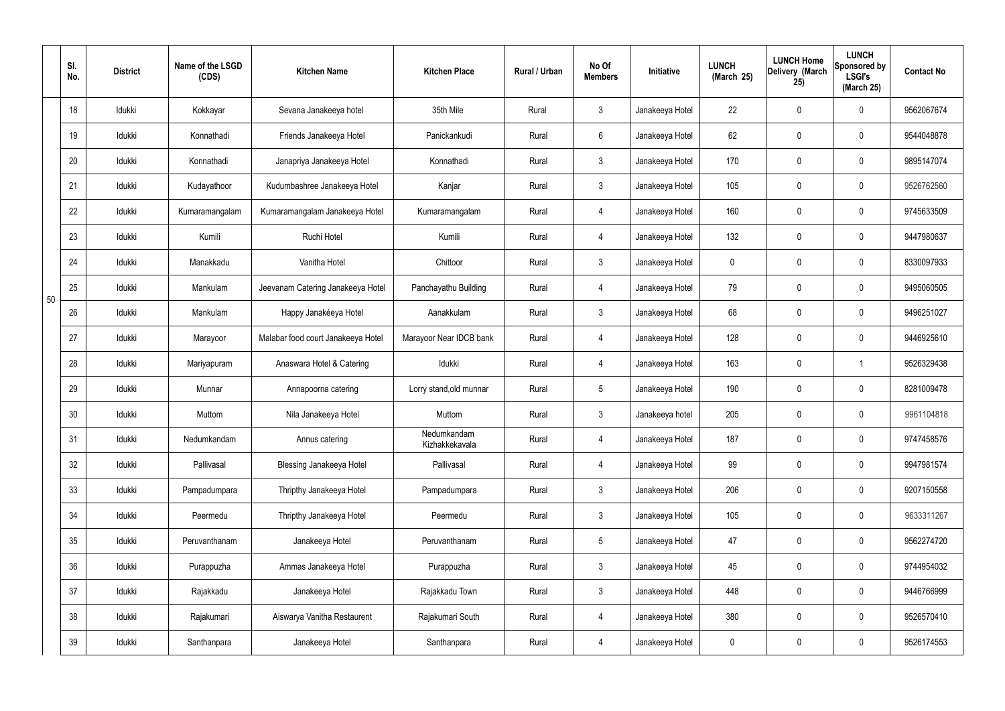|    | SI.<br>No. | <b>District</b> | Name of the LSGD<br>(CDS) | <b>Kitchen Name</b>                | <b>Kitchen Place</b>          | Rural / Urban | No Of<br><b>Members</b> | Initiative      | <b>LUNCH</b><br>(March 25) | <b>LUNCH Home</b><br>Delivery (March<br>25) | <b>LUNCH</b><br>Sponsored by<br><b>LSGI's</b><br>(March 25) | <b>Contact No</b> |
|----|------------|-----------------|---------------------------|------------------------------------|-------------------------------|---------------|-------------------------|-----------------|----------------------------|---------------------------------------------|-------------------------------------------------------------|-------------------|
|    | 18         | Idukki          | Kokkayar                  | Sevana Janakeeya hotel             | 35th Mile                     | Rural         | $\mathbf{3}$            | Janakeeya Hotel | 22                         | $\mathbf 0$                                 | $\mathbf 0$                                                 | 9562067674        |
|    | 19         | Idukki          | Konnathadi                | Friends Janakeeya Hotel            | Panickankudi                  | Rural         | $6\overline{6}$         | Janakeeya Hotel | 62                         | $\mathbf 0$                                 | $\mathbf 0$                                                 | 9544048878        |
|    | 20         | Idukki          | Konnathadi                | Janapriya Janakeeya Hotel          | Konnathadi                    | Rural         | 3                       | Janakeeya Hotel | 170                        | $\mathbf 0$                                 | $\mathbf 0$                                                 | 9895147074        |
|    | 21         | Idukki          | Kudayathoor               | Kudumbashree Janakeeya Hotel       | Kanjar                        | Rural         | $\mathbf{3}$            | Janakeeya Hotel | 105                        | $\mathbf 0$                                 | $\mathbf 0$                                                 | 9526762560        |
|    | 22         | Idukki          | Kumaramangalam            | Kumaramangalam Janakeeya Hotel     | Kumaramangalam                | Rural         | $\overline{4}$          | Janakeeya Hotel | 160                        | $\mathbf 0$                                 | $\mathbf 0$                                                 | 9745633509        |
|    | 23         | Idukki          | Kumili                    | Ruchi Hotel                        | Kumili                        | Rural         | 4                       | Janakeeya Hotel | 132                        | $\mathbf 0$                                 | $\mathbf 0$                                                 | 9447980637        |
|    | 24         | Idukki          | Manakkadu                 | Vanitha Hotel                      | Chittoor                      | Rural         | $\mathbf{3}$            | Janakeeya Hotel | $\mathbf 0$                | $\mathbf 0$                                 | $\mathbf 0$                                                 | 8330097933        |
| 50 | 25         | Idukki          | Mankulam                  | Jeevanam Catering Janakeeya Hotel  | Panchayathu Building          | Rural         | 4                       | Janakeeya Hotel | 79                         | $\mathbf 0$                                 | $\mathbf 0$                                                 | 9495060505        |
|    | 26         | Idukki          | Mankulam                  | Happy Janakéeya Hotel              | Aanakkulam                    | Rural         | $\mathbf{3}$            | Janakeeya Hotel | 68                         | 0                                           | $\mathbf 0$                                                 | 9496251027        |
|    | 27         | Idukki          | Marayoor                  | Malabar food court Janakeeya Hotel | Marayoor Near IDCB bank       | Rural         | 4                       | Janakeeya Hotel | 128                        | $\mathbf 0$                                 | $\mathbf 0$                                                 | 9446925610        |
|    | 28         | Idukki          | Mariyapuram               | Anaswara Hotel & Catering          | Idukki                        | Rural         | $\overline{4}$          | Janakeeya Hotel | 163                        | 0                                           | $\overline{\mathbf{1}}$                                     | 9526329438        |
|    | 29         | Idukki          | Munnar                    | Annapoorna catering                | Lorry stand, old munnar       | Rural         | $5\overline{)}$         | Janakeeya Hotel | 190                        | $\mathbf 0$                                 | $\mathbf 0$                                                 | 8281009478        |
|    | 30         | Idukki          | Muttom                    | Nila Janakeeya Hotel               | Muttom                        | Rural         | $\mathbf{3}$            | Janakeeya hotel | 205                        | $\mathbf 0$                                 | $\mathbf 0$                                                 | 9961104818        |
|    | 31         | Idukki          | Nedumkandam               | Annus catering                     | Nedumkandam<br>Kizhakkekavala | Rural         | $\overline{4}$          | Janakeeya Hotel | 187                        | $\pmb{0}$                                   | $\mathbf 0$                                                 | 9747458576        |
|    | 32         | Idukki          | Pallivasal                | <b>Blessing Janakeeya Hotel</b>    | Pallivasal                    | Rural         | $\overline{4}$          | Janakeeya Hotel | 99                         | $\pmb{0}$                                   | $\mathbf 0$                                                 | 9947981574        |
|    | 33         | Idukki          | Pampadumpara              | Thripthy Janakeeya Hotel           | Pampadumpara                  | Rural         | $3\phantom{a}$          | Janakeeya Hotel | 206                        | $\pmb{0}$                                   | $\mathbf 0$                                                 | 9207150558        |
|    | 34         | Idukki          | Peermedu                  | Thripthy Janakeeya Hotel           | Peermedu                      | Rural         | $3\phantom{a}$          | Janakeeya Hotel | 105                        | $\pmb{0}$                                   | $\mathbf 0$                                                 | 9633311267        |
|    | 35         | Idukki          | Peruvanthanam             | Janakeeya Hotel                    | Peruvanthanam                 | Rural         | $5\phantom{.0}$         | Janakeeya Hotel | 47                         | $\pmb{0}$                                   | $\mathbf 0$                                                 | 9562274720        |
|    | 36         | Idukki          | Purappuzha                | Ammas Janakeeya Hotel              | Purappuzha                    | Rural         | 3                       | Janakeeya Hotel | 45                         | $\pmb{0}$                                   | $\mathbf 0$                                                 | 9744954032        |
|    | 37         | Idukki          | Rajakkadu                 | Janakeeya Hotel                    | Rajakkadu Town                | Rural         | 3                       | Janakeeya Hotel | 448                        | $\pmb{0}$                                   | $\mathbf 0$                                                 | 9446766999        |
|    | 38         | Idukki          | Rajakumari                | Aiswarya Vanitha Restaurent        | Rajakumari South              | Rural         | $\overline{4}$          | Janakeeya Hotel | 380                        | 0                                           | $\mathbf 0$                                                 | 9526570410        |
|    | 39         | Idukki          | Santhanpara               | Janakeeya Hotel                    | Santhanpara                   | Rural         | $\overline{4}$          | Janakeeya Hotel | $\pmb{0}$                  | $\pmb{0}$                                   | $\boldsymbol{0}$                                            | 9526174553        |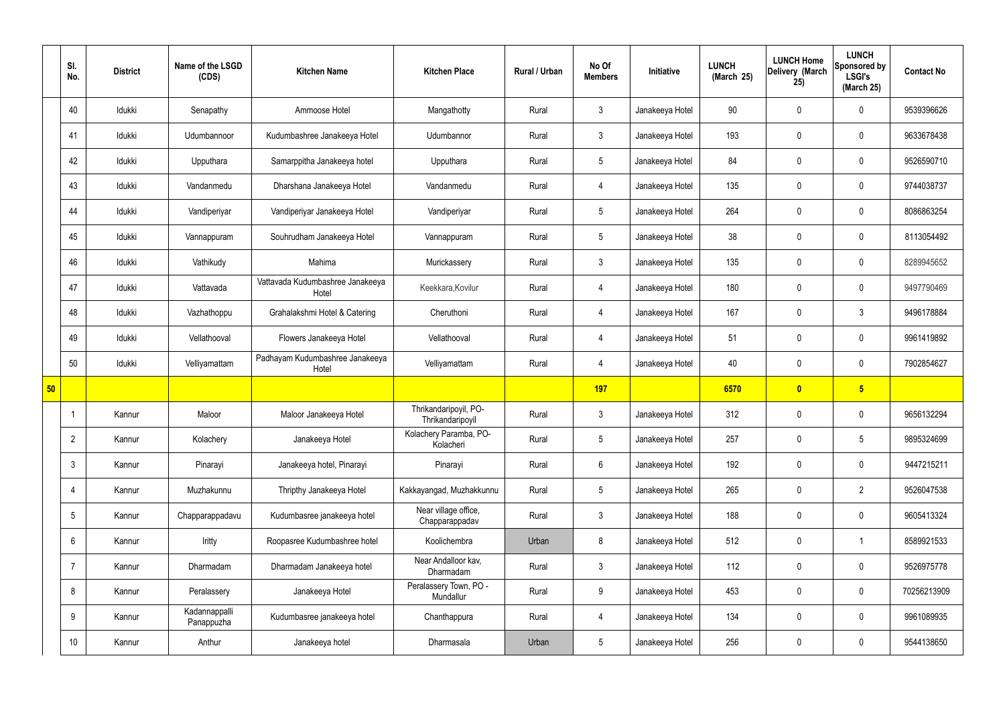|    | SI.<br>No.     | <b>District</b> | Name of the LSGD<br>(CDS)   | <b>Kitchen Name</b>                       | <b>Kitchen Place</b>                      | Rural / Urban | No Of<br><b>Members</b> | Initiative      | <b>LUNCH</b><br>(March 25) | <b>LUNCH Home</b><br>Delivery (March<br>25) | <b>LUNCH</b><br>Sponsored by<br><b>LSGI's</b><br>(March 25) | <b>Contact No</b> |
|----|----------------|-----------------|-----------------------------|-------------------------------------------|-------------------------------------------|---------------|-------------------------|-----------------|----------------------------|---------------------------------------------|-------------------------------------------------------------|-------------------|
|    | 40             | Idukki          | Senapathy                   | Ammoose Hotel                             | Mangathotty                               | Rural         | $\mathbf{3}$            | Janakeeya Hotel | 90                         | $\mathbf 0$                                 | $\mathbf 0$                                                 | 9539396626        |
|    | 41             | Idukki          | Udumbannoor                 | Kudumbashree Janakeeya Hotel              | Udumbannor                                | Rural         | $\mathbf{3}$            | Janakeeya Hotel | 193                        | $\mathbf 0$                                 | $\mathbf 0$                                                 | 9633678438        |
|    | 42             | Idukki          | Upputhara                   | Samarppitha Janakeeya hotel               | Upputhara                                 | Rural         | 5 <sup>5</sup>          | Janakeeya Hotel | 84                         | $\mathbf 0$                                 | $\mathbf 0$                                                 | 9526590710        |
|    | 43             | Idukki          | Vandanmedu                  | Dharshana Janakeeya Hotel                 | Vandanmedu                                | Rural         | 4                       | Janakeeya Hotel | 135                        | $\mathbf 0$                                 | $\mathbf 0$                                                 | 9744038737        |
|    | 44             | Idukki          | Vandiperiyar                | Vandiperiyar Janakeeya Hotel              | Vandiperiyar                              | Rural         | 5 <sup>5</sup>          | Janakeeya Hotel | 264                        | $\mathbf 0$                                 | $\mathbf 0$                                                 | 8086863254        |
|    | 45             | Idukki          | Vannappuram                 | Souhrudham Janakeeya Hotel                | Vannappuram                               | Rural         | $5\phantom{.0}$         | Janakeeya Hotel | 38                         | $\mathbf 0$                                 | $\mathbf 0$                                                 | 8113054492        |
|    | 46             | Idukki          | Vathikudy                   | Mahima                                    | Murickassery                              | Rural         | $\mathbf{3}$            | Janakeeya Hotel | 135                        | $\mathbf 0$                                 | $\mathbf 0$                                                 | 8289945652        |
|    | 47             | Idukki          | Vattavada                   | Vattavada Kudumbashree Janakeeya<br>Hotel | Keekkara, Kovilur                         | Rural         | 4                       | Janakeeya Hotel | 180                        | $\mathbf 0$                                 | $\mathbf 0$                                                 | 9497790469        |
|    | 48             | Idukki          | Vazhathoppu                 | Grahalakshmi Hotel & Catering             | Cheruthoni                                | Rural         | $\overline{4}$          | Janakeeya Hotel | 167                        | $\mathbf 0$                                 | $\mathbf{3}$                                                | 9496178884        |
|    | 49             | Idukki          | Vellathooval                | Flowers Janakeeya Hotel                   | Vellathooval                              | Rural         | $\overline{4}$          | Janakeeya Hotel | 51                         | $\mathbf 0$                                 | $\mathbf 0$                                                 | 9961419892        |
|    | 50             | Idukki          | Velliyamattam               | Padhayam Kudumbashree Janakeeya<br>Hotel  | Velliyamattam                             | Rural         | $\overline{4}$          | Janakeeya Hotel | 40                         | $\mathbf 0$                                 | $\mathbf 0$                                                 | 7902854627        |
| 50 |                |                 |                             |                                           |                                           |               | <b>197</b>              |                 | 6570                       | $\bullet$                                   | $5\overline{)}$                                             |                   |
|    |                | Kannur          | Maloor                      | Maloor Janakeeya Hotel                    | Thrikandaripoyil, PO-<br>Thrikandaripoyil | Rural         | 3                       | Janakeeya Hotel | 312                        | $\mathbf 0$                                 | $\mathbf 0$                                                 | 9656132294        |
|    | $\overline{2}$ | Kannur          | Kolachery                   | Janakeeya Hotel                           | Kolachery Paramba, PO-<br>Kolacheri       | Rural         | 5 <sub>5</sub>          | Janakeeya Hotel | 257                        | $\pmb{0}$                                   | $5\phantom{.0}$                                             | 9895324699        |
|    | $\mathfrak{Z}$ | Kannur          | Pinarayi                    | Janakeeya hotel, Pinarayi                 | Pinarayi                                  | Rural         | $6\overline{6}$         | Janakeeya Hotel | 192                        | $\pmb{0}$                                   | $\mathbf 0$                                                 | 9447215211        |
|    | 4              | Kannur          | Muzhakunnu                  | Thripthy Janakeeya Hotel                  | Kakkayangad, Muzhakkunnu                  | Rural         | $5\phantom{.0}$         | Janakeeya Hotel | 265                        | $\pmb{0}$                                   | $\overline{2}$                                              | 9526047538        |
|    | $5\,$          | Kannur          | Chapparappadavu             | Kudumbasree janakeeya hotel               | Near village office,<br>Chapparappadav    | Rural         | $\mathbf{3}$            | Janakeeya Hotel | 188                        | $\pmb{0}$                                   | $\pmb{0}$                                                   | 9605413324        |
|    | 6              | Kannur          | Iritty                      | Roopasree Kudumbashree hotel              | Koolichembra                              | Urban         | 8                       | Janakeeya Hotel | 512                        | $\pmb{0}$                                   | $\overline{\phantom{a}}$                                    | 8589921533        |
|    | $\overline{7}$ | Kannur          | Dharmadam                   | Dharmadam Janakeeya hotel                 | Near Andalloor kav,<br>Dharmadam          | Rural         | $\mathbf{3}$            | Janakeeya Hotel | 112                        | $\pmb{0}$                                   | $\mathbf 0$                                                 | 9526975778        |
|    | 8              | Kannur          | Peralassery                 | Janakeeya Hotel                           | Peralassery Town, PO -<br>Mundallur       | Rural         | 9                       | Janakeeya Hotel | 453                        | $\mathbf 0$                                 | $\mathbf 0$                                                 | 70256213909       |
|    | 9              | Kannur          | Kadannappalli<br>Panappuzha | Kudumbasree janakeeya hotel               | Chanthappura                              | Rural         | $\overline{4}$          | Janakeeya Hotel | 134                        | $\pmb{0}$                                   | $\mathbf 0$                                                 | 9961089935        |
|    | 10             | Kannur          | Anthur                      | Janakeeya hotel                           | Dharmasala                                | Urban         | $5\phantom{.0}$         | Janakeeya Hotel | 256                        | $\pmb{0}$                                   | $\boldsymbol{0}$                                            | 9544138650        |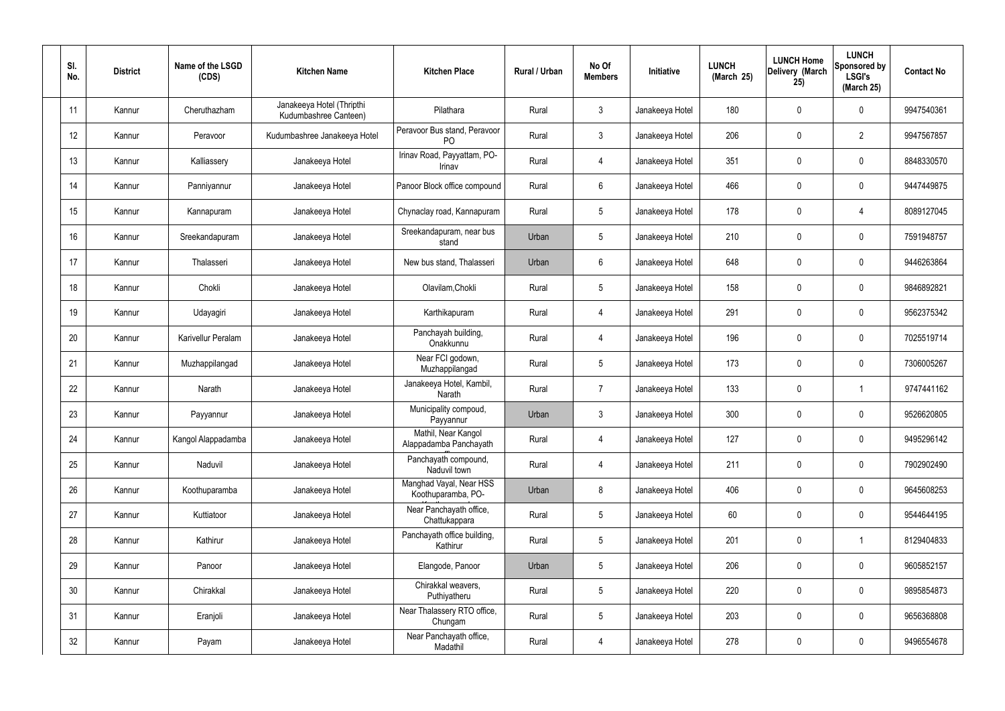| SI.<br>No. | <b>District</b> | Name of the LSGD<br>(CDS) | <b>Kitchen Name</b>                                | <b>Kitchen Place</b>                           | Rural / Urban | No Of<br><b>Members</b> | Initiative      | <b>LUNCH</b><br>(March 25) | <b>LUNCH Home</b><br>Delivery (March<br>25) | <b>LUNCH</b><br>Sponsored by<br><b>LSGI's</b><br>(March 25) | <b>Contact No</b> |
|------------|-----------------|---------------------------|----------------------------------------------------|------------------------------------------------|---------------|-------------------------|-----------------|----------------------------|---------------------------------------------|-------------------------------------------------------------|-------------------|
| 11         | Kannur          | Cheruthazham              | Janakeeya Hotel (Thripthi<br>Kudumbashree Canteen) | Pilathara                                      | Rural         | $\mathbf{3}$            | Janakeeya Hotel | 180                        | 0                                           | $\mathbf 0$                                                 | 9947540361        |
| 12         | Kannur          | Peravoor                  | Kudumbashree Janakeeya Hotel                       | Peravoor Bus stand, Peravoor<br>P <sub>O</sub> | Rural         | $\mathbf{3}$            | Janakeeya Hotel | 206                        | $\mathbf 0$                                 | $\overline{2}$                                              | 9947567857        |
| 13         | Kannur          | Kalliassery               | Janakeeya Hotel                                    | Irinav Road, Payyattam, PO-<br>Irinav          | Rural         | $\overline{4}$          | Janakeeya Hotel | 351                        | 0                                           | $\mathbf 0$                                                 | 8848330570        |
| 14         | Kannur          | Panniyannur               | Janakeeya Hotel                                    | Panoor Block office compound                   | Rural         | $6\phantom{.}6$         | Janakeeya Hotel | 466                        | 0                                           | $\mathbf 0$                                                 | 9447449875        |
| 15         | Kannur          | Kannapuram                | Janakeeya Hotel                                    | Chynaclay road, Kannapuram                     | Rural         | $5\phantom{.0}$         | Janakeeya Hotel | 178                        | 0                                           | 4                                                           | 8089127045        |
| 16         | Kannur          | Sreekandapuram            | Janakeeya Hotel                                    | Sreekandapuram, near bus<br>stand              | Urban         | 5                       | Janakeeya Hotel | 210                        | 0                                           | $\mathbf 0$                                                 | 7591948757        |
| 17         | Kannur          | Thalasseri                | Janakeeya Hotel                                    | New bus stand, Thalasseri                      | Urban         | $6\phantom{.}6$         | Janakeeya Hotel | 648                        | 0                                           | $\mathbf 0$                                                 | 9446263864        |
| 18         | Kannur          | Chokli                    | Janakeeya Hotel                                    | Olavilam, Chokli                               | Rural         | $5\phantom{.0}$         | Janakeeya Hotel | 158                        | 0                                           | $\mathbf 0$                                                 | 9846892821        |
| 19         | Kannur          | Udayagiri                 | Janakeeya Hotel                                    | Karthikapuram                                  | Rural         | $\overline{4}$          | Janakeeya Hotel | 291                        | 0                                           | $\mathbf 0$                                                 | 9562375342        |
| 20         | Kannur          | <b>Karivellur Peralam</b> | Janakeeya Hotel                                    | Panchayah building,<br>Onakkunnu               | Rural         | 4                       | Janakeeya Hotel | 196                        | 0                                           | $\mathbf 0$                                                 | 7025519714        |
| 21         | Kannur          | Muzhappilangad            | Janakeeya Hotel                                    | Near FCI godown,<br>Muzhappilangad             | Rural         | $5\phantom{.0}$         | Janakeeya Hotel | 173                        | 0                                           | $\mathbf 0$                                                 | 7306005267        |
| 22         | Kannur          | Narath                    | Janakeeya Hotel                                    | Janakeeya Hotel, Kambil,<br>Narath             | Rural         | $\overline{7}$          | Janakeeya Hotel | 133                        | 0                                           |                                                             | 9747441162        |
| 23         | Kannur          | Payyannur                 | Janakeeya Hotel                                    | Municipality compoud,<br>Payyannur             | Urban         | $\mathbf{3}$            | Janakeeya Hotel | 300                        | $\mathbf 0$                                 | $\mathbf 0$                                                 | 9526620805        |
| 24         | Kannur          | Kangol Alappadamba        | Janakeeya Hotel                                    | Mathil, Near Kangol<br>Alappadamba Panchayath  | Rural         | $\overline{4}$          | Janakeeya Hotel | 127                        | 0                                           | $\mathbf 0$                                                 | 9495296142        |
| 25         | Kannur          | Naduvil                   | Janakeeya Hotel                                    | Panchayath compound,<br>Naduvil town           | Rural         | $\overline{4}$          | Janakeeya Hotel | 211                        | 0                                           | $\mathbf 0$                                                 | 7902902490        |
| 26         | Kannur          | Koothuparamba             | Janakeeya Hotel                                    | Manghad Vayal, Near HSS<br>Koothuparamba, PO-  | Urban         | 8                       | Janakeeya Hotel | 406                        | 0                                           | $\mathbf 0$                                                 | 9645608253        |
| 27         | Kannur          | Kuttiatoor                | Janakeeya Hotel                                    | Near Panchayath office,<br>Chattukappara       | Rural         | $5\phantom{.0}$         | Janakeeya Hotel | 60                         | 0                                           | $\mathbf 0$                                                 | 9544644195        |
| 28         | Kannur          | Kathirur                  | Janakeeya Hotel                                    | Panchayath office building,<br>Kathirur        | Rural         | $5\phantom{.0}$         | Janakeeya Hotel | 201                        | 0                                           | $\mathbf{1}$                                                | 8129404833        |
| 29         | Kannur          | Panoor                    | Janakeeya Hotel                                    | Elangode, Panoor                               | Urban         | $5\phantom{.0}$         | Janakeeya Hotel | 206                        | 0                                           | $\mathbf 0$                                                 | 9605852157        |
| 30         | Kannur          | Chirakkal                 | Janakeeya Hotel                                    | Chirakkal weavers,<br>Puthiyatheru             | Rural         | $5\phantom{.0}$         | Janakeeya Hotel | 220                        | 0                                           | $\mathbf 0$                                                 | 9895854873        |
| 31         | Kannur          | Eranjoli                  | Janakeeya Hotel                                    | Near Thalassery RTO office,<br>Chungam         | Rural         | $5\phantom{.0}$         | Janakeeya Hotel | 203                        | 0                                           | $\mathbf 0$                                                 | 9656368808        |
| 32         | Kannur          | Payam                     | Janakeeya Hotel                                    | Near Panchayath office,<br>Madathil            | Rural         | $\overline{4}$          | Janakeeya Hotel | 278                        | $\pmb{0}$                                   | $\boldsymbol{0}$                                            | 9496554678        |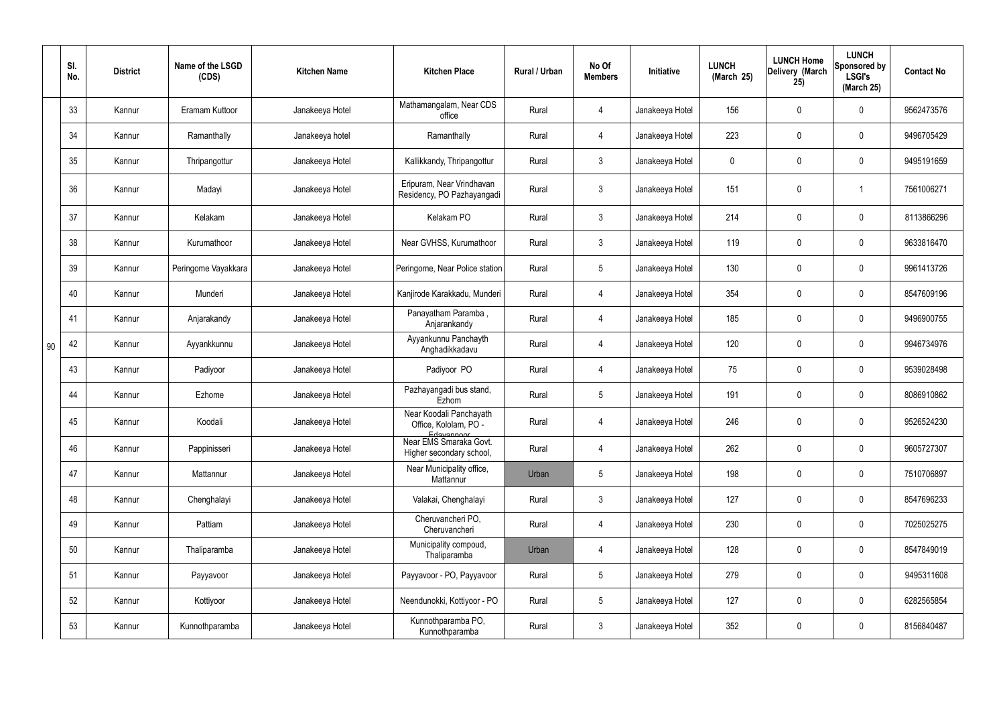|    | SI.<br>No. | <b>District</b> | Name of the LSGD<br>(CDS) | <b>Kitchen Name</b> | <b>Kitchen Place</b>                                           | Rural / Urban | No Of<br><b>Members</b> | Initiative      | <b>LUNCH</b><br>(March 25) | <b>LUNCH Home</b><br>Delivery (March<br>25) | <b>LUNCH</b><br>Sponsored by<br><b>LSGI's</b><br>(March 25) | <b>Contact No</b> |
|----|------------|-----------------|---------------------------|---------------------|----------------------------------------------------------------|---------------|-------------------------|-----------------|----------------------------|---------------------------------------------|-------------------------------------------------------------|-------------------|
|    | 33         | Kannur          | Eramam Kuttoor            | Janakeeya Hotel     | Mathamangalam, Near CDS<br>office                              | Rural         | 4                       | Janakeeya Hotel | 156                        | 0                                           | $\mathbf 0$                                                 | 9562473576        |
|    | 34         | Kannur          | Ramanthally               | Janakeeya hotel     | Ramanthally                                                    | Rural         | 4                       | Janakeeya Hotel | 223                        | $\mathbf 0$                                 | $\overline{0}$                                              | 9496705429        |
|    | 35         | Kannur          | Thripangottur             | Janakeeya Hotel     | Kallikkandy, Thripangottur                                     | Rural         | $\mathbf{3}$            | Janakeeya Hotel | $\mathbf 0$                | 0                                           | $\mathbf 0$                                                 | 9495191659        |
|    | 36         | Kannur          | Madayi                    | Janakeeya Hotel     | Eripuram, Near Vrindhavan<br>Residency, PO Pazhayangadi        | Rural         | $\mathbf{3}$            | Janakeeya Hotel | 151                        | 0                                           |                                                             | 7561006271        |
|    | 37         | Kannur          | Kelakam                   | Janakeeya Hotel     | Kelakam PO                                                     | Rural         | $\mathbf{3}$            | Janakeeya Hotel | 214                        | 0                                           | $\mathbf 0$                                                 | 8113866296        |
|    | 38         | Kannur          | Kurumathoor               | Janakeeya Hotel     | Near GVHSS, Kurumathoor                                        | Rural         | $\mathbf{3}$            | Janakeeya Hotel | 119                        | 0                                           | $\mathbf 0$                                                 | 9633816470        |
|    | 39         | Kannur          | Peringome Vayakkara       | Janakeeya Hotel     | Peringome, Near Police station                                 | Rural         | $5\phantom{.0}$         | Janakeeya Hotel | 130                        | 0                                           | $\mathbf 0$                                                 | 9961413726        |
|    | 40         | Kannur          | Munderi                   | Janakeeya Hotel     | Kanjirode Karakkadu, Munderi                                   | Rural         | $\overline{4}$          | Janakeeya Hotel | 354                        | 0                                           | $\mathbf 0$                                                 | 8547609196        |
|    | 41         | Kannur          | Anjarakandy               | Janakeeya Hotel     | Panayatham Paramba,<br>Anjarankandy                            | Rural         | 4                       | Janakeeya Hotel | 185                        | 0                                           | $\mathbf 0$                                                 | 9496900755        |
| 90 | 42         | Kannur          | Ayyankkunnu               | Janakeeya Hotel     | Ayyankunnu Panchayth<br>Anghadikkadavu                         | Rural         | $\overline{4}$          | Janakeeya Hotel | 120                        | 0                                           | $\mathbf 0$                                                 | 9946734976        |
|    | 43         | Kannur          | Padiyoor                  | Janakeeya Hotel     | Padiyoor PO                                                    | Rural         | 4                       | Janakeeya Hotel | 75                         | 0                                           | $\mathbf 0$                                                 | 9539028498        |
|    | 44         | Kannur          | Ezhome                    | Janakeeya Hotel     | Pazhayangadi bus stand,<br>Ezhom                               | Rural         | $5\phantom{.0}$         | Janakeeya Hotel | 191                        | 0                                           | $\mathbf 0$                                                 | 8086910862        |
|    | 45         | Kannur          | Koodali                   | Janakeeya Hotel     | Near Koodali Panchayath<br>Office, Kololam, PO -<br>Edavannoor | Rural         |                         | Janakeeya Hotel | 246                        | $\mathbf 0$                                 | 0                                                           | 9526524230        |
|    | 46         | Kannur          | Pappinisseri              | Janakeeya Hotel     | Near EMS Smaraka Govt.<br>Higher secondary school,             | Rural         | $\overline{4}$          | Janakeeya Hotel | 262                        | $\pmb{0}$                                   | $\mathbf 0$                                                 | 9605727307        |
|    | 47         | Kannur          | Mattannur                 | Janakeeya Hotel     | Near Municipality office,<br>Mattannur                         | Urban         | $5\phantom{.0}$         | Janakeeya Hotel | 198                        | $\pmb{0}$                                   | $\mathbf 0$                                                 | 7510706897        |
|    | 48         | Kannur          | Chenghalayi               | Janakeeya Hotel     | Valakai, Chenghalayi                                           | Rural         | $\mathbf{3}$            | Janakeeya Hotel | 127                        | $\pmb{0}$                                   | $\mathbf 0$                                                 | 8547696233        |
|    | 49         | Kannur          | Pattiam                   | Janakeeya Hotel     | Cheruvancheri PO,<br>Cheruvancheri                             | Rural         | $\overline{4}$          | Janakeeya Hotel | 230                        | $\pmb{0}$                                   | $\mathbf 0$                                                 | 7025025275        |
|    | 50         | Kannur          | Thaliparamba              | Janakeeya Hotel     | Municipality compoud,<br>Thaliparamba                          | Urban         | 4                       | Janakeeya Hotel | 128                        | $\pmb{0}$                                   | $\mathbf 0$                                                 | 8547849019        |
|    | 51         | Kannur          | Payyavoor                 | Janakeeya Hotel     | Payyavoor - PO, Payyavoor                                      | Rural         | $5\overline{)}$         | Janakeeya Hotel | 279                        | $\pmb{0}$                                   | $\mathbf 0$                                                 | 9495311608        |
|    | 52         | Kannur          | Kottiyoor                 | Janakeeya Hotel     | Neendunokki, Kottiyoor - PO                                    | Rural         | $5\overline{)}$         | Janakeeya Hotel | 127                        | 0                                           | $\mathbf 0$                                                 | 6282565854        |
|    | 53         | Kannur          | Kunnothparamba            | Janakeeya Hotel     | Kunnothparamba PO,<br>Kunnothparamba                           | Rural         | 3 <sup>5</sup>          | Janakeeya Hotel | 352                        | 0                                           | $\boldsymbol{0}$                                            | 8156840487        |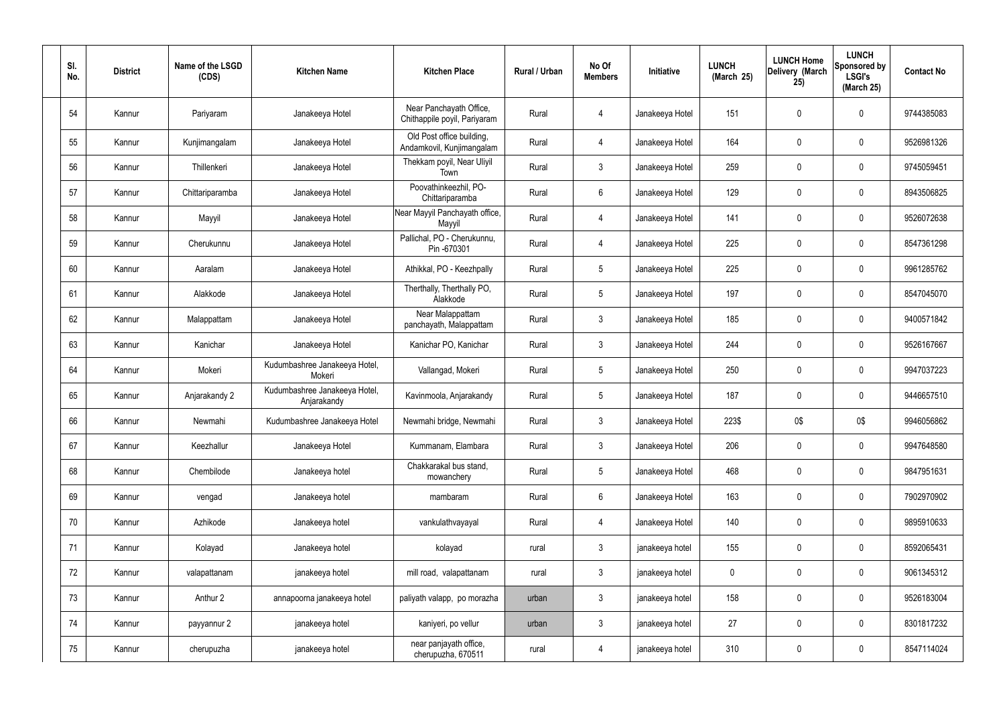| SI.<br>No. | <b>District</b> | Name of the LSGD<br>(CDS) | <b>Kitchen Name</b>                          | <b>Kitchen Place</b>                                    | Rural / Urban | No Of<br><b>Members</b> | Initiative      | <b>LUNCH</b><br>(March 25) | <b>LUNCH Home</b><br>Delivery (March<br>25) | <b>LUNCH</b><br>Sponsored by<br><b>LSGI's</b><br>(March 25) | <b>Contact No</b> |
|------------|-----------------|---------------------------|----------------------------------------------|---------------------------------------------------------|---------------|-------------------------|-----------------|----------------------------|---------------------------------------------|-------------------------------------------------------------|-------------------|
| 54         | Kannur          | Pariyaram                 | Janakeeya Hotel                              | Near Panchayath Office,<br>Chithappile poyil, Pariyaram | Rural         | 4                       | Janakeeya Hotel | 151                        | 0                                           | $\boldsymbol{0}$                                            | 9744385083        |
| 55         | Kannur          | Kunjimangalam             | Janakeeya Hotel                              | Old Post office building,<br>Andamkovil, Kunjimangalam  | Rural         | $\overline{4}$          | Janakeeya Hotel | 164                        | $\mathbf 0$                                 | $\mathbf 0$                                                 | 9526981326        |
| 56         | Kannur          | Thillenkeri               | Janakeeya Hotel                              | Thekkam poyil, Near Uliyil<br>Town                      | Rural         | $\mathbf{3}$            | Janakeeya Hotel | 259                        | 0                                           | $\mathbf 0$                                                 | 9745059451        |
| 57         | Kannur          | Chittariparamba           | Janakeeya Hotel                              | Poovathinkeezhil, PO-<br>Chittariparamba                | Rural         | 6                       | Janakeeya Hotel | 129                        | $\mathbf 0$                                 | $\mathbf 0$                                                 | 8943506825        |
| 58         | Kannur          | Mayyil                    | Janakeeya Hotel                              | Near Mayyil Panchayath office,<br>Mayyil                | Rural         | 4                       | Janakeeya Hotel | 141                        | 0                                           | $\mathbf 0$                                                 | 9526072638        |
| 59         | Kannur          | Cherukunnu                | Janakeeya Hotel                              | Pallichal, PO - Cherukunnu,<br>Pin -670301              | Rural         | $\overline{4}$          | Janakeeya Hotel | 225                        | 0                                           | $\mathbf 0$                                                 | 8547361298        |
| 60         | Kannur          | Aaralam                   | Janakeeya Hotel                              | Athikkal, PO - Keezhpally                               | Rural         | $5\overline{)}$         | Janakeeya Hotel | 225                        | 0                                           | $\mathbf 0$                                                 | 9961285762        |
| 61         | Kannur          | Alakkode                  | Janakeeya Hotel                              | Therthally, Therthally PO,<br>Alakkode                  | Rural         | $5\phantom{.0}$         | Janakeeya Hotel | 197                        | 0                                           | $\pmb{0}$                                                   | 8547045070        |
| 62         | Kannur          | Malappattam               | Janakeeya Hotel                              | Near Malappattam<br>panchayath, Malappattam             | Rural         | $\mathbf{3}$            | Janakeeya Hotel | 185                        | 0                                           | $\mathbf 0$                                                 | 9400571842        |
| 63         | Kannur          | Kanichar                  | Janakeeya Hotel                              | Kanichar PO, Kanichar                                   | Rural         | $\mathbf{3}$            | Janakeeya Hotel | 244                        | $\mathbf 0$                                 | $\mathbf 0$                                                 | 9526167667        |
| 64         | Kannur          | Mokeri                    | Kudumbashree Janakeeya Hotel,<br>Mokeri      | Vallangad, Mokeri                                       | Rural         | $5\overline{)}$         | Janakeeya Hotel | 250                        | 0                                           | $\mathbf 0$                                                 | 9947037223        |
| 65         | Kannur          | Anjarakandy 2             | Kudumbashree Janakeeya Hotel,<br>Anjarakandy | Kavinmoola, Anjarakandy                                 | Rural         | $5\overline{)}$         | Janakeeya Hotel | 187                        | 0                                           | $\mathbf 0$                                                 | 9446657510        |
| 66         | Kannur          | Newmahi                   | Kudumbashree Janakeeya Hotel                 | Newmahi bridge, Newmahi                                 | Rural         | 3                       | Janakeeya Hotel | 223\$                      | 0\$                                         | 0\$                                                         | 9946056862        |
| 67         | Kannur          | Keezhallur                | Janakeeya Hotel                              | Kummanam, Elambara                                      | Rural         | 3                       | Janakeeya Hotel | 206                        | $\pmb{0}$                                   | $\mathbf 0$                                                 | 9947648580        |
| 68         | Kannur          | Chembilode                | Janakeeya hotel                              | Chakkarakal bus stand,<br>mowanchery                    | Rural         | $5\overline{)}$         | Janakeeya Hotel | 468                        | 0                                           | $\mathbf 0$                                                 | 9847951631        |
| 69         | Kannur          | vengad                    | Janakeeya hotel                              | mambaram                                                | Rural         | $6\overline{6}$         | Janakeeya Hotel | 163                        | 0                                           | $\mathbf 0$                                                 | 7902970902        |
| 70         | Kannur          | Azhikode                  | Janakeeya hotel                              | vankulathvayayal                                        | Rural         | $\overline{4}$          | Janakeeya Hotel | 140                        | 0                                           | $\mathbf 0$                                                 | 9895910633        |
| 71         | Kannur          | Kolayad                   | Janakeeya hotel                              | kolayad                                                 | rural         | $\mathbf{3}$            | janakeeya hotel | 155                        | 0                                           | $\mathbf 0$                                                 | 8592065431        |
| 72         | Kannur          | valapattanam              | janakeeya hotel                              | mill road, valapattanam                                 | rural         | $\mathbf{3}$            | janakeeya hotel | $\mathbf 0$                | 0                                           | $\mathbf 0$                                                 | 9061345312        |
| 73         | Kannur          | Anthur 2                  | annapoorna janakeeya hotel                   | paliyath valapp, po morazha                             | urban         | $\mathbf{3}$            | janakeeya hotel | 158                        | 0                                           | $\mathbf 0$                                                 | 9526183004        |
| 74         | Kannur          | payyannur 2               | janakeeya hotel                              | kaniyeri, po vellur                                     | urban         | $\mathbf{3}$            | janakeeya hotel | 27                         | 0                                           | $\boldsymbol{0}$                                            | 8301817232        |
| 75         | Kannur          | cherupuzha                | janakeeya hotel                              | near panjayath office,<br>cherupuzha, 670511            | rural         | $\overline{4}$          | janakeeya hotel | 310                        | 0                                           | $\overline{0}$                                              | 8547114024        |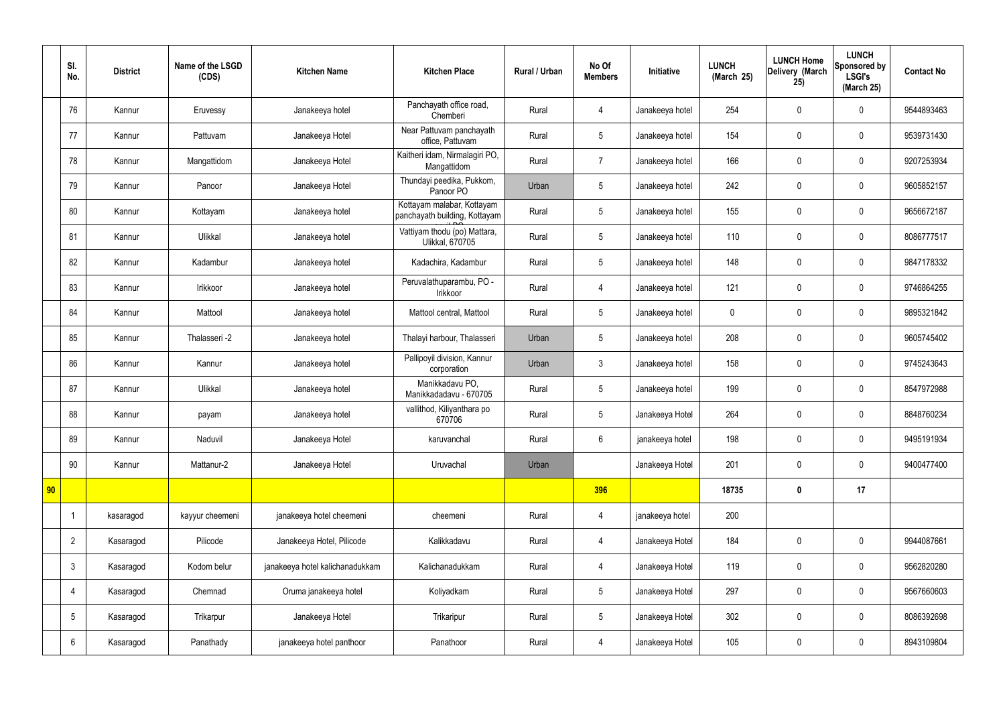|    | SI.<br>No.      | <b>District</b> | Name of the LSGD<br>(CDS) | <b>Kitchen Name</b>             | <b>Kitchen Place</b>                                        | <b>Rural / Urban</b> | No Of<br><b>Members</b> | Initiative      | <b>LUNCH</b><br>(March 25) | <b>LUNCH Home</b><br>Delivery (March<br>25) | <b>LUNCH</b><br>Sponsored by<br><b>LSGI's</b><br>(March 25) | <b>Contact No</b> |
|----|-----------------|-----------------|---------------------------|---------------------------------|-------------------------------------------------------------|----------------------|-------------------------|-----------------|----------------------------|---------------------------------------------|-------------------------------------------------------------|-------------------|
|    | 76              | Kannur          | Eruvessy                  | Janakeeya hotel                 | Panchayath office road,<br>Chemberi                         | Rural                | $\overline{4}$          | Janakeeya hotel | 254                        | $\pmb{0}$                                   | $\mathbf 0$                                                 | 9544893463        |
|    | 77              | Kannur          | Pattuvam                  | Janakeeya Hotel                 | Near Pattuvam panchayath<br>office, Pattuvam                | Rural                | 5                       | Janakeeya hotel | 154                        | $\pmb{0}$                                   | $\mathbf 0$                                                 | 9539731430        |
|    | 78              | Kannur          | Mangattidom               | Janakeeya Hotel                 | Kaitheri idam, Nirmalagiri PO,<br>Mangattidom               | Rural                | $\overline{7}$          | Janakeeya hotel | 166                        | $\pmb{0}$                                   | $\mathbf 0$                                                 | 9207253934        |
|    | 79              | Kannur          | Panoor                    | Janakeeya Hotel                 | Thundayi peedika, Pukkom,<br>Panoor PO                      | Urban                | 5                       | Janakeeya hotel | 242                        | $\mathbf 0$                                 | $\mathbf 0$                                                 | 9605852157        |
|    | 80              | Kannur          | Kottayam                  | Janakeeya hotel                 | Kottayam malabar, Kottayam<br>panchayath building, Kottayam | Rural                | 5                       | Janakeeya hotel | 155                        | $\pmb{0}$                                   | $\mathbf 0$                                                 | 9656672187        |
|    | 81              | Kannur          | Ulikkal                   | Janakeeya hotel                 | Vattiyam thodu (po) Mattara,<br><b>Ulikkal, 670705</b>      | Rural                | 5                       | Janakeeya hotel | 110                        | $\mathbf 0$                                 | $\mathbf 0$                                                 | 8086777517        |
|    | 82              | Kannur          | Kadambur                  | Janakeeya hotel                 | Kadachira, Kadambur                                         | Rural                | $5\phantom{.0}$         | Janakeeya hotel | 148                        | $\pmb{0}$                                   | $\mathbf 0$                                                 | 9847178332        |
|    | 83              | Kannur          | Irikkoor                  | Janakeeya hotel                 | Peruvalathuparambu, PO -<br>Irikkoor                        | Rural                | $\overline{4}$          | Janakeeya hotel | 121                        | $\pmb{0}$                                   | $\mathbf 0$                                                 | 9746864255        |
|    | 84              | Kannur          | Mattool                   | Janakeeya hotel                 | Mattool central, Mattool                                    | Rural                | 5                       | Janakeeya hotel | $\mathbf 0$                | $\pmb{0}$                                   | $\mathbf 0$                                                 | 9895321842        |
|    | 85              | Kannur          | Thalasseri -2             | Janakeeya hotel                 | Thalayi harbour, Thalasseri                                 | Urban                | 5                       | Janakeeya hotel | 208                        | $\pmb{0}$                                   | $\mathbf 0$                                                 | 9605745402        |
|    | 86              | Kannur          | Kannur                    | Janakeeya hotel                 | Pallipoyil division, Kannur<br>corporation                  | Urban                | $\mathbf{3}$            | Janakeeya hotel | 158                        | $\pmb{0}$                                   | $\pmb{0}$                                                   | 9745243643        |
|    | 87              | Kannur          | Ulikkal                   | Janakeeya hotel                 | Manikkadavu PO,<br>Manikkadadavu - 670705                   | Rural                | 5                       | Janakeeya hotel | 199                        | $\mathbf 0$                                 | $\mathbf 0$                                                 | 8547972988        |
|    | 88              | Kannur          | payam                     | Janakeeya hotel                 | vallithod, Kiliyanthara po<br>670706                        | Rural                | 5                       | Janakeeya Hotel | 264                        | $\mathbf 0$                                 | $\mathbf 0$                                                 | 8848760234        |
|    | 89              | Kannur          | Naduvil                   | Janakeeya Hotel                 | karuvanchal                                                 | Rural                | $6\overline{6}$         | janakeeya hotel | 198                        | $\pmb{0}$                                   | $\mathbf 0$                                                 | 9495191934        |
|    | 90              | Kannur          | Mattanur-2                | Janakeeya Hotel                 | Uruvachal                                                   | Urban                |                         | Janakeeya Hotel | 201                        | $\pmb{0}$                                   | $\mathbf 0$                                                 | 9400477400        |
| 90 |                 |                 |                           |                                 |                                                             |                      | 396                     |                 | 18735                      | $\pmb{0}$                                   | 17                                                          |                   |
|    |                 | kasaragod       | kayyur cheemeni           | janakeeya hotel cheemeni        | cheemeni                                                    | Rural                | $\overline{4}$          | janakeeya hotel | 200                        |                                             |                                                             |                   |
|    | $\overline{2}$  | Kasaragod       | Pilicode                  | Janakeeya Hotel, Pilicode       | Kalikkadavu                                                 | Rural                | $\overline{4}$          | Janakeeya Hotel | 184                        | $\pmb{0}$                                   | $\mathbf 0$                                                 | 9944087661        |
|    | $\mathbf{3}$    | Kasaragod       | Kodom belur               | janakeeya hotel kalichanadukkam | Kalichanadukkam                                             | Rural                | $\overline{4}$          | Janakeeya Hotel | 119                        | $\pmb{0}$                                   | $\mathbf 0$                                                 | 9562820280        |
|    | 4               | Kasaragod       | Chemnad                   | Oruma janakeeya hotel           | Koliyadkam                                                  | Rural                | $5\phantom{.0}$         | Janakeeya Hotel | 297                        | $\pmb{0}$                                   | $\mathbf 0$                                                 | 9567660603        |
|    | $5\phantom{.0}$ | Kasaragod       | Trikarpur                 | Janakeeya Hotel                 | Trikaripur                                                  | Rural                | $5\phantom{.0}$         | Janakeeya Hotel | 302                        | $\pmb{0}$                                   | $\mathbf 0$                                                 | 8086392698        |
|    | $6\,$           | Kasaragod       | Panathady                 | janakeeya hotel panthoor        | Panathoor                                                   | Rural                | 4                       | Janakeeya Hotel | 105                        | $\pmb{0}$                                   | $\mathbf 0$                                                 | 8943109804        |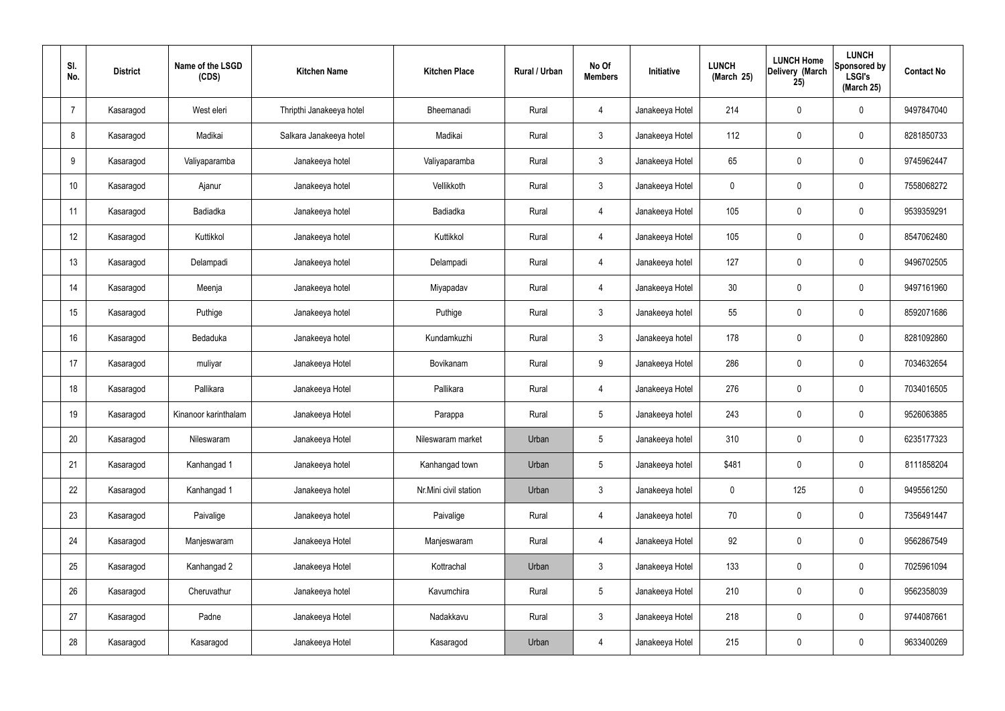| SI.<br>No. | <b>District</b> | Name of the LSGD<br>(CDS) | <b>Kitchen Name</b>      | <b>Kitchen Place</b>  | <b>Rural / Urban</b> | No Of<br><b>Members</b> | Initiative      | <b>LUNCH</b><br>(March 25) | <b>LUNCH Home</b><br>Delivery (March<br>25) | <b>LUNCH</b><br>Sponsored by<br><b>LSGI's</b><br>(March 25) | <b>Contact No</b> |
|------------|-----------------|---------------------------|--------------------------|-----------------------|----------------------|-------------------------|-----------------|----------------------------|---------------------------------------------|-------------------------------------------------------------|-------------------|
| 7          | Kasaragod       | West eleri                | Thripthi Janakeeya hotel | Bheemanadi            | Rural                | $\overline{4}$          | Janakeeya Hotel | 214                        | $\pmb{0}$                                   | $\mathbf 0$                                                 | 9497847040        |
| 8          | Kasaragod       | Madikai                   | Salkara Janakeeya hotel  | Madikai               | Rural                | $\mathbf{3}$            | Janakeeya Hotel | 112                        | $\pmb{0}$                                   | $\mathbf 0$                                                 | 8281850733        |
| 9          | Kasaragod       | Valiyaparamba             | Janakeeya hotel          | Valiyaparamba         | Rural                | $\mathbf{3}$            | Janakeeya Hotel | 65                         | $\mathbf 0$                                 | $\mathbf 0$                                                 | 9745962447        |
| 10         | Kasaragod       | Ajanur                    | Janakeeya hotel          | Vellikkoth            | Rural                | $\mathbf{3}$            | Janakeeya Hotel | $\mathbf 0$                | $\mathbf 0$                                 | $\mathbf 0$                                                 | 7558068272        |
| 11         | Kasaragod       | Badiadka                  | Janakeeya hotel          | Badiadka              | Rural                | $\overline{4}$          | Janakeeya Hotel | 105                        | $\pmb{0}$                                   | $\mathbf 0$                                                 | 9539359291        |
| 12         | Kasaragod       | Kuttikkol                 | Janakeeya hotel          | Kuttikkol             | Rural                | $\overline{4}$          | Janakeeya Hotel | 105                        | $\mathbf 0$                                 | $\mathbf 0$                                                 | 8547062480        |
| 13         | Kasaragod       | Delampadi                 | Janakeeya hotel          | Delampadi             | Rural                | $\overline{4}$          | Janakeeya hotel | 127                        | $\pmb{0}$                                   | $\mathbf 0$                                                 | 9496702505        |
| 14         | Kasaragod       | Meenja                    | Janakeeya hotel          | Miyapadav             | Rural                | 4                       | Janakeeya Hotel | 30                         | $\mathbf 0$                                 | $\mathbf 0$                                                 | 9497161960        |
| 15         | Kasaragod       | Puthige                   | Janakeeya hotel          | Puthige               | Rural                | $\mathfrak{Z}$          | Janakeeya hotel | 55                         | $\pmb{0}$                                   | $\mathbf 0$                                                 | 8592071686        |
| 16         | Kasaragod       | Bedaduka                  | Janakeeya hotel          | Kundamkuzhi           | Rural                | $\mathbf{3}$            | Janakeeya hotel | 178                        | $\mathbf 0$                                 | $\mathbf 0$                                                 | 8281092860        |
| 17         | Kasaragod       | muliyar                   | Janakeeya Hotel          | Bovikanam             | Rural                | 9                       | Janakeeya Hotel | 286                        | $\pmb{0}$                                   | $\mathbf 0$                                                 | 7034632654        |
| 18         | Kasaragod       | Pallikara                 | Janakeeya Hotel          | Pallikara             | Rural                | $\overline{4}$          | Janakeeya Hotel | 276                        | $\pmb{0}$                                   | $\mathbf 0$                                                 | 7034016505        |
| 19         | Kasaragod       | Kinanoor karinthalam      | Janakeeya Hotel          | Parappa               | Rural                | 5                       | Janakeeya hotel | 243                        | 0                                           | $\mathbf 0$                                                 | 9526063885        |
| 20         | Kasaragod       | Nileswaram                | Janakeeya Hotel          | Nileswaram market     | Urban                | 5                       | Janakeeya hotel | 310                        | $\pmb{0}$                                   | $\mathbf 0$                                                 | 6235177323        |
| 21         | Kasaragod       | Kanhangad 1               | Janakeeya hotel          | Kanhangad town        | Urban                | 5                       | Janakeeya hotel | \$481                      | $\pmb{0}$                                   | $\mathbf 0$                                                 | 8111858204        |
| 22         | Kasaragod       | Kanhangad 1               | Janakeeya hotel          | Nr.Mini civil station | Urban                | $\mathbf{3}$            | Janakeeya hotel | $\boldsymbol{0}$           | 125                                         | $\mathbf 0$                                                 | 9495561250        |
| 23         | Kasaragod       | Paivalige                 | Janakeeya hotel          | Paivalige             | Rural                | $\overline{4}$          | Janakeeya hotel | 70                         | $\pmb{0}$                                   | $\mathbf 0$                                                 | 7356491447        |
| 24         | Kasaragod       | Manjeswaram               | Janakeeya Hotel          | Manjeswaram           | Rural                | $\overline{4}$          | Janakeeya Hotel | 92                         | $\pmb{0}$                                   | $\mathbf 0$                                                 | 9562867549        |
| 25         | Kasaragod       | Kanhangad 2               | Janakeeya Hotel          | Kottrachal            | Urban                | $\mathbf{3}$            | Janakeeya Hotel | 133                        | $\pmb{0}$                                   | $\mathbf 0$                                                 | 7025961094        |
| 26         | Kasaragod       | Cheruvathur               | Janakeeya hotel          | Kavumchira            | Rural                | 5                       | Janakeeya Hotel | 210                        | $\pmb{0}$                                   | $\mathbf 0$                                                 | 9562358039        |
| 27         | Kasaragod       | Padne                     | Janakeeya Hotel          | Nadakkavu             | Rural                | $\mathbf{3}$            | Janakeeya Hotel | 218                        | $\pmb{0}$                                   | $\mathbf 0$                                                 | 9744087661        |
| 28         | Kasaragod       | Kasaragod                 | Janakeeya Hotel          | Kasaragod             | Urban                | 4                       | Janakeeya Hotel | 215                        | $\pmb{0}$                                   | $\mathbf 0$                                                 | 9633400269        |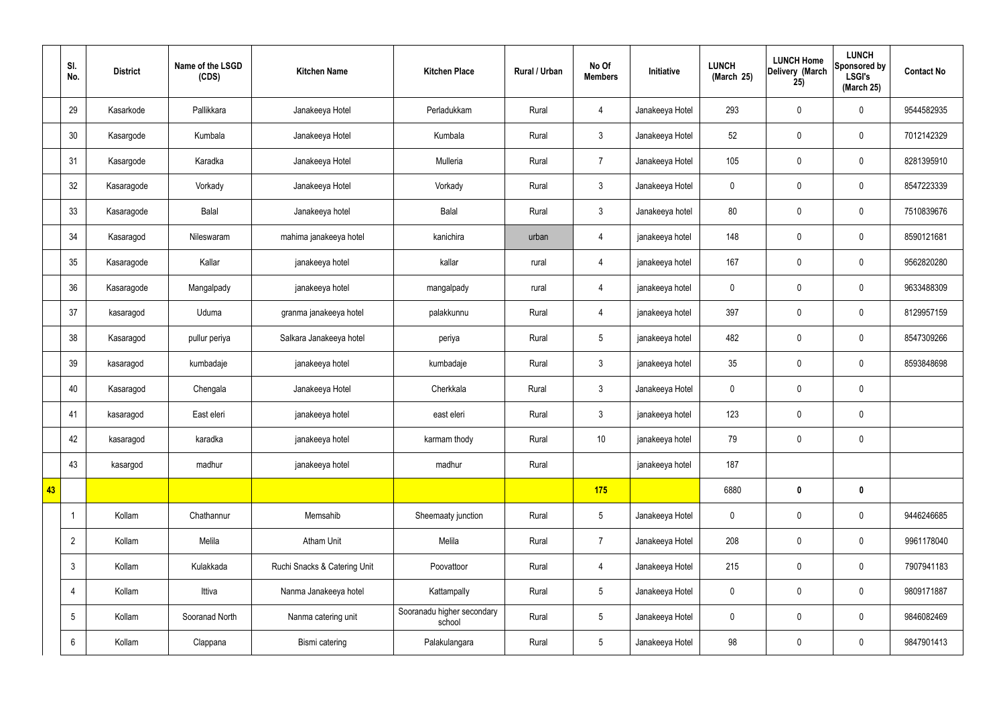|    | SI.<br>No.      | <b>District</b> | Name of the LSGD<br>(CDS) | <b>Kitchen Name</b>          | <b>Kitchen Place</b>                 | Rural / Urban | No Of<br><b>Members</b> | Initiative      | <b>LUNCH</b><br>(March 25) | <b>LUNCH Home</b><br>Delivery (March<br>25) | <b>LUNCH</b><br>Sponsored by<br><b>LSGI's</b><br>(March 25) | <b>Contact No</b> |
|----|-----------------|-----------------|---------------------------|------------------------------|--------------------------------------|---------------|-------------------------|-----------------|----------------------------|---------------------------------------------|-------------------------------------------------------------|-------------------|
|    | 29              | Kasarkode       | Pallikkara                | Janakeeya Hotel              | Perladukkam                          | Rural         | $\overline{4}$          | Janakeeya Hotel | 293                        | $\mathbf 0$                                 | $\mathbf 0$                                                 | 9544582935        |
|    | 30              | Kasargode       | Kumbala                   | Janakeeya Hotel              | Kumbala                              | Rural         | $\mathbf{3}$            | Janakeeya Hotel | 52                         | $\mathbf 0$                                 | $\mathbf 0$                                                 | 7012142329        |
|    | 31              | Kasargode       | Karadka                   | Janakeeya Hotel              | Mulleria                             | Rural         | $\overline{7}$          | Janakeeya Hotel | 105                        | $\mathbf 0$                                 | $\mathbf 0$                                                 | 8281395910        |
|    | 32              | Kasaragode      | Vorkady                   | Janakeeya Hotel              | Vorkady                              | Rural         | $\mathbf{3}$            | Janakeeya Hotel | $\mathbf 0$                | $\pmb{0}$                                   | $\mathbf 0$                                                 | 8547223339        |
|    | 33              | Kasaragode      | Balal                     | Janakeeya hotel              | Balal                                | Rural         | $\mathbf{3}$            | Janakeeya hotel | 80                         | $\mathbf 0$                                 | $\mathbf 0$                                                 | 7510839676        |
|    | 34              | Kasaragod       | Nileswaram                | mahima janakeeya hotel       | kanichira                            | urban         | $\overline{4}$          | janakeeya hotel | 148                        | $\pmb{0}$                                   | $\mathbf 0$                                                 | 8590121681        |
|    | 35              | Kasaragode      | Kallar                    | janakeeya hotel              | kallar                               | rural         | $\overline{4}$          | janakeeya hotel | 167                        | $\mathbf 0$                                 | $\mathbf 0$                                                 | 9562820280        |
|    | 36              | Kasaragode      | Mangalpady                | janakeeya hotel              | mangalpady                           | rural         | $\overline{4}$          | janakeeya hotel | $\mathbf 0$                | $\pmb{0}$                                   | $\mathbf 0$                                                 | 9633488309        |
|    | 37              | kasaragod       | Uduma                     | granma janakeeya hotel       | palakkunnu                           | Rural         | $\overline{4}$          | janakeeya hotel | 397                        | $\mathbf 0$                                 | $\mathbf 0$                                                 | 8129957159        |
|    | 38              | Kasaragod       | pullur periya             | Salkara Janakeeya hotel      | periya                               | Rural         | $5\,$                   | janakeeya hotel | 482                        | $\pmb{0}$                                   | $\mathbf 0$                                                 | 8547309266        |
|    | 39              | kasaragod       | kumbadaje                 | janakeeya hotel              | kumbadaje                            | Rural         | $\mathbf{3}$            | janakeeya hotel | 35                         | $\pmb{0}$                                   | $\mathbf 0$                                                 | 8593848698        |
|    | 40              | Kasaragod       | Chengala                  | Janakeeya Hotel              | Cherkkala                            | Rural         | $\mathbf{3}$            | Janakeeya Hotel | $\mathbf 0$                | $\pmb{0}$                                   | $\mathbf 0$                                                 |                   |
|    | 41              | kasaragod       | East eleri                | janakeeya hotel              | east eleri                           | Rural         | $\mathbf{3}$            | janakeeya hotel | 123                        | $\pmb{0}$                                   | $\mathbf 0$                                                 |                   |
|    | 42              | kasaragod       | karadka                   | janakeeya hotel              | karmam thody                         | Rural         | $10$                    | janakeeya hotel | 79                         | $\pmb{0}$                                   | $\mathbf 0$                                                 |                   |
|    | 43              | kasargod        | madhur                    | janakeeya hotel              | madhur                               | Rural         |                         | janakeeya hotel | 187                        |                                             |                                                             |                   |
| 43 |                 |                 |                           |                              |                                      |               | 175                     |                 | 6880                       | $\pmb{0}$                                   | $\mathbf 0$                                                 |                   |
|    |                 | Kollam          | Chathannur                | Memsahib                     | Sheemaaty junction                   | Rural         | $5\phantom{.0}$         | Janakeeya Hotel | $\pmb{0}$                  | $\pmb{0}$                                   | $\mathbf 0$                                                 | 9446246685        |
|    | $\overline{2}$  | Kollam          | Melila                    | Atham Unit                   | Melila                               | Rural         | $\overline{7}$          | Janakeeya Hotel | 208                        | $\pmb{0}$                                   | $\mathbf 0$                                                 | 9961178040        |
|    | $\mathfrak{Z}$  | Kollam          | Kulakkada                 | Ruchi Snacks & Catering Unit | Poovattoor                           | Rural         | $\overline{4}$          | Janakeeya Hotel | 215                        | $\pmb{0}$                                   | $\mathbf 0$                                                 | 7907941183        |
|    | 4               | Kollam          | Ittiva                    | Nanma Janakeeya hotel        | Kattampally                          | Rural         | $5\overline{)}$         | Janakeeya Hotel | $\pmb{0}$                  | $\pmb{0}$                                   | $\mathbf 0$                                                 | 9809171887        |
|    | $5\phantom{.0}$ | Kollam          | Sooranad North            | Nanma catering unit          | Sooranadu higher secondary<br>school | Rural         | $5\phantom{.0}$         | Janakeeya Hotel | $\mathbf 0$                | $\pmb{0}$                                   | $\mathbf 0$                                                 | 9846082469        |
|    | 6               | Kollam          | Clappana                  | Bismi catering               | Palakulangara                        | Rural         | $5\overline{)}$         | Janakeeya Hotel | 98                         | $\pmb{0}$                                   | $\boldsymbol{0}$                                            | 9847901413        |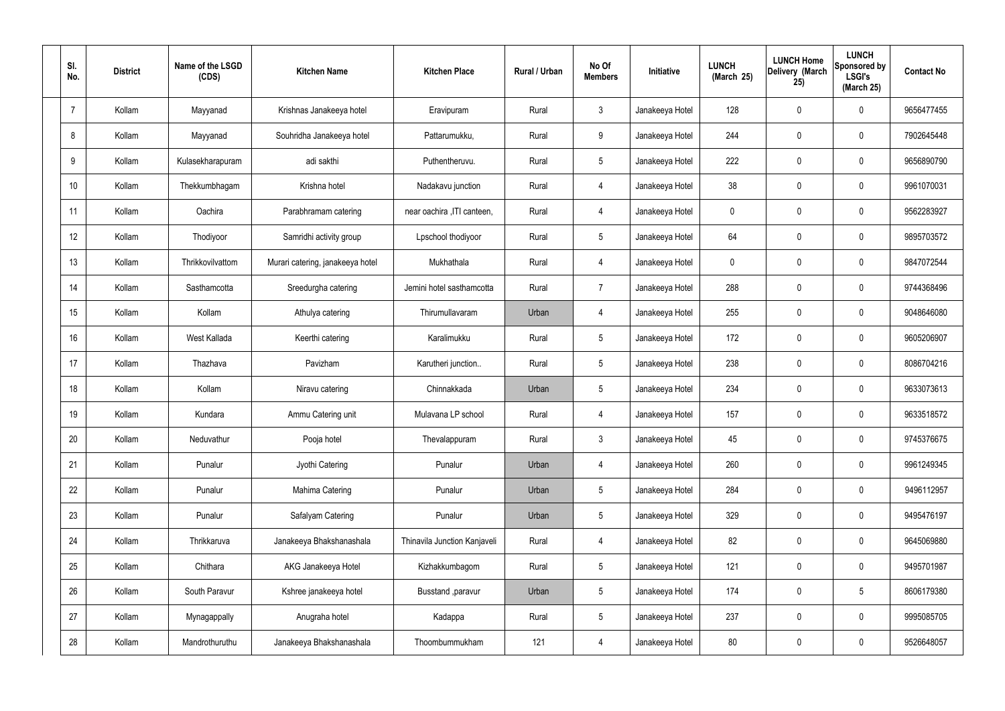| SI.<br>No.     | <b>District</b> | Name of the LSGD<br>(CDS) | <b>Kitchen Name</b>              | <b>Kitchen Place</b>         | Rural / Urban | No Of<br><b>Members</b> | Initiative      | <b>LUNCH</b><br>(March 25) | <b>LUNCH Home</b><br>Delivery (March<br>25) | <b>LUNCH</b><br>Sponsored by<br><b>LSGI's</b><br>(March 25) | <b>Contact No</b> |
|----------------|-----------------|---------------------------|----------------------------------|------------------------------|---------------|-------------------------|-----------------|----------------------------|---------------------------------------------|-------------------------------------------------------------|-------------------|
| $\overline{7}$ | Kollam          | Mayyanad                  | Krishnas Janakeeya hotel         | Eravipuram                   | Rural         | $\mathbf{3}$            | Janakeeya Hotel | 128                        | 0                                           | $\mathbf 0$                                                 | 9656477455        |
| 8              | Kollam          | Mayyanad                  | Souhridha Janakeeya hotel        | Pattarumukku,                | Rural         | 9                       | Janakeeya Hotel | 244                        | $\mathbf 0$                                 | $\mathbf 0$                                                 | 7902645448        |
| 9              | Kollam          | Kulasekharapuram          | adi sakthi                       | Puthentheruvu.               | Rural         | $5\phantom{.0}$         | Janakeeya Hotel | 222                        | 0                                           | $\mathbf 0$                                                 | 9656890790        |
| 10             | Kollam          | Thekkumbhagam             | Krishna hotel                    | Nadakavu junction            | Rural         | $\overline{4}$          | Janakeeya Hotel | 38                         | 0                                           | $\mathbf 0$                                                 | 9961070031        |
| 11             | Kollam          | Oachira                   | Parabhramam catering             | near oachira , ITI canteen,  | Rural         | $\overline{4}$          | Janakeeya Hotel | $\mathbf 0$                | 0                                           | $\mathbf 0$                                                 | 9562283927        |
| 12             | Kollam          | Thodiyoor                 | Samridhi activity group          | Lpschool thodiyoor           | Rural         | $5\phantom{.0}$         | Janakeeya Hotel | 64                         | 0                                           | $\mathbf 0$                                                 | 9895703572        |
| 13             | Kollam          | Thrikkovilvattom          | Murari catering, janakeeya hotel | Mukhathala                   | Rural         | $\overline{4}$          | Janakeeya Hotel | $\mathbf 0$                | 0                                           | $\mathbf 0$                                                 | 9847072544        |
| 14             | Kollam          | Sasthamcotta              | Sreedurgha catering              | Jemini hotel sasthamcotta    | Rural         | $\overline{7}$          | Janakeeya Hotel | 288                        | 0                                           | $\mathbf 0$                                                 | 9744368496        |
| 15             | Kollam          | Kollam                    | Athulya catering                 | Thirumullavaram              | Urban         | 4                       | Janakeeya Hotel | 255                        | $\mathbf 0$                                 | $\mathbf 0$                                                 | 9048646080        |
| 16             | Kollam          | West Kallada              | Keerthi catering                 | Karalimukku                  | Rural         | $5\phantom{.0}$         | Janakeeya Hotel | 172                        | 0                                           | $\mathbf 0$                                                 | 9605206907        |
| 17             | Kollam          | Thazhava                  | Pavizham                         | Karutheri junction           | Rural         | $5\phantom{.0}$         | Janakeeya Hotel | 238                        | 0                                           | $\mathbf 0$                                                 | 8086704216        |
| 18             | Kollam          | Kollam                    | Niravu catering                  | Chinnakkada                  | Urban         | $5\phantom{.0}$         | Janakeeya Hotel | 234                        | 0                                           | $\mathbf 0$                                                 | 9633073613        |
| 19             | Kollam          | Kundara                   | Ammu Catering unit               | Mulavana LP school           | Rural         | 4                       | Janakeeya Hotel | 157                        | 0                                           | $\mathbf 0$                                                 | 9633518572        |
| 20             | Kollam          | Neduvathur                | Pooja hotel                      | Thevalappuram                | Rural         | $\mathbf{3}$            | Janakeeya Hotel | 45                         | $\mathbf 0$                                 | $\mathbf 0$                                                 | 9745376675        |
| 21             | Kollam          | Punalur                   | Jyothi Catering                  | Punalur                      | Urban         | $\overline{4}$          | Janakeeya Hotel | 260                        | $\mathbf 0$                                 | $\mathbf 0$                                                 | 9961249345        |
| 22             | Kollam          | Punalur                   | Mahima Catering                  | Punalur                      | Urban         | $5\phantom{.0}$         | Janakeeya Hotel | 284                        | 0                                           | $\mathbf 0$                                                 | 9496112957        |
| 23             | Kollam          | Punalur                   | Safalyam Catering                | Punalur                      | Urban         | $5\phantom{.0}$         | Janakeeya Hotel | 329                        | 0                                           | $\mathbf 0$                                                 | 9495476197        |
| 24             | Kollam          | Thrikkaruva               | Janakeeya Bhakshanashala         | Thinavila Junction Kanjaveli | Rural         | $\overline{4}$          | Janakeeya Hotel | 82                         | 0                                           | $\mathbf 0$                                                 | 9645069880        |
| 25             | Kollam          | Chithara                  | AKG Janakeeya Hotel              | Kizhakkumbagom               | Rural         | $5\phantom{.0}$         | Janakeeya Hotel | 121                        | 0                                           | $\mathbf 0$                                                 | 9495701987        |
| 26             | Kollam          | South Paravur             | Kshree janakeeya hotel           | Busstand , paravur           | Urban         | $5\phantom{.0}$         | Janakeeya Hotel | 174                        | 0                                           | $5\phantom{.0}$                                             | 8606179380        |
| 27             | Kollam          | Mynagappally              | Anugraha hotel                   | Kadappa                      | Rural         | $5\phantom{.0}$         | Janakeeya Hotel | 237                        | 0                                           | $\mathbf 0$                                                 | 9995085705        |
| 28             | Kollam          | Mandrothuruthu            | Janakeeya Bhakshanashala         | Thoombummukham               | 121           | 4                       | Janakeeya Hotel | 80                         | 0                                           | $\mathbf 0$                                                 | 9526648057        |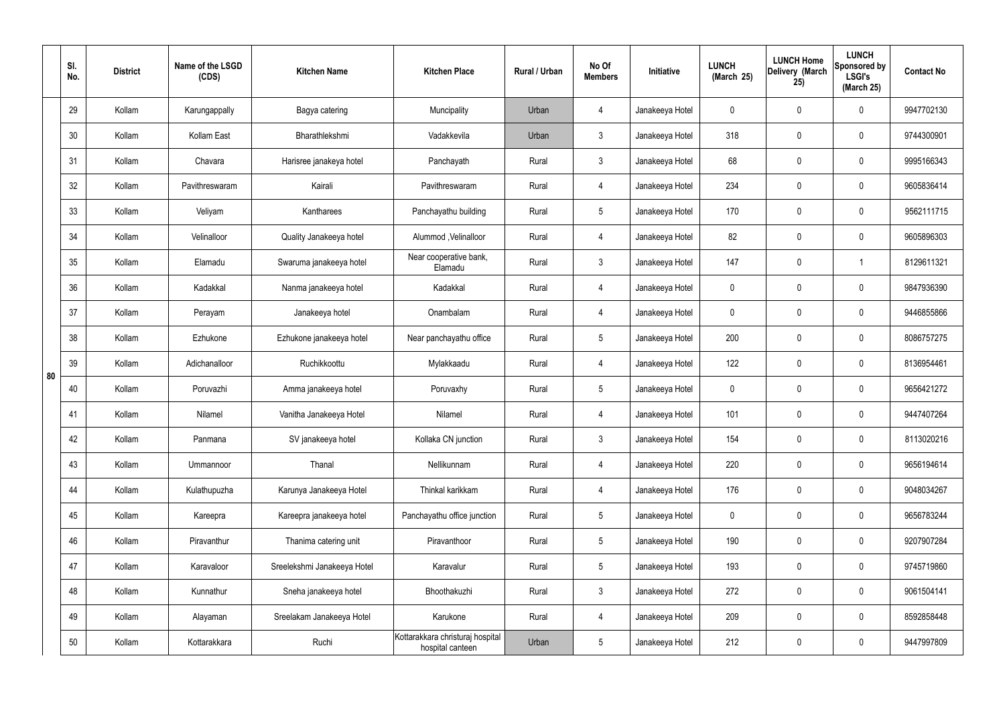|    | SI.<br>No. | <b>District</b> | Name of the LSGD<br>(CDS) | <b>Kitchen Name</b>         | <b>Kitchen Place</b>                                 | Rural / Urban | No Of<br><b>Members</b> | Initiative      | <b>LUNCH</b><br>(March 25) | <b>LUNCH Home</b><br>Delivery (March<br>25) | <b>LUNCH</b><br>Sponsored by<br><b>LSGI's</b><br>(March 25) | <b>Contact No</b> |
|----|------------|-----------------|---------------------------|-----------------------------|------------------------------------------------------|---------------|-------------------------|-----------------|----------------------------|---------------------------------------------|-------------------------------------------------------------|-------------------|
|    | 29         | Kollam          | Karungappally             | Bagya catering              | Muncipality                                          | Urban         | 4                       | Janakeeya Hotel | $\mathbf 0$                | 0                                           | $\mathbf 0$                                                 | 9947702130        |
|    | 30         | Kollam          | Kollam East               | Bharathlekshmi              | Vadakkevila                                          | Urban         | $\mathbf{3}$            | Janakeeya Hotel | 318                        | 0                                           | $\mathbf 0$                                                 | 9744300901        |
|    | 31         | Kollam          | Chavara                   | Harisree janakeya hotel     | Panchayath                                           | Rural         | $\mathbf{3}$            | Janakeeya Hotel | 68                         | 0                                           | $\mathbf 0$                                                 | 9995166343        |
|    | 32         | Kollam          | Pavithreswaram            | Kairali                     | Pavithreswaram                                       | Rural         | $\overline{4}$          | Janakeeya Hotel | 234                        | 0                                           | $\mathbf 0$                                                 | 9605836414        |
|    | 33         | Kollam          | Veliyam                   | Kantharees                  | Panchayathu building                                 | Rural         | $5\phantom{.0}$         | Janakeeya Hotel | 170                        | $\mathbf 0$                                 | $\mathbf 0$                                                 | 9562111715        |
|    | 34         | Kollam          | Velinalloor               | Quality Janakeeya hotel     | Alummod, Velinalloor                                 | Rural         | $\overline{4}$          | Janakeeya Hotel | 82                         | 0                                           | $\mathbf 0$                                                 | 9605896303        |
|    | 35         | Kollam          | Elamadu                   | Swaruma janakeeya hotel     | Near cooperative bank,<br>Elamadu                    | Rural         | $\mathbf{3}$            | Janakeeya Hotel | 147                        | $\mathbf 0$                                 | -1                                                          | 8129611321        |
|    | 36         | Kollam          | Kadakkal                  | Nanma janakeeya hotel       | Kadakkal                                             | Rural         | $\overline{4}$          | Janakeeya Hotel | $\mathbf 0$                | 0                                           | $\mathbf 0$                                                 | 9847936390        |
|    | 37         | Kollam          | Perayam                   | Janakeeya hotel             | Onambalam                                            | Rural         | $\overline{4}$          | Janakeeya Hotel | $\mathbf 0$                | 0                                           | $\mathbf 0$                                                 | 9446855866        |
|    | 38         | Kollam          | Ezhukone                  | Ezhukone janakeeya hotel    | Near panchayathu office                              | Rural         | $5\phantom{.0}$         | Janakeeya Hotel | 200                        | $\boldsymbol{0}$                            | $\mathbf 0$                                                 | 8086757275        |
| 80 | 39         | Kollam          | Adichanalloor             | Ruchikkoottu                | Mylakkaadu                                           | Rural         | 4                       | Janakeeya Hotel | 122                        | 0                                           | $\mathbf 0$                                                 | 8136954461        |
|    | 40         | Kollam          | Poruvazhi                 | Amma janakeeya hotel        | Poruvaxhy                                            | Rural         | $5\phantom{.0}$         | Janakeeya Hotel | $\mathbf 0$                | 0                                           | $\mathbf 0$                                                 | 9656421272        |
|    | 41         | Kollam          | Nilamel                   | Vanitha Janakeeya Hotel     | Nilamel                                              | Rural         | 4                       | Janakeeya Hotel | 101                        | 0                                           | $\mathbf 0$                                                 | 9447407264        |
|    | 42         | Kollam          | Panmana                   | SV janakeeya hotel          | Kollaka CN junction                                  | Rural         | $\mathbf{3}$            | Janakeeya Hotel | 154                        | $\mathbf 0$                                 | $\mathbf 0$                                                 | 8113020216        |
|    | 43         | Kollam          | Ummannoor                 | Thanal                      | Nellikunnam                                          | Rural         | $\overline{4}$          | Janakeeya Hotel | 220                        | $\mathbf 0$                                 | $\mathbf 0$                                                 | 9656194614        |
|    | 44         | Kollam          | Kulathupuzha              | Karunya Janakeeya Hotel     | Thinkal karikkam                                     | Rural         | $\overline{4}$          | Janakeeya Hotel | 176                        | 0                                           | $\mathbf 0$                                                 | 9048034267        |
|    | 45         | Kollam          | Kareepra                  | Kareepra janakeeya hotel    | Panchayathu office junction                          | Rural         | $5\phantom{.0}$         | Janakeeya Hotel | $\mathbf 0$                | 0                                           | $\mathbf 0$                                                 | 9656783244        |
|    | 46         | Kollam          | Piravanthur               | Thanima catering unit       | Piravanthoor                                         | Rural         | $5\phantom{.0}$         | Janakeeya Hotel | 190                        | 0                                           | $\mathbf 0$                                                 | 9207907284        |
|    | 47         | Kollam          | Karavaloor                | Sreelekshmi Janakeeya Hotel | Karavalur                                            | Rural         | $5\phantom{.0}$         | Janakeeya Hotel | 193                        | 0                                           | $\mathbf 0$                                                 | 9745719860        |
|    | 48         | Kollam          | Kunnathur                 | Sneha janakeeya hotel       | Bhoothakuzhi                                         | Rural         | $\mathfrak{Z}$          | Janakeeya Hotel | 272                        | 0                                           | $\mathbf 0$                                                 | 9061504141        |
|    | 49         | Kollam          | Alayaman                  | Sreelakam Janakeeya Hotel   | Karukone                                             | Rural         | $\overline{4}$          | Janakeeya Hotel | 209                        | 0                                           | $\mathbf 0$                                                 | 8592858448        |
|    | 50         | Kollam          | Kottarakkara              | Ruchi                       | Kottarakkara christuraj hospital<br>hospital canteen | Urban         | $5\phantom{.0}$         | Janakeeya Hotel | 212                        | 0                                           | $\mathbf 0$                                                 | 9447997809        |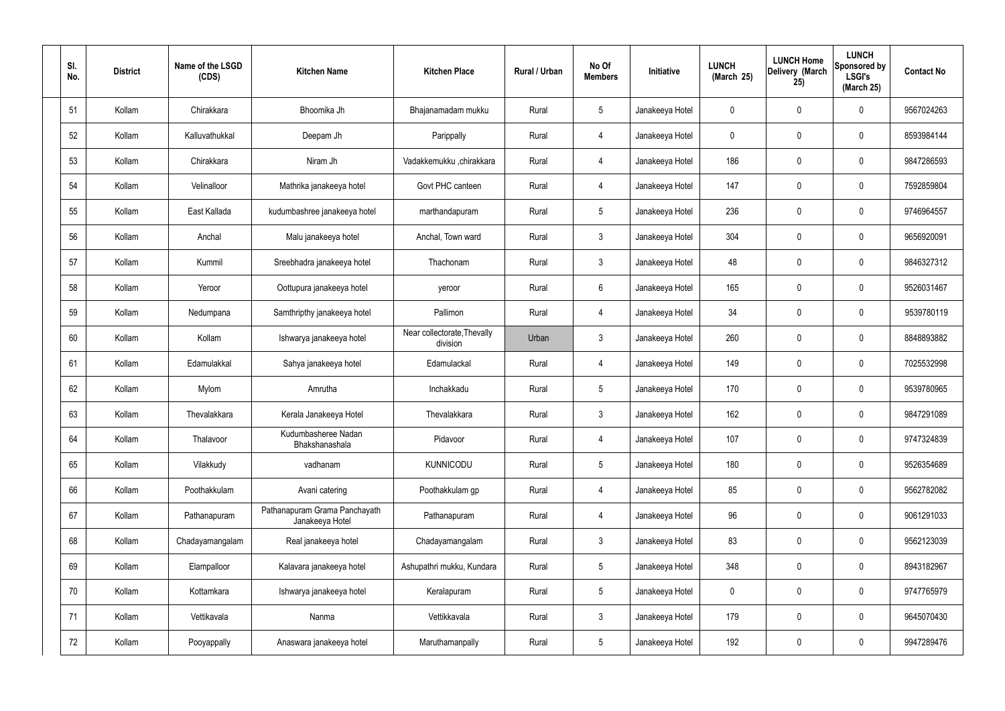| SI.<br>No. | <b>District</b> | Name of the LSGD<br>(CDS) | <b>Kitchen Name</b>                              | <b>Kitchen Place</b>                    | Rural / Urban | No Of<br><b>Members</b> | Initiative      | <b>LUNCH</b><br>(March 25) | <b>LUNCH Home</b><br>Delivery (March<br>25) | <b>LUNCH</b><br>Sponsored by<br><b>LSGI's</b><br>(March 25) | <b>Contact No</b> |
|------------|-----------------|---------------------------|--------------------------------------------------|-----------------------------------------|---------------|-------------------------|-----------------|----------------------------|---------------------------------------------|-------------------------------------------------------------|-------------------|
| 51         | Kollam          | Chirakkara                | Bhoomika Jh                                      | Bhajanamadam mukku                      | Rural         | $5\phantom{.0}$         | Janakeeya Hotel | $\mathbf 0$                | 0                                           | $\mathbf 0$                                                 | 9567024263        |
| 52         | Kollam          | Kalluvathukkal            | Deepam Jh                                        | Parippally                              | Rural         | 4                       | Janakeeya Hotel | $\mathbf 0$                | 0                                           | $\mathbf 0$                                                 | 8593984144        |
| 53         | Kollam          | Chirakkara                | Niram Jh                                         | Vadakkemukku ,chirakkara                | Rural         | 4                       | Janakeeya Hotel | 186                        | 0                                           | $\mathbf 0$                                                 | 9847286593        |
| 54         | Kollam          | Velinalloor               | Mathrika janakeeya hotel                         | Govt PHC canteen                        | Rural         | 4                       | Janakeeya Hotel | 147                        | 0                                           | $\mathbf 0$                                                 | 7592859804        |
| 55         | Kollam          | East Kallada              | kudumbashree janakeeya hotel                     | marthandapuram                          | Rural         | $5\phantom{.0}$         | Janakeeya Hotel | 236                        | 0                                           | $\mathbf 0$                                                 | 9746964557        |
| 56         | Kollam          | Anchal                    | Malu janakeeya hotel                             | Anchal, Town ward                       | Rural         | $\mathbf{3}$            | Janakeeya Hotel | 304                        | 0                                           | $\mathbf 0$                                                 | 9656920091        |
| 57         | Kollam          | Kummil                    | Sreebhadra janakeeya hotel                       | Thachonam                               | Rural         | $\mathfrak{Z}$          | Janakeeya Hotel | 48                         | 0                                           | $\mathbf 0$                                                 | 9846327312        |
| 58         | Kollam          | Yeroor                    | Oottupura janakeeya hotel                        | yeroor                                  | Rural         | $6\phantom{.}6$         | Janakeeya Hotel | 165                        | 0                                           | $\mathbf 0$                                                 | 9526031467        |
| 59         | Kollam          | Nedumpana                 | Samthripthy janakeeya hotel                      | Pallimon                                | Rural         | $\overline{4}$          | Janakeeya Hotel | 34                         | 0                                           | $\mathbf 0$                                                 | 9539780119        |
| 60         | Kollam          | Kollam                    | Ishwarya janakeeya hotel                         | Near collectorate, Thevally<br>division | Urban         | $\mathbf{3}$            | Janakeeya Hotel | 260                        | 0                                           | $\mathbf 0$                                                 | 8848893882        |
| 61         | Kollam          | Edamulakkal               | Sahya janakeeya hotel                            | Edamulackal                             | Rural         | 4                       | Janakeeya Hotel | 149                        | 0                                           | $\mathbf 0$                                                 | 7025532998        |
| 62         | Kollam          | Mylom                     | Amrutha                                          | Inchakkadu                              | Rural         | $5\,$                   | Janakeeya Hotel | 170                        | 0                                           | $\mathbf 0$                                                 | 9539780965        |
| 63         | Kollam          | Thevalakkara              | Kerala Janakeeya Hotel                           | Thevalakkara                            | Rural         | $\mathbf{3}$            | Janakeeya Hotel | 162                        | $\mathbf 0$                                 | 0                                                           | 9847291089        |
| 64         | Kollam          | Thalavoor                 | Kudumbasheree Nadan<br>Bhakshanashala            | Pidavoor                                | Rural         | $\overline{4}$          | Janakeeya Hotel | 107                        | $\mathbf 0$                                 | $\mathbf 0$                                                 | 9747324839        |
| 65         | Kollam          | Vilakkudy                 | vadhanam                                         | <b>KUNNICODU</b>                        | Rural         | $5\phantom{.0}$         | Janakeeya Hotel | 180                        | 0                                           | $\mathbf 0$                                                 | 9526354689        |
| 66         | Kollam          | Poothakkulam              | Avani catering                                   | Poothakkulam gp                         | Rural         | $\overline{4}$          | Janakeeya Hotel | 85                         | 0                                           | $\mathbf 0$                                                 | 9562782082        |
| 67         | Kollam          | Pathanapuram              | Pathanapuram Grama Panchayath<br>Janakeeya Hotel | Pathanapuram                            | Rural         | $\overline{4}$          | Janakeeya Hotel | 96                         | 0                                           | $\mathbf 0$                                                 | 9061291033        |
| 68         | Kollam          | Chadayamangalam           | Real janakeeya hotel                             | Chadayamangalam                         | Rural         | $\mathbf{3}$            | Janakeeya Hotel | 83                         | 0                                           | $\mathbf 0$                                                 | 9562123039        |
| 69         | Kollam          | Elampalloor               | Kalavara janakeeya hotel                         | Ashupathri mukku, Kundara               | Rural         | $5\phantom{.0}$         | Janakeeya Hotel | 348                        | $\mathbf 0$                                 | $\mathbf 0$                                                 | 8943182967        |
| 70         | Kollam          | Kottamkara                | Ishwarya janakeeya hotel                         | Keralapuram                             | Rural         | $5\phantom{.0}$         | Janakeeya Hotel | $\mathbf 0$                | $\mathbf 0$                                 | $\mathbf 0$                                                 | 9747765979        |
| 71         | Kollam          | Vettikavala               | Nanma                                            | Vettikkavala                            | Rural         | $\mathbf{3}$            | Janakeeya Hotel | 179                        | 0                                           | $\mathbf 0$                                                 | 9645070430        |
| 72         | Kollam          | Pooyappally               | Anaswara janakeeya hotel                         | Maruthamanpally                         | Rural         | $5\,$                   | Janakeeya Hotel | 192                        | $\pmb{0}$                                   | $\boldsymbol{0}$                                            | 9947289476        |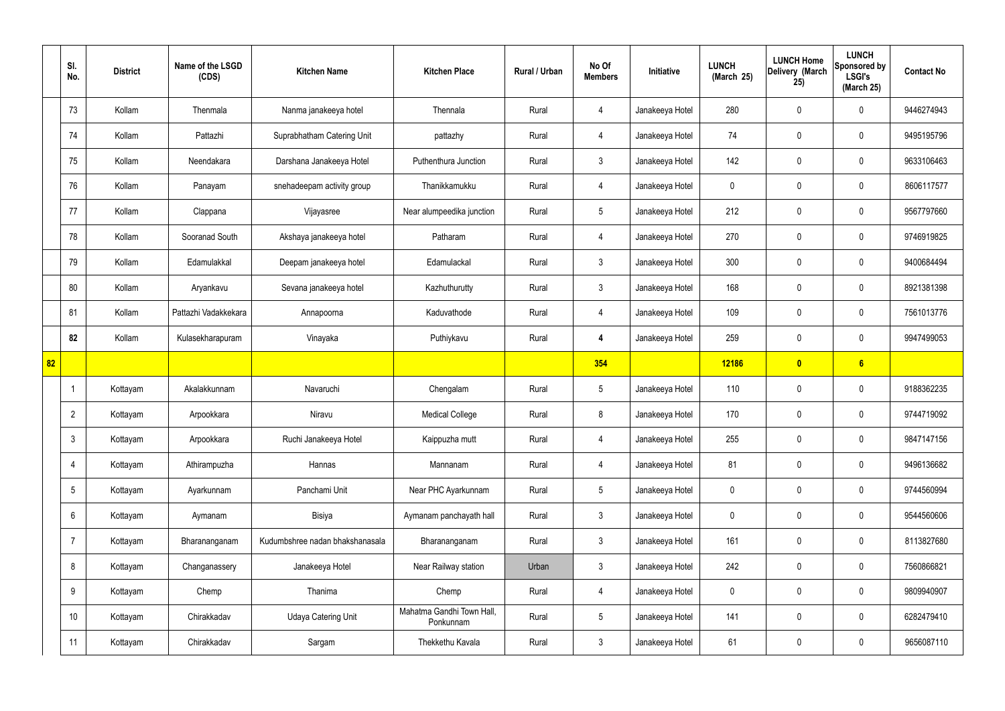|    | SI.<br>No.      | <b>District</b> | Name of the LSGD<br>(CDS) | <b>Kitchen Name</b>             | <b>Kitchen Place</b>                   | Rural / Urban | No Of<br><b>Members</b> | Initiative      | <b>LUNCH</b><br>(March 25) | <b>LUNCH Home</b><br>Delivery (March<br>25) | <b>LUNCH</b><br>Sponsored by<br><b>LSGI's</b><br>(March 25) | <b>Contact No</b> |
|----|-----------------|-----------------|---------------------------|---------------------------------|----------------------------------------|---------------|-------------------------|-----------------|----------------------------|---------------------------------------------|-------------------------------------------------------------|-------------------|
|    | 73              | Kollam          | Thenmala                  | Nanma janakeeya hotel           | Thennala                               | Rural         | 4                       | Janakeeya Hotel | 280                        | $\mathbf 0$                                 | $\mathbf 0$                                                 | 9446274943        |
|    | 74              | Kollam          | Pattazhi                  | Suprabhatham Catering Unit      | pattazhy                               | Rural         | $\overline{4}$          | Janakeeya Hotel | 74                         | $\mathbf 0$                                 | $\mathbf 0$                                                 | 9495195796        |
|    | 75              | Kollam          | Neendakara                | Darshana Janakeeya Hotel        | Puthenthura Junction                   | Rural         | $\mathbf{3}$            | Janakeeya Hotel | 142                        | $\mathbf 0$                                 | $\mathbf 0$                                                 | 9633106463        |
|    | 76              | Kollam          | Panayam                   | snehadeepam activity group      | Thanikkamukku                          | Rural         | $\overline{4}$          | Janakeeya Hotel | $\mathbf 0$                | $\mathbf 0$                                 | $\mathbf 0$                                                 | 8606117577        |
|    | 77              | Kollam          | Clappana                  | Vijayasree                      | Near alumpeedika junction              | Rural         | $5\phantom{.0}$         | Janakeeya Hotel | 212                        | $\mathbf 0$                                 | $\mathbf 0$                                                 | 9567797660        |
|    | 78              | Kollam          | Sooranad South            | Akshaya janakeeya hotel         | Patharam                               | Rural         | $\overline{4}$          | Janakeeya Hotel | 270                        | $\mathbf 0$                                 | $\mathbf 0$                                                 | 9746919825        |
|    | 79              | Kollam          | Edamulakkal               | Deepam janakeeya hotel          | Edamulackal                            | Rural         | 3                       | Janakeeya Hotel | 300                        | $\mathbf 0$                                 | $\mathbf 0$                                                 | 9400684494        |
|    | 80              | Kollam          | Aryankavu                 | Sevana janakeeya hotel          | Kazhuthurutty                          | Rural         | $\mathbf{3}$            | Janakeeya Hotel | 168                        | $\mathbf 0$                                 | $\mathbf 0$                                                 | 8921381398        |
|    | 81              | Kollam          | Pattazhi Vadakkekara      | Annapoorna                      | Kaduvathode                            | Rural         | 4                       | Janakeeya Hotel | 109                        | $\mathbf 0$                                 | $\mathbf 0$                                                 | 7561013776        |
|    | 82              | Kollam          | Kulasekharapuram          | Vinayaka                        | Puthiykavu                             | Rural         | $\overline{4}$          | Janakeeya Hotel | 259                        | $\mathbf 0$                                 | $\mathbf 0$                                                 | 9947499053        |
| 82 |                 |                 |                           |                                 |                                        |               | 354                     |                 | 12186                      | $\boldsymbol{0}$                            | 6                                                           |                   |
|    | -1              | Kottayam        | Akalakkunnam              | Navaruchi                       | Chengalam                              | Rural         | $5\phantom{.0}$         | Janakeeya Hotel | 110                        | $\mathbf 0$                                 | $\mathbf 0$                                                 | 9188362235        |
|    | $\overline{2}$  | Kottayam        | Arpookkara                | Niravu                          | <b>Medical College</b>                 | Rural         | 8                       | Janakeeya Hotel | 170                        | $\mathbf 0$                                 | $\mathbf 0$                                                 | 9744719092        |
|    | $\mathbf{3}$    | Kottayam        | Arpookkara                | Ruchi Janakeeya Hotel           | Kaippuzha mutt                         | Rural         | $\overline{4}$          | Janakeeya Hotel | 255                        | $\pmb{0}$                                   | $\mathbf 0$                                                 | 9847147156        |
|    | $\overline{4}$  | Kottayam        | Athirampuzha              | Hannas                          | Mannanam                               | Rural         | $\overline{4}$          | Janakeeya Hotel | 81                         | $\pmb{0}$                                   | $\mathbf 0$                                                 | 9496136682        |
|    | $5\overline{)}$ | Kottayam        | Ayarkunnam                | Panchami Unit                   | Near PHC Ayarkunnam                    | Rural         | $5\phantom{.0}$         | Janakeeya Hotel | $\mathbf 0$                | $\mathbf 0$                                 | $\mathbf 0$                                                 | 9744560994        |
|    | 6               | Kottayam        | Aymanam                   | Bisiya                          | Aymanam panchayath hall                | Rural         | $\mathbf{3}$            | Janakeeya Hotel | $\mathbf 0$                | 0                                           | $\mathbf 0$                                                 | 9544560606        |
|    | $\overline{7}$  | Kottayam        | Bharananganam             | Kudumbshree nadan bhakshanasala | Bharananganam                          | Rural         | $3\phantom{a}$          | Janakeeya Hotel | 161                        | 0                                           | $\mathbf 0$                                                 | 8113827680        |
|    | 8               | Kottayam        | Changanassery             | Janakeeya Hotel                 | Near Railway station                   | Urban         | $\mathbf{3}$            | Janakeeya Hotel | 242                        | 0                                           | $\mathbf 0$                                                 | 7560866821        |
|    | 9               | Kottayam        | Chemp                     | Thanima                         | Chemp                                  | Rural         | $\overline{4}$          | Janakeeya Hotel | $\mathbf 0$                | 0                                           | $\mathbf 0$                                                 | 9809940907        |
|    | 10              | Kottayam        | Chirakkadav               | <b>Udaya Catering Unit</b>      | Mahatma Gandhi Town Hall,<br>Ponkunnam | Rural         | $5\phantom{.0}$         | Janakeeya Hotel | 141                        | 0                                           | $\mathbf 0$                                                 | 6282479410        |
|    | 11              | Kottayam        | Chirakkadav               | Sargam                          | Thekkethu Kavala                       | Rural         | $\mathbf{3}$            | Janakeeya Hotel | 61                         | 0                                           | $\boldsymbol{0}$                                            | 9656087110        |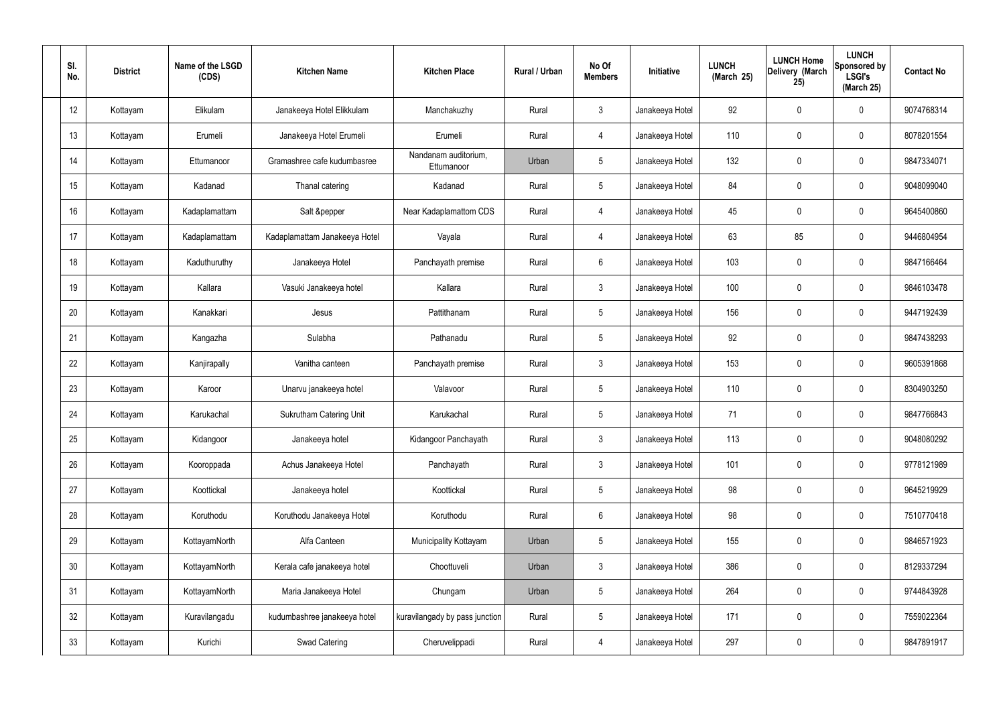| SI.<br>No.      | <b>District</b> | Name of the LSGD<br>(CDS) | <b>Kitchen Name</b>            | <b>Kitchen Place</b>               | Rural / Urban | No Of<br><b>Members</b> | Initiative      | <b>LUNCH</b><br>(March 25) | <b>LUNCH Home</b><br>Delivery (March<br>25) | <b>LUNCH</b><br>Sponsored by<br><b>LSGI's</b><br>(March 25) | <b>Contact No</b> |
|-----------------|-----------------|---------------------------|--------------------------------|------------------------------------|---------------|-------------------------|-----------------|----------------------------|---------------------------------------------|-------------------------------------------------------------|-------------------|
| 12              | Kottayam        | Elikulam                  | Janakeeya Hotel Elikkulam      | Manchakuzhy                        | Rural         | $\mathbf{3}$            | Janakeeya Hotel | 92                         | $\mathbf 0$                                 | 0                                                           | 9074768314        |
| 13              | Kottayam        | Erumeli                   | Janakeeya Hotel Erumeli        | Erumeli                            | Rural         | $\overline{4}$          | Janakeeya Hotel | 110                        | $\mathbf 0$                                 | 0                                                           | 8078201554        |
| 14              | Kottayam        | Ettumanoor                | Gramashree cafe kudumbasree    | Nandanam auditorium,<br>Ettumanoor | Urban         | $5\phantom{.0}$         | Janakeeya Hotel | 132                        | $\mathbf 0$                                 | 0                                                           | 9847334071        |
| 15              | Kottayam        | Kadanad                   | Thanal catering                | Kadanad                            | Rural         | $5\phantom{.0}$         | Janakeeya Hotel | 84                         | $\mathbf 0$                                 | 0                                                           | 9048099040        |
| 16              | Kottayam        | Kadaplamattam             | Salt &pepper                   | Near Kadaplamattom CDS             | Rural         | $\overline{4}$          | Janakeeya Hotel | 45                         | $\mathbf 0$                                 | 0                                                           | 9645400860        |
| 17              | Kottayam        | Kadaplamattam             | Kadaplamattam Janakeeya Hotel  | Vayala                             | Rural         | $\overline{4}$          | Janakeeya Hotel | 63                         | 85                                          | 0                                                           | 9446804954        |
| 18              | Kottayam        | Kaduthuruthy              | Janakeeya Hotel                | Panchayath premise                 | Rural         | 6                       | Janakeeya Hotel | 103                        | $\mathbf 0$                                 | 0                                                           | 9847166464        |
| 19              | Kottayam        | Kallara                   | Vasuki Janakeeya hotel         | Kallara                            | Rural         | $\mathbf{3}$            | Janakeeya Hotel | 100                        | $\mathbf 0$                                 | 0                                                           | 9846103478        |
| 20              | Kottayam        | Kanakkari                 | Jesus                          | Pattithanam                        | Rural         | $5\phantom{.0}$         | Janakeeya Hotel | 156                        | $\mathbf 0$                                 | 0                                                           | 9447192439        |
| 21              | Kottayam        | Kangazha                  | Sulabha                        | Pathanadu                          | Rural         | $5\phantom{.0}$         | Janakeeya Hotel | 92                         | $\mathbf 0$                                 | 0                                                           | 9847438293        |
| 22              | Kottayam        | Kanjirapally              | Vanitha canteen                | Panchayath premise                 | Rural         | $\mathbf{3}$            | Janakeeya Hotel | 153                        | 0                                           | 0                                                           | 9605391868        |
| 23              | Kottayam        | Karoor                    | Unarvu janakeeya hotel         | Valavoor                           | Rural         | $5\phantom{.0}$         | Janakeeya Hotel | 110                        | 0                                           | 0                                                           | 8304903250        |
| 24              | Kottayam        | Karukachal                | <b>Sukrutham Catering Unit</b> | Karukachal                         | Rural         | 5                       | Janakeeya Hotel | 71                         | $\mathbf 0$                                 | 0                                                           | 9847766843        |
| 25              | Kottayam        | Kidangoor                 | Janakeeya hotel                | Kidangoor Panchayath               | Rural         | $\mathbf{3}$            | Janakeeya Hotel | 113                        | $\mathbf 0$                                 | 0                                                           | 9048080292        |
| 26              | Kottayam        | Kooroppada                | Achus Janakeeya Hotel          | Panchayath                         | Rural         | $\mathbf{3}$            | Janakeeya Hotel | 101                        | $\pmb{0}$                                   | 0                                                           | 9778121989        |
| 27              | Kottayam        | Koottickal                | Janakeeya hotel                | Koottickal                         | Rural         | $5\phantom{.0}$         | Janakeeya Hotel | 98                         | $\mathbf 0$                                 | 0                                                           | 9645219929        |
| 28              | Kottayam        | Koruthodu                 | Koruthodu Janakeeya Hotel      | Koruthodu                          | Rural         | $6\overline{6}$         | Janakeeya Hotel | 98                         | $\pmb{0}$                                   | 0                                                           | 7510770418        |
| 29              | Kottayam        | KottayamNorth             | Alfa Canteen                   | Municipality Kottayam              | Urban         | $5\phantom{.0}$         | Janakeeya Hotel | 155                        | $\mathbf 0$                                 | 0                                                           | 9846571923        |
| 30 <sub>2</sub> | Kottayam        | KottayamNorth             | Kerala cafe janakeeya hotel    | Choottuveli                        | Urban         | $\mathbf{3}$            | Janakeeya Hotel | 386                        | $\pmb{0}$                                   | 0                                                           | 8129337294        |
| 31              | Kottayam        | KottayamNorth             | Maria Janakeeya Hotel          | Chungam                            | Urban         | $5\phantom{.0}$         | Janakeeya Hotel | 264                        | $\mathbf 0$                                 | 0                                                           | 9744843928        |
| 32              | Kottayam        | Kuravilangadu             | kudumbashree janakeeya hotel   | kuravilangady by pass junction     | Rural         | $5\phantom{.0}$         | Janakeeya Hotel | 171                        | $\mathbf 0$                                 | 0                                                           | 7559022364        |
| 33              | Kottayam        | Kurichi                   | Swad Catering                  | Cheruvelippadi                     | Rural         | $\overline{4}$          | Janakeeya Hotel | 297                        | $\pmb{0}$                                   | 0                                                           | 9847891917        |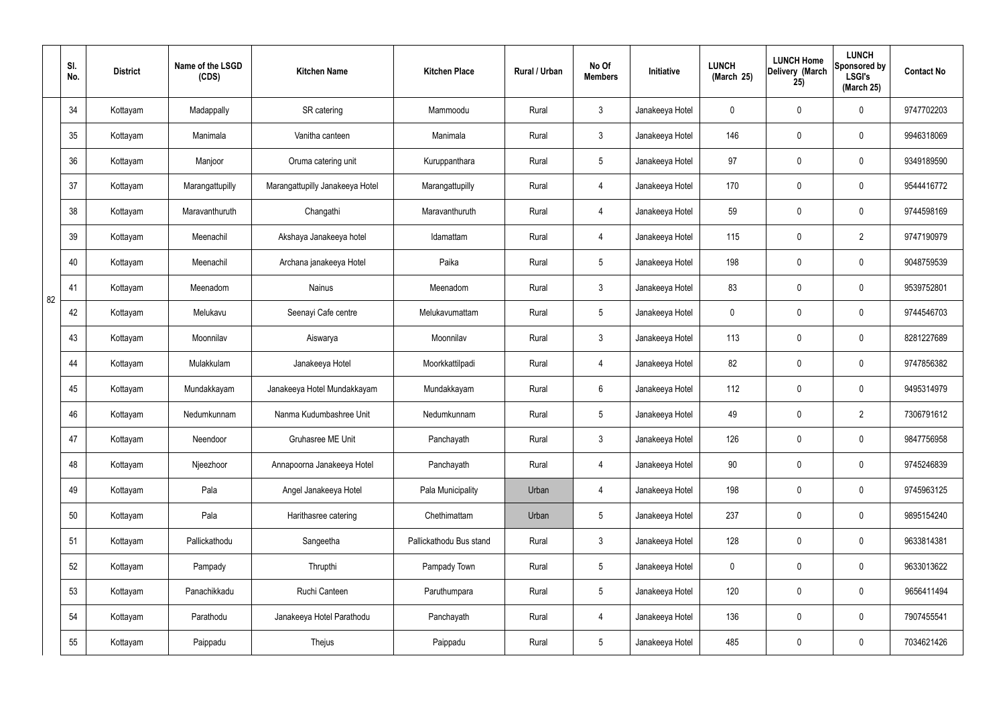|    | SI.<br>No. | <b>District</b> | Name of the LSGD<br>(CDS) | <b>Kitchen Name</b>             | <b>Kitchen Place</b>    | Rural / Urban | No Of<br><b>Members</b> | Initiative      | <b>LUNCH</b><br>(March 25) | <b>LUNCH Home</b><br>Delivery (March<br>25) | <b>LUNCH</b><br>Sponsored by<br><b>LSGI's</b><br>(March 25) | <b>Contact No</b> |
|----|------------|-----------------|---------------------------|---------------------------------|-------------------------|---------------|-------------------------|-----------------|----------------------------|---------------------------------------------|-------------------------------------------------------------|-------------------|
|    | 34         | Kottayam        | Madappally                | SR catering                     | Mammoodu                | Rural         | $\mathbf{3}$            | Janakeeya Hotel | 0                          | $\boldsymbol{0}$                            | $\mathbf 0$                                                 | 9747702203        |
|    | 35         | Kottayam        | Manimala                  | Vanitha canteen                 | Manimala                | Rural         | $\mathbf{3}$            | Janakeeya Hotel | 146                        | 0                                           | $\mathbf 0$                                                 | 9946318069        |
|    | 36         | Kottayam        | Manjoor                   | Oruma catering unit             | Kuruppanthara           | Rural         | $5\phantom{.0}$         | Janakeeya Hotel | 97                         | 0                                           | $\mathbf 0$                                                 | 9349189590        |
|    | 37         | Kottayam        | Marangattupilly           | Marangattupilly Janakeeya Hotel | Marangattupilly         | Rural         | $\overline{4}$          | Janakeeya Hotel | 170                        | 0                                           | $\mathbf 0$                                                 | 9544416772        |
|    | 38         | Kottayam        | Maravanthuruth            | Changathi                       | Maravanthuruth          | Rural         | $\overline{4}$          | Janakeeya Hotel | 59                         | $\mathbf 0$                                 | $\mathbf 0$                                                 | 9744598169        |
|    | 39         | Kottayam        | Meenachil                 | Akshaya Janakeeya hotel         | Idamattam               | Rural         | $\overline{4}$          | Janakeeya Hotel | 115                        | 0                                           | $\overline{2}$                                              | 9747190979        |
|    | 40         | Kottayam        | Meenachil                 | Archana janakeeya Hotel         | Paika                   | Rural         | $5\phantom{.0}$         | Janakeeya Hotel | 198                        | $\mathbf 0$                                 | $\mathbf 0$                                                 | 9048759539        |
| 82 | 41         | Kottayam        | Meenadom                  | <b>Nainus</b>                   | Meenadom                | Rural         | $\mathbf{3}$            | Janakeeya Hotel | 83                         | 0                                           | $\mathbf 0$                                                 | 9539752801        |
|    | 42         | Kottayam        | Melukavu                  | Seenayi Cafe centre             | Melukavumattam          | Rural         | $5\phantom{.0}$         | Janakeeya Hotel | $\mathbf 0$                | 0                                           | $\mathbf 0$                                                 | 9744546703        |
|    | 43         | Kottayam        | Moonnilav                 | Aiswarya                        | Moonnilav               | Rural         | $\mathbf{3}$            | Janakeeya Hotel | 113                        | 0                                           | $\mathbf 0$                                                 | 8281227689        |
|    | 44         | Kottayam        | Mulakkulam                | Janakeeya Hotel                 | Moorkkattilpadi         | Rural         | 4                       | Janakeeya Hotel | 82                         | 0                                           | $\mathbf 0$                                                 | 9747856382        |
|    | 45         | Kottayam        | Mundakkayam               | Janakeeya Hotel Mundakkayam     | Mundakkayam             | Rural         | $6\phantom{.}6$         | Janakeeya Hotel | 112                        | $\mathbf 0$                                 | $\mathbf 0$                                                 | 9495314979        |
|    | 46         | Kottayam        | Nedumkunnam               | Nanma Kudumbashree Unit         | Nedumkunnam             | Rural         | $5\phantom{.0}$         | Janakeeya Hotel | 49                         | 0                                           | $\overline{2}$                                              | 7306791612        |
|    | 47         | Kottayam        | Neendoor                  | Gruhasree ME Unit               | Panchayath              | Rural         | $\mathbf{3}$            | Janakeeya Hotel | 126                        | $\mathsf{0}$                                | $\mathbf 0$                                                 | 9847756958        |
|    | 48         | Kottayam        | Njeezhoor                 | Annapoorna Janakeeya Hotel      | Panchayath              | Rural         | $\overline{4}$          | Janakeeya Hotel | 90                         | $\mathsf{0}$                                | $\mathbf 0$                                                 | 9745246839        |
|    | 49         | Kottayam        | Pala                      | Angel Janakeeya Hotel           | Pala Municipality       | Urban         | $\overline{4}$          | Janakeeya Hotel | 198                        | 0                                           | $\mathbf 0$                                                 | 9745963125        |
|    | 50         | Kottayam        | Pala                      | Harithasree catering            | Chethimattam            | Urban         | $5\phantom{.0}$         | Janakeeya Hotel | 237                        | 0                                           | $\mathbf 0$                                                 | 9895154240        |
|    | 51         | Kottayam        | Pallickathodu             | Sangeetha                       | Pallickathodu Bus stand | Rural         | $\mathbf{3}$            | Janakeeya Hotel | 128                        | 0                                           | $\mathbf 0$                                                 | 9633814381        |
|    | 52         | Kottayam        | Pampady                   | Thrupthi                        | Pampady Town            | Rural         | $5\overline{)}$         | Janakeeya Hotel | $\mathbf 0$                | 0                                           | $\mathbf 0$                                                 | 9633013622        |
|    | 53         | Kottayam        | Panachikkadu              | Ruchi Canteen                   | Paruthumpara            | Rural         | $5\phantom{.0}$         | Janakeeya Hotel | 120                        | 0                                           | $\mathbf 0$                                                 | 9656411494        |
|    | 54         | Kottayam        | Parathodu                 | Janakeeya Hotel Parathodu       | Panchayath              | Rural         | $\overline{4}$          | Janakeeya Hotel | 136                        | 0                                           | $\mathbf 0$                                                 | 7907455541        |
|    | 55         | Kottayam        | Paippadu                  | Thejus                          | Paippadu                | Rural         | $5\,$                   | Janakeeya Hotel | 485                        | 0                                           | $\mathbf 0$                                                 | 7034621426        |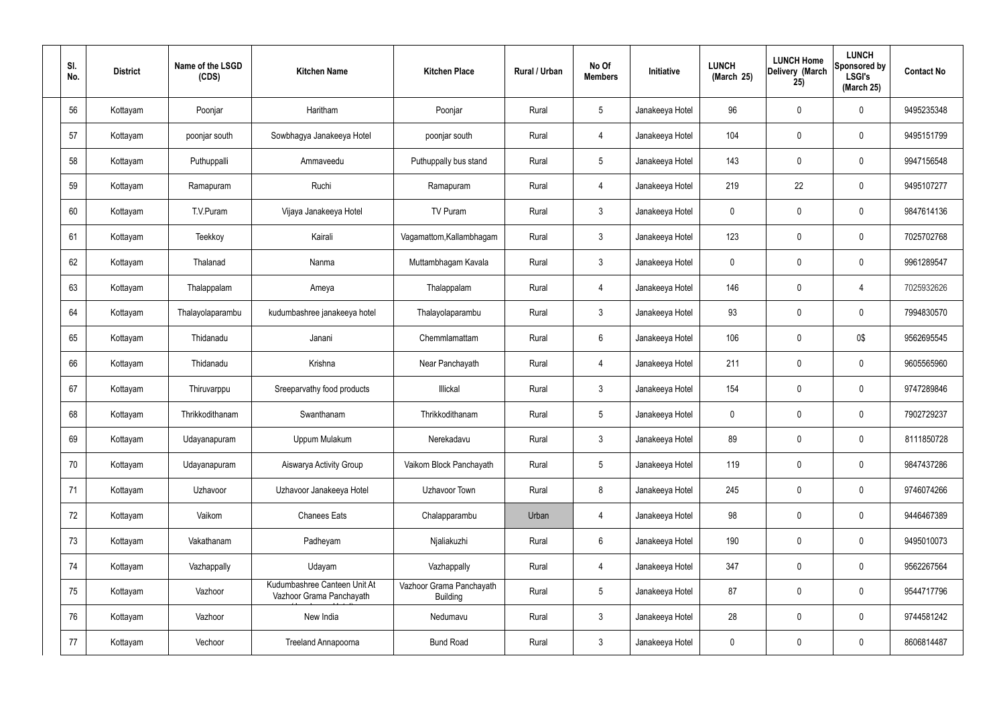| SI.<br>No. |    | <b>District</b> | Name of the LSGD<br>(CDS) | <b>Kitchen Name</b>                                      | <b>Kitchen Place</b>                        | Rural / Urban | No Of<br><b>Members</b> | Initiative      | <b>LUNCH</b><br>(March 25) | <b>LUNCH Home</b><br>Delivery (March<br>25) | <b>LUNCH</b><br><b>Sponsored by</b><br><b>LSGI's</b><br>(March 25) | <b>Contact No</b> |
|------------|----|-----------------|---------------------------|----------------------------------------------------------|---------------------------------------------|---------------|-------------------------|-----------------|----------------------------|---------------------------------------------|--------------------------------------------------------------------|-------------------|
|            | 56 | Kottayam        | Poonjar                   | Haritham                                                 | Poonjar                                     | Rural         | $5\phantom{.0}$         | Janakeeya Hotel | 96                         | $\mathbf 0$                                 | 0                                                                  | 9495235348        |
|            | 57 | Kottayam        | poonjar south             | Sowbhagya Janakeeya Hotel                                | poonjar south                               | Rural         | $\overline{4}$          | Janakeeya Hotel | 104                        | $\mathbf 0$                                 | 0                                                                  | 9495151799        |
|            | 58 | Kottayam        | Puthuppalli               | Ammaveedu                                                | Puthuppally bus stand                       | Rural         | $5\overline{)}$         | Janakeeya Hotel | 143                        | $\mathbf 0$                                 | 0                                                                  | 9947156548        |
|            | 59 | Kottayam        | Ramapuram                 | Ruchi                                                    | Ramapuram                                   | Rural         | $\overline{4}$          | Janakeeya Hotel | 219                        | 22                                          | 0                                                                  | 9495107277        |
|            | 60 | Kottayam        | T.V.Puram                 | Vijaya Janakeeya Hotel                                   | TV Puram                                    | Rural         | $\mathbf{3}$            | Janakeeya Hotel | 0                          | $\mathbf 0$                                 | 0                                                                  | 9847614136        |
|            | 61 | Kottayam        | Teekkoy                   | Kairali                                                  | Vagamattom, Kallambhagam                    | Rural         | $\mathbf{3}$            | Janakeeya Hotel | 123                        | $\mathbf 0$                                 | 0                                                                  | 7025702768        |
|            | 62 | Kottayam        | Thalanad                  | Nanma                                                    | Muttambhagam Kavala                         | Rural         | $\mathbf{3}$            | Janakeeya Hotel | 0                          | 0                                           | 0                                                                  | 9961289547        |
|            | 63 | Kottayam        | Thalappalam               | Ameya                                                    | Thalappalam                                 | Rural         | $\overline{4}$          | Janakeeya Hotel | 146                        | $\mathbf 0$                                 | 4                                                                  | 7025932626        |
|            | 64 | Kottayam        | Thalayolaparambu          | kudumbashree janakeeya hotel                             | Thalayolaparambu                            | Rural         | $\mathbf{3}$            | Janakeeya Hotel | 93                         | 0                                           | 0                                                                  | 7994830570        |
|            | 65 | Kottayam        | Thidanadu                 | Janani                                                   | Chemmlamattam                               | Rural         | $6\phantom{.}6$         | Janakeeya Hotel | 106                        | 0                                           | 0\$                                                                | 9562695545        |
|            | 66 | Kottayam        | Thidanadu                 | Krishna                                                  | Near Panchayath                             | Rural         | $\overline{4}$          | Janakeeya Hotel | 211                        | 0                                           | 0                                                                  | 9605565960        |
|            | 67 | Kottayam        | Thiruvarppu               | Sreeparvathy food products                               | Illickal                                    | Rural         | $\mathbf{3}$            | Janakeeya Hotel | 154                        | 0                                           | 0                                                                  | 9747289846        |
|            | 68 | Kottayam        | Thrikkodithanam           | Swanthanam                                               | Thrikkodithanam                             | Rural         | 5                       | Janakeeya Hotel | 0                          | 0                                           | 0                                                                  | 7902729237        |
|            | 69 | Kottayam        | Udayanapuram              | Uppum Mulakum                                            | Nerekadavu                                  | Rural         | $\mathbf{3}$            | Janakeeya Hotel | 89                         | $\mathbf 0$                                 | 0                                                                  | 8111850728        |
|            | 70 | Kottayam        | Udayanapuram              | Aiswarya Activity Group                                  | Vaikom Block Panchayath                     | Rural         | $5\phantom{.0}$         | Janakeeya Hotel | 119                        | $\mathbf 0$                                 | $\mathbf 0$                                                        | 9847437286        |
|            | 71 | Kottayam        | Uzhavoor                  | Uzhavoor Janakeeya Hotel                                 | Uzhavoor Town                               | Rural         | 8                       | Janakeeya Hotel | 245                        | $\mathbf 0$                                 | 0                                                                  | 9746074266        |
|            | 72 | Kottayam        | Vaikom                    | <b>Chanees Eats</b>                                      | Chalapparambu                               | Urban         | $\overline{4}$          | Janakeeya Hotel | 98                         | $\mathbf 0$                                 | 0                                                                  | 9446467389        |
|            | 73 | Kottayam        | Vakathanam                | Padheyam                                                 | Njaliakuzhi                                 | Rural         | $6\phantom{.}6$         | Janakeeya Hotel | 190                        | $\mathbf 0$                                 | 0                                                                  | 9495010073        |
|            | 74 | Kottayam        | Vazhappally               | Udayam                                                   | Vazhappally                                 | Rural         | $\overline{4}$          | Janakeeya Hotel | 347                        | $\pmb{0}$                                   | $\mathbf 0$                                                        | 9562267564        |
|            | 75 | Kottayam        | Vazhoor                   | Kudumbashree Canteen Unit At<br>Vazhoor Grama Panchayath | Vazhoor Grama Panchayath<br><b>Building</b> | Rural         | $5\phantom{.0}$         | Janakeeya Hotel | 87                         | $\mathbf 0$                                 | 0                                                                  | 9544717796        |
|            | 76 | Kottayam        | Vazhoor                   | New India                                                | Nedumavu                                    | Rural         | $\mathbf{3}$            | Janakeeya Hotel | 28                         | $\mathbf 0$                                 | 0                                                                  | 9744581242        |
|            | 77 | Kottayam        | Vechoor                   | Treeland Annapoorna                                      | <b>Bund Road</b>                            | Rural         | $\mathbf{3}$            | Janakeeya Hotel | $\pmb{0}$                  | $\boldsymbol{0}$                            | 0                                                                  | 8606814487        |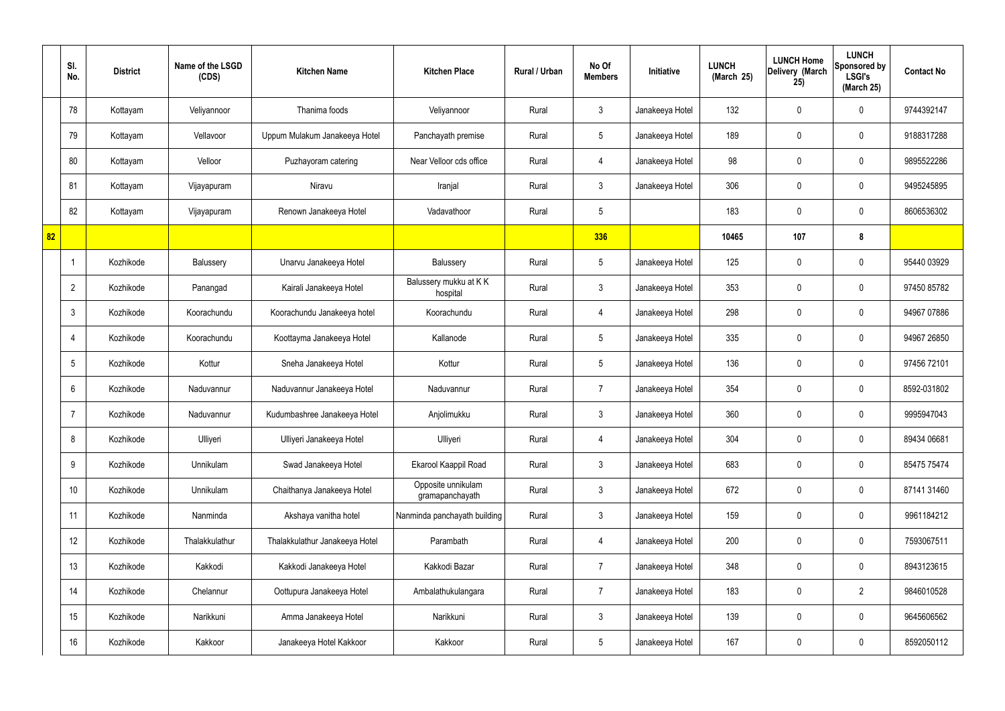|    | SI.<br>No.      | <b>District</b> | Name of the LSGD<br>(CDS) | <b>Kitchen Name</b>            | <b>Kitchen Place</b>                  | Rural / Urban | No Of<br><b>Members</b> | <b>Initiative</b> | <b>LUNCH</b><br>(March 25) | <b>LUNCH Home</b><br>Delivery (March<br>25) | <b>LUNCH</b><br>Sponsored by<br><b>LSGI's</b><br>(March 25) | <b>Contact No</b> |
|----|-----------------|-----------------|---------------------------|--------------------------------|---------------------------------------|---------------|-------------------------|-------------------|----------------------------|---------------------------------------------|-------------------------------------------------------------|-------------------|
|    | 78              | Kottayam        | Veliyannoor               | Thanima foods                  | Veliyannoor                           | Rural         | $\mathbf{3}$            | Janakeeya Hotel   | 132                        | $\mathbf 0$                                 | $\mathbf 0$                                                 | 9744392147        |
|    | 79              | Kottayam        | Vellavoor                 | Uppum Mulakum Janakeeya Hotel  | Panchayath premise                    | Rural         | $5\phantom{.0}$         | Janakeeya Hotel   | 189                        | $\mathbf 0$                                 | $\mathbf 0$                                                 | 9188317288        |
|    | 80              | Kottayam        | Velloor                   | Puzhayoram catering            | Near Velloor cds office               | Rural         | $\overline{4}$          | Janakeeya Hotel   | 98                         | $\mathbf 0$                                 | $\mathbf 0$                                                 | 9895522286        |
|    | 81              | Kottayam        | Vijayapuram               | Niravu                         | Iranjal                               | Rural         | $\mathbf{3}$            | Janakeeya Hotel   | 306                        | 0                                           | $\mathbf 0$                                                 | 9495245895        |
|    | 82              | Kottayam        | Vijayapuram               | Renown Janakeeya Hotel         | Vadavathoor                           | Rural         | $5\phantom{.0}$         |                   | 183                        | $\mathbf 0$                                 | $\mathbf 0$                                                 | 8606536302        |
| 82 |                 |                 |                           |                                |                                       |               | 336                     |                   | 10465                      | 107                                         | 8                                                           |                   |
|    | -1              | Kozhikode       | Balussery                 | Unarvu Janakeeya Hotel         | Balussery                             | Rural         | $5\phantom{.0}$         | Janakeeya Hotel   | 125                        | $\mathbf 0$                                 | $\mathbf 0$                                                 | 95440 03929       |
|    | $\overline{2}$  | Kozhikode       | Panangad                  | Kairali Janakeeya Hotel        | Balussery mukku at KK<br>hospital     | Rural         | $\mathbf{3}$            | Janakeeya Hotel   | 353                        | 0                                           | $\mathbf 0$                                                 | 97450 85782       |
|    | $\mathbf{3}$    | Kozhikode       | Koorachundu               | Koorachundu Janakeeya hotel    | Koorachundu                           | Rural         | $\overline{4}$          | Janakeeya Hotel   | 298                        | $\mathbf 0$                                 | $\mathbf 0$                                                 | 94967 07886       |
|    | $\overline{4}$  | Kozhikode       | Koorachundu               | Koottayma Janakeeya Hotel      | Kallanode                             | Rural         | $5\phantom{.0}$         | Janakeeya Hotel   | 335                        | 0                                           | $\mathbf 0$                                                 | 94967 26850       |
|    | $5\overline{)}$ | Kozhikode       | Kottur                    | Sneha Janakeeya Hotel          | Kottur                                | Rural         | $5\phantom{.0}$         | Janakeeya Hotel   | 136                        | 0                                           | $\mathbf 0$                                                 | 97456 72101       |
|    | 6               | Kozhikode       | Naduvannur                | Naduvannur Janakeeya Hotel     | Naduvannur                            | Rural         | $\overline{7}$          | Janakeeya Hotel   | 354                        | 0                                           | $\mathbf 0$                                                 | 8592-031802       |
|    | $\overline{7}$  | Kozhikode       | Naduvannur                | Kudumbashree Janakeeya Hotel   | Anjolimukku                           | Rural         | $\mathbf{3}$            | Janakeeya Hotel   | 360                        | 0                                           | $\mathbf 0$                                                 | 9995947043        |
|    | 8               | Kozhikode       | Ulliyeri                  | Ulliyeri Janakeeya Hotel       | Ulliyeri                              | Rural         | $\overline{4}$          | Janakeeya Hotel   | 304                        | $\mathbf 0$                                 | $\mathbf 0$                                                 | 89434 06681       |
|    | 9               | Kozhikode       | Unnikulam                 | Swad Janakeeya Hotel           | Ekarool Kaappil Road                  | Rural         | $\mathbf{3}$            | Janakeeya Hotel   | 683                        | $\mathbf 0$                                 | $\mathbf 0$                                                 | 85475 75474       |
|    | 10 <sup>°</sup> | Kozhikode       | Unnikulam                 | Chaithanya Janakeeya Hotel     | Opposite unnikulam<br>gramapanchayath | Rural         | $\mathfrak{Z}$          | Janakeeya Hotel   | 672                        | 0                                           | $\mathbf 0$                                                 | 87141 31460       |
|    | 11              | Kozhikode       | Nanminda                  | Akshaya vanitha hotel          | Nanminda panchayath building          | Rural         | $\mathfrak{Z}$          | Janakeeya Hotel   | 159                        | 0                                           | $\mathbf 0$                                                 | 9961184212        |
|    | 12              | Kozhikode       | Thalakkulathur            | Thalakkulathur Janakeeya Hotel | Parambath                             | Rural         | $\overline{4}$          | Janakeeya Hotel   | 200                        | 0                                           | $\mathbf 0$                                                 | 7593067511        |
|    | 13              | Kozhikode       | Kakkodi                   | Kakkodi Janakeeya Hotel        | Kakkodi Bazar                         | Rural         | $\overline{7}$          | Janakeeya Hotel   | 348                        | 0                                           | $\mathbf 0$                                                 | 8943123615        |
|    | 14              | Kozhikode       | Chelannur                 | Oottupura Janakeeya Hotel      | Ambalathukulangara                    | Rural         | $\overline{7}$          | Janakeeya Hotel   | 183                        | 0                                           | $\overline{2}$                                              | 9846010528        |
|    | 15              | Kozhikode       | Narikkuni                 | Amma Janakeeya Hotel           | Narikkuni                             | Rural         | $\mathfrak{Z}$          | Janakeeya Hotel   | 139                        | 0                                           | $\mathbf 0$                                                 | 9645606562        |
|    | 16              | Kozhikode       | Kakkoor                   | Janakeeya Hotel Kakkoor        | Kakkoor                               | Rural         | $5\,$                   | Janakeeya Hotel   | 167                        | 0                                           | $\mathbf 0$                                                 | 8592050112        |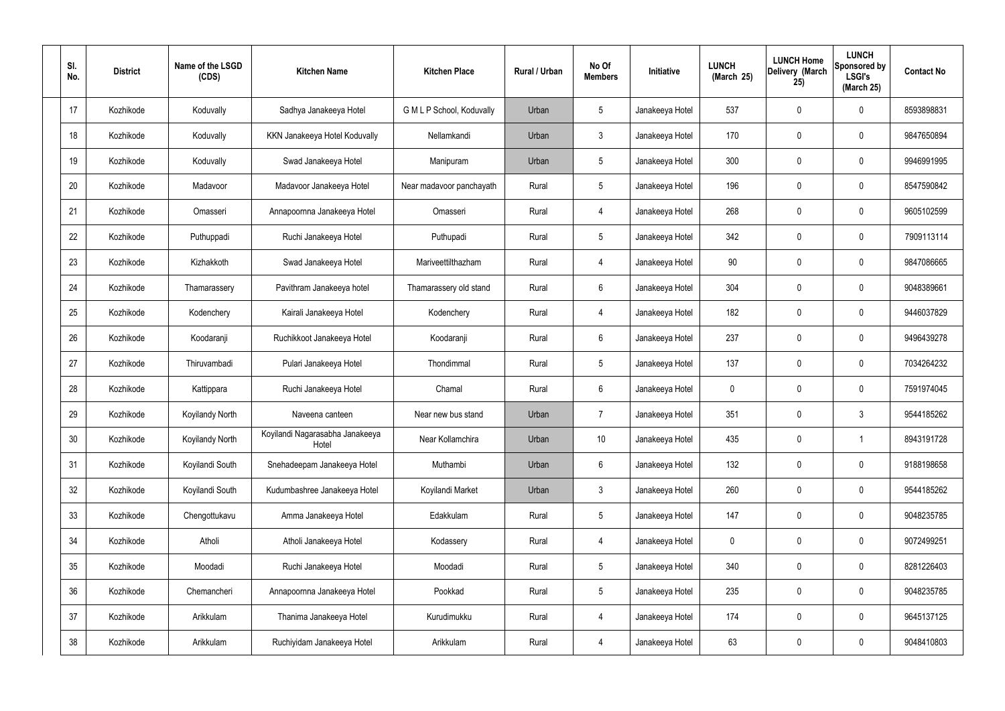| SI.<br>No. | <b>District</b> | Name of the LSGD<br>(CDS) | <b>Kitchen Name</b>                      | <b>Kitchen Place</b>      | <b>Rural / Urban</b> | No Of<br><b>Members</b> | <b>Initiative</b> | <b>LUNCH</b><br>(March 25) | <b>LUNCH Home</b><br>Delivery (March<br>25) | <b>LUNCH</b><br>Sponsored by<br><b>LSGI's</b><br>(March 25) | <b>Contact No</b> |
|------------|-----------------|---------------------------|------------------------------------------|---------------------------|----------------------|-------------------------|-------------------|----------------------------|---------------------------------------------|-------------------------------------------------------------|-------------------|
| 17         | Kozhikode       | Koduvally                 | Sadhya Janakeeya Hotel                   | G M L P School, Koduvally | Urban                | $5\phantom{.0}$         | Janakeeya Hotel   | 537                        | 0                                           | $\mathbf 0$                                                 | 8593898831        |
| 18         | Kozhikode       | Koduvally                 | KKN Janakeeya Hotel Koduvally            | Nellamkandi               | Urban                | $\mathbf{3}$            | Janakeeya Hotel   | 170                        | 0                                           | $\mathbf 0$                                                 | 9847650894        |
| 19         | Kozhikode       | Koduvally                 | Swad Janakeeya Hotel                     | Manipuram                 | Urban                | $5\phantom{.0}$         | Janakeeya Hotel   | 300                        | 0                                           | $\mathbf 0$                                                 | 9946991995        |
| 20         | Kozhikode       | Madavoor                  | Madavoor Janakeeya Hotel                 | Near madavoor panchayath  | Rural                | $5\phantom{.0}$         | Janakeeya Hotel   | 196                        | 0                                           | $\mathbf 0$                                                 | 8547590842        |
| 21         | Kozhikode       | Omasseri                  | Annapoornna Janakeeya Hotel              | Omasseri                  | Rural                | $\overline{4}$          | Janakeeya Hotel   | 268                        | 0                                           | $\mathbf 0$                                                 | 9605102599        |
| 22         | Kozhikode       | Puthuppadi                | Ruchi Janakeeya Hotel                    | Puthupadi                 | Rural                | $5\phantom{.0}$         | Janakeeya Hotel   | 342                        | 0                                           | $\mathbf 0$                                                 | 7909113114        |
| 23         | Kozhikode       | Kizhakkoth                | Swad Janakeeya Hotel                     | Mariveettilthazham        | Rural                | $\overline{4}$          | Janakeeya Hotel   | 90                         | 0                                           | $\mathbf 0$                                                 | 9847086665        |
| 24         | Kozhikode       | Thamarassery              | Pavithram Janakeeya hotel                | Thamarassery old stand    | Rural                | $6\phantom{.}6$         | Janakeeya Hotel   | 304                        | 0                                           | $\mathbf 0$                                                 | 9048389661        |
| 25         | Kozhikode       | Kodenchery                | Kairali Janakeeya Hotel                  | Kodenchery                | Rural                | 4                       | Janakeeya Hotel   | 182                        | 0                                           | $\mathbf 0$                                                 | 9446037829        |
| 26         | Kozhikode       | Koodaranji                | Ruchikkoot Janakeeya Hotel               | Koodaranji                | Rural                | $6\phantom{.}6$         | Janakeeya Hotel   | 237                        | 0                                           | $\mathbf 0$                                                 | 9496439278        |
| 27         | Kozhikode       | Thiruvambadi              | Pulari Janakeeya Hotel                   | Thondimmal                | Rural                | $5\phantom{.0}$         | Janakeeya Hotel   | 137                        | 0                                           | $\mathbf 0$                                                 | 7034264232        |
| 28         | Kozhikode       | Kattippara                | Ruchi Janakeeya Hotel                    | Chamal                    | Rural                | $6\phantom{.}6$         | Janakeeya Hotel   | $\mathbf 0$                | 0                                           | $\mathbf 0$                                                 | 7591974045        |
| 29         | Kozhikode       | Koyilandy North           | Naveena canteen                          | Near new bus stand        | Urban                | $\overline{7}$          | Janakeeya Hotel   | 351                        | 0                                           | 3                                                           | 9544185262        |
| 30         | Kozhikode       | Koyilandy North           | Koyilandi Nagarasabha Janakeeya<br>Hotel | Near Kollamchira          | Urban                | 10 <sup>°</sup>         | Janakeeya Hotel   | 435                        | $\mathbf 0$                                 | $\mathbf 1$                                                 | 8943191728        |
| 31         | Kozhikode       | Koyilandi South           | Snehadeepam Janakeeya Hotel              | Muthambi                  | Urban                | $6\overline{6}$         | Janakeeya Hotel   | 132                        | 0                                           | $\mathbf 0$                                                 | 9188198658        |
| 32         | Kozhikode       | Koyilandi South           | Kudumbashree Janakeeya Hotel             | Koyilandi Market          | Urban                | $\mathbf{3}$            | Janakeeya Hotel   | 260                        | 0                                           | $\mathbf 0$                                                 | 9544185262        |
| 33         | Kozhikode       | Chengottukavu             | Amma Janakeeya Hotel                     | Edakkulam                 | Rural                | $5\phantom{.0}$         | Janakeeya Hotel   | 147                        | 0                                           | $\mathbf 0$                                                 | 9048235785        |
| 34         | Kozhikode       | Atholi                    | Atholi Janakeeya Hotel                   | Kodassery                 | Rural                | $\overline{4}$          | Janakeeya Hotel   | $\mathbf 0$                | 0                                           | $\mathbf 0$                                                 | 9072499251        |
| 35         | Kozhikode       | Moodadi                   | Ruchi Janakeeya Hotel                    | Moodadi                   | Rural                | $5\phantom{.0}$         | Janakeeya Hotel   | 340                        | 0                                           | $\mathbf 0$                                                 | 8281226403        |
| 36         | Kozhikode       | Chemancheri               | Annapoornna Janakeeya Hotel              | Pookkad                   | Rural                | $5\phantom{.0}$         | Janakeeya Hotel   | 235                        | 0                                           | $\mathbf 0$                                                 | 9048235785        |
| 37         | Kozhikode       | Arikkulam                 | Thanima Janakeeya Hotel                  | Kurudimukku               | Rural                | $\overline{4}$          | Janakeeya Hotel   | 174                        | 0                                           | $\mathbf 0$                                                 | 9645137125        |
| 38         | Kozhikode       | Arikkulam                 | Ruchiyidam Janakeeya Hotel               | Arikkulam                 | Rural                | 4                       | Janakeeya Hotel   | 63                         | 0                                           | $\mathbf 0$                                                 | 9048410803        |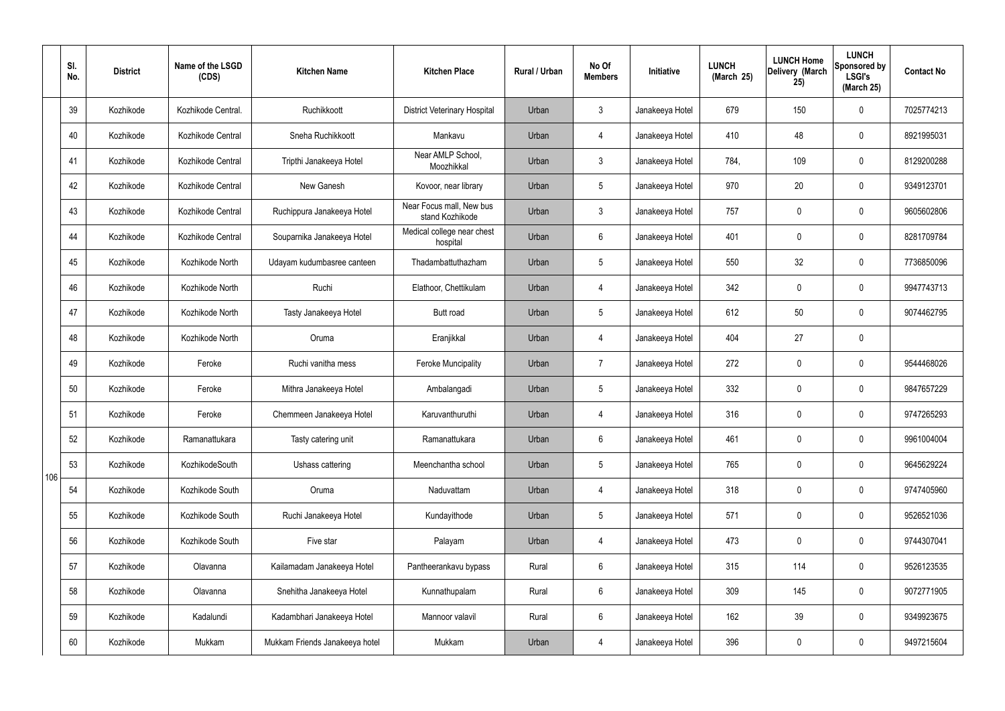|     | SI.<br>No. | <b>District</b> | Name of the LSGD<br>(CDS) | <b>Kitchen Name</b>            | <b>Kitchen Place</b>                        | Rural / Urban | No Of<br><b>Members</b> | Initiative      | <b>LUNCH</b><br>(March 25) | <b>LUNCH Home</b><br>Delivery (March<br>25) | <b>LUNCH</b><br>Sponsored by<br><b>LSGI's</b><br>(March 25) | <b>Contact No</b> |
|-----|------------|-----------------|---------------------------|--------------------------------|---------------------------------------------|---------------|-------------------------|-----------------|----------------------------|---------------------------------------------|-------------------------------------------------------------|-------------------|
|     | 39         | Kozhikode       | Kozhikode Central.        | Ruchikkoott                    | <b>District Veterinary Hospital</b>         | Urban         | $\mathfrak{Z}$          | Janakeeya Hotel | 679                        | 150                                         | $\mathbf 0$                                                 | 7025774213        |
|     | 40         | Kozhikode       | Kozhikode Central         | Sneha Ruchikkoott              | Mankavu                                     | Urban         | 4                       | Janakeeya Hotel | 410                        | 48                                          | $\mathbf 0$                                                 | 8921995031        |
|     | 41         | Kozhikode       | Kozhikode Central         | Tripthi Janakeeya Hotel        | Near AMLP School,<br>Moozhikkal             | Urban         | $\mathbf{3}$            | Janakeeya Hotel | 784,                       | 109                                         | $\mathbf 0$                                                 | 8129200288        |
|     | 42         | Kozhikode       | Kozhikode Central         | New Ganesh                     | Kovoor, near library                        | Urban         | $5\phantom{.0}$         | Janakeeya Hotel | 970                        | 20                                          | $\mathbf 0$                                                 | 9349123701        |
|     | 43         | Kozhikode       | Kozhikode Central         | Ruchippura Janakeeya Hotel     | Near Focus mall, New bus<br>stand Kozhikode | Urban         | $\mathbf{3}$            | Janakeeya Hotel | 757                        | $\mathbf 0$                                 | $\mathbf 0$                                                 | 9605602806        |
|     | 44         | Kozhikode       | Kozhikode Central         | Souparnika Janakeeya Hotel     | Medical college near chest<br>hospital      | Urban         | $6\phantom{.}6$         | Janakeeya Hotel | 401                        | $\mathbf 0$                                 | $\mathbf 0$                                                 | 8281709784        |
|     | 45         | Kozhikode       | Kozhikode North           | Udayam kudumbasree canteen     | Thadambattuthazham                          | Urban         | $5\overline{)}$         | Janakeeya Hotel | 550                        | 32                                          | $\mathbf 0$                                                 | 7736850096        |
|     | 46         | Kozhikode       | Kozhikode North           | Ruchi                          | Elathoor, Chettikulam                       | Urban         | 4                       | Janakeeya Hotel | 342                        | $\mathbf 0$                                 | $\mathbf 0$                                                 | 9947743713        |
|     | 47         | Kozhikode       | Kozhikode North           | Tasty Janakeeya Hotel          | <b>Butt</b> road                            | Urban         | $5\overline{)}$         | Janakeeya Hotel | 612                        | 50                                          | $\mathbf 0$                                                 | 9074462795        |
|     | 48         | Kozhikode       | Kozhikode North           | Oruma                          | Eranjikkal                                  | Urban         | 4                       | Janakeeya Hotel | 404                        | 27                                          | $\mathbf 0$                                                 |                   |
|     | 49         | Kozhikode       | Feroke                    | Ruchi vanitha mess             | <b>Feroke Muncipality</b>                   | Urban         | $\overline{7}$          | Janakeeya Hotel | 272                        | 0                                           | $\mathbf 0$                                                 | 9544468026        |
|     | 50         | Kozhikode       | Feroke                    | Mithra Janakeeya Hotel         | Ambalangadi                                 | Urban         | $5\overline{)}$         | Janakeeya Hotel | 332                        | $\mathbf 0$                                 | $\mathbf 0$                                                 | 9847657229        |
|     | 51         | Kozhikode       | Feroke                    | Chemmeen Janakeeya Hotel       | Karuvanthuruthi                             | Urban         | 4                       | Janakeeya Hotel | 316                        | $\mathbf 0$                                 | $\mathbf 0$                                                 | 9747265293        |
|     | 52         | Kozhikode       | Ramanattukara             | Tasty catering unit            | Ramanattukara                               | Urban         | 6                       | Janakeeya Hotel | 461                        | 0                                           | $\mathbf 0$                                                 | 9961004004        |
| 106 | 53         | Kozhikode       | KozhikodeSouth            | Ushass cattering               | Meenchantha school                          | Urban         | $5\phantom{.0}$         | Janakeeya Hotel | 765                        | 0                                           | $\mathbf 0$                                                 | 9645629224        |
|     | 54         | Kozhikode       | Kozhikode South           | Oruma                          | Naduvattam                                  | Urban         | $\overline{4}$          | Janakeeya Hotel | 318                        | 0                                           | $\mathbf 0$                                                 | 9747405960        |
|     | 55         | Kozhikode       | Kozhikode South           | Ruchi Janakeeya Hotel          | Kundayithode                                | Urban         | $5\phantom{.0}$         | Janakeeya Hotel | 571                        | $\pmb{0}$                                   | $\mathbf 0$                                                 | 9526521036        |
|     | 56         | Kozhikode       | Kozhikode South           | Five star                      | Palayam                                     | Urban         | $\overline{4}$          | Janakeeya Hotel | 473                        | $\pmb{0}$                                   | $\mathbf 0$                                                 | 9744307041        |
|     | 57         | Kozhikode       | Olavanna                  | Kailamadam Janakeeya Hotel     | Pantheerankavu bypass                       | Rural         | $6\overline{6}$         | Janakeeya Hotel | 315                        | 114                                         | $\boldsymbol{0}$                                            | 9526123535        |
|     | 58         | Kozhikode       | Olavanna                  | Snehitha Janakeeya Hotel       | Kunnathupalam                               | Rural         | $6\phantom{.}6$         | Janakeeya Hotel | 309                        | 145                                         | $\boldsymbol{0}$                                            | 9072771905        |
|     | 59         | Kozhikode       | Kadalundi                 | Kadambhari Janakeeya Hotel     | Mannoor valavil                             | Rural         | $6\overline{6}$         | Janakeeya Hotel | 162                        | 39                                          | $\mathbf 0$                                                 | 9349923675        |
|     | 60         | Kozhikode       | Mukkam                    | Mukkam Friends Janakeeya hotel | Mukkam                                      | Urban         | $\overline{4}$          | Janakeeya Hotel | 396                        | 0                                           | $\boldsymbol{0}$                                            | 9497215604        |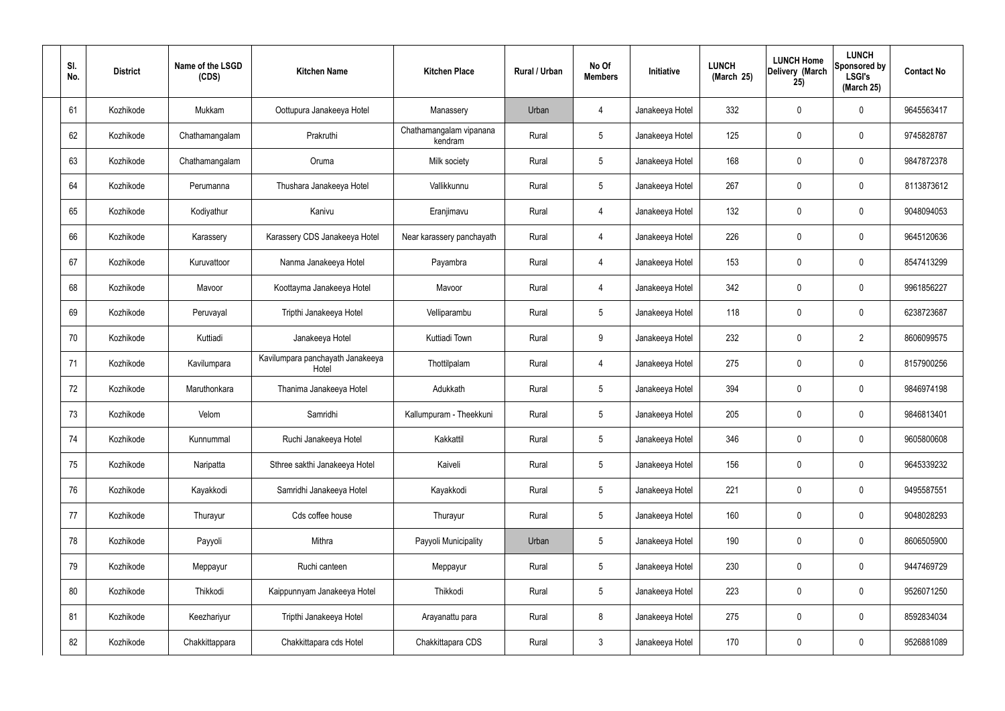| SI.<br>No. | <b>District</b> | Name of the LSGD<br>(CDS) | <b>Kitchen Name</b>                       | <b>Kitchen Place</b>               | Rural / Urban | No Of<br><b>Members</b> | Initiative      | <b>LUNCH</b><br>(March 25) | <b>LUNCH Home</b><br>Delivery (March<br>25) | <b>LUNCH</b><br>Sponsored by<br><b>LSGI's</b><br>(March 25) | <b>Contact No</b> |
|------------|-----------------|---------------------------|-------------------------------------------|------------------------------------|---------------|-------------------------|-----------------|----------------------------|---------------------------------------------|-------------------------------------------------------------|-------------------|
| 61         | Kozhikode       | Mukkam                    | Oottupura Janakeeya Hotel                 | Manassery                          | Urban         | 4                       | Janakeeya Hotel | 332                        | 0                                           | 0                                                           | 9645563417        |
| 62         | Kozhikode       | Chathamangalam            | Prakruthi                                 | Chathamangalam vipanana<br>kendram | Rural         | $5\phantom{.0}$         | Janakeeya Hotel | 125                        | $\mathbf 0$                                 | 0                                                           | 9745828787        |
| 63         | Kozhikode       | Chathamangalam            | Oruma                                     | Milk society                       | Rural         | $5\phantom{.0}$         | Janakeeya Hotel | 168                        | 0                                           | 0                                                           | 9847872378        |
| 64         | Kozhikode       | Perumanna                 | Thushara Janakeeya Hotel                  | Vallikkunnu                        | Rural         | $5\phantom{.0}$         | Janakeeya Hotel | 267                        | 0                                           | 0                                                           | 8113873612        |
| 65         | Kozhikode       | Kodiyathur                | Kanivu                                    | Eranjimavu                         | Rural         | $\overline{4}$          | Janakeeya Hotel | 132                        | 0                                           | 0                                                           | 9048094053        |
| 66         | Kozhikode       | Karassery                 | Karassery CDS Janakeeya Hotel             | Near karassery panchayath          | Rural         | $\overline{4}$          | Janakeeya Hotel | 226                        | 0                                           | 0                                                           | 9645120636        |
| 67         | Kozhikode       | Kuruvattoor               | Nanma Janakeeya Hotel                     | Payambra                           | Rural         | $\overline{4}$          | Janakeeya Hotel | 153                        | 0                                           | 0                                                           | 8547413299        |
| 68         | Kozhikode       | Mavoor                    | Koottayma Janakeeya Hotel                 | Mavoor                             | Rural         | $\overline{4}$          | Janakeeya Hotel | 342                        | 0                                           | 0                                                           | 9961856227        |
| 69         | Kozhikode       | Peruvayal                 | Tripthi Janakeeya Hotel                   | Velliparambu                       | Rural         | $5\phantom{.0}$         | Janakeeya Hotel | 118                        | 0                                           | 0                                                           | 6238723687        |
| 70         | Kozhikode       | Kuttiadi                  | Janakeeya Hotel                           | Kuttiadi Town                      | Rural         | 9                       | Janakeeya Hotel | 232                        | $\mathbf 0$                                 | $\overline{2}$                                              | 8606099575        |
| 71         | Kozhikode       | Kavilumpara               | Kavilumpara panchayath Janakeeya<br>Hotel | Thottilpalam                       | Rural         | 4                       | Janakeeya Hotel | 275                        | 0                                           | 0                                                           | 8157900256        |
| 72         | Kozhikode       | Maruthonkara              | Thanima Janakeeya Hotel                   | Adukkath                           | Rural         | $5\phantom{.0}$         | Janakeeya Hotel | 394                        | 0                                           | 0                                                           | 9846974198        |
| 73         | Kozhikode       | Velom                     | Samridhi                                  | Kallumpuram - Theekkuni            | Rural         | $5\phantom{.0}$         | Janakeeya Hotel | 205                        | 0                                           | 0                                                           | 9846813401        |
| 74         | Kozhikode       | Kunnummal                 | Ruchi Janakeeya Hotel                     | Kakkattil                          | Rural         | $5\phantom{.0}$         | Janakeeya Hotel | 346                        | $\mathbf 0$                                 | 0                                                           | 9605800608        |
| 75         | Kozhikode       | Naripatta                 | Sthree sakthi Janakeeya Hotel             | Kaiveli                            | Rural         | $5\phantom{.0}$         | Janakeeya Hotel | 156                        | $\mathbf 0$                                 | 0                                                           | 9645339232        |
| 76         | Kozhikode       | Kayakkodi                 | Samridhi Janakeeya Hotel                  | Kayakkodi                          | Rural         | $5\overline{)}$         | Janakeeya Hotel | 221                        | $\pmb{0}$                                   | 0                                                           | 9495587551        |
| 77         | Kozhikode       | Thurayur                  | Cds coffee house                          | Thurayur                           | Rural         | $5\phantom{.0}$         | Janakeeya Hotel | 160                        | $\mathbf 0$                                 | 0                                                           | 9048028293        |
| 78         | Kozhikode       | Payyoli                   | Mithra                                    | Payyoli Municipality               | Urban         | $5\phantom{.0}$         | Janakeeya Hotel | 190                        | $\pmb{0}$                                   | 0                                                           | 8606505900        |
| 79         | Kozhikode       | Meppayur                  | Ruchi canteen                             | Meppayur                           | Rural         | $5\phantom{.0}$         | Janakeeya Hotel | 230                        | $\pmb{0}$                                   | 0                                                           | 9447469729        |
| 80         | Kozhikode       | Thikkodi                  | Kaippunnyam Janakeeya Hotel               | Thikkodi                           | Rural         | $5\phantom{.0}$         | Janakeeya Hotel | 223                        | $\pmb{0}$                                   | 0                                                           | 9526071250        |
| 81         | Kozhikode       | Keezhariyur               | Tripthi Janakeeya Hotel                   | Arayanattu para                    | Rural         | 8                       | Janakeeya Hotel | 275                        | $\boldsymbol{0}$                            | 0                                                           | 8592834034        |
| 82         | Kozhikode       | Chakkittappara            | Chakkittapara cds Hotel                   | Chakkittapara CDS                  | Rural         | $\mathbf{3}$            | Janakeeya Hotel | 170                        | $\pmb{0}$                                   | 0                                                           | 9526881089        |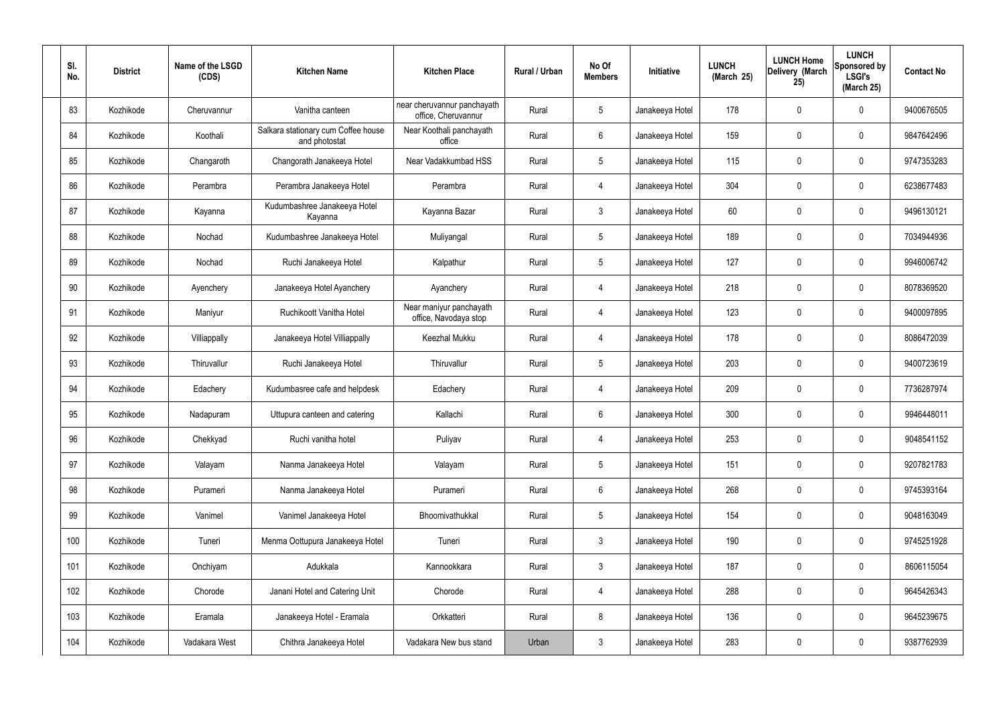| SI.<br>No. | <b>District</b> | Name of the LSGD<br>(CDS) | <b>Kitchen Name</b>                                  | <b>Kitchen Place</b>                               | Rural / Urban | No Of<br><b>Members</b> | Initiative      | <b>LUNCH</b><br>(March 25) | <b>LUNCH Home</b><br>Delivery (March<br>25) | <b>LUNCH</b><br>Sponsored by<br><b>LSGI's</b><br>(March 25) | <b>Contact No</b> |
|------------|-----------------|---------------------------|------------------------------------------------------|----------------------------------------------------|---------------|-------------------------|-----------------|----------------------------|---------------------------------------------|-------------------------------------------------------------|-------------------|
| 83         | Kozhikode       | Cheruvannur               | Vanitha canteen                                      | near cheruvannur panchayath<br>office, Cheruvannur | Rural         | $5\phantom{.0}$         | Janakeeya Hotel | 178                        | 0                                           | $\mathbf 0$                                                 | 9400676505        |
| 84         | Kozhikode       | Koothali                  | Salkara stationary cum Coffee house<br>and photostat | Near Koothali panchayath<br>office                 | Rural         | 6                       | Janakeeya Hotel | 159                        | 0                                           | $\mathbf 0$                                                 | 9847642496        |
| 85         | Kozhikode       | Changaroth                | Changorath Janakeeya Hotel                           | Near Vadakkumbad HSS                               | Rural         | $5\phantom{.0}$         | Janakeeya Hotel | 115                        | 0                                           | $\boldsymbol{0}$                                            | 9747353283        |
| 86         | Kozhikode       | Perambra                  | Perambra Janakeeya Hotel                             | Perambra                                           | Rural         | 4                       | Janakeeya Hotel | 304                        | 0                                           | $\mathbf 0$                                                 | 6238677483        |
| 87         | Kozhikode       | Kayanna                   | Kudumbashree Janakeeya Hotel<br>Kayanna              | Kayanna Bazar                                      | Rural         | $\mathbf{3}$            | Janakeeya Hotel | 60                         | 0                                           | $\mathbf 0$                                                 | 9496130121        |
| 88         | Kozhikode       | Nochad                    | Kudumbashree Janakeeya Hotel                         | Muliyangal                                         | Rural         | $5\phantom{.0}$         | Janakeeya Hotel | 189                        | 0                                           | $\mathbf 0$                                                 | 7034944936        |
| 89         | Kozhikode       | Nochad                    | Ruchi Janakeeya Hotel                                | Kalpathur                                          | Rural         | $5\phantom{.0}$         | Janakeeya Hotel | 127                        | 0                                           | $\mathbf 0$                                                 | 9946006742        |
| 90         | Kozhikode       | Ayenchery                 | Janakeeya Hotel Ayanchery                            | Ayanchery                                          | Rural         | 4                       | Janakeeya Hotel | 218                        | 0                                           | $\mathbf 0$                                                 | 8078369520        |
| 91         | Kozhikode       | Maniyur                   | Ruchikoott Vanitha Hotel                             | Near maniyur panchayath<br>office, Navodaya stop   | Rural         | 4                       | Janakeeya Hotel | 123                        | 0                                           | $\mathbf 0$                                                 | 9400097895        |
| 92         | Kozhikode       | Villiappally              | Janakeeya Hotel Villiappally                         | Keezhal Mukku                                      | Rural         | 4                       | Janakeeya Hotel | 178                        | 0                                           | $\mathbf 0$                                                 | 8086472039        |
| 93         | Kozhikode       | Thiruvallur               | Ruchi Janakeeya Hotel                                | Thiruvallur                                        | Rural         | $5\,$                   | Janakeeya Hotel | 203                        | 0                                           | $\boldsymbol{0}$                                            | 9400723619        |
| 94         | Kozhikode       | Edachery                  | Kudumbasree cafe and helpdesk                        | Edachery                                           | Rural         | 4                       | Janakeeya Hotel | 209                        | 0                                           | $\boldsymbol{0}$                                            | 7736287974        |
| 95         | Kozhikode       | Nadapuram                 | Uttupura canteen and catering                        | Kallachi                                           | Rural         | 6                       | Janakeeya Hotel | 300                        | 0                                           | 0                                                           | 9946448011        |
| 96         | Kozhikode       | Chekkyad                  | Ruchi vanitha hotel                                  | Puliyav                                            | Rural         | $\overline{4}$          | Janakeeya Hotel | 253                        | 0                                           | $\mathbf 0$                                                 | 9048541152        |
| 97         | Kozhikode       | Valayam                   | Nanma Janakeeya Hotel                                | Valayam                                            | Rural         | $5\phantom{.0}$         | Janakeeya Hotel | 151                        | 0                                           | $\mathbf 0$                                                 | 9207821783        |
| 98         | Kozhikode       | Purameri                  | Nanma Janakeeya Hotel                                | Purameri                                           | Rural         | $6\overline{6}$         | Janakeeya Hotel | 268                        | 0                                           | $\mathbf 0$                                                 | 9745393164        |
| 99         | Kozhikode       | Vanimel                   | Vanimel Janakeeya Hotel                              | Bhoomivathukkal                                    | Rural         | $5\phantom{.0}$         | Janakeeya Hotel | 154                        | 0                                           | $\mathbf 0$                                                 | 9048163049        |
| 100        | Kozhikode       | Tuneri                    | Menma Oottupura Janakeeya Hotel                      | Tuneri                                             | Rural         | $\mathbf{3}$            | Janakeeya Hotel | 190                        | 0                                           | $\mathbf 0$                                                 | 9745251928        |
| 101        | Kozhikode       | Onchiyam                  | Adukkala                                             | Kannookkara                                        | Rural         | $\mathfrak{Z}$          | Janakeeya Hotel | 187                        | $\mathbf 0$                                 | $\mathbf 0$                                                 | 8606115054        |
| 102        | Kozhikode       | Chorode                   | Janani Hotel and Catering Unit                       | Chorode                                            | Rural         | $\overline{4}$          | Janakeeya Hotel | 288                        | 0                                           | $\mathbf 0$                                                 | 9645426343        |
| 103        | Kozhikode       | Eramala                   | Janakeeya Hotel - Eramala                            | Orkkatteri                                         | Rural         | 8                       | Janakeeya Hotel | 136                        | $\pmb{0}$                                   | $\mathbf 0$                                                 | 9645239675        |
| 104        | Kozhikode       | Vadakara West             | Chithra Janakeeya Hotel                              | Vadakara New bus stand                             | Urban         | $\mathbf{3}$            | Janakeeya Hotel | 283                        | $\pmb{0}$                                   | $\pmb{0}$                                                   | 9387762939        |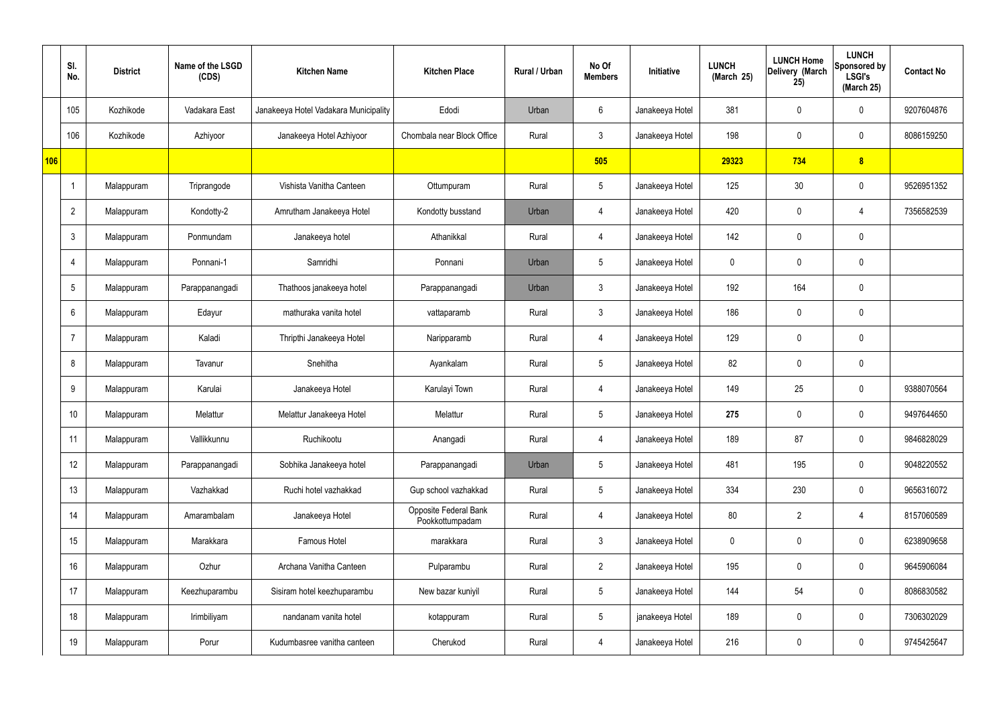|     | SI.<br>No.     | <b>District</b> | Name of the LSGD<br>(CDS) | <b>Kitchen Name</b>                   | <b>Kitchen Place</b>                     | Rural / Urban | No Of<br><b>Members</b> | Initiative      | <b>LUNCH</b><br>(March 25) | <b>LUNCH Home</b><br>Delivery (March<br>25) | <b>LUNCH</b><br>Sponsored by<br><b>LSGI's</b><br>(March 25) | <b>Contact No</b> |
|-----|----------------|-----------------|---------------------------|---------------------------------------|------------------------------------------|---------------|-------------------------|-----------------|----------------------------|---------------------------------------------|-------------------------------------------------------------|-------------------|
|     | 105            | Kozhikode       | Vadakara East             | Janakeeya Hotel Vadakara Municipality | Edodi                                    | Urban         | 6                       | Janakeeya Hotel | 381                        | $\mathbf 0$                                 | $\mathbf 0$                                                 | 9207604876        |
|     | 106            | Kozhikode       | Azhiyoor                  | Janakeeya Hotel Azhiyoor              | Chombala near Block Office               | Rural         | $\mathbf{3}$            | Janakeeya Hotel | 198                        | $\mathbf 0$                                 | $\mathbf 0$                                                 | 8086159250        |
| 106 |                |                 |                           |                                       |                                          |               | 505                     |                 | 29323                      | 734                                         | 8                                                           |                   |
|     | -1             | Malappuram      | Triprangode               | Vishista Vanitha Canteen              | Ottumpuram                               | Rural         | $5\overline{)}$         | Janakeeya Hotel | 125                        | 30                                          | $\mathbf 0$                                                 | 9526951352        |
|     | $\overline{2}$ | Malappuram      | Kondotty-2                | Amrutham Janakeeya Hotel              | Kondotty busstand                        | Urban         | 4                       | Janakeeya Hotel | 420                        | $\mathbf 0$                                 | 4                                                           | 7356582539        |
|     | $\mathbf{3}$   | Malappuram      | Ponmundam                 | Janakeeya hotel                       | Athanikkal                               | Rural         | 4                       | Janakeeya Hotel | 142                        | $\mathbf 0$                                 | $\mathbf 0$                                                 |                   |
|     | 4              | Malappuram      | Ponnani-1                 | Samridhi                              | Ponnani                                  | Urban         | $5\overline{)}$         | Janakeeya Hotel | $\mathbf 0$                | $\mathbf 0$                                 | $\mathbf 0$                                                 |                   |
|     | 5              | Malappuram      | Parappanangadi            | Thathoos janakeeya hotel              | Parappanangadi                           | Urban         | $\mathbf{3}$            | Janakeeya Hotel | 192                        | 164                                         | $\mathbf 0$                                                 |                   |
|     | 6              | Malappuram      | Edayur                    | mathuraka vanita hotel                | vattaparamb                              | Rural         | $\mathbf{3}$            | Janakeeya Hotel | 186                        | 0                                           | $\mathbf 0$                                                 |                   |
|     | $\overline{7}$ | Malappuram      | Kaladi                    | Thripthi Janakeeya Hotel              | Naripparamb                              | Rural         | 4                       | Janakeeya Hotel | 129                        | $\mathbf 0$                                 | $\mathbf 0$                                                 |                   |
|     | 8              | Malappuram      | Tavanur                   | Snehitha                              | Ayankalam                                | Rural         | $5\overline{)}$         | Janakeeya Hotel | 82                         | 0                                           | $\mathbf 0$                                                 |                   |
|     | 9              | Malappuram      | Karulai                   | Janakeeya Hotel                       | Karulayi Town                            | Rural         | 4                       | Janakeeya Hotel | 149                        | 25                                          | $\mathbf 0$                                                 | 9388070564        |
|     | 10             | Malappuram      | Melattur                  | Melattur Janakeeya Hotel              | Melattur                                 | Rural         | $5\overline{)}$         | Janakeeya Hotel | 275                        | $\mathbf 0$                                 | $\mathbf 0$                                                 | 9497644650        |
|     | 11             | Malappuram      | Vallikkunnu               | Ruchikootu                            | Anangadi                                 | Rural         | $\overline{4}$          | Janakeeya Hotel | 189                        | 87                                          | $\mathbf 0$                                                 | 9846828029        |
|     | 12             | Malappuram      | Parappanangadi            | Sobhika Janakeeya hotel               | Parappanangadi                           | Urban         | $5\phantom{.0}$         | Janakeeya Hotel | 481                        | 195                                         | $\mathbf 0$                                                 | 9048220552        |
|     | 13             | Malappuram      | Vazhakkad                 | Ruchi hotel vazhakkad                 | Gup school vazhakkad                     | Rural         | $5\overline{)}$         | Janakeeya Hotel | 334                        | 230                                         | $\mathbf 0$                                                 | 9656316072        |
|     | 14             | Malappuram      | Amarambalam               | Janakeeya Hotel                       | Opposite Federal Bank<br>Pookkottumpadam | Rural         | $\overline{4}$          | Janakeeya Hotel | 80                         | $\overline{2}$                              | $\overline{4}$                                              | 8157060589        |
|     | 15             | Malappuram      | Marakkara                 | Famous Hotel                          | marakkara                                | Rural         | $\mathbf{3}$            | Janakeeya Hotel | $\mathbf 0$                | 0                                           | $\mathbf 0$                                                 | 6238909658        |
|     | 16             | Malappuram      | Ozhur                     | Archana Vanitha Canteen               | Pulparambu                               | Rural         | $\overline{2}$          | Janakeeya Hotel | 195                        | $\pmb{0}$                                   | $\mathbf 0$                                                 | 9645906084        |
|     | 17             | Malappuram      | Keezhuparambu             | Sisiram hotel keezhuparambu           | New bazar kuniyil                        | Rural         | $5\overline{)}$         | Janakeeya Hotel | 144                        | 54                                          | $\mathbf 0$                                                 | 8086830582        |
|     | 18             | Malappuram      | Irimbiliyam               | nandanam vanita hotel                 | kotappuram                               | Rural         | $5\overline{)}$         | janakeeya Hotel | 189                        | 0                                           | $\mathbf 0$                                                 | 7306302029        |
|     | 19             | Malappuram      | Porur                     | Kudumbasree vanitha canteen           | Cherukod                                 | Rural         | $\overline{4}$          | Janakeeya Hotel | 216                        | 0                                           | $\boldsymbol{0}$                                            | 9745425647        |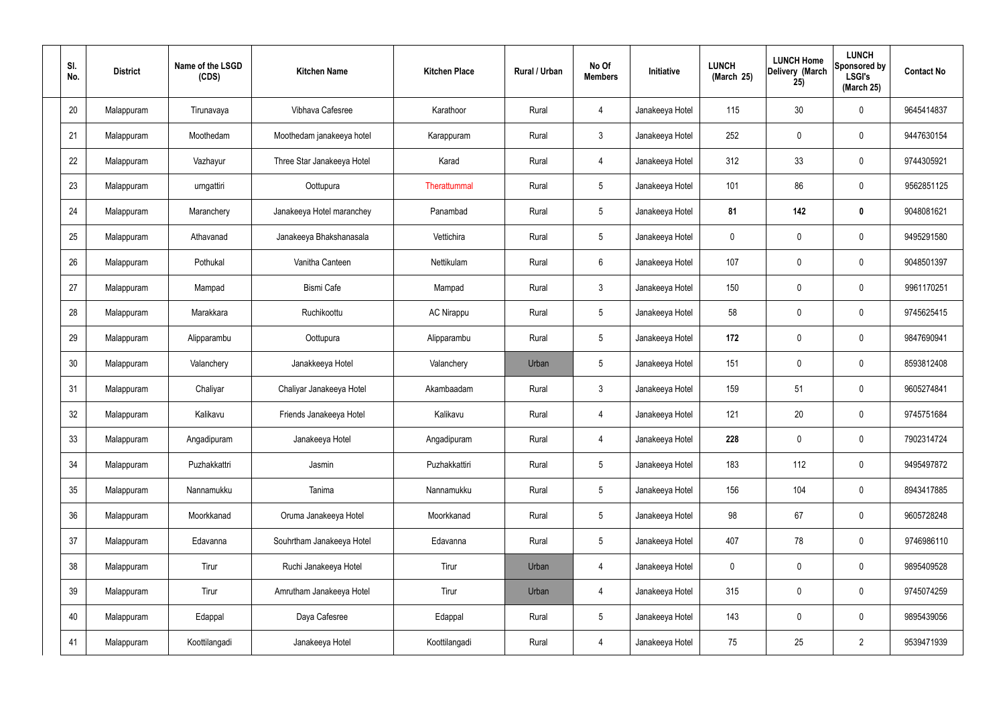| SI.<br>No. | <b>District</b> | Name of the LSGD<br>(CDS) | <b>Kitchen Name</b>        | <b>Kitchen Place</b> | Rural / Urban | No Of<br><b>Members</b> | Initiative      | <b>LUNCH</b><br>(March 25) | <b>LUNCH Home</b><br>Delivery (March<br>25) | <b>LUNCH</b><br>Sponsored by<br><b>LSGI's</b><br>(March 25) | <b>Contact No</b> |
|------------|-----------------|---------------------------|----------------------------|----------------------|---------------|-------------------------|-----------------|----------------------------|---------------------------------------------|-------------------------------------------------------------|-------------------|
| 20         | Malappuram      | Tirunavaya                | Vibhava Cafesree           | Karathoor            | Rural         | 4                       | Janakeeya Hotel | 115                        | 30                                          | $\mathbf 0$                                                 | 9645414837        |
| 21         | Malappuram      | Moothedam                 | Moothedam janakeeya hotel  | Karappuram           | Rural         | $\mathfrak{Z}$          | Janakeeya Hotel | 252                        | 0                                           | $\mathbf 0$                                                 | 9447630154        |
| 22         | Malappuram      | Vazhayur                  | Three Star Janakeeya Hotel | Karad                | Rural         | 4                       | Janakeeya Hotel | 312                        | 33                                          | $\boldsymbol{0}$                                            | 9744305921        |
| 23         | Malappuram      | urngattiri                | Oottupura                  | Therattummal         | Rural         | $5\phantom{.0}$         | Janakeeya Hotel | 101                        | 86                                          | $\mathbf 0$                                                 | 9562851125        |
| 24         | Malappuram      | Maranchery                | Janakeeya Hotel maranchey  | Panambad             | Rural         | $5\phantom{.0}$         | Janakeeya Hotel | 81                         | 142                                         | $\mathbf 0$                                                 | 9048081621        |
| 25         | Malappuram      | Athavanad                 | Janakeeya Bhakshanasala    | Vettichira           | Rural         | $5\phantom{.0}$         | Janakeeya Hotel | 0                          | 0                                           | $\mathbf 0$                                                 | 9495291580        |
| 26         | Malappuram      | Pothukal                  | Vanitha Canteen            | Nettikulam           | Rural         | $6\phantom{.}$          | Janakeeya Hotel | 107                        | 0                                           | $\boldsymbol{0}$                                            | 9048501397        |
| 27         | Malappuram      | Mampad                    | <b>Bismi Cafe</b>          | Mampad               | Rural         | $\mathbf{3}$            | Janakeeya Hotel | 150                        | 0                                           | $\boldsymbol{0}$                                            | 9961170251        |
| 28         | Malappuram      | Marakkara                 | Ruchikoottu                | <b>AC Nirappu</b>    | Rural         | $5\phantom{.0}$         | Janakeeya Hotel | 58                         | 0                                           | $\boldsymbol{0}$                                            | 9745625415        |
| 29         | Malappuram      | Alipparambu               | Oottupura                  | Alipparambu          | Rural         | $5\phantom{.0}$         | Janakeeya Hotel | 172                        | 0                                           | $\mathbf 0$                                                 | 9847690941        |
| 30         | Malappuram      | Valanchery                | Janakkeeya Hotel           | Valanchery           | Urban         | $5\phantom{.0}$         | Janakeeya Hotel | 151                        | 0                                           | $\boldsymbol{0}$                                            | 8593812408        |
| 31         | Malappuram      | Chaliyar                  | Chaliyar Janakeeya Hotel   | Akambaadam           | Rural         | $\mathfrak{Z}$          | Janakeeya Hotel | 159                        | 51                                          | $\boldsymbol{0}$                                            | 9605274841        |
| 32         | Malappuram      | Kalikavu                  | Friends Janakeeya Hotel    | Kalikavu             | Rural         | 4                       | Janakeeya Hotel | 121                        | 20                                          | $\boldsymbol{0}$                                            | 9745751684        |
| 33         | Malappuram      | Angadipuram               | Janakeeya Hotel            | Angadipuram          | Rural         | $\overline{4}$          | Janakeeya Hotel | 228                        | 0                                           | $\mathbf 0$                                                 | 7902314724        |
| 34         | Malappuram      | Puzhakkattri              | Jasmin                     | Puzhakkattiri        | Rural         | $5\,$                   | Janakeeya Hotel | 183                        | 112                                         | $\mathbf 0$                                                 | 9495497872        |
| 35         | Malappuram      | Nannamukku                | Tanima                     | Nannamukku           | Rural         | $5\,$                   | Janakeeya Hotel | 156                        | 104                                         | $\mathbf 0$                                                 | 8943417885        |
| 36         | Malappuram      | Moorkkanad                | Oruma Janakeeya Hotel      | Moorkkanad           | Rural         | $5\,$                   | Janakeeya Hotel | 98                         | 67                                          | $\mathbf 0$                                                 | 9605728248        |
| 37         | Malappuram      | Edavanna                  | Souhrtham Janakeeya Hotel  | Edavanna             | Rural         | $5\,$                   | Janakeeya Hotel | 407                        | 78                                          | $\mathbf 0$                                                 | 9746986110        |
| 38         | Malappuram      | Tirur                     | Ruchi Janakeeya Hotel      | Tirur                | Urban         | 4                       | Janakeeya Hotel | 0                          | 0                                           | $\mathbf 0$                                                 | 9895409528        |
| 39         | Malappuram      | Tirur                     | Amrutham Janakeeya Hotel   | Tirur                | Urban         | 4                       | Janakeeya Hotel | 315                        | 0                                           | $\mathbf 0$                                                 | 9745074259        |
| 40         | Malappuram      | Edappal                   | Daya Cafesree              | Edappal              | Rural         | $5\phantom{.0}$         | Janakeeya Hotel | 143                        | 0                                           | $\mathbf 0$                                                 | 9895439056        |
| 41         | Malappuram      | Koottilangadi             | Janakeeya Hotel            | Koottilangadi        | Rural         | 4                       | Janakeeya Hotel | 75                         | 25                                          | $\overline{2}$                                              | 9539471939        |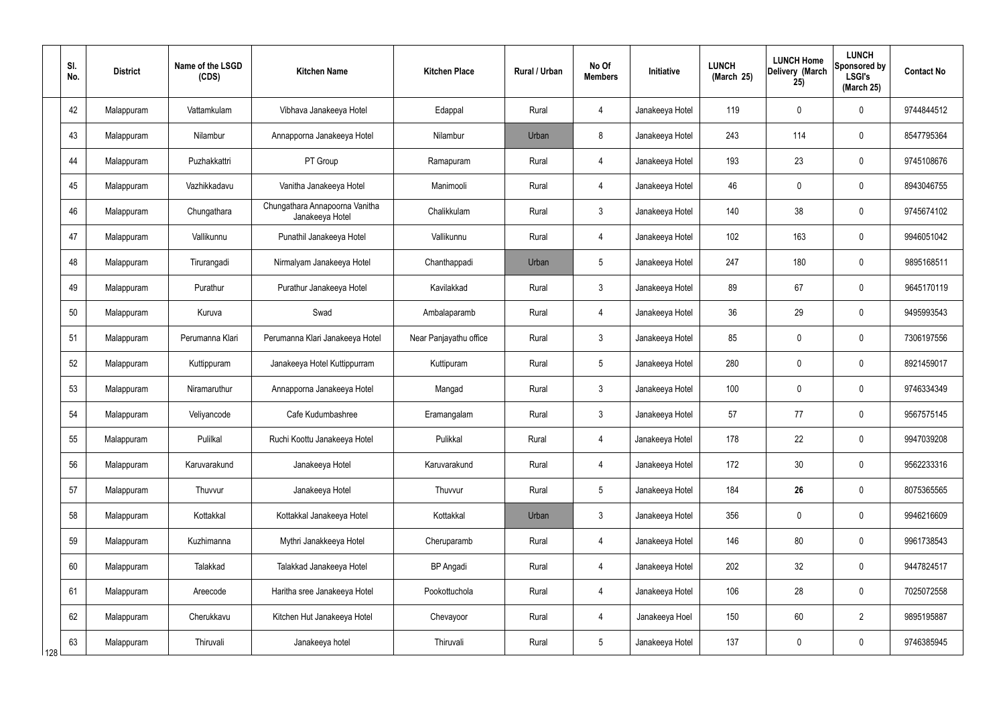|     | SI.<br>No. | <b>District</b> | Name of the LSGD<br>(CDS) | <b>Kitchen Name</b>                               | <b>Kitchen Place</b>   | <b>Rural / Urban</b> | No Of<br><b>Members</b> | Initiative      | <b>LUNCH</b><br>(March 25) | <b>LUNCH Home</b><br>Delivery (March<br>25) | <b>LUNCH</b><br>Sponsored by<br><b>LSGI's</b><br>(March 25) | <b>Contact No</b> |
|-----|------------|-----------------|---------------------------|---------------------------------------------------|------------------------|----------------------|-------------------------|-----------------|----------------------------|---------------------------------------------|-------------------------------------------------------------|-------------------|
|     | 42         | Malappuram      | Vattamkulam               | Vibhava Janakeeya Hotel                           | Edappal                | Rural                | $\overline{4}$          | Janakeeya Hotel | 119                        | $\mathbf 0$                                 | 0                                                           | 9744844512        |
|     | 43         | Malappuram      | Nilambur                  | Annapporna Janakeeya Hotel                        | Nilambur               | Urban                | 8                       | Janakeeya Hotel | 243                        | 114                                         | $\pmb{0}$                                                   | 8547795364        |
|     | 44         | Malappuram      | Puzhakkattri              | PT Group                                          | Ramapuram              | Rural                | $\overline{4}$          | Janakeeya Hotel | 193                        | 23                                          | 0                                                           | 9745108676        |
|     | 45         | Malappuram      | Vazhikkadavu              | Vanitha Janakeeya Hotel                           | Manimooli              | Rural                | $\overline{4}$          | Janakeeya Hotel | 46                         | $\mathbf 0$                                 | $\pmb{0}$                                                   | 8943046755        |
|     | 46         | Malappuram      | Chungathara               | Chungathara Annapoorna Vanitha<br>Janakeeya Hotel | Chalikkulam            | Rural                | 3                       | Janakeeya Hotel | 140                        | 38                                          | $\mathbf 0$                                                 | 9745674102        |
|     | 47         | Malappuram      | Vallikunnu                | Punathil Janakeeya Hotel                          | Vallikunnu             | Rural                | $\overline{4}$          | Janakeeya Hotel | 102                        | 163                                         | $\pmb{0}$                                                   | 9946051042        |
|     | 48         | Malappuram      | Tirurangadi               | Nirmalyam Janakeeya Hotel                         | Chanthappadi           | Urban                | $5\overline{)}$         | Janakeeya Hotel | 247                        | 180                                         | $\mathbf 0$                                                 | 9895168511        |
|     | 49         | Malappuram      | Purathur                  | Purathur Janakeeya Hotel                          | Kavilakkad             | Rural                | 3                       | Janakeeya Hotel | 89                         | 67                                          | 0                                                           | 9645170119        |
|     | 50         | Malappuram      | Kuruva                    | Swad                                              | Ambalaparamb           | Rural                | $\overline{4}$          | Janakeeya Hotel | 36                         | 29                                          | $\mathbf 0$                                                 | 9495993543        |
|     | 51         | Malappuram      | Perumanna Klari           | Perumanna Klari Janakeeya Hotel                   | Near Panjayathu office | Rural                | 3                       | Janakeeya Hotel | 85                         | $\mathbf{0}$                                | $\mathbf 0$                                                 | 7306197556        |
|     | 52         | Malappuram      | Kuttippuram               | Janakeeya Hotel Kuttippurram                      | Kuttipuram             | Rural                | $5\phantom{.0}$         | Janakeeya Hotel | 280                        | $\mathbf 0$                                 | $\mathbf 0$                                                 | 8921459017        |
|     | 53         | Malappuram      | Niramaruthur              | Annapporna Janakeeya Hotel                        | Mangad                 | Rural                | 3                       | Janakeeya Hotel | 100                        | $\mathbf 0$                                 | 0                                                           | 9746334349        |
|     | 54         | Malappuram      | Veliyancode               | Cafe Kudumbashree                                 | Eramangalam            | Rural                | 3                       | Janakeeya Hotel | 57                         | 77                                          | $\mathbf 0$                                                 | 9567575145        |
|     | 55         | Malappuram      | Pulilkal                  | Ruchi Koottu Janakeeya Hotel                      | Pulikkal               | Rural                | $\overline{4}$          | Janakeeya Hotel | 178                        | 22                                          | $\pmb{0}$                                                   | 9947039208        |
|     | 56         | Malappuram      | Karuvarakund              | Janakeeya Hotel                                   | Karuvarakund           | Rural                | 4                       | Janakeeya Hotel | 172                        | 30 <sup>°</sup>                             | $\mathsf{0}$                                                | 9562233316        |
|     | 57         | Malappuram      | Thuvvur                   | Janakeeya Hotel                                   | Thuvvur                | Rural                | $5\phantom{.0}$         | Janakeeya Hotel | 184                        | 26                                          | $\mathbf 0$                                                 | 8075365565        |
|     | 58         | Malappuram      | Kottakkal                 | Kottakkal Janakeeya Hotel                         | Kottakkal              | Urban                | $\mathfrak{Z}$          | Janakeeya Hotel | 356                        | $\mathbf 0$                                 | $\mathbf 0$                                                 | 9946216609        |
|     | 59         | Malappuram      | Kuzhimanna                | Mythri Janakkeeya Hotel                           | Cheruparamb            | Rural                | 4                       | Janakeeya Hotel | 146                        | 80                                          | $\mathbf 0$                                                 | 9961738543        |
|     | 60         | Malappuram      | Talakkad                  | Talakkad Janakeeya Hotel                          | <b>BP</b> Angadi       | Rural                | 4                       | Janakeeya Hotel | 202                        | 32                                          | $\mathbf 0$                                                 | 9447824517        |
|     | 61         | Malappuram      | Areecode                  | Haritha sree Janakeeya Hotel                      | Pookottuchola          | Rural                | 4                       | Janakeeya Hotel | 106                        | 28                                          | $\mathbf 0$                                                 | 7025072558        |
|     | 62         | Malappuram      | Cherukkavu                | Kitchen Hut Janakeeya Hotel                       | Chevayoor              | Rural                | 4                       | Janakeeya Hoel  | 150                        | 60                                          | $\overline{2}$                                              | 9895195887        |
| 128 | 63         | Malappuram      | Thiruvali                 | Janakeeya hotel                                   | Thiruvali              | Rural                | $\mathbf 5$             | Janakeeya Hotel | 137                        | $\mathbf 0$                                 | $\mathsf{0}$                                                | 9746385945        |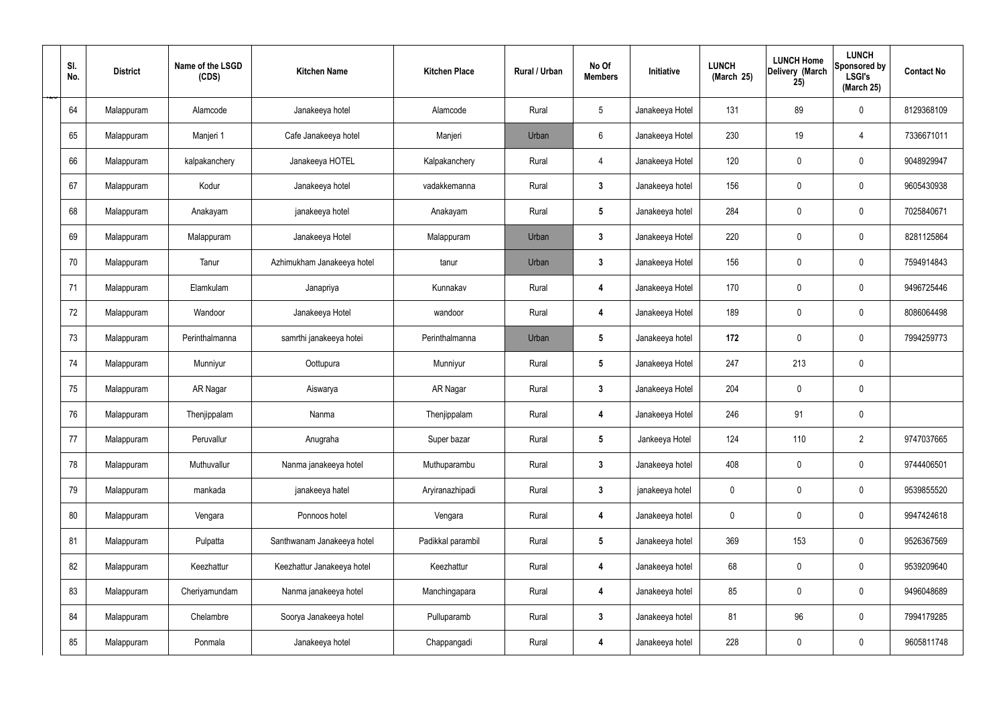| SI.<br>No.<br>$\overline{ }$ | <b>District</b> | Name of the LSGD<br>(CDS) | <b>Kitchen Name</b>        | <b>Kitchen Place</b> | Rural / Urban | No Of<br><b>Members</b> | Initiative      | <b>LUNCH</b><br>(March 25) | <b>LUNCH Home</b><br>Delivery (March<br>25) | <b>LUNCH</b><br>Sponsored by<br><b>LSGI's</b><br>(March 25) | <b>Contact No</b> |
|------------------------------|-----------------|---------------------------|----------------------------|----------------------|---------------|-------------------------|-----------------|----------------------------|---------------------------------------------|-------------------------------------------------------------|-------------------|
| 64                           | Malappuram      | Alamcode                  | Janakeeya hotel            | Alamcode             | Rural         | $5\phantom{.0}$         | Janakeeya Hotel | 131                        | 89                                          | $\mathbf 0$                                                 | 8129368109        |
| 65                           | Malappuram      | Manjeri 1                 | Cafe Janakeeya hotel       | Manjeri              | Urban         | $6\phantom{.}6$         | Janakeeya Hotel | 230                        | 19                                          | 4                                                           | 7336671011        |
| 66                           | Malappuram      | kalpakanchery             | Janakeeya HOTEL            | Kalpakanchery        | Rural         | $\overline{4}$          | Janakeeya Hotel | 120                        | 0                                           | $\mathbf 0$                                                 | 9048929947        |
| 67                           | Malappuram      | Kodur                     | Janakeeya hotel            | vadakkemanna         | Rural         | $\mathbf{3}$            | Janakeeya hotel | 156                        | 0                                           | $\mathbf 0$                                                 | 9605430938        |
| 68                           | Malappuram      | Anakayam                  | janakeeya hotel            | Anakayam             | Rural         | $5\phantom{.0}$         | Janakeeya hotel | 284                        | 0                                           | $\mathbf 0$                                                 | 7025840671        |
| 69                           | Malappuram      | Malappuram                | Janakeeya Hotel            | Malappuram           | Urban         | $\mathbf{3}$            | Janakeeya Hotel | 220                        | 0                                           | $\mathbf 0$                                                 | 8281125864        |
| 70                           | Malappuram      | Tanur                     | Azhimukham Janakeeya hotel | tanur                | Urban         | $\mathbf{3}$            | Janakeeya Hotel | 156                        | 0                                           | $\mathbf 0$                                                 | 7594914843        |
| 71                           | Malappuram      | Elamkulam                 | Janapriya                  | Kunnakav             | Rural         | 4                       | Janakeeya Hotel | 170                        | 0                                           | $\mathbf 0$                                                 | 9496725446        |
| 72                           | Malappuram      | Wandoor                   | Janakeeya Hotel            | wandoor              | Rural         | 4                       | Janakeeya Hotel | 189                        | 0                                           | $\mathbf 0$                                                 | 8086064498        |
| 73                           | Malappuram      | Perinthalmanna            | samrthi janakeeya hotei    | Perinthalmanna       | Urban         | $5\phantom{.0}$         | Janakeeya hotel | 172                        | 0                                           | $\mathbf 0$                                                 | 7994259773        |
| 74                           | Malappuram      | Munniyur                  | Oottupura                  | Munniyur             | Rural         | $5\phantom{.0}$         | Janakeeya Hotel | 247                        | 213                                         | $\mathbf 0$                                                 |                   |
| 75                           | Malappuram      | AR Nagar                  | Aiswarya                   | AR Nagar             | Rural         | $\mathbf{3}$            | Janakeeya Hotel | 204                        | 0                                           | $\mathbf 0$                                                 |                   |
| 76                           | Malappuram      | Thenjippalam              | Nanma                      | Thenjippalam         | Rural         | 4                       | Janakeeya Hotel | 246                        | 91                                          | $\mathbf 0$                                                 |                   |
| 77                           | Malappuram      | Peruvallur                | Anugraha                   | Super bazar          | Rural         | $5\phantom{.0}$         | Jankeeya Hotel  | 124                        | 110                                         | $\overline{2}$                                              | 9747037665        |
| 78                           | Malappuram      | Muthuvallur               | Nanma janakeeya hotel      | Muthuparambu         | Rural         | $3\phantom{a}$          | Janakeeya hotel | 408                        | 0                                           | $\mathbf 0$                                                 | 9744406501        |
| 79                           | Malappuram      | mankada                   | janakeeya hatel            | Aryiranazhipadi      | Rural         | $\mathbf{3}$            | janakeeya hotel | 0                          | 0                                           | $\mathbf 0$                                                 | 9539855520        |
| 80                           | Malappuram      | Vengara                   | Ponnoos hotel              | Vengara              | Rural         | 4                       | Janakeeya hotel | $\mathbf 0$                | 0                                           | $\mathbf 0$                                                 | 9947424618        |
| 81                           | Malappuram      | Pulpatta                  | Santhwanam Janakeeya hotel | Padikkal parambil    | Rural         | $5\phantom{.0}$         | Janakeeya hotel | 369                        | 153                                         | $\mathbf 0$                                                 | 9526367569        |
| 82                           | Malappuram      | Keezhattur                | Keezhattur Janakeeya hotel | Keezhattur           | Rural         | 4                       | Janakeeya hotel | 68                         | 0                                           | $\mathbf 0$                                                 | 9539209640        |
| 83                           | Malappuram      | Cheriyamundam             | Nanma janakeeya hotel      | Manchingapara        | Rural         | 4                       | Janakeeya hotel | 85                         | 0                                           | $\mathbf 0$                                                 | 9496048689        |
| 84                           | Malappuram      | Chelambre                 | Soorya Janakeeya hotel     | Pulluparamb          | Rural         | $\mathbf{3}$            | Janakeeya hotel | 81                         | 96                                          | $\mathbf 0$                                                 | 7994179285        |
| 85                           | Malappuram      | Ponmala                   | Janakeeya hotel            | Chappangadi          | Rural         | 4                       | Janakeeya hotel | 228                        | $\pmb{0}$                                   | $\pmb{0}$                                                   | 9605811748        |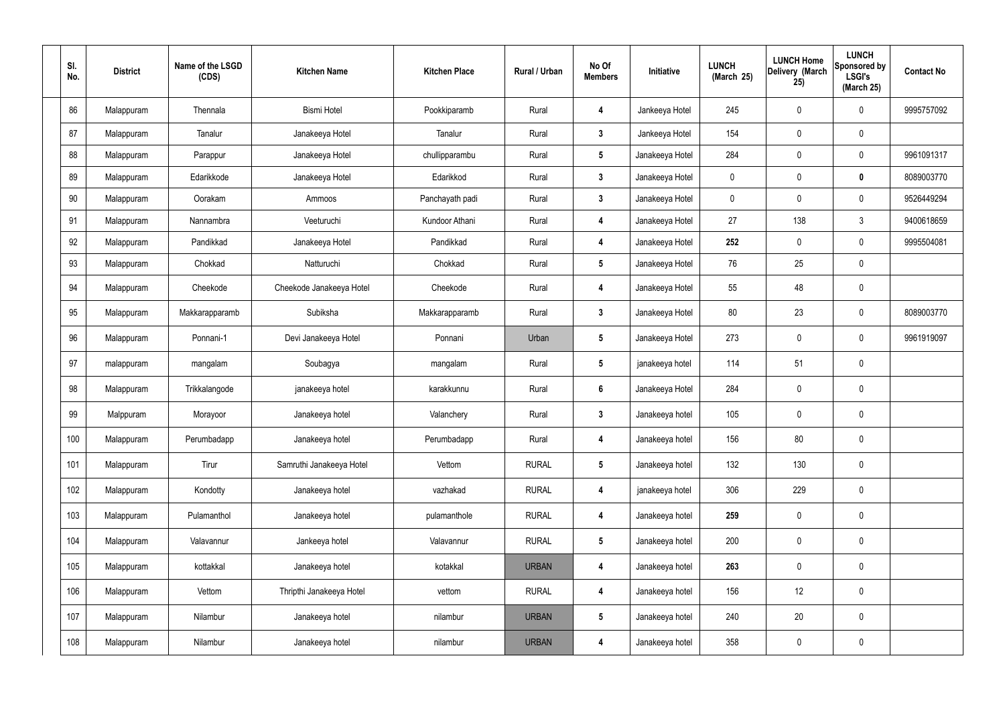| SI.<br>No. | <b>District</b> | Name of the LSGD<br>(CDS) | <b>Kitchen Name</b>      | <b>Kitchen Place</b> | Rural / Urban | No Of<br><b>Members</b> | Initiative      | <b>LUNCH</b><br>(March 25) | <b>LUNCH Home</b><br>Delivery (March<br>25) | <b>LUNCH</b><br>Sponsored by<br><b>LSGI's</b><br>(March 25) | <b>Contact No</b> |
|------------|-----------------|---------------------------|--------------------------|----------------------|---------------|-------------------------|-----------------|----------------------------|---------------------------------------------|-------------------------------------------------------------|-------------------|
| 86         | Malappuram      | Thennala                  | <b>Bismi Hotel</b>       | Pookkiparamb         | Rural         | 4                       | Jankeeya Hotel  | 245                        | 0                                           | $\boldsymbol{0}$                                            | 9995757092        |
| 87         | Malappuram      | Tanalur                   | Janakeeya Hotel          | Tanalur              | Rural         | 3 <sup>1</sup>          | Jankeeya Hotel  | 154                        | 0                                           | $\pmb{0}$                                                   |                   |
| 88         | Malappuram      | Parappur                  | Janakeeya Hotel          | chullipparambu       | Rural         | $5\phantom{.0}$         | Janakeeya Hotel | 284                        | 0                                           | $\mathbf 0$                                                 | 9961091317        |
| 89         | Malappuram      | Edarikkode                | Janakeeya Hotel          | Edarikkod            | Rural         | $\mathbf{3}$            | Janakeeya Hotel | 0                          | 0                                           | $\mathbf 0$                                                 | 8089003770        |
| 90         | Malappuram      | Oorakam                   | Ammoos                   | Panchayath padi      | Rural         | $\mathbf{3}$            | Janakeeya Hotel | 0                          | 0                                           | $\boldsymbol{0}$                                            | 9526449294        |
| 91         | Malappuram      | Nannambra                 | Veeturuchi               | Kundoor Athani       | Rural         | 4                       | Janakeeya Hotel | 27                         | 138                                         | $\mathbf{3}$                                                | 9400618659        |
| 92         | Malappuram      | Pandikkad                 | Janakeeya Hotel          | Pandikkad            | Rural         | 4                       | Janakeeya Hotel | 252                        | 0                                           | $\mathbf 0$                                                 | 9995504081        |
| 93         | Malappuram      | Chokkad                   | Natturuchi               | Chokkad              | Rural         | $5\phantom{.0}$         | Janakeeya Hotel | 76                         | 25                                          | $\pmb{0}$                                                   |                   |
| 94         | Malappuram      | Cheekode                  | Cheekode Janakeeya Hotel | Cheekode             | Rural         | 4                       | Janakeeya Hotel | 55                         | 48                                          | $\mathbf 0$                                                 |                   |
| 95         | Malappuram      | Makkarapparamb            | Subiksha                 | Makkarapparamb       | Rural         | $\mathbf{3}$            | Janakeeya Hotel | 80                         | 23                                          | $\boldsymbol{0}$                                            | 8089003770        |
| 96         | Malappuram      | Ponnani-1                 | Devi Janakeeya Hotel     | Ponnani              | Urban         | $5\phantom{.0}$         | Janakeeya Hotel | 273                        | 0                                           | $\boldsymbol{0}$                                            | 9961919097        |
| 97         | malappuram      | mangalam                  | Soubagya                 | mangalam             | Rural         | $5\phantom{.0}$         | janakeeya hotel | 114                        | 51                                          | $\pmb{0}$                                                   |                   |
| 98         | Malappuram      | Trikkalangode             | janakeeya hotel          | karakkunnu           | Rural         | $6\phantom{1}$          | Janakeeya Hotel | 284                        | 0                                           | $\pmb{0}$                                                   |                   |
| 99         | Malppuram       | Morayoor                  | Janakeeya hotel          | Valanchery           | Rural         | $\mathbf{3}$            | Janakeeya hotel | 105                        | 0                                           | $\mathbf 0$                                                 |                   |
| 100        | Malappuram      | Perumbadapp               | Janakeeya hotel          | Perumbadapp          | Rural         | 4                       | Janakeeya hotel | 156                        | $80\,$                                      | $\pmb{0}$                                                   |                   |
| 101        | Malappuram      | Tirur                     | Samruthi Janakeeya Hotel | Vettom               | <b>RURAL</b>  | $5\phantom{.0}$         | Janakeeya hotel | 132                        | 130                                         | $\pmb{0}$                                                   |                   |
| 102        | Malappuram      | Kondotty                  | Janakeeya hotel          | vazhakad             | <b>RURAL</b>  | 4                       | janakeeya hotel | 306                        | 229                                         | $\pmb{0}$                                                   |                   |
| 103        | Malappuram      | Pulamanthol               | Janakeeya hotel          | pulamanthole         | <b>RURAL</b>  | 4                       | Janakeeya hotel | 259                        | 0                                           | $\pmb{0}$                                                   |                   |
| 104        | Malappuram      | Valavannur                | Jankeeya hotel           | Valavannur           | <b>RURAL</b>  | $5\phantom{.0}$         | Janakeeya hotel | 200                        | 0                                           | $\pmb{0}$                                                   |                   |
| 105        | Malappuram      | kottakkal                 | Janakeeya hotel          | kotakkal             | <b>URBAN</b>  | 4                       | Janakeeya hotel | 263                        | 0                                           | $\pmb{0}$                                                   |                   |
| 106        | Malappuram      | Vettom                    | Thripthi Janakeeya Hotel | vettom               | <b>RURAL</b>  | $\overline{\mathbf{4}}$ | Janakeeya hotel | 156                        | 12                                          | $\pmb{0}$                                                   |                   |
| 107        | Malappuram      | Nilambur                  | Janakeeya hotel          | nilambur             | <b>URBAN</b>  | $5\phantom{.0}$         | Janakeeya hotel | 240                        | 20                                          | $\mathbf 0$                                                 |                   |
| 108        | Malappuram      | Nilambur                  | Janakeeya hotel          | nilambur             | <b>URBAN</b>  | $\boldsymbol{4}$        | Janakeeya hotel | 358                        | 0                                           | $\pmb{0}$                                                   |                   |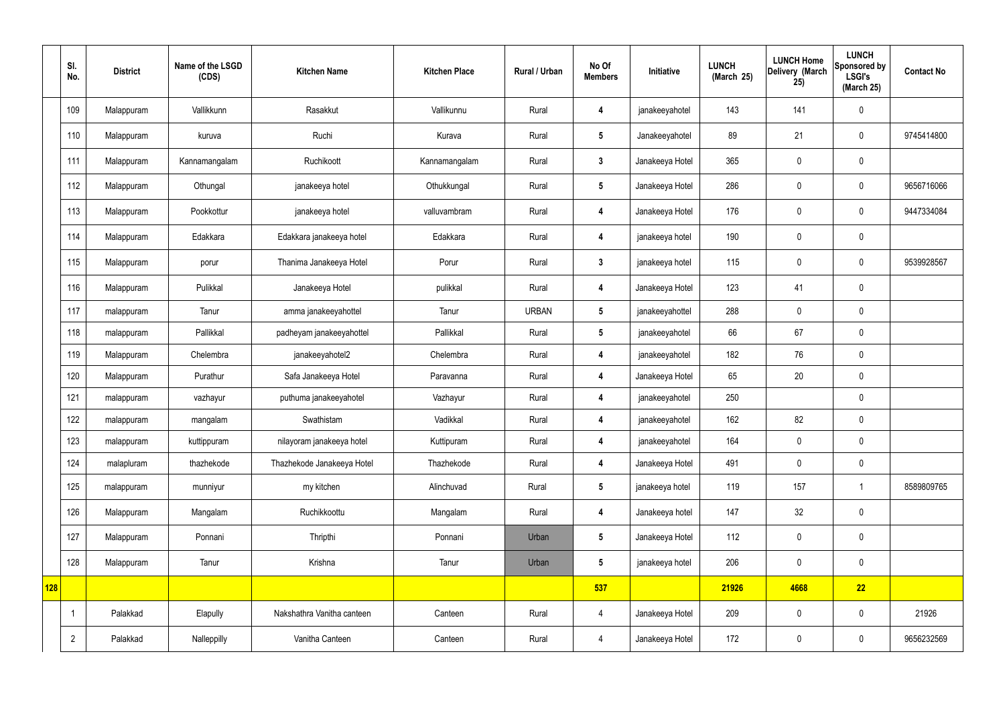|     | SI.<br>No.     | <b>District</b> | Name of the LSGD<br>(CDS) | <b>Kitchen Name</b>        | <b>Kitchen Place</b> | Rural / Urban | No Of<br><b>Members</b> | Initiative      | <b>LUNCH</b><br>(March 25) | <b>LUNCH Home</b><br>Delivery (March<br>25) | <b>LUNCH</b><br>Sponsored by<br><b>LSGI's</b><br>(March 25) | <b>Contact No</b> |
|-----|----------------|-----------------|---------------------------|----------------------------|----------------------|---------------|-------------------------|-----------------|----------------------------|---------------------------------------------|-------------------------------------------------------------|-------------------|
|     | 109            | Malappuram      | Vallikkunn                | Rasakkut                   | Vallikunnu           | Rural         | 4                       | janakeeyahotel  | 143                        | 141                                         | $\mathbf 0$                                                 |                   |
|     | 110            | Malappuram      | kuruva                    | Ruchi                      | Kurava               | Rural         | $5\phantom{.0}$         | Janakeeyahotel  | 89                         | 21                                          | $\mathbf 0$                                                 | 9745414800        |
|     | 111            | Malappuram      | Kannamangalam             | Ruchikoott                 | Kannamangalam        | Rural         | $3\phantom{a}$          | Janakeeya Hotel | 365                        | $\pmb{0}$                                   | $\mathbf 0$                                                 |                   |
|     | 112            | Malappuram      | Othungal                  | janakeeya hotel            | Othukkungal          | Rural         | $5\phantom{.0}$         | Janakeeya Hotel | 286                        | $\pmb{0}$                                   | $\mathbf 0$                                                 | 9656716066        |
|     | 113            | Malappuram      | Pookkottur                | janakeeya hotel            | valluvambram         | Rural         | $\overline{\mathbf{4}}$ | Janakeeya Hotel | 176                        | $\pmb{0}$                                   | $\mathbf 0$                                                 | 9447334084        |
|     | 114            | Malappuram      | Edakkara                  | Edakkara janakeeya hotel   | Edakkara             | Rural         | $\overline{\mathbf{4}}$ | janakeeya hotel | 190                        | $\mathbf 0$                                 | $\mathbf 0$                                                 |                   |
|     | 115            | Malappuram      | porur                     | Thanima Janakeeya Hotel    | Porur                | Rural         | $3\phantom{a}$          | janakeeya hotel | 115                        | $\pmb{0}$                                   | $\mathbf 0$                                                 | 9539928567        |
|     | 116            | Malappuram      | Pulikkal                  | Janakeeya Hotel            | pulikkal             | Rural         | $\overline{\mathbf{4}}$ | Janakeeya Hotel | 123                        | 41                                          | $\mathbf 0$                                                 |                   |
|     | 117            | malappuram      | Tanur                     | amma janakeeyahottel       | Tanur                | <b>URBAN</b>  | $5\phantom{.0}$         | janakeeyahottel | 288                        | $\pmb{0}$                                   | $\mathbf 0$                                                 |                   |
|     | 118            | malappuram      | Pallikkal                 | padheyam janakeeyahottel   | Pallikkal            | Rural         | $5\phantom{.0}$         | janakeeyahotel  | 66                         | 67                                          | $\mathbf 0$                                                 |                   |
|     | 119            | Malappuram      | Chelembra                 | janakeeyahotel2            | Chelembra            | Rural         | $\overline{\mathbf{4}}$ | janakeeyahotel  | 182                        | 76                                          | $\mathbf 0$                                                 |                   |
|     | 120            | Malappuram      | Purathur                  | Safa Janakeeya Hotel       | Paravanna            | Rural         | 4                       | Janakeeya Hotel | 65                         | 20                                          | $\mathbf 0$                                                 |                   |
|     | 121            | malappuram      | vazhayur                  | puthuma janakeeyahotel     | Vazhayur             | Rural         | $\overline{\mathbf{4}}$ | janakeeyahotel  | 250                        |                                             | $\mathbf 0$                                                 |                   |
|     | 122            | malappuram      | mangalam                  | Swathistam                 | Vadikkal             | Rural         | 4                       | janakeeyahotel  | 162                        | 82                                          | $\mathbf{0}$                                                |                   |
|     | 123            | malappuram      | kuttippuram               | nilayoram janakeeya hotel  | Kuttipuram           | Rural         | $\overline{\mathbf{4}}$ | janakeeyahotel  | 164                        | $\pmb{0}$                                   | $\mathbf 0$                                                 |                   |
|     | 124            | malapluram      | thazhekode                | Thazhekode Janakeeya Hotel | Thazhekode           | Rural         | $\overline{\mathbf{4}}$ | Janakeeya Hotel | 491                        | $\pmb{0}$                                   | $\boldsymbol{0}$                                            |                   |
|     | 125            | malappuram      | munniyur                  | my kitchen                 | Alinchuvad           | Rural         | $5\phantom{.0}$         | janakeeya hotel | 119                        | 157                                         | $\mathbf 1$                                                 | 8589809765        |
|     | 126            | Malappuram      | Mangalam                  | Ruchikkoottu               | Mangalam             | Rural         | $\overline{\mathbf{4}}$ | Janakeeya hotel | 147                        | 32                                          | $\pmb{0}$                                                   |                   |
|     | 127            | Malappuram      | Ponnani                   | Thripthi                   | Ponnani              | Urban         | $5\phantom{.0}$         | Janakeeya Hotel | 112                        | $\pmb{0}$                                   | $\mathbf 0$                                                 |                   |
|     | 128            | Malappuram      | Tanur                     | Krishna                    | Tanur                | Urban         | $5\phantom{.0}$         | janakeeya hotel | 206                        | $\pmb{0}$                                   | $\mathbf 0$                                                 |                   |
| 128 |                |                 |                           |                            |                      |               | 537                     |                 | 21926                      | 4668                                        | 22                                                          |                   |
|     | -1             | Palakkad        | Elapully                  | Nakshathra Vanitha canteen | Canteen              | Rural         | $\overline{4}$          | Janakeeya Hotel | 209                        | $\mathbf 0$                                 | $\mathbf 0$                                                 | 21926             |
|     | $\overline{2}$ | Palakkad        | Nalleppilly               | Vanitha Canteen            | Canteen              | Rural         | $\overline{4}$          | Janakeeya Hotel | 172                        | $\pmb{0}$                                   | $\boldsymbol{0}$                                            | 9656232569        |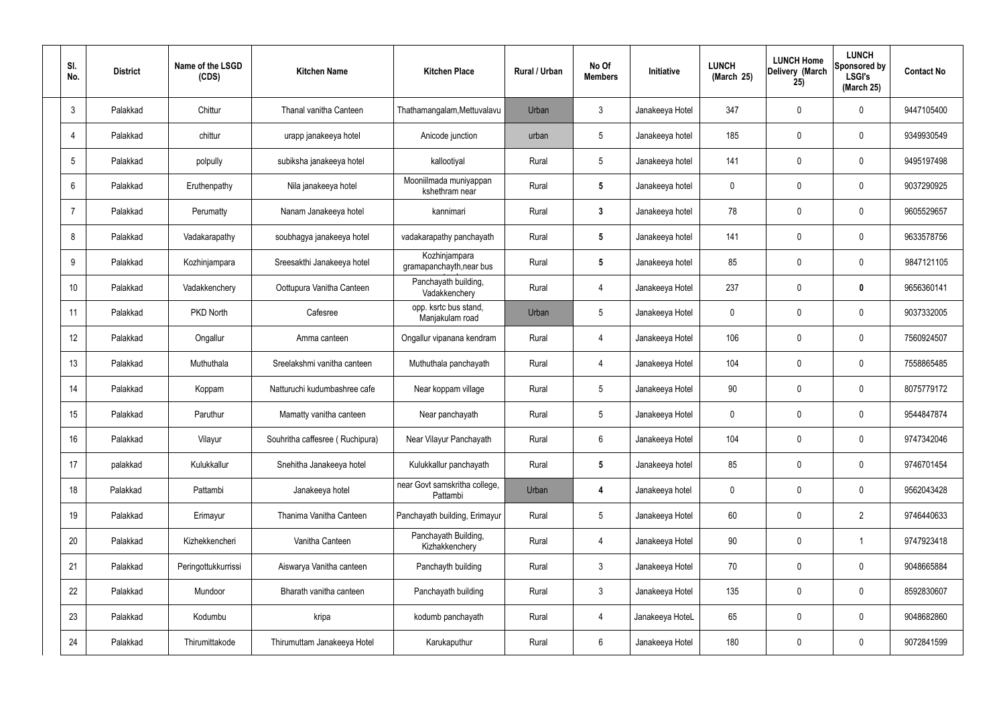| SI.            | No.             | <b>District</b> | Name of the LSGD<br>(CDS) | <b>Kitchen Name</b>             | <b>Kitchen Place</b>                      | <b>Rural / Urban</b> | No Of<br><b>Members</b> | <b>Initiative</b> | <b>LUNCH</b><br>(March 25) | <b>LUNCH Home</b><br>Delivery (March<br>25) | <b>LUNCH</b><br>Sponsored by<br><b>LSGI's</b><br>(March 25) | <b>Contact No</b> |
|----------------|-----------------|-----------------|---------------------------|---------------------------------|-------------------------------------------|----------------------|-------------------------|-------------------|----------------------------|---------------------------------------------|-------------------------------------------------------------|-------------------|
|                | $\mathbf{3}$    | Palakkad        | Chittur                   | Thanal vanitha Canteen          | Thathamangalam, Mettuvalavu               | Urban                | 3                       | Janakeeya Hotel   | 347                        | 0                                           | $\mathbf 0$                                                 | 9447105400        |
|                | $\overline{4}$  | Palakkad        | chittur                   | urapp janakeeya hotel           | Anicode junction                          | urban                | $5\phantom{.0}$         | Janakeeya hotel   | 185                        | 0                                           | $\mathbf 0$                                                 | 9349930549        |
|                | $5\phantom{.0}$ | Palakkad        | polpully                  | subiksha janakeeya hotel        | kallootiyal                               | Rural                | $5\phantom{.0}$         | Janakeeya hotel   | 141                        | 0                                           | $\mathbf 0$                                                 | 9495197498        |
|                | 6               | Palakkad        | Eruthenpathy              | Nila janakeeya hotel            | Mooniilmada muniyappan<br>kshethram near  | Rural                | $5\phantom{.0}$         | Janakeeya hotel   | $\mathbf 0$                | 0                                           | $\mathbf 0$                                                 | 9037290925        |
| $\overline{7}$ |                 | Palakkad        | Perumatty                 | Nanam Janakeeya hotel           | kannimari                                 | Rural                | $\mathbf{3}$            | Janakeeya hotel   | 78                         | 0                                           | $\mathbf 0$                                                 | 9605529657        |
|                | 8               | Palakkad        | Vadakarapathy             | soubhagya janakeeya hotel       | vadakarapathy panchayath                  | Rural                | $5\phantom{.0}$         | Janakeeya hotel   | 141                        | 0                                           | $\mathbf 0$                                                 | 9633578756        |
|                | 9               | Palakkad        | Kozhinjampara             | Sreesakthi Janakeeya hotel      | Kozhinjampara<br>gramapanchayth, near bus | Rural                | $5\phantom{.0}$         | Janakeeya hotel   | 85                         | 0                                           | $\mathbf 0$                                                 | 9847121105        |
|                | 10              | Palakkad        | Vadakkenchery             | Oottupura Vanitha Canteen       | Panchayath building,<br>Vadakkenchery     | Rural                | 4                       | Janakeeya Hotel   | 237                        | 0                                           | $\boldsymbol{0}$                                            | 9656360141        |
|                | 11              | Palakkad        | PKD North                 | Cafesree                        | opp. ksrtc bus stand,<br>Manjakulam road  | Urban                | $5\phantom{.0}$         | Janakeeya Hotel   | $\mathbf 0$                | 0                                           | $\mathbf 0$                                                 | 9037332005        |
|                | 12              | Palakkad        | Ongallur                  | Amma canteen                    | Ongallur vipanana kendram                 | Rural                | 4                       | Janakeeya Hotel   | 106                        | 0                                           | $\mathbf 0$                                                 | 7560924507        |
|                | 13              | Palakkad        | Muthuthala                | Sreelakshmi vanitha canteen     | Muthuthala panchayath                     | Rural                | 4                       | Janakeeya Hotel   | 104                        | 0                                           | $\mathbf 0$                                                 | 7558865485        |
|                | 14              | Palakkad        | Koppam                    | Natturuchi kudumbashree cafe    | Near koppam village                       | Rural                | $5\phantom{.0}$         | Janakeeya Hotel   | 90                         | 0                                           | $\mathbf 0$                                                 | 8075779172        |
|                | 15              | Palakkad        | Paruthur                  | Mamatty vanitha canteen         | Near panchayath                           | Rural                | $5\phantom{.0}$         | Janakeeya Hotel   | $\mathbf 0$                | 0                                           | 0                                                           | 9544847874        |
|                | 16              | Palakkad        | Vilayur                   | Souhritha caffesree (Ruchipura) | Near Vilayur Panchayath                   | Rural                | $6\phantom{.}6$         | Janakeeya Hotel   | 104                        | $\mathbf 0$                                 | $\mathbf 0$                                                 | 9747342046        |
|                | 17              | palakkad        | Kulukkallur               | Snehitha Janakeeya hotel        | Kulukkallur panchayath                    | Rural                | $5\overline{)}$         | Janakeeya hotel   | 85                         | $\mathbf 0$                                 | $\mathbf 0$                                                 | 9746701454        |
|                | 18              | Palakkad        | Pattambi                  | Janakeeya hotel                 | near Govt samskritha college,<br>Pattambi | Urban                | 4                       | Janakeeya hotel   | $\mathbf 0$                | $\mathbf 0$                                 | $\mathbf 0$                                                 | 9562043428        |
|                | 19              | Palakkad        | Erimayur                  | Thanima Vanitha Canteen         | Panchayath building, Erimayur             | Rural                | $5\phantom{.0}$         | Janakeeya Hotel   | 60                         | $\mathbf 0$                                 | $\overline{2}$                                              | 9746440633        |
|                | 20              | Palakkad        | Kizhekkencheri            | Vanitha Canteen                 | Panchayath Building,<br>Kizhakkenchery    | Rural                | $\overline{4}$          | Janakeeya Hotel   | 90                         | 0                                           | $\mathbf 1$                                                 | 9747923418        |
|                | 21              | Palakkad        | Peringottukkurrissi       | Aiswarya Vanitha canteen        | Panchayth building                        | Rural                | $\mathbf{3}$            | Janakeeya Hotel   | 70                         | 0                                           | $\mathbf 0$                                                 | 9048665884        |
|                | 22              | Palakkad        | Mundoor                   | Bharath vanitha canteen         | Panchayath building                       | Rural                | $\mathfrak{Z}$          | Janakeeya Hotel   | 135                        | 0                                           | $\mathbf 0$                                                 | 8592830607        |
|                | 23              | Palakkad        | Kodumbu                   | kripa                           | kodumb panchayath                         | Rural                | 4                       | Janakeeya HoteL   | 65                         | $\mathbf 0$                                 | $\mathbf 0$                                                 | 9048682860        |
|                | 24              | Palakkad        | Thirumittakode            | Thirumuttam Janakeeya Hotel     | Karukaputhur                              | Rural                | $6\overline{6}$         | Janakeeya Hotel   | 180                        | 0                                           | $\mathbf 0$                                                 | 9072841599        |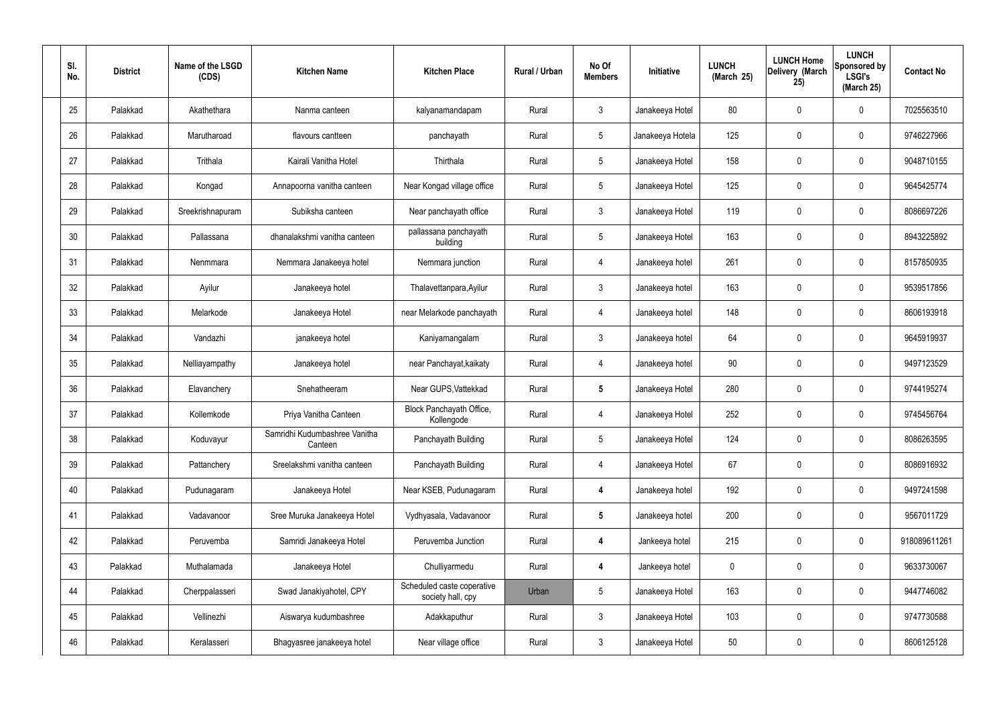| SI.<br>No. | <b>District</b> | Name of the LSGD<br>(CDS) | <b>Kitchen Name</b>                      | <b>Kitchen Place</b>                            | Rural / Urban | No Of<br><b>Members</b> | Initiative       | <b>LUNCH</b><br>(March 25) | <b>LUNCH Home</b><br>Delivery (March<br>25) | <b>LUNCH</b><br>Sponsored by<br><b>LSGI's</b><br>(March 25) | <b>Contact No</b> |
|------------|-----------------|---------------------------|------------------------------------------|-------------------------------------------------|---------------|-------------------------|------------------|----------------------------|---------------------------------------------|-------------------------------------------------------------|-------------------|
| 25         | Palakkad        | Akathethara               | Nanma canteen                            | kalyanamandapam                                 | Rural         | $\mathbf{3}$            | Janakeeya Hotel  | 80                         | 0                                           | $\mathbf 0$                                                 | 7025563510        |
| 26         | Palakkad        | Marutharoad               | flavours cantteen                        | panchayath                                      | Rural         | $5\phantom{.0}$         | Janakeeya Hotela | 125                        | 0                                           | $\pmb{0}$                                                   | 9746227966        |
| 27         | Palakkad        | Trithala                  | Kairali Vanitha Hotel                    | Thirthala                                       | Rural         | $5\phantom{.0}$         | Janakeeya Hotel  | 158                        | $\boldsymbol{0}$                            | $\mathbf 0$                                                 | 9048710155        |
| 28         | Palakkad        | Kongad                    | Annapoorna vanitha canteen               | Near Kongad village office                      | Rural         | $5\phantom{.0}$         | Janakeeya Hotel  | 125                        | 0                                           | $\pmb{0}$                                                   | 9645425774        |
| 29         | Palakkad        | Sreekrishnapuram          | Subiksha canteen                         | Near panchayath office                          | Rural         | $\mathbf{3}$            | Janakeeya Hotel  | 119                        | $\boldsymbol{0}$                            | $\mathbf 0$                                                 | 8086697226        |
| 30         | Palakkad        | Pallassana                | dhanalakshmi vanitha canteen             | pallassana panchayath<br>building               | Rural         | $5\phantom{.0}$         | Janakeeya Hotel  | 163                        | 0                                           | $\pmb{0}$                                                   | 8943225892        |
| 31         | Palakkad        | Nenmmara                  | Nemmara Janakeeya hotel                  | Nemmara junction                                | Rural         | $\overline{4}$          | Janakeeya hotel  | 261                        | $\boldsymbol{0}$                            | $\mathbf 0$                                                 | 8157850935        |
| 32         | Palakkad        | Ayilur                    | Janakeeya hotel                          | Thalavettanpara, Ayilur                         | Rural         | $\mathfrak{Z}$          | Janakeeya hotel  | 163                        | 0                                           | $\pmb{0}$                                                   | 9539517856        |
| 33         | Palakkad        | Melarkode                 | Janakeeya Hotel                          | near Melarkode panchayath                       | Rural         | $\overline{4}$          | Janakeeya hotel  | 148                        | $\boldsymbol{0}$                            | $\mathbf 0$                                                 | 8606193918        |
| 34         | Palakkad        | Vandazhi                  | janakeeya hotel                          | Kaniyamangalam                                  | Rural         | $\mathfrak{Z}$          | Janakeeya hotel  | 64                         | 0                                           | $\boldsymbol{0}$                                            | 9645919937        |
| 35         | Palakkad        | Nelliayampathy            | Janakeeya hotel                          | near Panchayat, kaikaty                         | Rural         | $\overline{4}$          | Janakeeya hotel  | 90                         | 0                                           | $\boldsymbol{0}$                                            | 9497123529        |
| 36         | Palakkad        | Elavanchery               | Snehatheeram                             | Near GUPS, Vattekkad                            | Rural         | $5\phantom{.0}$         | Janakeeya Hotel  | 280                        | 0                                           | $\boldsymbol{0}$                                            | 9744195274        |
| 37         | Palakkad        | Kollemkode                | Priya Vanitha Canteen                    | Block Panchayath Office,<br>Kollengode          | Rural         | 4                       | Janakeeya Hotel  | 252                        | 0                                           | 0                                                           | 9745456764        |
| 38         | Palakkad        | Koduvayur                 | Samridhi Kudumbashree Vanitha<br>Canteen | Panchayath Building                             | Rural         | $5\phantom{.0}$         | Janakeeya Hotel  | 124                        | $\mathbf 0$                                 | $\mathbf 0$                                                 | 8086263595        |
| 39         | Palakkad        | Pattanchery               | Sreelakshmi vanitha canteen              | Panchayath Building                             | Rural         | $\overline{4}$          | Janakeeya Hotel  | 67                         | $\mathsf{0}$                                | $\mathbf 0$                                                 | 8086916932        |
| 40         | Palakkad        | Pudunagaram               | Janakeeya Hotel                          | Near KSEB, Pudunagaram                          | Rural         | 4                       | Janakeeya hotel  | 192                        | $\mathbf 0$                                 | $\mathbf 0$                                                 | 9497241598        |
| 41         | Palakkad        | Vadavanoor                | Sree Muruka Janakeeya Hotel              | Vydhyasala, Vadavanoor                          | Rural         | $5\phantom{.0}$         | Janakeeya hotel  | 200                        | $\mathbf 0$                                 | $\mathbf 0$                                                 | 9567011729        |
| 42         | Palakkad        | Peruvemba                 | Samridi Janakeeya Hotel                  | Peruvemba Junction                              | Rural         | 4                       | Jankeeya hotel   | 215                        | $\mathbf 0$                                 | $\mathbf 0$                                                 | 918089611261      |
| 43         | Palakkad        | Muthalamada               | Janakeeya Hotel                          | Chulliyarmedu                                   | Rural         | $\boldsymbol{4}$        | Jankeeya hotel   | $\mathbf 0$                | $\mathbf 0$                                 | $\mathbf 0$                                                 | 9633730067        |
| 44         | Palakkad        | Cherppalasseri            | Swad Janakiyahotel, CPY                  | Scheduled caste coperative<br>society hall, cpy | Urban         | $5\phantom{.0}$         | Janakeeya Hotel  | 163                        | 0                                           | $\mathbf 0$                                                 | 9447746082        |
| 45         | Palakkad        | Vellinezhi                | Aiswarya kudumbashree                    | Adakkaputhur                                    | Rural         | $\mathfrak{Z}$          | Janakeeya Hotel  | 103                        | 0                                           | $\mathbf 0$                                                 | 9747730588        |
| 46         | Palakkad        | Keralasseri               | Bhagyasree janakeeya hotel               | Near village office                             | Rural         | $\mathfrak{Z}$          | Janakeeya Hotel  | 50                         | $\pmb{0}$                                   | $\boldsymbol{0}$                                            | 8606125128        |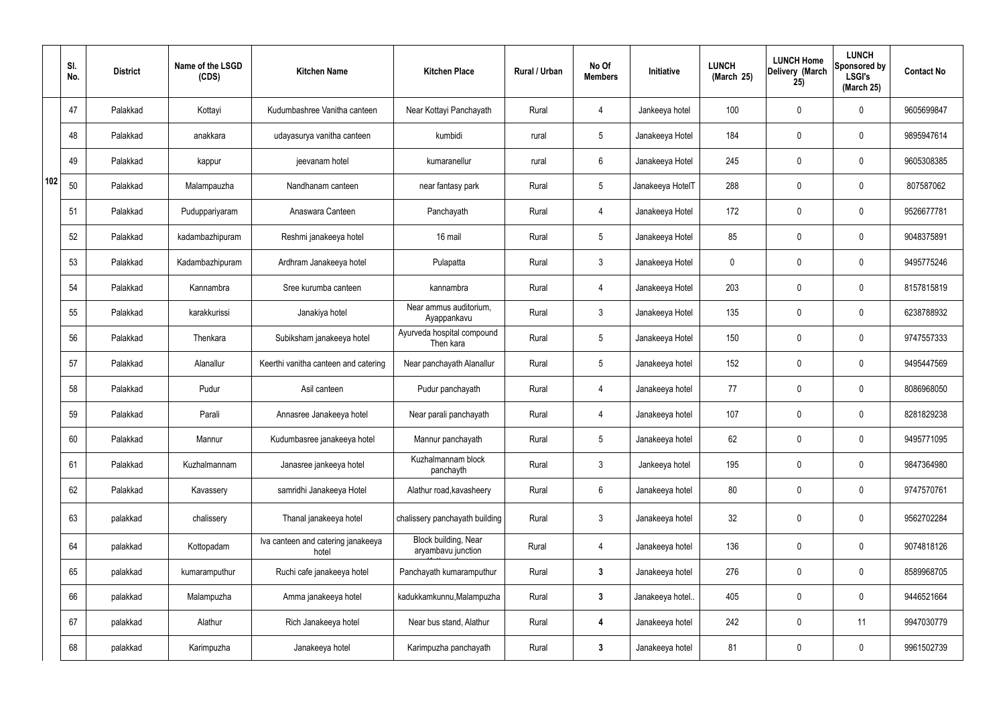|     | SI.<br>No. | <b>District</b> | Name of the LSGD<br>(CDS) | <b>Kitchen Name</b>                         | <b>Kitchen Place</b>                              | Rural / Urban | No Of<br><b>Members</b> | Initiative       | <b>LUNCH</b><br>(March 25) | <b>LUNCH Home</b><br>Delivery (March<br>25) | <b>LUNCH</b><br>Sponsored by<br><b>LSGI's</b><br>(March 25) | <b>Contact No</b> |
|-----|------------|-----------------|---------------------------|---------------------------------------------|---------------------------------------------------|---------------|-------------------------|------------------|----------------------------|---------------------------------------------|-------------------------------------------------------------|-------------------|
|     | 47         | Palakkad        | Kottayi                   | Kudumbashree Vanitha canteen                | Near Kottayi Panchayath                           | Rural         | $\overline{4}$          | Jankeeya hotel   | 100                        | 0                                           | $\mathbf 0$                                                 | 9605699847        |
|     | 48         | Palakkad        | anakkara                  | udayasurya vanitha canteen                  | kumbidi                                           | rural         | $5\phantom{.0}$         | Janakeeya Hotel  | 184                        | 0                                           | 0                                                           | 9895947614        |
|     | 49         | Palakkad        | kappur                    | jeevanam hotel                              | kumaranellur                                      | rural         | 6                       | Janakeeya Hotel  | 245                        | 0                                           | $\mathbf 0$                                                 | 9605308385        |
| 102 | 50         | Palakkad        | Malampauzha               | Nandhanam canteen                           | near fantasy park                                 | Rural         | $5\phantom{.0}$         | Janakeeya HotelT | 288                        | 0                                           | $\mathbf 0$                                                 | 807587062         |
|     | 51         | Palakkad        | Puduppariyaram            | Anaswara Canteen                            | Panchayath                                        | Rural         | $\overline{4}$          | Janakeeya Hotel  | 172                        | 0                                           | $\mathbf 0$                                                 | 9526677781        |
|     | 52         | Palakkad        | kadambazhipuram           | Reshmi janakeeya hotel                      | 16 mail                                           | Rural         | $5\phantom{.0}$         | Janakeeya Hotel  | 85                         | 0                                           | $\mathbf 0$                                                 | 9048375891        |
|     | 53         | Palakkad        | Kadambazhipuram           | Ardhram Janakeeya hotel                     | Pulapatta                                         | Rural         | $\mathbf{3}$            | Janakeeya Hotel  | 0                          | 0                                           | $\mathbf 0$                                                 | 9495775246        |
|     | 54         | Palakkad        | Kannambra                 | Sree kurumba canteen                        | kannambra                                         | Rural         | $\overline{4}$          | Janakeeya Hotel  | 203                        | 0                                           | $\mathbf 0$                                                 | 8157815819        |
|     | 55         | Palakkad        | karakkurissi              | Janakiya hotel                              | Near ammus auditorium,<br>Ayappankavu             | Rural         | $\mathbf{3}$            | Janakeeya Hotel  | 135                        | 0                                           | $\mathbf 0$                                                 | 6238788932        |
|     | 56         | Palakkad        | Thenkara                  | Subiksham janakeeya hotel                   | Ayurveda hospital compound<br>Then kara           | Rural         | $5\phantom{.0}$         | Janakeeya Hotel  | 150                        | 0                                           | $\mathbf 0$                                                 | 9747557333        |
|     | 57         | Palakkad        | Alanallur                 | Keerthi vanitha canteen and catering        | Near panchayath Alanallur                         | Rural         | $5\phantom{.0}$         | Janakeeya hotel  | 152                        | 0                                           | $\mathbf 0$                                                 | 9495447569        |
|     | 58         | Palakkad        | Pudur                     | Asil canteen                                | Pudur panchayath                                  | Rural         | $\overline{4}$          | Janakeeya hotel  | 77                         | 0                                           | $\mathbf 0$                                                 | 8086968050        |
|     | 59         | Palakkad        | Parali                    | Annasree Janakeeya hotel                    | Near parali panchayath                            | Rural         | 4                       | Janakeeya hotel  | 107                        | 0                                           | 0                                                           | 8281829238        |
|     | 60         | Palakkad        | Mannur                    | Kudumbasree janakeeya hotel                 | Mannur panchayath                                 | Rural         | $5\phantom{.0}$         | Janakeeya hotel  | 62                         | $\mathbf 0$                                 | $\pmb{0}$                                                   | 9495771095        |
|     | 61         | Palakkad        | Kuzhalmannam              | Janasree jankeeya hotel                     | Kuzhalmannam block<br>panchayth                   | Rural         | $\mathbf{3}$            | Jankeeya hotel   | 195                        | 0                                           | $\mathbf 0$                                                 | 9847364980        |
|     | 62         | Palakkad        | Kavassery                 | samridhi Janakeeya Hotel                    | Alathur road, kavasheery                          | Rural         | $6\,$                   | Janakeeya hotel  | 80                         | $\mathbf 0$                                 | $\mathbf 0$                                                 | 9747570761        |
|     | 63         | palakkad        | chalissery                | Thanal janakeeya hotel                      | chalissery panchayath building                    | Rural         | $\mathfrak{Z}$          | Janakeeya hotel  | 32                         | $\boldsymbol{0}$                            | $\pmb{0}$                                                   | 9562702284        |
|     | 64         | palakkad        | Kottopadam                | Iva canteen and catering janakeeya<br>hotel | <b>Block building, Near</b><br>aryambavu junction | Rural         | $\overline{4}$          | Janakeeya hotel  | 136                        | 0                                           | $\mathbf 0$                                                 | 9074818126        |
|     | 65         | palakkad        | kumaramputhur             | Ruchi cafe janakeeya hotel                  | Panchayath kumaramputhur                          | Rural         | $\mathbf{3}$            | Janakeeya hotel  | 276                        | 0                                           | $\mathbf 0$                                                 | 8589968705        |
|     | 66         | palakkad        | Malampuzha                | Amma janakeeya hotel                        | kadukkamkunnu, Malampuzha                         | Rural         | $\mathbf{3}$            | Janakeeya hotel  | 405                        | $\mathbf 0$                                 | $\mathbf 0$                                                 | 9446521664        |
|     | 67         | palakkad        | Alathur                   | Rich Janakeeya hotel                        | Near bus stand, Alathur                           | Rural         | 4                       | Janakeeya hotel  | 242                        | 0                                           | 11                                                          | 9947030779        |
|     | 68         | palakkad        | Karimpuzha                | Janakeeya hotel                             | Karimpuzha panchayath                             | Rural         | $\mathbf{3}$            | Janakeeya hotel  | 81                         | 0                                           | $\mathbf 0$                                                 | 9961502739        |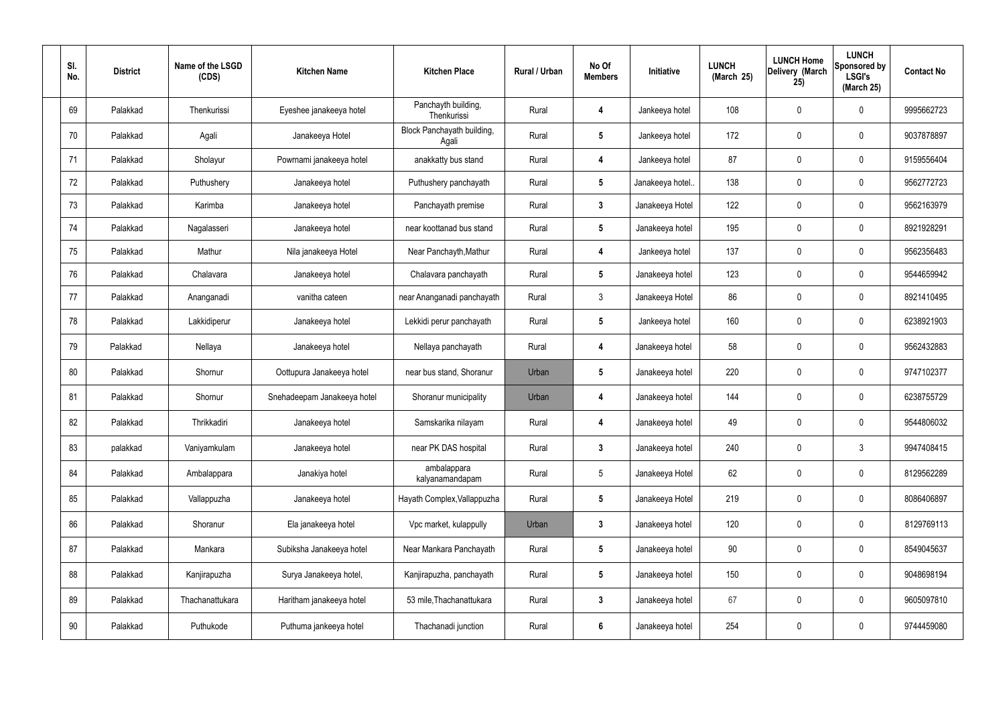| SI.<br>No. | <b>District</b> | Name of the LSGD<br>(CDS) | <b>Kitchen Name</b>         | <b>Kitchen Place</b>                | Rural / Urban | No Of<br><b>Members</b> | Initiative       | <b>LUNCH</b><br>(March 25) | <b>LUNCH Home</b><br>Delivery (March<br>25) | <b>LUNCH</b><br>Sponsored by<br><b>LSGI's</b><br>(March 25) | <b>Contact No</b> |
|------------|-----------------|---------------------------|-----------------------------|-------------------------------------|---------------|-------------------------|------------------|----------------------------|---------------------------------------------|-------------------------------------------------------------|-------------------|
| 69         | Palakkad        | Thenkurissi               | Eyeshee janakeeya hotel     | Panchayth building,<br>Thenkurissi  | Rural         | 4                       | Jankeeya hotel   | 108                        | 0                                           | $\mathbf 0$                                                 | 9995662723        |
| 70         | Palakkad        | Agali                     | Janakeeya Hotel             | Block Panchayath building,<br>Agali | Rural         | $5\overline{)}$         | Jankeeya hotel   | 172                        | 0                                           | $\overline{0}$                                              | 9037878897        |
| 71         | Palakkad        | Sholayur                  | Powrnami janakeeya hotel    | anakkatty bus stand                 | Rural         | 4                       | Jankeeya hotel   | 87                         | 0                                           | $\mathbf 0$                                                 | 9159556404        |
| 72         | Palakkad        | Puthushery                | Janakeeya hotel             | Puthushery panchayath               | Rural         | $5\phantom{.0}$         | Janakeeya hotel. | 138                        | 0                                           | $\mathbf 0$                                                 | 9562772723        |
| 73         | Palakkad        | Karimba                   | Janakeeya hotel             | Panchayath premise                  | Rural         | $\mathbf{3}$            | Janakeeya Hotel  | 122                        | 0                                           | $\overline{0}$                                              | 9562163979        |
| 74         | Palakkad        | Nagalasseri               | Janakeeya hotel             | near koottanad bus stand            | Rural         | $5\phantom{.0}$         | Janakeeya hotel  | 195                        | 0                                           | $\overline{0}$                                              | 8921928291        |
| 75         | Palakkad        | Mathur                    | Nila janakeeya Hotel        | Near Panchayth, Mathur              | Rural         | 4                       | Jankeeya hotel   | 137                        | 0                                           | $\mathbf 0$                                                 | 9562356483        |
| 76         | Palakkad        | Chalavara                 | Janakeeya hotel             | Chalavara panchayath                | Rural         | $5\phantom{.0}$         | Janakeeya hotel  | 123                        | $\mathbf 0$                                 | $\mathbf 0$                                                 | 9544659942        |
| 77         | Palakkad        | Ananganadi                | vanitha cateen              | near Ananganadi panchayath          | Rural         | $\mathbf{3}$            | Janakeeya Hotel  | 86                         | $\mathbf 0$                                 | $\mathbf 0$                                                 | 8921410495        |
| 78         | Palakkad        | Lakkidiperur              | Janakeeya hotel             | Lekkidi perur panchayath            | Rural         | $5\phantom{.0}$         | Jankeeya hotel   | 160                        | 0                                           | $\mathbf 0$                                                 | 6238921903        |
| 79         | Palakkad        | Nellaya                   | Janakeeya hotel             | Nellaya panchayath                  | Rural         | 4                       | Janakeeya hotel  | 58                         | 0                                           | $\mathbf 0$                                                 | 9562432883        |
| 80         | Palakkad        | Shornur                   | Oottupura Janakeeya hotel   | near bus stand, Shoranur            | Urban         | $5\phantom{.0}$         | Janakeeya hotel  | 220                        | 0                                           | $\mathbf 0$                                                 | 9747102377        |
| 81         | Palakkad        | Shornur                   | Snehadeepam Janakeeya hotel | Shoranur municipality               | Urban         | 4                       | Janakeeya hotel  | 144                        | 0                                           | $\mathbf 0$                                                 | 6238755729        |
| 82         | Palakkad        | Thrikkadiri               | Janakeeya hotel             | Samskarika nilayam                  | Rural         | $\overline{4}$          | Janakeeya hotel  | 49                         | $\mathbf 0$                                 | $\mathbf 0$                                                 | 9544806032        |
| 83         | palakkad        | Vaniyamkulam              | Janakeeya hotel             | near PK DAS hospital                | Rural         | $\mathbf{3}$            | Janakeeya hotel  | 240                        | $\pmb{0}$                                   | $\mathfrak{Z}$                                              | 9947408415        |
| 84         | Palakkad        | Ambalappara               | Janakiya hotel              | ambalappara<br>kalyanamandapam      | Rural         | $5\phantom{.0}$         | Janakeeya Hotel  | 62                         | 0                                           | $\pmb{0}$                                                   | 8129562289        |
| 85         | Palakkad        | Vallappuzha               | Janakeeya hotel             | Hayath Complex, Vallappuzha         | Rural         | $5\phantom{.0}$         | Janakeeya Hotel  | 219                        | $\pmb{0}$                                   | $\mathbf 0$                                                 | 8086406897        |
| 86         | Palakkad        | Shoranur                  | Ela janakeeya hotel         | Vpc market, kulappully              | Urban         | $\mathbf{3}$            | Janakeeya hotel  | 120                        | 0                                           | $\mathbf 0$                                                 | 8129769113        |
| 87         | Palakkad        | Mankara                   | Subiksha Janakeeya hotel    | Near Mankara Panchayath             | Rural         | $5\phantom{.0}$         | Janakeeya hotel  | 90                         | 0                                           | $\mathbf 0$                                                 | 8549045637        |
| 88         | Palakkad        | Kanjirapuzha              | Surya Janakeeya hotel,      | Kanjirapuzha, panchayath            | Rural         | $5\phantom{.0}$         | Janakeeya hotel  | 150                        | 0                                           | $\mathbf 0$                                                 | 9048698194        |
| 89         | Palakkad        | Thachanattukara           | Haritham janakeeya hotel    | 53 mile, Thachanattukara            | Rural         | $\mathbf{3}$            | Janakeeya hotel  | 67                         | 0                                           | $\mathbf 0$                                                 | 9605097810        |
| 90         | Palakkad        | Puthukode                 | Puthuma jankeeya hotel      | Thachanadi junction                 | Rural         | $\boldsymbol{6}$        | Janakeeya hotel  | 254                        | 0                                           | $\boldsymbol{0}$                                            | 9744459080        |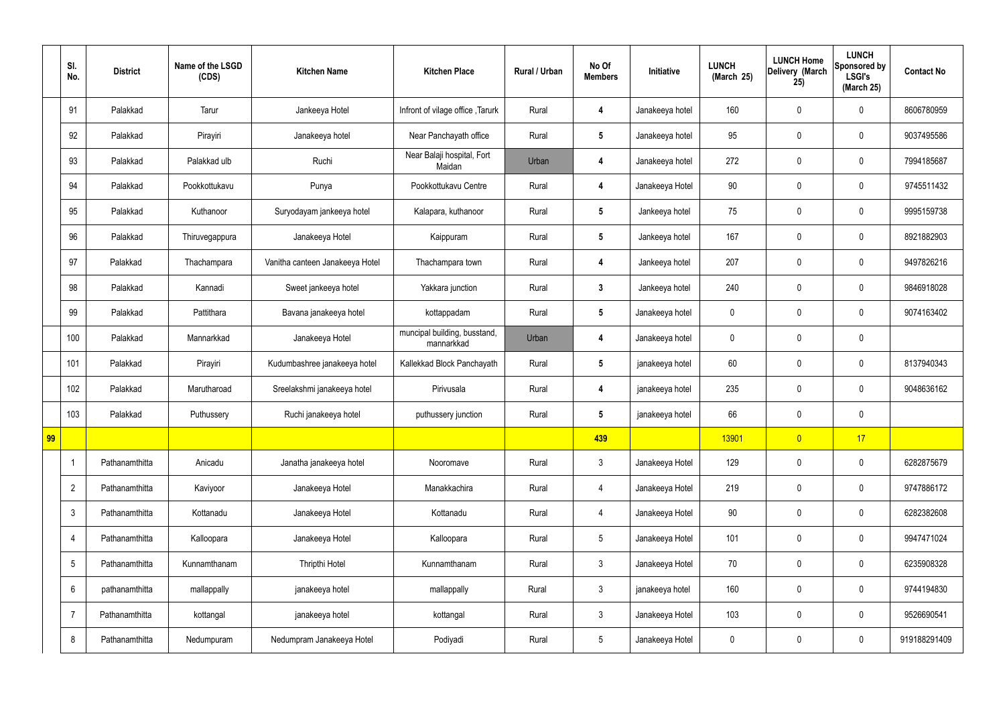|    | SI.<br>No.       | <b>District</b> | Name of the LSGD<br>(CDS) | <b>Kitchen Name</b>             | <b>Kitchen Place</b>                       | <b>Rural / Urban</b> | No Of<br><b>Members</b> | Initiative      | <b>LUNCH</b><br>(March 25) | <b>LUNCH Home</b><br>Delivery (March<br>25) | <b>LUNCH</b><br>Sponsored by<br><b>LSGI's</b><br>(March 25) | <b>Contact No</b> |
|----|------------------|-----------------|---------------------------|---------------------------------|--------------------------------------------|----------------------|-------------------------|-----------------|----------------------------|---------------------------------------------|-------------------------------------------------------------|-------------------|
|    | 91               | Palakkad        | Tarur                     | Jankeeya Hotel                  | Infront of vilage office, Tarurk           | Rural                | 4                       | Janakeeya hotel | 160                        | $\mathbf 0$                                 | $\mathbf 0$                                                 | 8606780959        |
|    | 92               | Palakkad        | Pirayiri                  | Janakeeya hotel                 | Near Panchayath office                     | Rural                | $5\phantom{.0}$         | Janakeeya hotel | 95                         | $\mathbf 0$                                 | $\mathbf 0$                                                 | 9037495586        |
|    | 93               | Palakkad        | Palakkad ulb              | Ruchi                           | Near Balaji hospital, Fort<br>Maidan       | Urban                | 4                       | Janakeeya hotel | 272                        | $\mathbf 0$                                 | $\mathbf 0$                                                 | 7994185687        |
|    | 94               | Palakkad        | Pookkottukavu             | Punya                           | Pookkottukavu Centre                       | Rural                | $\boldsymbol{4}$        | Janakeeya Hotel | 90                         | $\mathbf 0$                                 | $\mathbf 0$                                                 | 9745511432        |
|    | 95               | Palakkad        | Kuthanoor                 | Suryodayam jankeeya hotel       | Kalapara, kuthanoor                        | Rural                | $5\phantom{.0}$         | Jankeeya hotel  | 75                         | $\mathbf 0$                                 | $\mathbf 0$                                                 | 9995159738        |
|    | 96               | Palakkad        | Thiruvegappura            | Janakeeya Hotel                 | Kaippuram                                  | Rural                | $5\phantom{.0}$         | Jankeeya hotel  | 167                        | $\mathbf 0$                                 | $\mathbf 0$                                                 | 8921882903        |
|    | 97               | Palakkad        | Thachampara               | Vanitha canteen Janakeeya Hotel | Thachampara town                           | Rural                | 4                       | Jankeeya hotel  | 207                        | $\mathbf 0$                                 | $\mathbf 0$                                                 | 9497826216        |
|    | 98               | Palakkad        | Kannadi                   | Sweet jankeeya hotel            | Yakkara junction                           | Rural                | $\mathbf{3}$            | Jankeeya hotel  | 240                        | $\mathbf 0$                                 | $\mathbf 0$                                                 | 9846918028        |
|    | 99               | Palakkad        | Pattithara                | Bavana janakeeya hotel          | kottappadam                                | Rural                | $5\phantom{.0}$         | Janakeeya hotel | $\mathbf 0$                | $\mathbf 0$                                 | $\mathbf 0$                                                 | 9074163402        |
|    | 100              | Palakkad        | Mannarkkad                | Janakeeya Hotel                 | muncipal building, busstand,<br>mannarkkad | Urban                | 4                       | Janakeeya hotel | $\mathbf 0$                | $\mathbf 0$                                 | $\mathbf 0$                                                 |                   |
|    | 101              | Palakkad        | Pirayiri                  | Kudumbashree janakeeya hotel    | Kallekkad Block Panchayath                 | Rural                | $5\phantom{.0}$         | janakeeya hotel | 60                         | $\mathbf 0$                                 | $\mathbf 0$                                                 | 8137940343        |
|    | 102              | Palakkad        | Marutharoad               | Sreelakshmi janakeeya hotel     | Pirivusala                                 | Rural                | 4                       | janakeeya hotel | 235                        | $\mathbf 0$                                 | $\mathbf 0$                                                 | 9048636162        |
|    | 103              | Palakkad        | Puthussery                | Ruchi janakeeya hotel           | puthussery junction                        | Rural                | $5\phantom{.0}$         | janakeeya hotel | 66                         | $\mathbf 0$                                 | $\mathbf 0$                                                 |                   |
| 99 |                  |                 |                           |                                 |                                            |                      | 439                     |                 | 13901                      | $\overline{0}$                              | 17                                                          |                   |
|    | -1               | Pathanamthitta  | Anicadu                   | Janatha janakeeya hotel         | Nooromave                                  | Rural                | $\mathbf{3}$            | Janakeeya Hotel | 129                        | $\pmb{0}$                                   | $\boldsymbol{0}$                                            | 6282875679        |
|    | $\overline{2}$   | Pathanamthitta  | Kaviyoor                  | Janakeeya Hotel                 | Manakkachira                               | Rural                | $\overline{4}$          | Janakeeya Hotel | 219                        | $\pmb{0}$                                   | $\mathbf 0$                                                 | 9747886172        |
|    | $\mathfrak{Z}$   | Pathanamthitta  | Kottanadu                 | Janakeeya Hotel                 | Kottanadu                                  | Rural                | $\overline{4}$          | Janakeeya Hotel | $90\,$                     | $\pmb{0}$                                   | $\mathbf 0$                                                 | 6282382608        |
|    | $\overline{4}$   | Pathanamthitta  | Kalloopara                | Janakeeya Hotel                 | Kalloopara                                 | Rural                | $5\phantom{.0}$         | Janakeeya Hotel | 101                        | $\pmb{0}$                                   | $\mathbf 0$                                                 | 9947471024        |
|    | $\sqrt{5}$       | Pathanamthitta  | Kunnamthanam              | Thripthi Hotel                  | Kunnamthanam                               | Rural                | $\mathbf{3}$            | Janakeeya Hotel | 70                         | $\pmb{0}$                                   | $\mathbf 0$                                                 | 6235908328        |
|    | $6\phantom{.}6$  | pathanamthitta  | mallappally               | janakeeya hotel                 | mallappally                                | Rural                | $\mathbf{3}$            | janakeeya hotel | 160                        | $\pmb{0}$                                   | $\mathbf 0$                                                 | 9744194830        |
|    | $\overline{7}$   | Pathanamthitta  | kottangal                 | janakeeya hotel                 | kottangal                                  | Rural                | $\mathbf{3}$            | Janakeeya Hotel | 103                        | $\pmb{0}$                                   | $\mathbf 0$                                                 | 9526690541        |
|    | $\boldsymbol{8}$ | Pathanamthitta  | Nedumpuram                | Nedumpram Janakeeya Hotel       | Podiyadi                                   | Rural                | $5\overline{)}$         | Janakeeya Hotel | 0                          | $\pmb{0}$                                   | $\mathbf 0$                                                 | 919188291409      |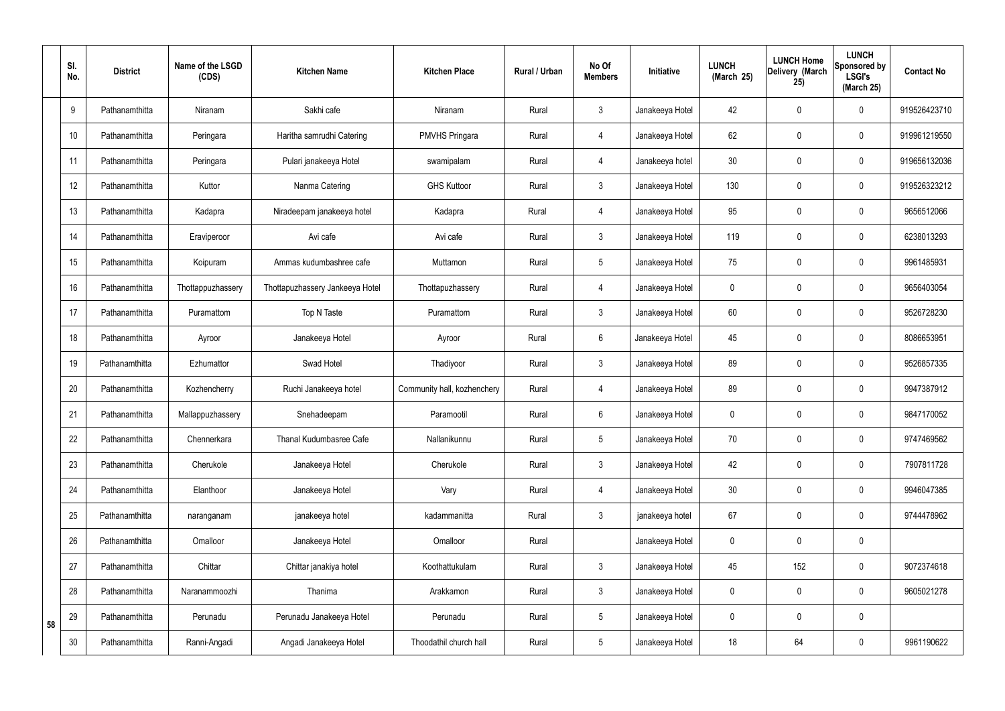|    | SI.<br>No. | <b>District</b> | Name of the LSGD<br>(CDS) | <b>Kitchen Name</b>             | <b>Kitchen Place</b>        | Rural / Urban | No Of<br><b>Members</b> | Initiative      | <b>LUNCH</b><br>(March 25) | <b>LUNCH Home</b><br>Delivery (March<br>25) | <b>LUNCH</b><br>Sponsored by<br><b>LSGI's</b><br>(March 25) | <b>Contact No</b> |
|----|------------|-----------------|---------------------------|---------------------------------|-----------------------------|---------------|-------------------------|-----------------|----------------------------|---------------------------------------------|-------------------------------------------------------------|-------------------|
|    | 9          | Pathanamthitta  | Niranam                   | Sakhi cafe                      | Niranam                     | Rural         | 3                       | Janakeeya Hotel | 42                         | $\mathbf 0$                                 | $\mathbf 0$                                                 | 919526423710      |
|    | 10         | Pathanamthitta  | Peringara                 | Haritha samrudhi Catering       | <b>PMVHS Pringara</b>       | Rural         | $\overline{4}$          | Janakeeya Hotel | 62                         | $\mathbf 0$                                 | $\mathbf 0$                                                 | 919961219550      |
|    | 11         | Pathanamthitta  | Peringara                 | Pulari janakeeya Hotel          | swamipalam                  | Rural         | $\overline{4}$          | Janakeeya hotel | 30                         | $\mathbf 0$                                 | $\mathbf 0$                                                 | 919656132036      |
|    | 12         | Pathanamthitta  | Kuttor                    | Nanma Catering                  | <b>GHS Kuttoor</b>          | Rural         | $\mathbf{3}$            | Janakeeya Hotel | 130                        | $\mathbf 0$                                 | $\boldsymbol{0}$                                            | 919526323212      |
|    | 13         | Pathanamthitta  | Kadapra                   | Niradeepam janakeeya hotel      | Kadapra                     | Rural         | $\overline{4}$          | Janakeeya Hotel | 95                         | $\mathbf 0$                                 | $\mathbf 0$                                                 | 9656512066        |
|    | 14         | Pathanamthitta  | Eraviperoor               | Avi cafe                        | Avi cafe                    | Rural         | $\mathbf{3}$            | Janakeeya Hotel | 119                        | $\mathbf 0$                                 | $\pmb{0}$                                                   | 6238013293        |
|    | 15         | Pathanamthitta  | Koipuram                  | Ammas kudumbashree cafe         | Muttamon                    | Rural         | 5                       | Janakeeya Hotel | 75                         | $\mathbf 0$                                 | $\mathbf 0$                                                 | 9961485931        |
|    | 16         | Pathanamthitta  | Thottappuzhassery         | Thottapuzhassery Jankeeya Hotel | Thottapuzhassery            | Rural         | 4                       | Janakeeya Hotel | 0                          | $\mathbf 0$                                 | $\mathbf 0$                                                 | 9656403054        |
|    | 17         | Pathanamthitta  | Puramattom                | Top N Taste                     | Puramattom                  | Rural         | $\mathbf{3}$            | Janakeeya Hotel | 60                         | $\mathbf 0$                                 | $\mathbf 0$                                                 | 9526728230        |
|    | 18         | Pathanamthitta  | Ayroor                    | Janakeeya Hotel                 | Ayroor                      | Rural         | $6\overline{6}$         | Janakeeya Hotel | 45                         | 0                                           | $\boldsymbol{0}$                                            | 8086653951        |
|    | 19         | Pathanamthitta  | Ezhumattor                | Swad Hotel                      | Thadiyoor                   | Rural         | $\mathbf{3}$            | Janakeeya Hotel | 89                         | 0                                           | $\mathbf 0$                                                 | 9526857335        |
|    | 20         | Pathanamthitta  | Kozhencherry              | Ruchi Janakeeya hotel           | Community hall, kozhenchery | Rural         | $\overline{4}$          | Janakeeya Hotel | 89                         | 0                                           | $\boldsymbol{0}$                                            | 9947387912        |
|    | 21         | Pathanamthitta  | Mallappuzhassery          | Snehadeepam                     | Paramootil                  | Rural         | 6                       | Janakeeya Hotel | 0                          | $\mathbf 0$                                 | $\mathbf 0$                                                 | 9847170052        |
|    | 22         | Pathanamthitta  | Chennerkara               | Thanal Kudumbasree Cafe         | Nallanikunnu                | Rural         | 5                       | Janakeeya Hotel | $70\,$                     | $\mathbf 0$                                 | $\mathbf 0$                                                 | 9747469562        |
|    | 23         | Pathanamthitta  | Cherukole                 | Janakeeya Hotel                 | Cherukole                   | Rural         | $\mathbf{3}$            | Janakeeya Hotel | 42                         | $\mathbf 0$                                 | $\pmb{0}$                                                   | 7907811728        |
|    | 24         | Pathanamthitta  | Elanthoor                 | Janakeeya Hotel                 | Vary                        | Rural         | $\overline{4}$          | Janakeeya Hotel | 30                         | $\boldsymbol{0}$                            | $\pmb{0}$                                                   | 9946047385        |
|    | 25         | Pathanamthitta  | naranganam                | janakeeya hotel                 | kadammanitta                | Rural         | $\mathbf{3}$            | janakeeya hotel | 67                         | $\pmb{0}$                                   | $\mathsf{0}$                                                | 9744478962        |
|    | 26         | Pathanamthitta  | Omalloor                  | Janakeeya Hotel                 | Omalloor                    | Rural         |                         | Janakeeya Hotel | 0                          | $\pmb{0}$                                   | $\pmb{0}$                                                   |                   |
|    | 27         | Pathanamthitta  | Chittar                   | Chittar janakiya hotel          | Koothattukulam              | Rural         | $\mathbf{3}$            | Janakeeya Hotel | 45                         | 152                                         | $\pmb{0}$                                                   | 9072374618        |
|    | 28         | Pathanamthitta  | Naranammoozhi             | Thanima                         | Arakkamon                   | Rural         | $\mathbf{3}$            | Janakeeya Hotel | 0                          | $\mathbf 0$                                 | $\mathbf 0$                                                 | 9605021278        |
| 58 | 29         | Pathanamthitta  | Perunadu                  | Perunadu Janakeeya Hotel        | Perunadu                    | Rural         | 5                       | Janakeeya Hotel | 0                          | $\mathbf 0$                                 | $\pmb{0}$                                                   |                   |
|    | $30\,$     | Pathanamthitta  | Ranni-Angadi              | Angadi Janakeeya Hotel          | Thoodathil church hall      | Rural         | 5                       | Janakeeya Hotel | 18                         | 64                                          | $\pmb{0}$                                                   | 9961190622        |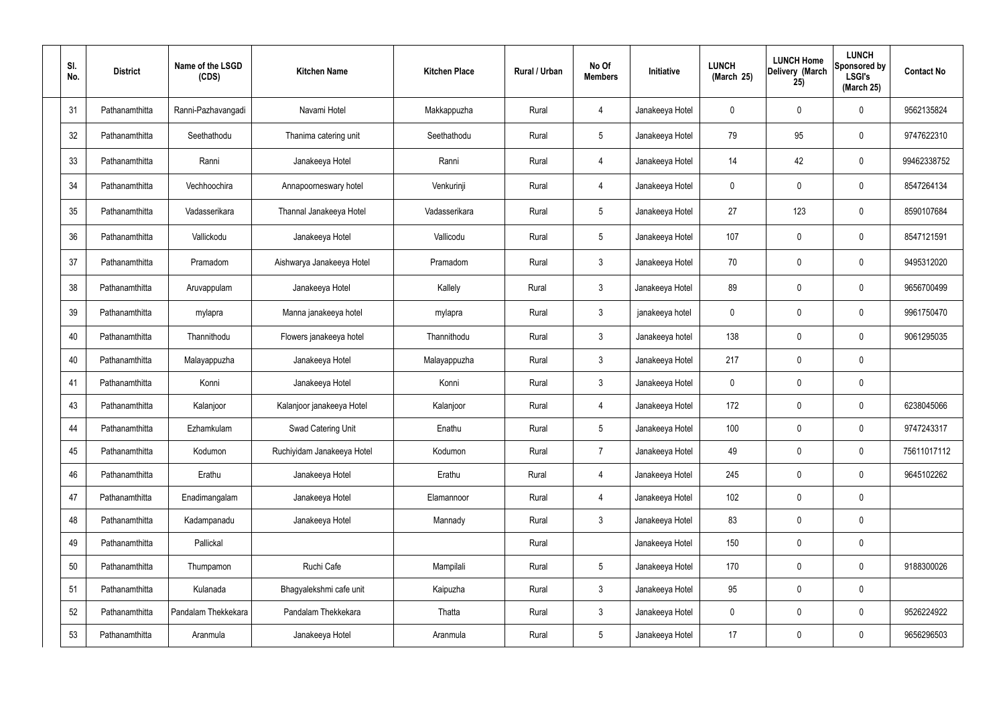| SI. | No. | <b>District</b> | Name of the LSGD<br>(CDS) | <b>Kitchen Name</b>        | <b>Kitchen Place</b> | Rural / Urban | No Of<br><b>Members</b> | Initiative      | <b>LUNCH</b><br>(March 25) | <b>LUNCH Home</b><br>Delivery (March<br>25) | <b>LUNCH</b><br>Sponsored by<br><b>LSGI's</b><br>(March 25) | <b>Contact No</b> |
|-----|-----|-----------------|---------------------------|----------------------------|----------------------|---------------|-------------------------|-----------------|----------------------------|---------------------------------------------|-------------------------------------------------------------|-------------------|
|     | 31  | Pathanamthitta  | Ranni-Pazhavangadi        | Navami Hotel               | Makkappuzha          | Rural         | 4                       | Janakeeya Hotel | 0                          | 0                                           | $\mathbf 0$                                                 | 9562135824        |
|     | 32  | Pathanamthitta  | Seethathodu               | Thanima catering unit      | Seethathodu          | Rural         | $5\phantom{.0}$         | Janakeeya Hotel | 79                         | 95                                          | $\mathbf 0$                                                 | 9747622310        |
|     | 33  | Pathanamthitta  | Ranni                     | Janakeeya Hotel            | Ranni                | Rural         | 4                       | Janakeeya Hotel | 14                         | 42                                          | $\mathbf 0$                                                 | 99462338752       |
|     | 34  | Pathanamthitta  | Vechhoochira              | Annapoorneswary hotel      | Venkurinji           | Rural         | 4                       | Janakeeya Hotel | 0                          | 0                                           | $\pmb{0}$                                                   | 8547264134        |
|     | 35  | Pathanamthitta  | Vadasserikara             | Thannal Janakeeya Hotel    | Vadasserikara        | Rural         | $5\phantom{.0}$         | Janakeeya Hotel | 27                         | 123                                         | $\mathbf 0$                                                 | 8590107684        |
|     | 36  | Pathanamthitta  | Vallickodu                | Janakeeya Hotel            | Vallicodu            | Rural         | $5\phantom{.0}$         | Janakeeya Hotel | 107                        | 0                                           | $\pmb{0}$                                                   | 8547121591        |
|     | 37  | Pathanamthitta  | Pramadom                  | Aishwarya Janakeeya Hotel  | Pramadom             | Rural         | $\mathfrak{Z}$          | Janakeeya Hotel | 70                         | 0                                           | $\mathbf 0$                                                 | 9495312020        |
|     | 38  | Pathanamthitta  | Aruvappulam               | Janakeeya Hotel            | Kallely              | Rural         | $\mathfrak{Z}$          | Janakeeya Hotel | 89                         | 0                                           | $\mathbf 0$                                                 | 9656700499        |
|     | 39  | Pathanamthitta  | mylapra                   | Manna janakeeya hotel      | mylapra              | Rural         | $\mathbf{3}$            | janakeeya hotel | 0                          | 0                                           | $\mathbf 0$                                                 | 9961750470        |
|     | 40  | Pathanamthitta  | Thannithodu               | Flowers janakeeya hotel    | Thannithodu          | Rural         | $\mathbf{3}$            | Janakeeya hotel | 138                        | $\mathbf 0$                                 | $\pmb{0}$                                                   | 9061295035        |
|     | 40  | Pathanamthitta  | Malayappuzha              | Janakeeya Hotel            | Malayappuzha         | Rural         | $\mathbf{3}$            | Janakeeya Hotel | 217                        | 0                                           | $\boldsymbol{0}$                                            |                   |
|     | 41  | Pathanamthitta  | Konni                     | Janakeeya Hotel            | Konni                | Rural         | $\mathfrak{Z}$          | Janakeeya Hotel | 0                          | 0                                           | $\mathbf 0$                                                 |                   |
|     | 43  | Pathanamthitta  | Kalanjoor                 | Kalanjoor janakeeya Hotel  | Kalanjoor            | Rural         | 4                       | Janakeeya Hotel | 172                        | 0                                           | $\boldsymbol{0}$                                            | 6238045066        |
|     | 44  | Pathanamthitta  | Ezhamkulam                | Swad Catering Unit         | Enathu               | Rural         | $5\phantom{.0}$         | Janakeeya Hotel | 100                        | 0                                           | $\mathbf 0$                                                 | 9747243317        |
|     | 45  | Pathanamthitta  | Kodumon                   | Ruchiyidam Janakeeya Hotel | Kodumon              | Rural         | $\overline{7}$          | Janakeeya Hotel | 49                         | 0                                           | $\mathbf 0$                                                 | 75611017112       |
|     | 46  | Pathanamthitta  | Erathu                    | Janakeeya Hotel            | Erathu               | Rural         | $\overline{4}$          | Janakeeya Hotel | 245                        | 0                                           | $\mathbf 0$                                                 | 9645102262        |
|     | 47  | Pathanamthitta  | Enadimangalam             | Janakeeya Hotel            | Elamannoor           | Rural         | $\overline{4}$          | Janakeeya Hotel | 102                        | $\mathbf 0$                                 | $\pmb{0}$                                                   |                   |
|     | 48  | Pathanamthitta  | Kadampanadu               | Janakeeya Hotel            | Mannady              | Rural         | 3 <sup>1</sup>          | Janakeeya Hotel | 83                         | 0                                           | $\pmb{0}$                                                   |                   |
|     | 49  | Pathanamthitta  | Pallickal                 |                            |                      | Rural         |                         | Janakeeya Hotel | 150                        | 0                                           | $\pmb{0}$                                                   |                   |
|     | 50  | Pathanamthitta  | Thumpamon                 | Ruchi Cafe                 | Mampilali            | Rural         | $5\phantom{.0}$         | Janakeeya Hotel | 170                        | 0                                           | $\mathbf 0$                                                 | 9188300026        |
|     | 51  | Pathanamthitta  | Kulanada                  | Bhagyalekshmi cafe unit    | Kaipuzha             | Rural         | $\mathbf{3}$            | Janakeeya Hotel | 95                         | 0                                           | $\mathbf 0$                                                 |                   |
|     | 52  | Pathanamthitta  | Pandalam Thekkekara       | Pandalam Thekkekara        | Thatta               | Rural         | 3 <sup>1</sup>          | Janakeeya Hotel | 0                          | 0                                           | $\mathbf 0$                                                 | 9526224922        |
|     | 53  | Pathanamthitta  | Aranmula                  | Janakeeya Hotel            | Aranmula             | Rural         | $5\phantom{.0}$         | Janakeeya Hotel | 17                         | 0                                           | $\bf{0}$                                                    | 9656296503        |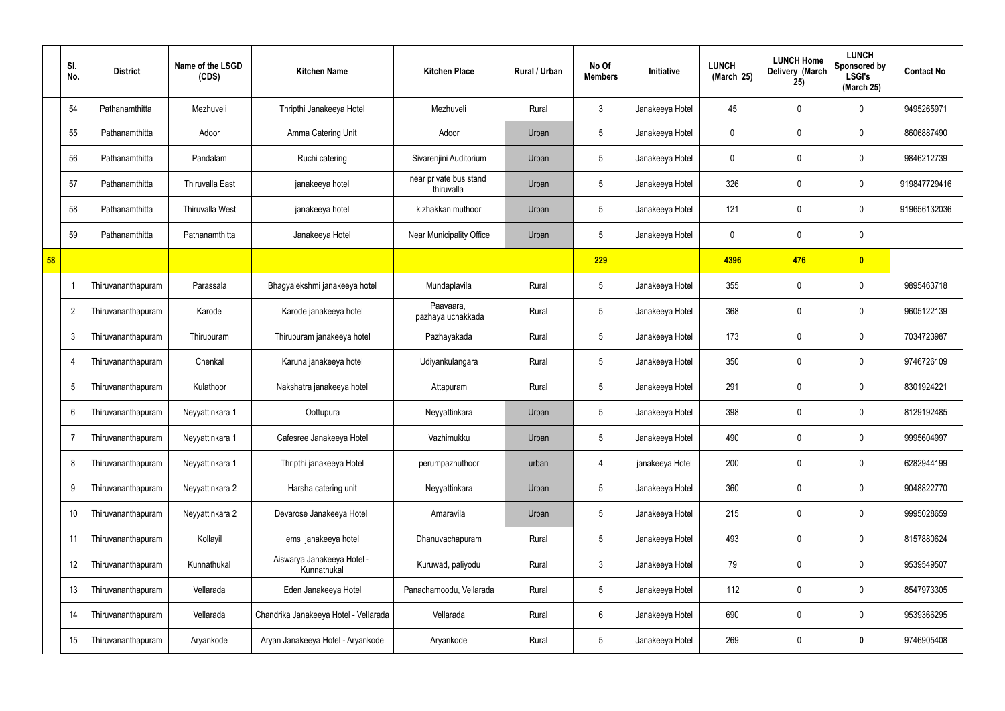|    | SI.<br>No.      | <b>District</b>    | Name of the LSGD<br>(CDS) | <b>Kitchen Name</b>                       | <b>Kitchen Place</b>                 | Rural / Urban | No Of<br><b>Members</b> | Initiative      | <b>LUNCH</b><br>(March 25) | <b>LUNCH Home</b><br>Delivery (March<br>25) | <b>LUNCH</b><br>Sponsored by<br><b>LSGI's</b><br>(March 25) | <b>Contact No</b> |
|----|-----------------|--------------------|---------------------------|-------------------------------------------|--------------------------------------|---------------|-------------------------|-----------------|----------------------------|---------------------------------------------|-------------------------------------------------------------|-------------------|
|    | 54              | Pathanamthitta     | Mezhuveli                 | Thripthi Janakeeya Hotel                  | Mezhuveli                            | Rural         | $\mathbf{3}$            | Janakeeya Hotel | 45                         | 0                                           | $\mathbf 0$                                                 | 9495265971        |
|    | 55              | Pathanamthitta     | Adoor                     | Amma Catering Unit                        | Adoor                                | Urban         | $5\overline{)}$         | Janakeeya Hotel | 0                          | $\mathbf 0$                                 | $\mathbf 0$                                                 | 8606887490        |
|    | 56              | Pathanamthitta     | Pandalam                  | Ruchi catering                            | Sivarenjini Auditorium               | Urban         | $5\phantom{.0}$         | Janakeeya Hotel | 0                          | 0                                           | $\mathbf 0$                                                 | 9846212739        |
|    | 57              | Pathanamthitta     | <b>Thiruvalla East</b>    | janakeeya hotel                           | near private bus stand<br>thiruvalla | Urban         | $5\phantom{.0}$         | Janakeeya Hotel | 326                        | $\mathbf 0$                                 | $\mathbf 0$                                                 | 919847729416      |
|    | 58              | Pathanamthitta     | Thiruvalla West           | janakeeya hotel                           | kizhakkan muthoor                    | Urban         | $5\phantom{.0}$         | Janakeeya Hotel | 121                        | 0                                           | $\mathbf 0$                                                 | 919656132036      |
|    | 59              | Pathanamthitta     | Pathanamthitta            | Janakeeya Hotel                           | Near Municipality Office             | Urban         | $5\phantom{.0}$         | Janakeeya Hotel | 0                          | 0                                           | $\mathbf 0$                                                 |                   |
| 58 |                 |                    |                           |                                           |                                      |               | 229                     |                 | 4396                       | 476                                         | $\overline{\mathbf{0}}$                                     |                   |
|    |                 | Thiruvananthapuram | Parassala                 | Bhagyalekshmi janakeeya hotel             | Mundaplavila                         | Rural         | $5\phantom{.0}$         | Janakeeya Hotel | 355                        | $\mathbf 0$                                 | $\mathbf 0$                                                 | 9895463718        |
|    | $\overline{2}$  | Thiruvananthapuram | Karode                    | Karode janakeeya hotel                    | Paavaara,<br>pazhaya uchakkada       | Rural         | $5\overline{)}$         | Janakeeya Hotel | 368                        | 0                                           | $\mathbf 0$                                                 | 9605122139        |
|    | 3               | Thiruvananthapuram | Thirupuram                | Thirupuram janakeeya hotel                | Pazhayakada                          | Rural         | $5\phantom{.0}$         | Janakeeya Hotel | 173                        | $\mathbf 0$                                 | $\mathbf 0$                                                 | 7034723987        |
|    | $\overline{4}$  | Thiruvananthapuram | Chenkal                   | Karuna janakeeya hotel                    | Udiyankulangara                      | Rural         | $5\overline{)}$         | Janakeeya Hotel | 350                        | $\boldsymbol{0}$                            | $\mathbf 0$                                                 | 9746726109        |
|    | $5\phantom{.0}$ | Thiruvananthapuram | Kulathoor                 | Nakshatra janakeeya hotel                 | Attapuram                            | Rural         | $5\phantom{.0}$         | Janakeeya Hotel | 291                        | $\boldsymbol{0}$                            | $\boldsymbol{0}$                                            | 8301924221        |
|    | 6               | Thiruvananthapuram | Neyyattinkara 1           | Oottupura                                 | Neyyattinkara                        | Urban         | $5\phantom{.0}$         | Janakeeya Hotel | 398                        | 0                                           | $\mathbf 0$                                                 | 8129192485        |
|    | $\overline{7}$  | Thiruvananthapuram | Neyyattinkara 1           | Cafesree Janakeeya Hotel                  | Vazhimukku                           | Urban         | $5\phantom{.0}$         | Janakeeya Hotel | 490                        | 0                                           | $\pmb{0}$                                                   | 9995604997        |
|    | 8               | Thiruvananthapuram | Neyyattinkara 1           | Thripthi janakeeya Hotel                  | perumpazhuthoor                      | urban         | 4                       | janakeeya Hotel | 200                        | 0                                           | $\boldsymbol{0}$                                            | 6282944199        |
|    | 9               | Thiruvananthapuram | Neyyattinkara 2           | Harsha catering unit                      | Neyyattinkara                        | Urban         | $5\phantom{.0}$         | Janakeeya Hotel | 360                        | $\pmb{0}$                                   | $\mathbf 0$                                                 | 9048822770        |
|    | 10              | Thiruvananthapuram | Neyyattinkara 2           | Devarose Janakeeya Hotel                  | Amaravila                            | Urban         | $5\,$                   | Janakeeya Hotel | 215                        | $\pmb{0}$                                   | $\boldsymbol{0}$                                            | 9995028659        |
|    | 11              | Thiruvananthapuram | Kollayil                  | ems janakeeya hotel                       | Dhanuvachapuram                      | Rural         | $5\phantom{.0}$         | Janakeeya Hotel | 493                        | 0                                           | $\mathbf 0$                                                 | 8157880624        |
|    | 12              | Thiruvananthapuram | Kunnathukal               | Aiswarya Janakeeya Hotel -<br>Kunnathukal | Kuruwad, paliyodu                    | Rural         | $\mathbf{3}$            | Janakeeya Hotel | 79                         | 0                                           | $\mathbf 0$                                                 | 9539549507        |
|    | 13              | Thiruvananthapuram | Vellarada                 | Eden Janakeeya Hotel                      | Panachamoodu, Vellarada              | Rural         | $5\phantom{.0}$         | Janakeeya Hotel | 112                        | 0                                           | $\mathbf 0$                                                 | 8547973305        |
|    | 14              | Thiruvananthapuram | Vellarada                 | Chandrika Janakeeya Hotel - Vellarada     | Vellarada                            | Rural         | $6\,$                   | Janakeeya Hotel | 690                        | $\pmb{0}$                                   | $\boldsymbol{0}$                                            | 9539366295        |
|    | 15              | Thiruvananthapuram | Aryankode                 | Aryan Janakeeya Hotel - Aryankode         | Aryankode                            | Rural         | $5\phantom{.0}$         | Janakeeya Hotel | 269                        | $\pmb{0}$                                   | $\pmb{0}$                                                   | 9746905408        |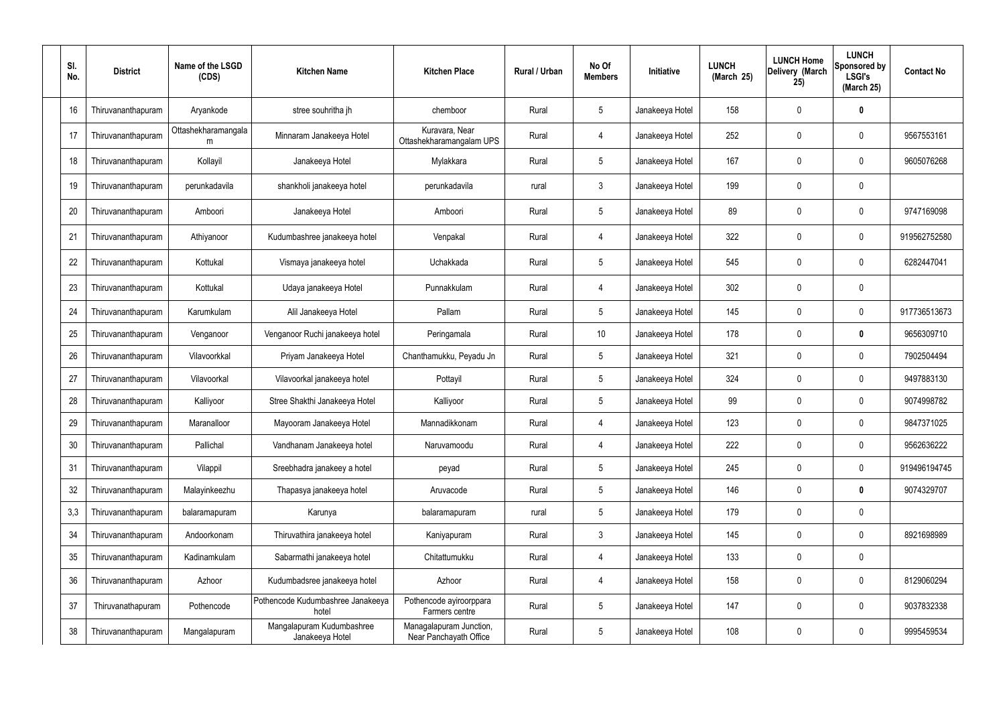| SI.<br>No. | <b>District</b>    | Name of the LSGD<br>(CDS) | <b>Kitchen Name</b>                          | <b>Kitchen Place</b>                              | Rural / Urban | No Of<br><b>Members</b> | Initiative      | <b>LUNCH</b><br>(March 25) | <b>LUNCH Home</b><br>Delivery (March<br>25) | <b>LUNCH</b><br>Sponsored by<br><b>LSGI's</b><br>(March 25) | <b>Contact No</b> |
|------------|--------------------|---------------------------|----------------------------------------------|---------------------------------------------------|---------------|-------------------------|-----------------|----------------------------|---------------------------------------------|-------------------------------------------------------------|-------------------|
| 16         | Thiruvananthapuram | Aryankode                 | stree souhritha jh                           | chemboor                                          | Rural         | $5\phantom{.0}$         | Janakeeya Hotel | 158                        | $\mathbf 0$                                 | 0                                                           |                   |
| 17         | Thiruvananthapuram | Ottashekharamangala<br>m  | Minnaram Janakeeya Hotel                     | Kuravara, Near<br>Ottashekharamangalam UPS        | Rural         | 4                       | Janakeeya Hotel | 252                        | $\mathbf 0$                                 | 0                                                           | 9567553161        |
| 18         | Thiruvananthapuram | Kollayil                  | Janakeeya Hotel                              | Mylakkara                                         | Rural         | $5\phantom{.0}$         | Janakeeya Hotel | 167                        | $\mathbf 0$                                 | $\mathbf 0$                                                 | 9605076268        |
| 19         | Thiruvananthapuram | perunkadavila             | shankholi janakeeya hotel                    | perunkadavila                                     | rural         | $\mathbf{3}$            | Janakeeya Hotel | 199                        | $\mathbf 0$                                 | $\pmb{0}$                                                   |                   |
| 20         | Thiruvananthapuram | Amboori                   | Janakeeya Hotel                              | Amboori                                           | Rural         | $5\phantom{.0}$         | Janakeeya Hotel | 89                         | $\mathbf 0$                                 | $\mathbf 0$                                                 | 9747169098        |
| 21         | Thiruvananthapuram | Athiyanoor                | Kudumbashree janakeeya hotel                 | Venpakal                                          | Rural         | 4                       | Janakeeya Hotel | 322                        | $\mathbf 0$                                 | 0                                                           | 919562752580      |
| 22         | Thiruvananthapuram | Kottukal                  | Vismaya janakeeya hotel                      | Uchakkada                                         | Rural         | $5\phantom{.0}$         | Janakeeya Hotel | 545                        | $\mathbf 0$                                 | $\mathbf 0$                                                 | 6282447041        |
| 23         | Thiruvananthapuram | Kottukal                  | Udaya janakeeya Hotel                        | Punnakkulam                                       | Rural         | 4                       | Janakeeya Hotel | 302                        | $\mathbf 0$                                 | $\pmb{0}$                                                   |                   |
| 24         | Thiruvananthapuram | Karumkulam                | Alil Janakeeya Hotel                         | Pallam                                            | Rural         | $5\overline{)}$         | Janakeeya Hotel | 145                        | $\pmb{0}$                                   | $\pmb{0}$                                                   | 917736513673      |
| 25         | Thiruvananthapuram | Venganoor                 | Venganoor Ruchi janakeeya hotel              | Peringamala                                       | Rural         | 10 <sup>°</sup>         | Janakeeya Hotel | 178                        | $\mathbf 0$                                 | $\bm{0}$                                                    | 9656309710        |
| 26         | Thiruvananthapuram | Vilavoorkkal              | Priyam Janakeeya Hotel                       | Chanthamukku, Peyadu Jn                           | Rural         | $5\overline{)}$         | Janakeeya Hotel | 321                        | $\mathbf 0$                                 | $\mathbf 0$                                                 | 7902504494        |
| 27         | Thiruvananthapuram | Vilavoorkal               | Vilavoorkal janakeeya hotel                  | Pottayil                                          | Rural         | $5\phantom{.0}$         | Janakeeya Hotel | 324                        | $\mathbf 0$                                 | $\mathbf 0$                                                 | 9497883130        |
| 28         | Thiruvananthapuram | Kalliyoor                 | Stree Shakthi Janakeeya Hotel                | Kalliyoor                                         | Rural         | $5\overline{)}$         | Janakeeya Hotel | 99                         | $\mathbf 0$                                 | $\mathbf 0$                                                 | 9074998782        |
| 29         | Thiruvananthapuram | Maranalloor               | Mayooram Janakeeya Hotel                     | Mannadikkonam                                     | Rural         | 4                       | Janakeeya Hotel | 123                        | $\overline{0}$                              | 0                                                           | 9847371025        |
| 30         | Thiruvananthapuram | Pallichal                 | Vandhanam Janakeeya hotel                    | Naruvamoodu                                       | Rural         | $\overline{4}$          | Janakeeya Hotel | 222                        | $\mathbf 0$                                 | $\mathbf 0$                                                 | 9562636222        |
| 31         | Thiruvananthapuram | Vilappil                  | Sreebhadra janakeey a hotel                  | peyad                                             | Rural         | $5\phantom{.0}$         | Janakeeya Hotel | 245                        | $\pmb{0}$                                   | $\pmb{0}$                                                   | 919496194745      |
| 32         | Thiruvananthapuram | Malayinkeezhu             | Thapasya janakeeya hotel                     | Aruvacode                                         | Rural         | $5\phantom{.0}$         | Janakeeya Hotel | 146                        | $\mathbf 0$                                 | $\bm{0}$                                                    | 9074329707        |
| 3,3        | Thiruvananthapuram | balaramapuram             | Karunya                                      | balaramapuram                                     | rural         | $5\phantom{.0}$         | Janakeeya Hotel | 179                        | $\mathbf 0$                                 | 0                                                           |                   |
| 34         | Thiruvananthapuram | Andoorkonam               | Thiruvathira janakeeya hotel                 | Kaniyapuram                                       | Rural         | $\mathbf{3}$            | Janakeeya Hotel | 145                        | $\mathbf 0$                                 | $\pmb{0}$                                                   | 8921698989        |
| 35         | Thiruvananthapuram | Kadinamkulam              | Sabarmathi janakeeya hotel                   | Chitattumukku                                     | Rural         | 4                       | Janakeeya Hotel | 133                        | $\pmb{0}$                                   | $\pmb{0}$                                                   |                   |
| 36         | Thiruvananthapuram | Azhoor                    | Kudumbadsree janakeeya hotel                 | Azhoor                                            | Rural         | 4                       | Janakeeya Hotel | 158                        | 0                                           | $\pmb{0}$                                                   | 8129060294        |
| 37         | Thiruvanathapuram  | Pothencode                | Pothencode Kudumbashree Janakeeya<br>hotel   | Pothencode ayiroorppara<br>Farmers centre         | Rural         | $\sqrt{5}$              | Janakeeya Hotel | 147                        | $\pmb{0}$                                   | $\pmb{0}$                                                   | 9037832338        |
| 38         | Thiruvananthapuram | Mangalapuram              | Mangalapuram Kudumbashree<br>Janakeeya Hotel | Managalapuram Junction,<br>Near Panchayath Office | Rural         | $5\phantom{.0}$         | Janakeeya Hotel | 108                        | $\pmb{0}$                                   | $\pmb{0}$                                                   | 9995459534        |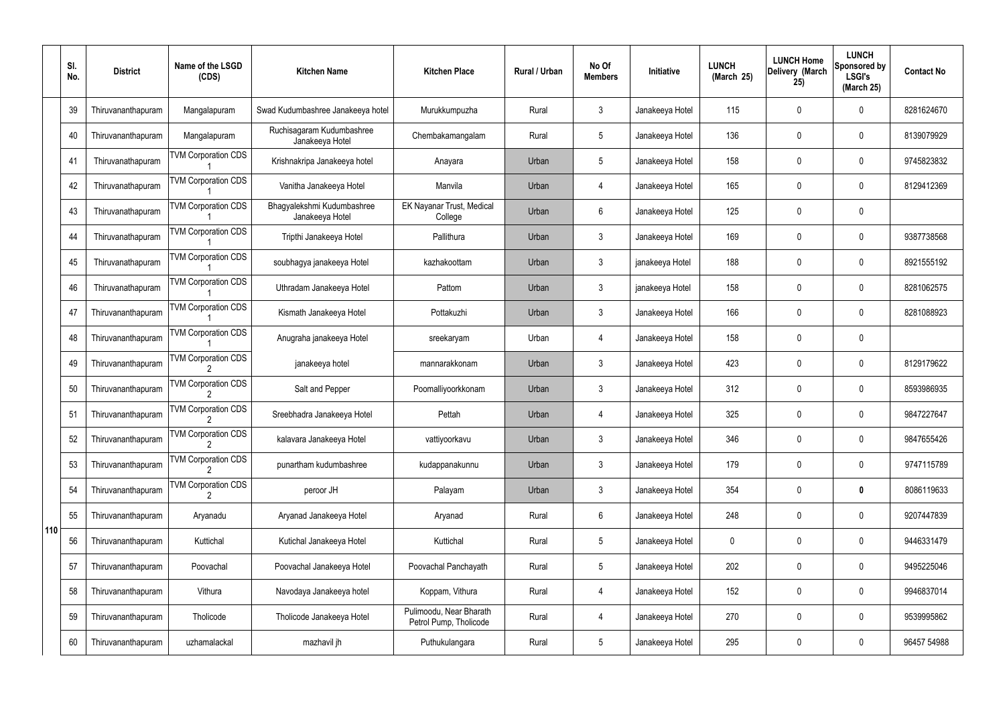|     | SI.<br>No. | <b>District</b>    | Name of the LSGD<br>(CDS)       | <b>Kitchen Name</b>                           | <b>Kitchen Place</b>                              | <b>Rural / Urban</b> | No Of<br><b>Members</b> | Initiative      | <b>LUNCH</b><br>(March 25) | <b>LUNCH Home</b><br>Delivery (March<br>25) | <b>LUNCH</b><br>Sponsored by<br><b>LSGI's</b><br>(March 25) | <b>Contact No</b> |
|-----|------------|--------------------|---------------------------------|-----------------------------------------------|---------------------------------------------------|----------------------|-------------------------|-----------------|----------------------------|---------------------------------------------|-------------------------------------------------------------|-------------------|
|     | 39         | Thiruvananthapuram | Mangalapuram                    | Swad Kudumbashree Janakeeya hotel             | Murukkumpuzha                                     | Rural                | 3                       | Janakeeya Hotel | 115                        | 0                                           | $\mathbf 0$                                                 | 8281624670        |
|     | 40         | Thiruvananthapuram | Mangalapuram                    | Ruchisagaram Kudumbashree<br>Janakeeya Hotel  | Chembakamangalam                                  | Rural                | $5\phantom{.0}$         | Janakeeya Hotel | 136                        | 0                                           | 0                                                           | 8139079929        |
|     | 41         | Thiruvanathapuram  | <b>TVM Corporation CDS</b>      | Krishnakripa Janakeeya hotel                  | Anayara                                           | Urban                | $5\overline{)}$         | Janakeeya Hotel | 158                        | 0                                           | $\mathbf 0$                                                 | 9745823832        |
|     | 42         | Thiruvanathapuram  | <b>TVM Corporation CDS</b>      | Vanitha Janakeeya Hotel                       | Manvila                                           | Urban                | $\overline{4}$          | Janakeeya Hotel | 165                        | 0                                           | $\pmb{0}$                                                   | 8129412369        |
|     | 43         | Thiruvanathapuram  | <b>TVM Corporation CDS</b>      | Bhagyalekshmi Kudumbashree<br>Janakeeya Hotel | EK Nayanar Trust, Medical<br>College              | Urban                | 6                       | Janakeeya Hotel | 125                        | 0                                           | $\pmb{0}$                                                   |                   |
|     | 44         | Thiruvanathapuram  | <b>TVM Corporation CDS</b>      | Tripthi Janakeeya Hotel                       | Pallithura                                        | Urban                | $\mathfrak{Z}$          | Janakeeya Hotel | 169                        | 0                                           | $\mathbf 0$                                                 | 9387738568        |
|     | 45         | Thiruvanathapuram  | <b>TVM Corporation CDS</b>      | soubhagya janakeeya Hotel                     | kazhakoottam                                      | Urban                | $\mathbf{3}$            | janakeeya Hotel | 188                        | 0                                           | $\mathbf 0$                                                 | 8921555192        |
|     | 46         | Thiruvanathapuram  | <b>TVM Corporation CDS</b>      | Uthradam Janakeeya Hotel                      | Pattom                                            | Urban                | 3                       | janakeeya Hotel | 158                        | 0                                           | $\mathbf 0$                                                 | 8281062575        |
|     | 47         | Thiruvananthapuram | <b>TVM Corporation CDS</b>      | Kismath Janakeeya Hotel                       | Pottakuzhi                                        | Urban                | $\mathbf{3}$            | Janakeeya Hotel | 166                        | 0                                           | $\mathbf 0$                                                 | 8281088923        |
|     | 48         | Thiruvananthapuram | <b>TVM Corporation CDS</b>      | Anugraha janakeeya Hotel                      | sreekaryam                                        | Urban                | $\overline{4}$          | Janakeeya Hotel | 158                        | $\mathbf{0}$                                | $\pmb{0}$                                                   |                   |
|     | 49         | Thiruvananthapuram | <b>TVM Corporation CDS</b>      | janakeeya hotel                               | mannarakkonam                                     | Urban                | $\mathbf{3}$            | Janakeeya Hotel | 423                        | 0                                           | $\mathbf 0$                                                 | 8129179622        |
|     | 50         | Thiruvananthapuram | <b>TVM Corporation CDS</b>      | Salt and Pepper                               | Poomalliyoorkkonam                                | Urban                | $\mathbf{3}$            | Janakeeya Hotel | 312                        | 0                                           | $\mathbf 0$                                                 | 8593986935        |
|     | 51         | Thiruvananthapuram | <b>TVM Corporation CDS</b>      | Sreebhadra Janakeeya Hotel                    | Pettah                                            | Urban                | 4                       | Janakeeya Hotel | 325                        | $\mathbf 0$                                 | $\mathbf 0$                                                 | 9847227647        |
|     | 52         | Thiruvananthapuram | <b>TVM Corporation CDS</b>      | kalavara Janakeeya Hotel                      | vattiyoorkavu                                     | Urban                | $\mathbf{3}$            | Janakeeya Hotel | 346                        | $\mathbf 0$                                 | $\pmb{0}$                                                   | 9847655426        |
|     | 53         | Thiruvananthapuram | <b>TVM Corporation CDS</b>      | punartham kudumbashree                        | kudappanakunnu                                    | Urban                | $\mathbf{3}$            | Janakeeya Hotel | 179                        | $\mathbf 0$                                 | $\pmb{0}$                                                   | 9747115789        |
|     | 54         | Thiruvananthapuram | <b>TVM Corporation CDS</b><br>2 | peroor JH                                     | Palayam                                           | Urban                | $\mathbf{3}$            | Janakeeya Hotel | 354                        | $\mathbf 0$                                 | $\pmb{0}$                                                   | 8086119633        |
|     | 55         | Thiruvananthapuram | Aryanadu                        | Aryanad Janakeeya Hotel                       | Aryanad                                           | Rural                | 6                       | Janakeeya Hotel | 248                        | $\mathbf 0$                                 | $\pmb{0}$                                                   | 9207447839        |
| 110 | 56         | Thiruvananthapuram | Kuttichal                       | Kutichal Janakeeya Hotel                      | Kuttichal                                         | Rural                | $5\phantom{.0}$         | Janakeeya Hotel | 0                          | $\mathbf 0$                                 | $\pmb{0}$                                                   | 9446331479        |
|     | 57         | Thiruvananthapuram | Poovachal                       | Poovachal Janakeeya Hotel                     | Poovachal Panchayath                              | Rural                | $5\phantom{.0}$         | Janakeeya Hotel | 202                        | $\mathbf 0$                                 | $\pmb{0}$                                                   | 9495225046        |
|     | 58         | Thiruvananthapuram | Vithura                         | Navodaya Janakeeya hotel                      | Koppam, Vithura                                   | Rural                | 4                       | Janakeeya Hotel | 152                        | $\mathbf 0$                                 | $\pmb{0}$                                                   | 9946837014        |
|     | 59         | Thiruvananthapuram | Tholicode                       | Tholicode Janakeeya Hotel                     | Pulimoodu, Near Bharath<br>Petrol Pump, Tholicode | Rural                | $\overline{4}$          | Janakeeya Hotel | 270                        | $\mathbf 0$                                 | $\pmb{0}$                                                   | 9539995862        |
|     | 60         | Thiruvananthapuram | uzhamalackal                    | mazhavil jh                                   | Puthukulangara                                    | Rural                | 5                       | Janakeeya Hotel | 295                        | 0                                           | 0                                                           | 96457 54988       |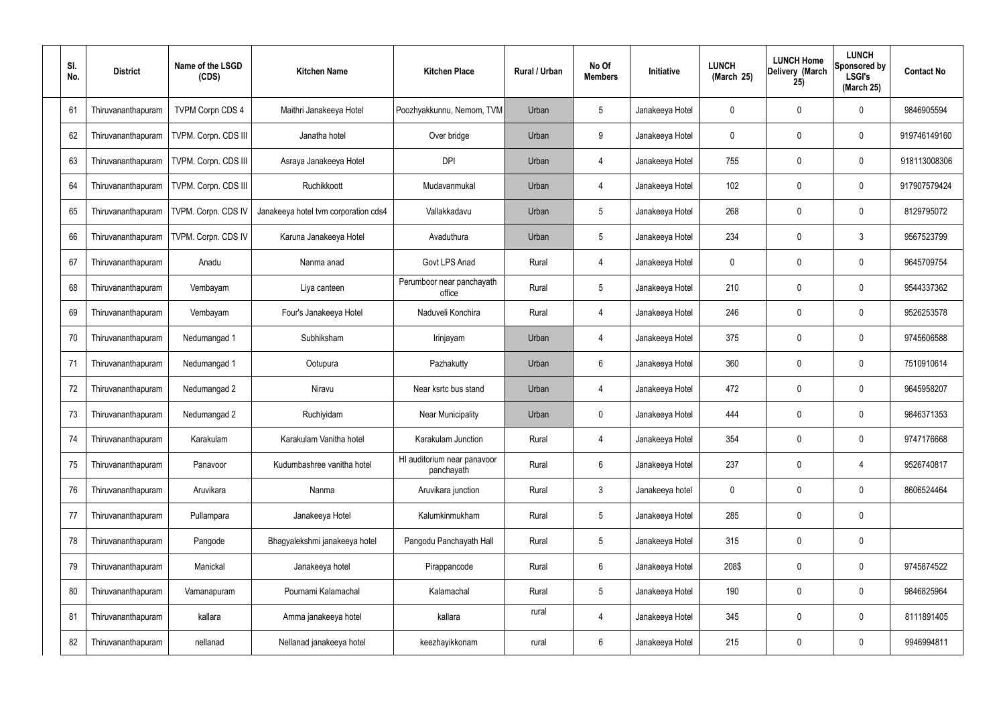| SI.<br>No. | <b>District</b>    | Name of the LSGD<br>(CDS) | <b>Kitchen Name</b>                  | <b>Kitchen Place</b>                      | Rural / Urban | No Of<br><b>Members</b> | Initiative      | <b>LUNCH</b><br>(March 25) | <b>LUNCH Home</b><br>Delivery (March<br>25) | <b>LUNCH</b><br>Sponsored by<br><b>LSGI's</b><br>(March 25) | <b>Contact No</b> |
|------------|--------------------|---------------------------|--------------------------------------|-------------------------------------------|---------------|-------------------------|-----------------|----------------------------|---------------------------------------------|-------------------------------------------------------------|-------------------|
| 61         | Thiruvananthapuram | <b>TVPM Corpn CDS 4</b>   | Maithri Janakeeya Hotel              | Poozhyakkunnu, Nemom, TVM                 | Urban         | $5\phantom{.0}$         | Janakeeya Hotel | 0                          | 0                                           | 0                                                           | 9846905594        |
| 62         | Thiruvananthapuram | TVPM. Corpn. CDS III      | Janatha hotel                        | Over bridge                               | Urban         | 9                       | Janakeeya Hotel | 0                          | 0                                           | $\pmb{0}$                                                   | 919746149160      |
| 63         | Thiruvananthapuram | TVPM. Corpn. CDS III      | Asraya Janakeeya Hotel               | <b>DPI</b>                                | Urban         | $\overline{4}$          | Janakeeya Hotel | 755                        | 0                                           | $\mathbf 0$                                                 | 918113008306      |
| 64         | Thiruvananthapuram | TVPM. Corpn. CDS III      | Ruchikkoott                          | Mudavanmukal                              | Urban         | $\overline{4}$          | Janakeeya Hotel | 102                        | 0                                           | $\mathbf 0$                                                 | 917907579424      |
| 65         | Thiruvananthapuram | TVPM. Corpn. CDS IV       | Janakeeya hotel tvm corporation cds4 | Vallakkadavu                              | Urban         | $5\phantom{.0}$         | Janakeeya Hotel | 268                        | 0                                           | $\mathbf 0$                                                 | 8129795072        |
| 66         | Thiruvananthapuram | TVPM. Corpn. CDS IV       | Karuna Janakeeya Hotel               | Avaduthura                                | Urban         | $5\phantom{.0}$         | Janakeeya Hotel | 234                        | 0                                           | 3                                                           | 9567523799        |
| 67         | Thiruvananthapuram | Anadu                     | Nanma anad                           | <b>Govt LPS Anad</b>                      | Rural         | 4                       | Janakeeya Hotel | 0                          | 0                                           | $\mathbf 0$                                                 | 9645709754        |
| 68         | Thiruvananthapuram | Vembayam                  | Liya canteen                         | Perumboor near panchayath<br>office       | Rural         | $5\phantom{.0}$         | Janakeeya Hotel | 210                        | 0                                           | $\mathbf 0$                                                 | 9544337362        |
| 69         | Thiruvananthapuram | Vembayam                  | Four's Janakeeya Hotel               | Naduveli Konchira                         | Rural         | 4                       | Janakeeya Hotel | 246                        | 0                                           | $\mathbf 0$                                                 | 9526253578        |
| 70         | Thiruvananthapuram | Nedumangad 1              | Subhiksham                           | Irinjayam                                 | Urban         | 4                       | Janakeeya Hotel | 375                        | 0                                           | $\boldsymbol{0}$                                            | 9745606588        |
| 71         | Thiruvananthapuram | Nedumangad 1              | Ootupura                             | Pazhakutty                                | Urban         | 6                       | Janakeeya Hotel | 360                        | 0                                           | $\boldsymbol{0}$                                            | 7510910614        |
| 72         | Thiruvananthapuram | Nedumangad 2              | Niravu                               | Near ksrtc bus stand                      | Urban         | 4                       | Janakeeya Hotel | 472                        | 0                                           | $\boldsymbol{0}$                                            | 9645958207        |
| 73         | Thiruvananthapuram | Nedumangad 2              | Ruchiyidam                           | <b>Near Municipality</b>                  | Urban         | $\mathbf 0$             | Janakeeya Hotel | 444                        | 0                                           | 0                                                           | 9846371353        |
| 74         | Thiruvananthapuram | Karakulam                 | Karakulam Vanitha hotel              | Karakulam Junction                        | Rural         | 4                       | Janakeeya Hotel | 354                        | 0                                           | $\mathbf 0$                                                 | 9747176668        |
| 75         | Thiruvananthapuram | Panavoor                  | Kudumbashree vanitha hotel           | HI auditorium near panavoor<br>panchayath | Rural         | $6\phantom{.}$          | Janakeeya Hotel | 237                        | 0                                           | 4                                                           | 9526740817        |
| 76         | Thiruvananthapuram | Aruvikara                 | Nanma                                | Aruvikara junction                        | Rural         | $\mathbf{3}$            | Janakeeya hotel | 0                          | 0                                           | $\boldsymbol{0}$                                            | 8606524464        |
| 77         | Thiruvananthapuram | Pullampara                | Janakeeya Hotel                      | Kalumkinmukham                            | Rural         | $5\phantom{.0}$         | Janakeeya Hotel | 285                        | 0                                           | $\mathbf 0$                                                 |                   |
| 78         | Thiruvananthapuram | Pangode                   | Bhagyalekshmi janakeeya hotel        | Pangodu Panchayath Hall                   | Rural         | $5\phantom{.0}$         | Janakeeya Hotel | 315                        | 0                                           | $\mathbf 0$                                                 |                   |
| 79         | Thiruvananthapuram | Manickal                  | Janakeeya hotel                      | Pirappancode                              | Rural         | $6\phantom{.}$          | Janakeeya Hotel | 208\$                      | 0                                           | $\pmb{0}$                                                   | 9745874522        |
| 80         | Thiruvananthapuram | Vamanapuram               | Pournami Kalamachal                  | Kalamachal                                | Rural         | $5\phantom{.0}$         | Janakeeya Hotel | 190                        | 0                                           | $\mathbf 0$                                                 | 9846825964        |
| 81         | Thiruvananthapuram | kallara                   | Amma janakeeya hotel                 | kallara                                   | rural         | 4                       | Janakeeya Hotel | 345                        | 0                                           | $\pmb{0}$                                                   | 8111891405        |
| 82         | Thiruvananthapuram | nellanad                  | Nellanad janakeeya hotel             | keezhayikkonam                            | rural         | 6                       | Janakeeya Hotel | 215                        | 0                                           | $\pmb{0}$                                                   | 9946994811        |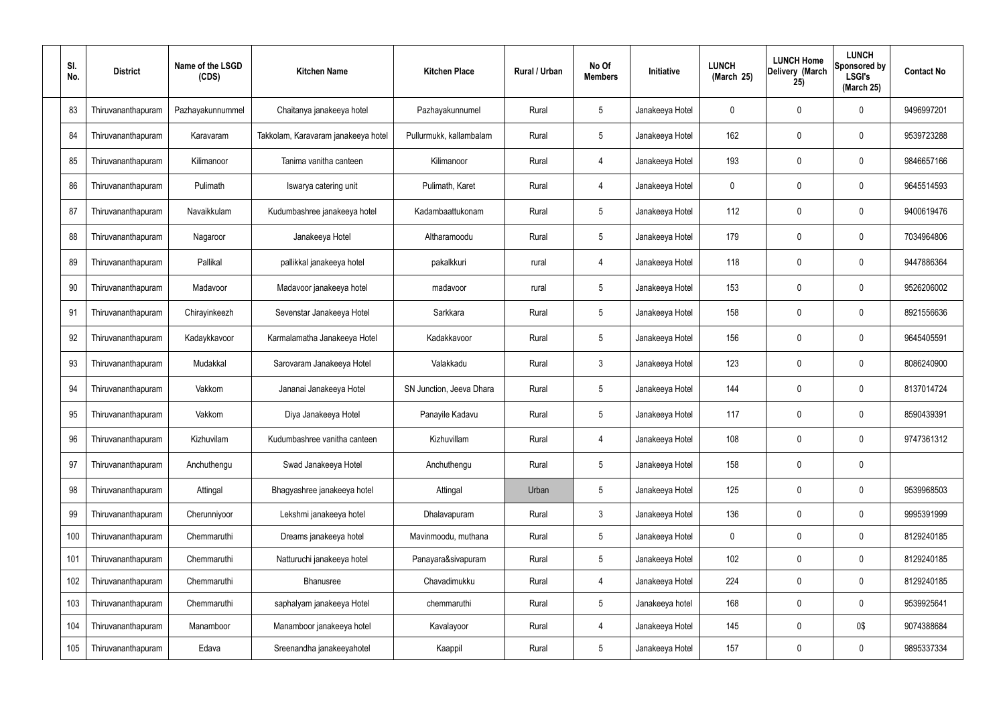| SI.<br>No. | <b>District</b>    | Name of the LSGD<br>(CDS) | <b>Kitchen Name</b>                 | <b>Kitchen Place</b>     | Rural / Urban | No Of<br><b>Members</b> | Initiative      | <b>LUNCH</b><br>(March 25) | <b>LUNCH Home</b><br>Delivery (March<br>25) | <b>LUNCH</b><br>Sponsored by<br><b>LSGI's</b><br>(March 25) | <b>Contact No</b> |
|------------|--------------------|---------------------------|-------------------------------------|--------------------------|---------------|-------------------------|-----------------|----------------------------|---------------------------------------------|-------------------------------------------------------------|-------------------|
| 83         | Thiruvananthapuram | Pazhayakunnummel          | Chaitanya janakeeya hotel           | Pazhayakunnumel          | Rural         | $5\phantom{.0}$         | Janakeeya Hotel | 0                          | 0                                           | 0                                                           | 9496997201        |
| 84         | Thiruvananthapuram | Karavaram                 | Takkolam, Karavaram janakeeya hotel | Pullurmukk, kallambalam  | Rural         | $5\phantom{.0}$         | Janakeeya Hotel | 162                        | 0                                           | $\mathbf 0$                                                 | 9539723288        |
| 85         | Thiruvananthapuram | Kilimanoor                | Tanima vanitha canteen              | Kilimanoor               | Rural         | $\overline{4}$          | Janakeeya Hotel | 193                        | 0                                           | $\mathbf 0$                                                 | 9846657166        |
| 86         | Thiruvananthapuram | Pulimath                  | Iswarya catering unit               | Pulimath, Karet          | Rural         | $\overline{4}$          | Janakeeya Hotel | $\mathbf 0$                | 0                                           | $\mathbf 0$                                                 | 9645514593        |
| 87         | Thiruvananthapuram | Navaikkulam               | Kudumbashree janakeeya hotel        | Kadambaattukonam         | Rural         | $5\phantom{.0}$         | Janakeeya Hotel | 112                        | 0                                           | $\mathbf 0$                                                 | 9400619476        |
| 88         | Thiruvananthapuram | Nagaroor                  | Janakeeya Hotel                     | Altharamoodu             | Rural         | $5\phantom{.0}$         | Janakeeya Hotel | 179                        | 0                                           | $\mathbf 0$                                                 | 7034964806        |
| 89         | Thiruvananthapuram | Pallikal                  | pallikkal janakeeya hotel           | pakalkkuri               | rural         | $\overline{4}$          | Janakeeya Hotel | 118                        | 0                                           | $\mathbf 0$                                                 | 9447886364        |
| 90         | Thiruvananthapuram | Madavoor                  | Madavoor janakeeya hotel            | madavoor                 | rural         | $5\phantom{.0}$         | Janakeeya Hotel | 153                        | 0                                           | $\mathbf 0$                                                 | 9526206002        |
| 91         | Thiruvananthapuram | Chirayinkeezh             | Sevenstar Janakeeya Hotel           | Sarkkara                 | Rural         | $5\phantom{.0}$         | Janakeeya Hotel | 158                        | 0                                           | $\mathbf 0$                                                 | 8921556636        |
| 92         | Thiruvananthapuram | Kadaykkavoor              | Karmalamatha Janakeeya Hotel        | Kadakkavoor              | Rural         | $5\phantom{.0}$         | Janakeeya Hotel | 156                        | 0                                           | $\boldsymbol{0}$                                            | 9645405591        |
| 93         | Thiruvananthapuram | Mudakkal                  | Sarovaram Janakeeya Hotel           | Valakkadu                | Rural         | $\mathbf{3}$            | Janakeeya Hotel | 123                        | 0                                           | 0                                                           | 8086240900        |
| 94         | Thiruvananthapuram | Vakkom                    | Jananai Janakeeya Hotel             | SN Junction, Jeeva Dhara | Rural         | $5\phantom{.0}$         | Janakeeya Hotel | 144                        | 0                                           | $\boldsymbol{0}$                                            | 8137014724        |
| 95         | Thiruvananthapuram | Vakkom                    | Diya Janakeeya Hotel                | Panayile Kadavu          | Rural         | $5\phantom{.0}$         | Janakeeya Hotel | 117                        | 0                                           | 0                                                           | 8590439391        |
| 96         | Thiruvananthapuram | Kizhuvilam                | Kudumbashree vanitha canteen        | Kizhuvillam              | Rural         | $\overline{4}$          | Janakeeya Hotel | 108                        | 0                                           | $\mathbf 0$                                                 | 9747361312        |
| 97         | Thiruvananthapuram | Anchuthengu               | Swad Janakeeya Hotel                | Anchuthengu              | Rural         | $5\phantom{.0}$         | Janakeeya Hotel | 158                        | 0                                           | $\mathbf 0$                                                 |                   |
| 98         | Thiruvananthapuram | Attingal                  | Bhagyashree janakeeya hotel         | Attingal                 | Urban         | $5\phantom{.0}$         | Janakeeya Hotel | 125                        | 0                                           | $\mathbf 0$                                                 | 9539968503        |
| 99         | Thiruvananthapuram | Cherunniyoor              | Lekshmi janakeeya hotel             | Dhalavapuram             | Rural         | $\mathbf{3}$            | Janakeeya Hotel | 136                        | 0                                           | $\pmb{0}$                                                   | 9995391999        |
| 100        | Thiruvananthapuram | Chemmaruthi               | Dreams janakeeya hotel              | Mavinmoodu, muthana      | Rural         | $5\phantom{.0}$         | Janakeeya Hotel | $\mathbf 0$                | $\mathbf 0$                                 | $\mathbf 0$                                                 | 8129240185        |
| 101        | Thiruvananthapuram | Chemmaruthi               | Natturuchi janakeeya hotel          | Panayara&sivapuram       | Rural         | $5\phantom{.0}$         | Janakeeya Hotel | 102                        | 0                                           | $\pmb{0}$                                                   | 8129240185        |
| 102        | Thiruvananthapuram | Chemmaruthi               | Bhanusree                           | Chavadimukku             | Rural         | 4                       | Janakeeya Hotel | 224                        | $\mathbf 0$                                 | $\mathbf 0$                                                 | 8129240185        |
| 103        | Thiruvananthapuram | Chemmaruthi               | saphalyam janakeeya Hotel           | chemmaruthi              | Rural         | $5\phantom{.0}$         | Janakeeya hotel | 168                        | 0                                           | $\mathbf 0$                                                 | 9539925641        |
| 104        | Thiruvananthapuram | Manamboor                 | Manamboor janakeeya hotel           | Kavalayoor               | Rural         | 4                       | Janakeeya Hotel | 145                        | $\mathbf 0$                                 | 0\$                                                         | 9074388684        |
| 105        | Thiruvananthapuram | Edava                     | Sreenandha janakeeyahotel           | Kaappil                  | Rural         | $5\phantom{.0}$         | Janakeeya Hotel | 157                        | $\boldsymbol{0}$                            | $\boldsymbol{0}$                                            | 9895337334        |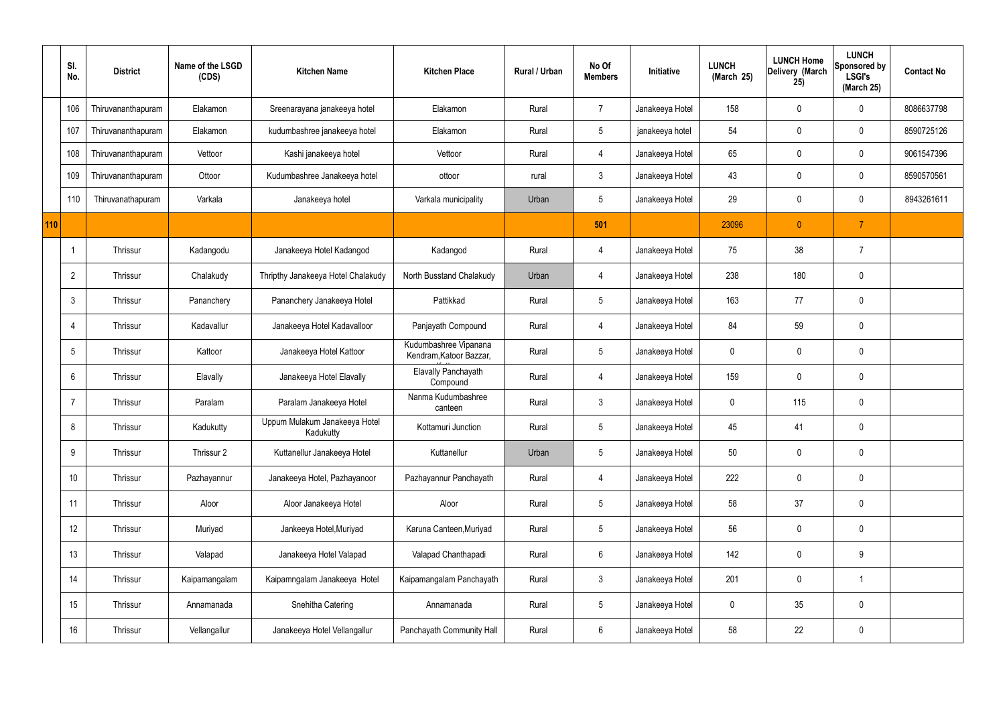|     | SI.<br>No.      | <b>District</b>    | Name of the LSGD<br>(CDS) | <b>Kitchen Name</b>                        | <b>Kitchen Place</b>                             | Rural / Urban | No Of<br><b>Members</b> | Initiative      | <b>LUNCH</b><br>(March 25) | <b>LUNCH Home</b><br>Delivery (March<br>25) | <b>LUNCH</b><br>Sponsored by<br><b>LSGI's</b><br>(March 25) | <b>Contact No</b> |
|-----|-----------------|--------------------|---------------------------|--------------------------------------------|--------------------------------------------------|---------------|-------------------------|-----------------|----------------------------|---------------------------------------------|-------------------------------------------------------------|-------------------|
|     | 106             | Thiruvananthapuram | Elakamon                  | Sreenarayana janakeeya hotel               | Elakamon                                         | Rural         | $\overline{7}$          | Janakeeya Hotel | 158                        | 0                                           | $\mathbf 0$                                                 | 8086637798        |
|     | 107             | Thiruvananthapuram | Elakamon                  | kudumbashree janakeeya hotel               | Elakamon                                         | Rural         | $5\phantom{.0}$         | janakeeya hotel | 54                         | $\mathbf 0$                                 | $\mathbf 0$                                                 | 8590725126        |
|     | 108             | Thiruvananthapuram | Vettoor                   | Kashi janakeeya hotel                      | Vettoor                                          | Rural         | 4                       | Janakeeya Hotel | 65                         | $\mathbf 0$                                 | $\mathbf 0$                                                 | 9061547396        |
|     | 109             | Thiruvananthapuram | Ottoor                    | Kudumbashree Janakeeya hotel               | ottoor                                           | rural         | $\mathbf{3}$            | Janakeeya Hotel | 43                         | $\mathbf 0$                                 | $\mathbf 0$                                                 | 8590570561        |
|     | 110             | Thiruvanathapuram  | Varkala                   | Janakeeya hotel                            | Varkala municipality                             | Urban         | $5\phantom{.0}$         | Janakeeya Hotel | 29                         | $\boldsymbol{0}$                            | $\mathbf 0$                                                 | 8943261611        |
| 110 |                 |                    |                           |                                            |                                                  |               | 501                     |                 | 23096                      | $\mathbf{0}$                                | $\overline{7}$                                              |                   |
|     |                 | Thrissur           | Kadangodu                 | Janakeeya Hotel Kadangod                   | Kadangod                                         | Rural         | 4                       | Janakeeya Hotel | 75                         | 38                                          | $\overline{7}$                                              |                   |
|     | $\overline{2}$  | Thrissur           | Chalakudy                 | Thripthy Janakeeya Hotel Chalakudy         | North Busstand Chalakudy                         | Urban         | 4                       | Janakeeya Hotel | 238                        | 180                                         | $\mathbf 0$                                                 |                   |
|     | $\mathbf{3}$    | Thrissur           | Pananchery                | Pananchery Janakeeya Hotel                 | Pattikkad                                        | Rural         | $5\phantom{.0}$         | Janakeeya Hotel | 163                        | 77                                          | $\mathbf 0$                                                 |                   |
|     | $\overline{4}$  | Thrissur           | Kadavallur                | Janakeeya Hotel Kadavalloor                | Panjayath Compound                               | Rural         | 4                       | Janakeeya Hotel | 84                         | 59                                          | $\mathbf 0$                                                 |                   |
|     | $5\overline{)}$ | Thrissur           | Kattoor                   | Janakeeya Hotel Kattoor                    | Kudumbashree Vipanana<br>Kendram, Katoor Bazzar, | Rural         | $5\phantom{.0}$         | Janakeeya Hotel | $\mathbf 0$                | 0                                           | $\mathbf 0$                                                 |                   |
|     | 6               | Thrissur           | Elavally                  | Janakeeya Hotel Elavally                   | Elavally Panchayath<br>Compound                  | Rural         | 4                       | Janakeeya Hotel | 159                        | $\pmb{0}$                                   | $\mathbf 0$                                                 |                   |
|     | $\overline{7}$  | Thrissur           | Paralam                   | Paralam Janakeeya Hotel                    | Nanma Kudumbashree<br>canteen                    | Rural         | $\mathbf{3}$            | Janakeeya Hotel | $\mathbf 0$                | 115                                         | $\pmb{0}$                                                   |                   |
|     | 8               | Thrissur           | Kadukutty                 | Uppum Mulakum Janakeeya Hotel<br>Kadukutty | Kottamuri Junction                               | Rural         | $\sqrt{5}$              | Janakeeya Hotel | 45                         | 41                                          | $\mathbf 0$                                                 |                   |
|     | 9               | Thrissur           | Thrissur 2                | Kuttanellur Janakeeya Hotel                | Kuttanellur                                      | Urban         | $5\phantom{.0}$         | Janakeeya Hotel | 50                         | $\pmb{0}$                                   | $\mathbf 0$                                                 |                   |
|     | 10 <sup>°</sup> | Thrissur           | Pazhayannur               | Janakeeya Hotel, Pazhayanoor               | Pazhayannur Panchayath                           | Rural         | $\overline{4}$          | Janakeeya Hotel | 222                        | $\pmb{0}$                                   | $\mathbf 0$                                                 |                   |
|     | 11              | Thrissur           | Aloor                     | Aloor Janakeeya Hotel                      | Aloor                                            | Rural         | $5\phantom{.0}$         | Janakeeya Hotel | 58                         | 37                                          | $\mathbf 0$                                                 |                   |
|     | 12              | Thrissur           | Muriyad                   | Jankeeya Hotel, Muriyad                    | Karuna Canteen, Muriyad                          | Rural         | $5\phantom{.0}$         | Janakeeya Hotel | 56                         | 0                                           | $\mathbf 0$                                                 |                   |
|     | 13              | Thrissur           | Valapad                   | Janakeeya Hotel Valapad                    | Valapad Chanthapadi                              | Rural         | $6\overline{6}$         | Janakeeya Hotel | 142                        | 0                                           | 9                                                           |                   |
|     | 14              | Thrissur           | Kaipamangalam             | Kaipamngalam Janakeeya Hotel               | Kaipamangalam Panchayath                         | Rural         | $\mathbf{3}$            | Janakeeya Hotel | 201                        | 0                                           | $\overline{\phantom{a}}$                                    |                   |
|     | 15              | Thrissur           | Annamanada                | Snehitha Catering                          | Annamanada                                       | Rural         | $5\phantom{.0}$         | Janakeeya Hotel | 0                          | 35                                          | $\mathbf 0$                                                 |                   |
|     | 16              | Thrissur           | Vellangallur              | Janakeeya Hotel Vellangallur               | Panchayath Community Hall                        | Rural         | $6\overline{6}$         | Janakeeya Hotel | 58                         | 22                                          | $\pmb{0}$                                                   |                   |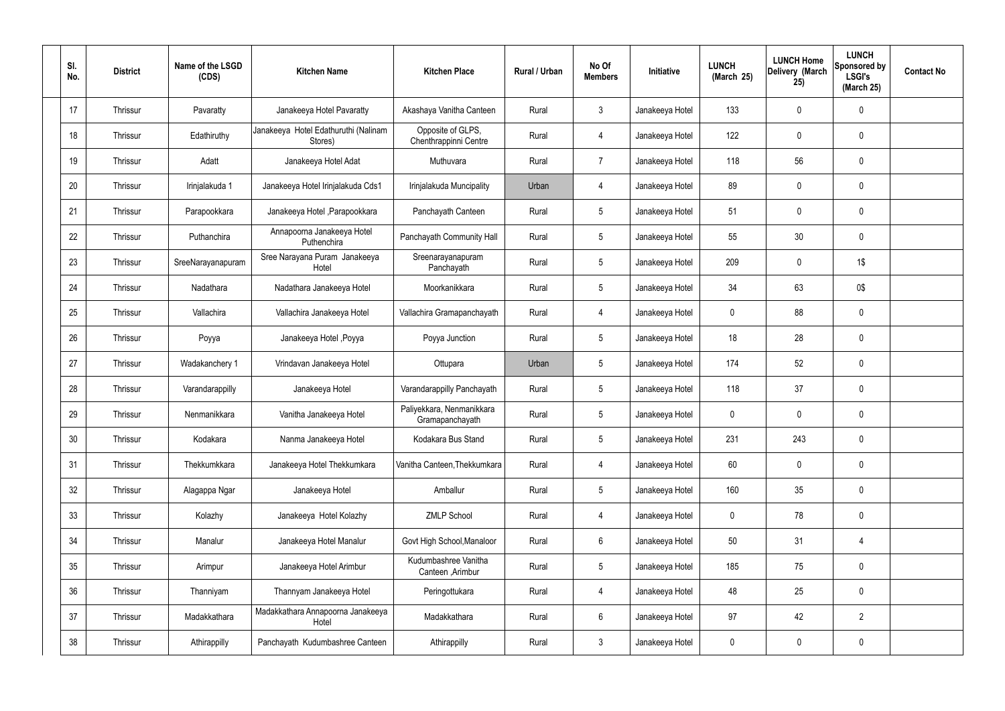| SI.<br>No. | <b>District</b> | Name of the LSGD<br>(CDS) | <b>Kitchen Name</b>                             | <b>Kitchen Place</b>                         | Rural / Urban | No Of<br><b>Members</b> | Initiative      | <b>LUNCH</b><br>(March 25) | <b>LUNCH Home</b><br>Delivery (March<br>25) | <b>LUNCH</b><br>Sponsored by<br><b>LSGI's</b><br>(March 25) | <b>Contact No</b> |
|------------|-----------------|---------------------------|-------------------------------------------------|----------------------------------------------|---------------|-------------------------|-----------------|----------------------------|---------------------------------------------|-------------------------------------------------------------|-------------------|
| 17         | Thrissur        | Pavaratty                 | Janakeeya Hotel Pavaratty                       | Akashaya Vanitha Canteen                     | Rural         | $\mathbf{3}$            | Janakeeya Hotel | 133                        | 0                                           | $\mathbf 0$                                                 |                   |
| 18         | Thrissur        | Edathiruthy               | Janakeeya Hotel Edathuruthi (Nalinam<br>Stores) | Opposite of GLPS,<br>Chenthrappinni Centre   | Rural         | $\overline{4}$          | Janakeeya Hotel | 122                        | 0                                           | $\pmb{0}$                                                   |                   |
| 19         | Thrissur        | Adatt                     | Janakeeya Hotel Adat                            | Muthuvara                                    | Rural         | $\overline{7}$          | Janakeeya Hotel | 118                        | 56                                          | $\pmb{0}$                                                   |                   |
| 20         | Thrissur        | Irinjalakuda 1            | Janakeeya Hotel Irinjalakuda Cds1               | Irinjalakuda Muncipality                     | Urban         | 4                       | Janakeeya Hotel | 89                         | 0                                           | $\pmb{0}$                                                   |                   |
| 21         | Thrissur        | Parapookkara              | Janakeeya Hotel , Parapookkara                  | Panchayath Canteen                           | Rural         | $5\phantom{.0}$         | Janakeeya Hotel | 51                         | 0                                           | $\pmb{0}$                                                   |                   |
| 22         | Thrissur        | Puthanchira               | Annapoorna Janakeeya Hotel<br>Puthenchira       | Panchayath Community Hall                    | Rural         | $5\phantom{.0}$         | Janakeeya Hotel | 55                         | 30                                          | $\pmb{0}$                                                   |                   |
| 23         | Thrissur        | SreeNarayanapuram         | Sree Narayana Puram Janakeeya<br>Hotel          | Sreenarayanapuram<br>Panchayath              | Rural         | $5\phantom{.0}$         | Janakeeya Hotel | 209                        | 0                                           | $1\$                                                        |                   |
| 24         | Thrissur        | Nadathara                 | Nadathara Janakeeya Hotel                       | Moorkanikkara                                | Rural         | $5\phantom{.0}$         | Janakeeya Hotel | 34                         | 63                                          | 0\$                                                         |                   |
| 25         | Thrissur        | Vallachira                | Vallachira Janakeeya Hotel                      | Vallachira Gramapanchayath                   | Rural         | 4                       | Janakeeya Hotel | $\mathbf 0$                | 88                                          | $\pmb{0}$                                                   |                   |
| 26         | Thrissur        | Poyya                     | Janakeeya Hotel , Poyya                         | Poyya Junction                               | Rural         | $5\phantom{.0}$         | Janakeeya Hotel | 18                         | 28                                          | $\pmb{0}$                                                   |                   |
| 27         | Thrissur        | Wadakanchery 1            | Vrindavan Janakeeya Hotel                       | Ottupara                                     | Urban         | $5\phantom{.0}$         | Janakeeya Hotel | 174                        | 52                                          | $\pmb{0}$                                                   |                   |
| 28         | Thrissur        | Varandarappilly           | Janakeeya Hotel                                 | Varandarappilly Panchayath                   | Rural         | $5\phantom{.0}$         | Janakeeya Hotel | 118                        | 37                                          | $\pmb{0}$                                                   |                   |
| 29         | Thrissur        | Nenmanikkara              | Vanitha Janakeeya Hotel                         | Paliyekkara, Nenmanikkara<br>Gramapanchayath | Rural         | $5\phantom{.0}$         | Janakeeya Hotel | 0                          | 0                                           | $\mathbf 0$                                                 |                   |
| 30         | Thrissur        | Kodakara                  | Nanma Janakeeya Hotel                           | Kodakara Bus Stand                           | Rural         | $5\phantom{.0}$         | Janakeeya Hotel | 231                        | 243                                         | $\pmb{0}$                                                   |                   |
| 31         | Thrissur        | Thekkumkkara              | Janakeeya Hotel Thekkumkara                     | Vanitha Canteen, Thekkumkara                 | Rural         | $\overline{4}$          | Janakeeya Hotel | 60                         | 0                                           | $\pmb{0}$                                                   |                   |
| 32         | Thrissur        | Alagappa Ngar             | Janakeeya Hotel                                 | Amballur                                     | Rural         | $5\phantom{.0}$         | Janakeeya Hotel | 160                        | 35                                          | $\pmb{0}$                                                   |                   |
| 33         | Thrissur        | Kolazhy                   | Janakeeya Hotel Kolazhy                         | <b>ZMLP School</b>                           | Rural         | $\overline{4}$          | Janakeeya Hotel | 0                          | 78                                          | $\pmb{0}$                                                   |                   |
| 34         | Thrissur        | Manalur                   | Janakeeya Hotel Manalur                         | Govt High School, Manaloor                   | Rural         | $6\overline{6}$         | Janakeeya Hotel | 50                         | 31                                          | $\overline{4}$                                              |                   |
| 35         | Thrissur        | Arimpur                   | Janakeeya Hotel Arimbur                         | Kudumbashree Vanitha<br>Canteen, Arimbur     | Rural         | $5\phantom{.0}$         | Janakeeya Hotel | 185                        | 75                                          | $\pmb{0}$                                                   |                   |
| 36         | Thrissur        | Thanniyam                 | Thannyam Janakeeya Hotel                        | Peringottukara                               | Rural         | $\overline{4}$          | Janakeeya Hotel | 48                         | 25                                          | $\pmb{0}$                                                   |                   |
| 37         | Thrissur        | Madakkathara              | Madakkathara Annapoorna Janakeeya<br>Hotel      | Madakkathara                                 | Rural         | $6\,$                   | Janakeeya Hotel | 97                         | 42                                          | $\overline{2}$                                              |                   |
| 38         | Thrissur        | Athirappilly              | Panchayath Kudumbashree Canteen                 | Athirappilly                                 | Rural         | $\mathfrak{Z}$          | Janakeeya Hotel | $\pmb{0}$                  | 0                                           | $\pmb{0}$                                                   |                   |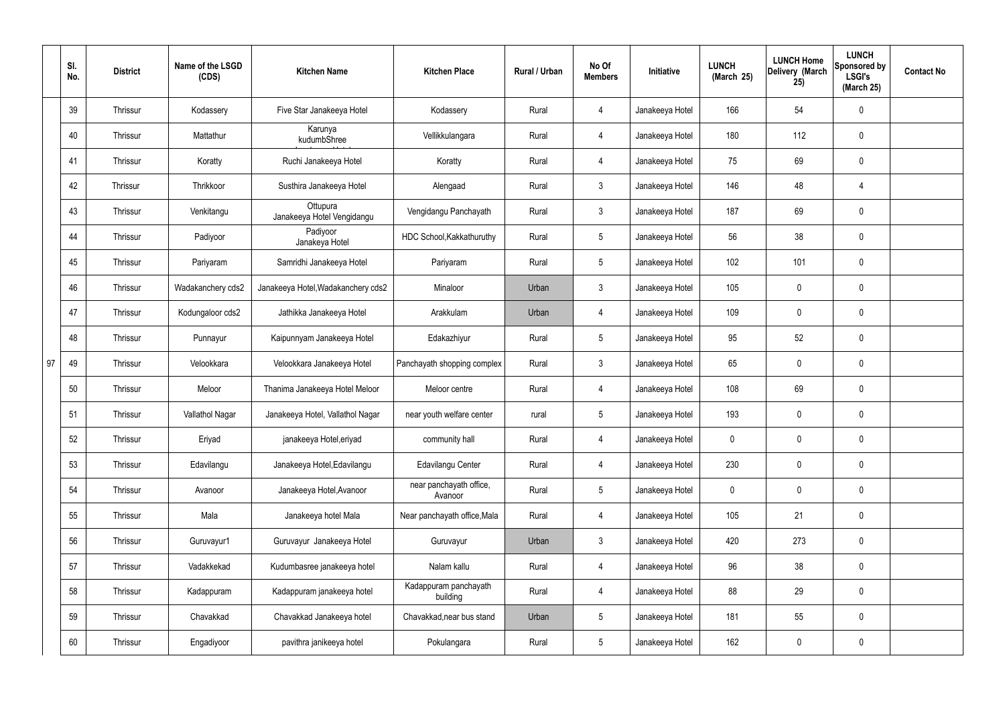|    | SI.<br>No. | <b>District</b> | Name of the LSGD<br>(CDS) | <b>Kitchen Name</b>                    | <b>Kitchen Place</b>               | Rural / Urban | No Of<br><b>Members</b> | Initiative      | <b>LUNCH</b><br>(March 25) | <b>LUNCH Home</b><br>Delivery (March<br>25) | <b>LUNCH</b><br>Sponsored by<br><b>LSGI's</b><br>(March 25) | <b>Contact No</b> |
|----|------------|-----------------|---------------------------|----------------------------------------|------------------------------------|---------------|-------------------------|-----------------|----------------------------|---------------------------------------------|-------------------------------------------------------------|-------------------|
|    | 39         | Thrissur        | Kodassery                 | Five Star Janakeeya Hotel              | Kodassery                          | Rural         | $\overline{4}$          | Janakeeya Hotel | 166                        | 54                                          | $\mathbf 0$                                                 |                   |
|    | 40         | Thrissur        | Mattathur                 | Karunya<br>kudumbShree                 | Vellikkulangara                    | Rural         | $\overline{4}$          | Janakeeya Hotel | 180                        | 112                                         | $\pmb{0}$                                                   |                   |
|    | 41         | Thrissur        | Koratty                   | Ruchi Janakeeya Hotel                  | Koratty                            | Rural         | $\overline{4}$          | Janakeeya Hotel | 75                         | 69                                          | $\mathbf 0$                                                 |                   |
|    | 42         | Thrissur        | Thrikkoor                 | Susthira Janakeeya Hotel               | Alengaad                           | Rural         | $\mathbf{3}$            | Janakeeya Hotel | 146                        | 48                                          | $\overline{4}$                                              |                   |
|    | 43         | Thrissur        | Venkitangu                | Ottupura<br>Janakeeya Hotel Vengidangu | Vengidangu Panchayath              | Rural         | $\mathbf{3}$            | Janakeeya Hotel | 187                        | 69                                          | $\mathbf 0$                                                 |                   |
|    | 44         | Thrissur        | Padiyoor                  | Padiyoor<br>Janakeya Hotel             | HDC School, Kakkathuruthy          | Rural         | $5\phantom{.0}$         | Janakeeya Hotel | 56                         | 38                                          | $\mathbf 0$                                                 |                   |
|    | 45         | Thrissur        | Pariyaram                 | Samridhi Janakeeya Hotel               | Pariyaram                          | Rural         | $5\overline{)}$         | Janakeeya Hotel | 102                        | 101                                         | $\mathbf 0$                                                 |                   |
|    | 46         | Thrissur        | Wadakanchery cds2         | Janakeeya Hotel, Wadakanchery cds2     | Minaloor                           | Urban         | $\mathbf{3}$            | Janakeeya Hotel | 105                        | 0                                           | $\mathbf 0$                                                 |                   |
|    | 47         | Thrissur        | Kodungaloor cds2          | Jathikka Janakeeya Hotel               | Arakkulam                          | Urban         | $\overline{4}$          | Janakeeya Hotel | 109                        | 0                                           | $\mathbf 0$                                                 |                   |
|    | 48         | Thrissur        | Punnayur                  | Kaipunnyam Janakeeya Hotel             | Edakazhiyur                        | Rural         | $5\phantom{.0}$         | Janakeeya Hotel | 95                         | 52                                          | $\pmb{0}$                                                   |                   |
| 97 | 49         | Thrissur        | Velookkara                | Velookkara Janakeeya Hotel             | Panchayath shopping complex        | Rural         | $\mathbf{3}$            | Janakeeya Hotel | 65                         | 0                                           | $\pmb{0}$                                                   |                   |
|    | 50         | Thrissur        | Meloor                    | Thanima Janakeeya Hotel Meloor         | Meloor centre                      | Rural         | $\overline{4}$          | Janakeeya Hotel | 108                        | 69                                          | $\pmb{0}$                                                   |                   |
|    | 51         | Thrissur        | Vallathol Nagar           | Janakeeya Hotel, Vallathol Nagar       | near youth welfare center          | rural         | $5\phantom{.0}$         | Janakeeya Hotel | 193                        | 0                                           | $\mathbf 0$                                                 |                   |
|    | 52         | Thrissur        | Eriyad                    | janakeeya Hotel, eriyad                | community hall                     | Rural         | $\overline{4}$          | Janakeeya Hotel | 0                          | $\mathbf 0$                                 | $\pmb{0}$                                                   |                   |
|    | 53         | Thrissur        | Edavilangu                | Janakeeya Hotel, Edavilangu            | Edavilangu Center                  | Rural         | $\overline{4}$          | Janakeeya Hotel | 230                        | 0                                           | $\mathbf 0$                                                 |                   |
|    | 54         | Thrissur        | Avanoor                   | Janakeeya Hotel, Avanoor               | near panchayath office,<br>Avanoor | Rural         | $5\phantom{.0}$         | Janakeeya Hotel | 0                          | 0                                           | $\mathbf 0$                                                 |                   |
|    | 55         | Thrissur        | Mala                      | Janakeeya hotel Mala                   | Near panchayath office, Mala       | Rural         | $\overline{4}$          | Janakeeya Hotel | 105                        | 21                                          | $\mathbf 0$                                                 |                   |
|    | 56         | Thrissur        | Guruvayur1                | Guruvayur Janakeeya Hotel              | Guruvayur                          | Urban         | $\mathbf{3}$            | Janakeeya Hotel | 420                        | 273                                         | $\mathbf 0$                                                 |                   |
|    | 57         | Thrissur        | Vadakkekad                | Kudumbasree janakeeya hotel            | Nalam kallu                        | Rural         | $\overline{4}$          | Janakeeya Hotel | 96                         | 38                                          | $\pmb{0}$                                                   |                   |
|    | 58         | Thrissur        | Kadappuram                | Kadappuram janakeeya hotel             | Kadappuram panchayath<br>building  | Rural         | $\overline{4}$          | Janakeeya Hotel | 88                         | 29                                          | $\pmb{0}$                                                   |                   |
|    | 59         | Thrissur        | Chavakkad                 | Chavakkad Janakeeya hotel              | Chavakkad, near bus stand          | Urban         | $5\phantom{.0}$         | Janakeeya Hotel | 181                        | 55                                          | $\mathbf 0$                                                 |                   |
|    | 60         | Thrissur        | Engadiyoor                | pavithra janikeeya hotel               | Pokulangara                        | Rural         | $5\phantom{.0}$         | Janakeeya Hotel | 162                        | 0                                           | $\pmb{0}$                                                   |                   |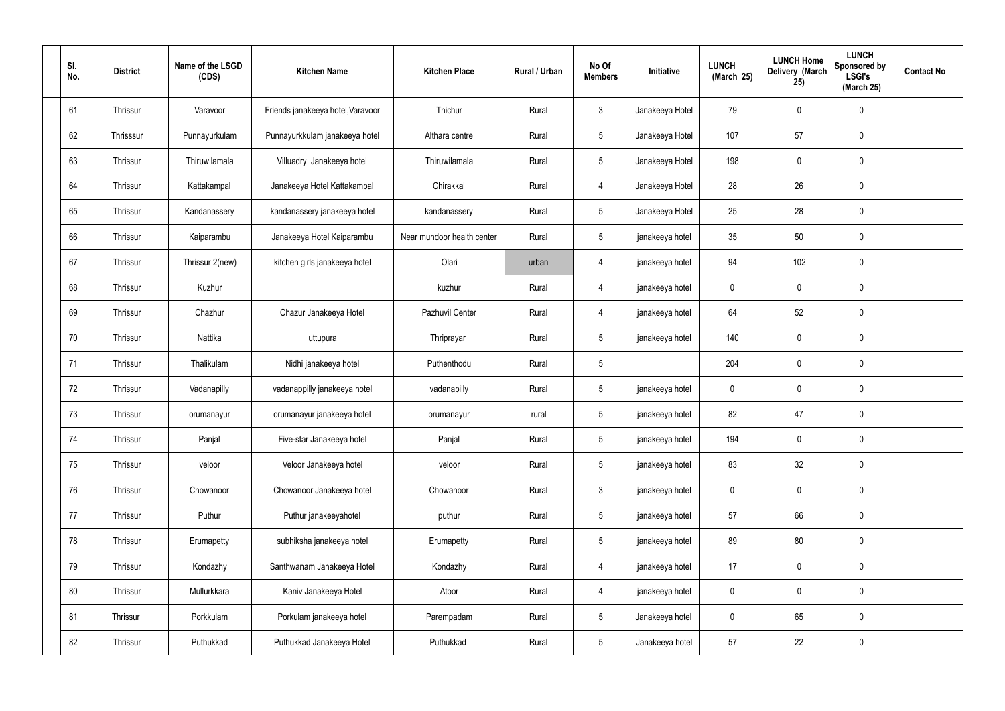| SI.<br>No. | <b>District</b> | Name of the LSGD<br>(CDS) | <b>Kitchen Name</b>               | <b>Kitchen Place</b>       | Rural / Urban | No Of<br><b>Members</b> | Initiative      | <b>LUNCH</b><br>(March 25) | <b>LUNCH Home</b><br>Delivery (March<br>25) | <b>LUNCH</b><br>Sponsored by<br><b>LSGI's</b><br>(March 25) | <b>Contact No</b> |
|------------|-----------------|---------------------------|-----------------------------------|----------------------------|---------------|-------------------------|-----------------|----------------------------|---------------------------------------------|-------------------------------------------------------------|-------------------|
| 61         | Thrissur        | Varavoor                  | Friends janakeeya hotel, Varavoor | Thichur                    | Rural         | $\mathbf{3}$            | Janakeeya Hotel | 79                         | 0                                           | $\mathbf 0$                                                 |                   |
| 62         | Thrisssur       | Punnayurkulam             | Punnayurkkulam janakeeya hotel    | Althara centre             | Rural         | $5\overline{)}$         | Janakeeya Hotel | 107                        | 57                                          | $\pmb{0}$                                                   |                   |
| 63         | Thrissur        | Thiruwilamala             | Villuadry Janakeeya hotel         | Thiruwilamala              | Rural         | $5\overline{)}$         | Janakeeya Hotel | 198                        | 0                                           | $\pmb{0}$                                                   |                   |
| 64         | Thrissur        | Kattakampal               | Janakeeya Hotel Kattakampal       | Chirakkal                  | Rural         | $\overline{4}$          | Janakeeya Hotel | 28                         | 26                                          | $\pmb{0}$                                                   |                   |
| 65         | Thrissur        | Kandanassery              | kandanassery janakeeya hotel      | kandanassery               | Rural         | $5\overline{)}$         | Janakeeya Hotel | 25                         | 28                                          | $\pmb{0}$                                                   |                   |
| 66         | Thrissur        | Kaiparambu                | Janakeeya Hotel Kaiparambu        | Near mundoor health center | Rural         | $5\overline{)}$         | janakeeya hotel | 35                         | 50                                          | $\pmb{0}$                                                   |                   |
| 67         | Thrissur        | Thrissur 2(new)           | kitchen girls janakeeya hotel     | Olari                      | urban         | $\overline{4}$          | janakeeya hotel | 94                         | 102                                         | $\mathbf 0$                                                 |                   |
| 68         | Thrissur        | Kuzhur                    |                                   | kuzhur                     | Rural         | $\overline{4}$          | janakeeya hotel | $\mathbf 0$                | 0                                           | $\mathbf 0$                                                 |                   |
| 69         | Thrissur        | Chazhur                   | Chazur Janakeeya Hotel            | Pazhuvil Center            | Rural         | $\overline{4}$          | janakeeya hotel | 64                         | 52                                          | $\pmb{0}$                                                   |                   |
| 70         | Thrissur        | Nattika                   | uttupura                          | Thriprayar                 | Rural         | $5\phantom{.0}$         | janakeeya hotel | 140                        | 0                                           | $\pmb{0}$                                                   |                   |
| 71         | Thrissur        | Thalikulam                | Nidhi janakeeya hotel             | Puthenthodu                | Rural         | $5\phantom{.0}$         |                 | 204                        | 0                                           | $\mathbf 0$                                                 |                   |
| 72         | Thrissur        | Vadanapilly               | vadanappilly janakeeya hotel      | vadanapilly                | Rural         | $5\phantom{.0}$         | janakeeya hotel | $\mathbf 0$                | 0                                           | $\pmb{0}$                                                   |                   |
| 73         | Thrissur        | orumanayur                | orumanayur janakeeya hotel        | orumanayur                 | rural         | $5\phantom{.0}$         | janakeeya hotel | 82                         | 47                                          | $\mathbf 0$                                                 |                   |
| 74         | Thrissur        | Panjal                    | Five-star Janakeeya hotel         | Panjal                     | Rural         | $5\phantom{.0}$         | janakeeya hotel | 194                        | 0                                           | $\mathbf 0$                                                 |                   |
| 75         | Thrissur        | veloor                    | Veloor Janakeeya hotel            | veloor                     | Rural         | $5\overline{)}$         | janakeeya hotel | 83                         | 32                                          | $\mathbf 0$                                                 |                   |
| 76         | Thrissur        | Chowanoor                 | Chowanoor Janakeeya hotel         | Chowanoor                  | Rural         | $\mathbf{3}$            | janakeeya hotel | $\pmb{0}$                  | 0                                           | $\mathbf 0$                                                 |                   |
| 77         | Thrissur        | Puthur                    | Puthur janakeeyahotel             | puthur                     | Rural         | $5\overline{)}$         | janakeeya hotel | 57                         | 66                                          | $\mathbf 0$                                                 |                   |
| 78         | Thrissur        | Erumapetty                | subhiksha janakeeya hotel         | Erumapetty                 | Rural         | $5\overline{)}$         | janakeeya hotel | 89                         | 80                                          | $\mathbf 0$                                                 |                   |
| 79         | Thrissur        | Kondazhy                  | Santhwanam Janakeeya Hotel        | Kondazhy                   | Rural         | $\overline{4}$          | janakeeya hotel | 17                         | 0                                           | $\mathbf 0$                                                 |                   |
| 80         | Thrissur        | Mullurkkara               | Kaniv Janakeeya Hotel             | Atoor                      | Rural         | $\overline{4}$          | janakeeya hotel | $\pmb{0}$                  | 0                                           | $\mathbf 0$                                                 |                   |
| 81         | Thrissur        | Porkkulam                 | Porkulam janakeeya hotel          | Parempadam                 | Rural         | $5\overline{)}$         | Janakeeya hotel | $\pmb{0}$                  | 65                                          | $\mathbf 0$                                                 |                   |
| 82         | Thrissur        | Puthukkad                 | Puthukkad Janakeeya Hotel         | Puthukkad                  | Rural         | $5\phantom{.0}$         | Janakeeya hotel | 57                         | 22                                          | $\pmb{0}$                                                   |                   |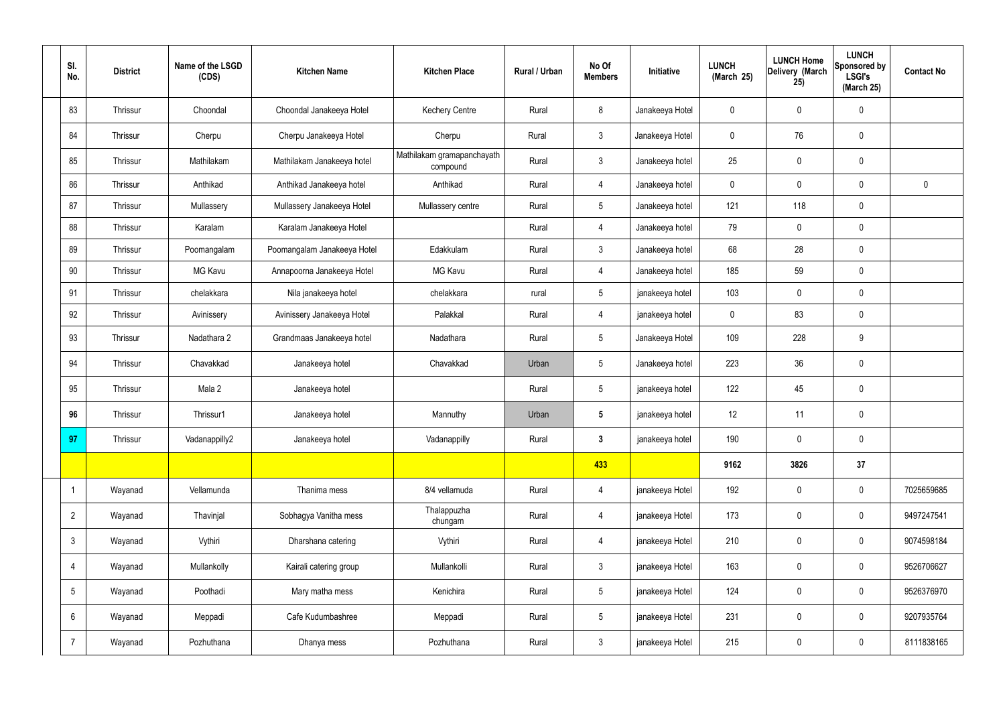| SI.<br>No.           | <b>District</b> | Name of the LSGD<br>(CDS) | <b>Kitchen Name</b>         | <b>Kitchen Place</b>                   | Rural / Urban | No Of<br><b>Members</b> | Initiative      | <b>LUNCH</b><br>(March 25) | <b>LUNCH Home</b><br>Delivery (March<br>25) | <b>LUNCH</b><br>Sponsored by<br><b>LSGI's</b><br>(March 25) | <b>Contact No</b> |
|----------------------|-----------------|---------------------------|-----------------------------|----------------------------------------|---------------|-------------------------|-----------------|----------------------------|---------------------------------------------|-------------------------------------------------------------|-------------------|
| 83                   | Thrissur        | Choondal                  | Choondal Janakeeya Hotel    | <b>Kechery Centre</b>                  | Rural         | 8                       | Janakeeya Hotel | 0                          | $\mathbf 0$                                 | $\mathbf 0$                                                 |                   |
| 84                   | Thrissur        | Cherpu                    | Cherpu Janakeeya Hotel      | Cherpu                                 | Rural         | 3                       | Janakeeya Hotel | 0                          | 76                                          | $\mathbf 0$                                                 |                   |
| 85                   | Thrissur        | Mathilakam                | Mathilakam Janakeeya hotel  | Mathilakam gramapanchayath<br>compound | Rural         | 3                       | Janakeeya hotel | 25                         | $\mathbf 0$                                 | $\mathbf 0$                                                 |                   |
| 86                   | Thrissur        | Anthikad                  | Anthikad Janakeeya hotel    | Anthikad                               | Rural         | $\overline{4}$          | Janakeeya hotel | $\mathbf 0$                | 0                                           | $\mathbf 0$                                                 | $\mathbf 0$       |
| 87                   | Thrissur        | Mullassery                | Mullassery Janakeeya Hotel  | Mullassery centre                      | Rural         | $5\overline{)}$         | Janakeeya hotel | 121                        | 118                                         | $\mathbf 0$                                                 |                   |
| 88                   | Thrissur        | Karalam                   | Karalam Janakeeya Hotel     |                                        | Rural         | $\overline{4}$          | Janakeeya hotel | 79                         | $\mathbf 0$                                 | $\pmb{0}$                                                   |                   |
| 89                   | Thrissur        | Poomangalam               | Poomangalam Janakeeya Hotel | Edakkulam                              | Rural         | 3                       | Janakeeya hotel | 68                         | 28                                          | $\mathbf 0$                                                 |                   |
| 90                   | Thrissur        | MG Kavu                   | Annapoorna Janakeeya Hotel  | <b>MG Kavu</b>                         | Rural         | 4                       | Janakeeya hotel | 185                        | 59                                          | $\mathbf 0$                                                 |                   |
| 91                   | Thrissur        | chelakkara                | Nila janakeeya hotel        | chelakkara                             | rural         | $5\overline{)}$         | janakeeya hotel | 103                        | $\mathbf 0$                                 | $\mathbf 0$                                                 |                   |
| 92                   | Thrissur        | Avinissery                | Avinissery Janakeeya Hotel  | Palakkal                               | Rural         | 4                       | janakeeya hotel | 0                          | 83                                          | $\mathbf 0$                                                 |                   |
| 93                   | Thrissur        | Nadathara 2               | Grandmaas Janakeeya hotel   | Nadathara                              | Rural         | $5\overline{)}$         | Janakeeya Hotel | 109                        | 228                                         | 9                                                           |                   |
| 94                   | Thrissur        | Chavakkad                 | Janakeeya hotel             | Chavakkad                              | Urban         | 5                       | Janakeeya hotel | 223                        | 36                                          | $\pmb{0}$                                                   |                   |
| 95                   | Thrissur        | Mala 2                    | Janakeeya hotel             |                                        | Rural         | $5\overline{)}$         | janakeeya hotel | 122                        | 45                                          | $\mathbf 0$                                                 |                   |
| 96                   | Thrissur        | Thrissur1                 | Janakeeya hotel             | Mannuthy                               | Urban         | 5 <sup>5</sup>          | janakeeya hotel | 12 <sup>°</sup>            | 11                                          | $\mathbf 0$                                                 |                   |
| 97                   | Thrissur        | Vadanappilly2             | Janakeeya hotel             | Vadanappilly                           | Rural         | $3\phantom{a}$          | janakeeya hotel | 190                        | $\mathbf 0$                                 | $\pmb{0}$                                                   |                   |
|                      |                 |                           |                             |                                        |               | 433                     |                 | 9162                       | 3826                                        | 37                                                          |                   |
| $\blacktriangleleft$ | Wayanad         | Vellamunda                | Thanima mess                | 8/4 vellamuda                          | Rural         | $\overline{4}$          | janakeeya Hotel | 192                        | 0                                           | $\mathbf 0$                                                 | 7025659685        |
| $\overline{2}$       | Wayanad         | Thavinjal                 | Sobhagya Vanitha mess       | Thalappuzha<br>chungam                 | Rural         | $\overline{4}$          | janakeeya Hotel | 173                        | 0                                           | $\mathbf 0$                                                 | 9497247541        |
| $3\phantom{.0}$      | Wayanad         | Vythiri                   | Dharshana catering          | Vythiri                                | Rural         | $\overline{4}$          | janakeeya Hotel | 210                        | 0                                           | $\mathbf 0$                                                 | 9074598184        |
| 4                    | Wayanad         | Mullankolly               | Kairali catering group      | Mullankolli                            | Rural         | $\mathbf{3}$            | janakeeya Hotel | 163                        | 0                                           | $\mathbf 0$                                                 | 9526706627        |
| 5                    | Wayanad         | Poothadi                  | Mary matha mess             | Kenichira                              | Rural         | $5\overline{)}$         | janakeeya Hotel | 124                        | 0                                           | $\mathbf 0$                                                 | 9526376970        |
| 6                    | Wayanad         | Meppadi                   | Cafe Kudumbashree           | Meppadi                                | Rural         | $5\phantom{.0}$         | janakeeya Hotel | 231                        | 0                                           | $\mathbf 0$                                                 | 9207935764        |
| $\overline{7}$       | Wayanad         | Pozhuthana                | Dhanya mess                 | Pozhuthana                             | Rural         | 3 <sup>1</sup>          | janakeeya Hotel | 215                        | $\pmb{0}$                                   | $\boldsymbol{0}$                                            | 8111838165        |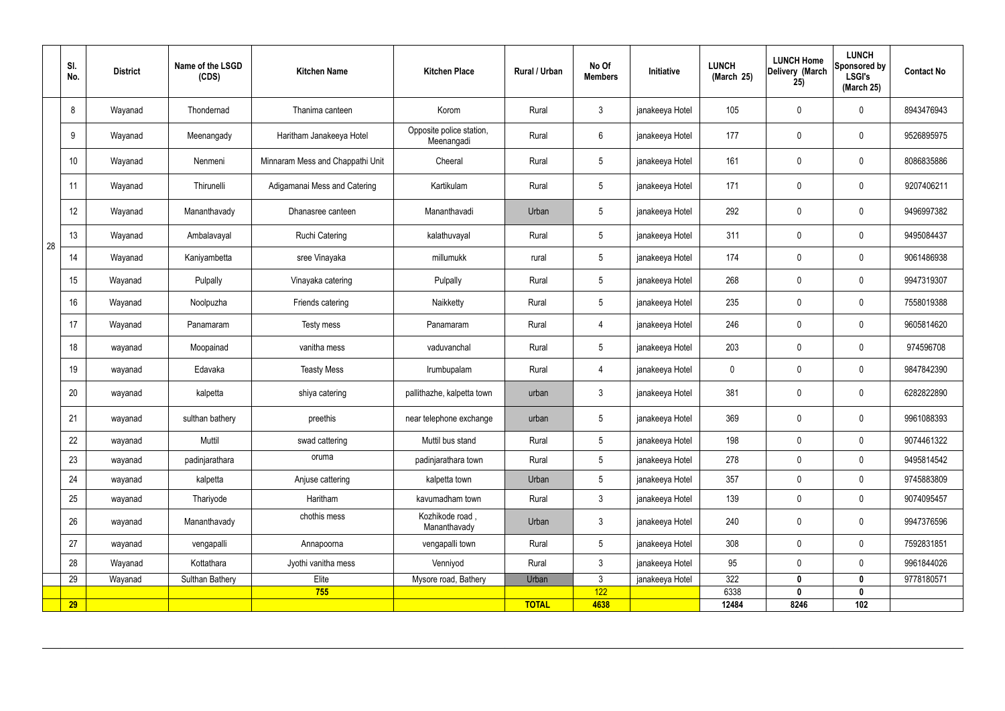|    | SI.<br>No. | <b>District</b> | Name of the LSGD<br>(CDS) | <b>Kitchen Name</b>              | <b>Kitchen Place</b>                   | Rural / Urban | No Of<br><b>Members</b> | Initiative      | <b>LUNCH</b><br>(March 25) | <b>LUNCH Home</b><br>Delivery (March<br>25) | <b>LUNCH</b><br>Sponsored by<br><b>LSGI's</b><br>(March 25) | <b>Contact No</b> |
|----|------------|-----------------|---------------------------|----------------------------------|----------------------------------------|---------------|-------------------------|-----------------|----------------------------|---------------------------------------------|-------------------------------------------------------------|-------------------|
|    | 8          | Wayanad         | Thondernad                | Thanima canteen                  | Korom                                  | Rural         | $\mathbf{3}$            | janakeeya Hotel | 105                        | $\mathbf 0$                                 | $\mathbf 0$                                                 | 8943476943        |
|    | 9          | Wayanad         | Meenangady                | Haritham Janakeeya Hotel         | Opposite police station,<br>Meenangadi | Rural         | $6\phantom{.}6$         | janakeeya Hotel | 177                        | $\mathbf 0$                                 | $\mathbf 0$                                                 | 9526895975        |
|    | 10         | Wayanad         | Nenmeni                   | Minnaram Mess and Chappathi Unit | Cheeral                                | Rural         | $5\phantom{.0}$         | janakeeya Hotel | 161                        | $\mathbf 0$                                 | $\mathbf 0$                                                 | 8086835886        |
|    | 11         | Wayanad         | Thirunelli                | Adigamanai Mess and Catering     | Kartikulam                             | Rural         | $5\phantom{.0}$         | janakeeya Hotel | 171                        | $\mathbf 0$                                 | $\mathbf 0$                                                 | 9207406211        |
|    | 12         | Wayanad         | Mananthavady              | Dhanasree canteen                | Mananthavadi                           | Urban         | $5\phantom{.0}$         | janakeeya Hotel | 292                        | $\mathbf 0$                                 | $\mathbf 0$                                                 | 9496997382        |
| 28 | 13         | Wayanad         | Ambalavayal               | <b>Ruchi Catering</b>            | kalathuvayal                           | Rural         | $5\phantom{.0}$         | janakeeya Hotel | 311                        | $\pmb{0}$                                   | $\mathbf 0$                                                 | 9495084437        |
|    | 14         | Wayanad         | Kaniyambetta              | sree Vinayaka                    | millumukk                              | rural         | $5\overline{)}$         | janakeeya Hotel | 174                        | $\mathbf 0$                                 | $\mathbf 0$                                                 | 9061486938        |
|    | 15         | Wayanad         | Pulpally                  | Vinayaka catering                | Pulpally                               | Rural         | $5\phantom{.0}$         | janakeeya Hotel | 268                        | $\mathbf 0$                                 | $\mathbf 0$                                                 | 9947319307        |
|    | 16         | Wayanad         | Noolpuzha                 | Friends catering                 | Naikketty                              | Rural         | 5 <sup>5</sup>          | janakeeya Hotel | 235                        | $\mathbf 0$                                 | $\mathbf 0$                                                 | 7558019388        |
|    | 17         | Wayanad         | Panamaram                 | Testy mess                       | Panamaram                              | Rural         | 4                       | janakeeya Hotel | 246                        | $\mathbf 0$                                 | $\mathbf 0$                                                 | 9605814620        |
|    | 18         | wayanad         | Moopainad                 | vanitha mess                     | vaduvanchal                            | Rural         | $5\phantom{.0}$         | janakeeya Hotel | 203                        | $\mathbf 0$                                 | $\mathbf 0$                                                 | 974596708         |
|    | 19         | wayanad         | Edavaka                   | <b>Teasty Mess</b>               | Irumbupalam                            | Rural         | 4                       | janakeeya Hotel | $\mathbf 0$                | $\mathbf 0$                                 | $\mathbf 0$                                                 | 9847842390        |
|    | 20         | wayanad         | kalpetta                  | shiya catering                   | pallithazhe, kalpetta town             | urban         | $\mathbf{3}$            | janakeeya Hotel | 381                        | $\mathbf 0$                                 | $\mathbf 0$                                                 | 6282822890        |
|    | 21         | wayanad         | sulthan bathery           | preethis                         | near telephone exchange                | urban         | 5                       | janakeeya Hotel | 369                        | 0                                           | $\mathbf{0}$                                                | 9961088393        |
|    | 22         | wayanad         | Muttil                    | swad cattering                   | Muttil bus stand                       | Rural         | 5 <sup>5</sup>          | janakeeya Hotel | 198                        | $\mathbf 0$                                 | $\mathbf 0$                                                 | 9074461322        |
|    | 23         | wayanad         | padinjarathara            | oruma                            | padinjarathara town                    | Rural         | 5 <sup>5</sup>          | janakeeya Hotel | 278                        | $\mathbf 0$                                 | $\overline{0}$                                              | 9495814542        |
|    | 24         | wayanad         | kalpetta                  | Anjuse cattering                 | kalpetta town                          | Urban         | 5 <sup>5</sup>          | janakeeya Hotel | 357                        | $\pmb{0}$                                   | $\mathbf 0$                                                 | 9745883809        |
|    | 25         | wayanad         | Thariyode                 | Haritham                         | kavumadham town                        | Rural         | $\mathbf{3}$            | janakeeya Hotel | 139                        | $\pmb{0}$                                   | $\mathbf 0$                                                 | 9074095457        |
|    | 26         | wayanad         | Mananthavady              | chothis mess                     | Kozhikode road,<br>Mananthavady        | Urban         | 3 <sup>2</sup>          | janakeeya Hotel | 240                        | $\mathbf 0$                                 | $\mathbf 0$                                                 | 9947376596        |
|    | 27         | wayanad         | vengapalli                | Annapoorna                       | vengapalli town                        | Rural         | $5\overline{)}$         | janakeeya Hotel | 308                        | $\pmb{0}$                                   | $\mathbf 0$                                                 | 7592831851        |
|    | 28         | Wayanad         | Kottathara                | Jyothi vanitha mess              | Venniyod                               | Rural         | $\mathbf{3}$            | janakeeya Hotel | 95                         | $\mathbf 0$                                 | $\mathbf 0$                                                 | 9961844026        |
|    | 29         | Wayanad         | Sulthan Bathery           | Elite                            | Mysore road, Bathery                   | Urban         | $\mathbf{3}$            | janakeeya Hotel | 322                        | $\mathbf{0}$                                | $\mathbf 0$                                                 | 9778180571        |
|    | <b>29</b>  |                 |                           | 755                              |                                        | <b>TOTAL</b>  | 122<br>4638             |                 | 6338<br>12484              | 0<br>8246                                   | $\boldsymbol{0}$<br>102                                     |                   |
|    |            |                 |                           |                                  |                                        |               |                         |                 |                            |                                             |                                                             |                   |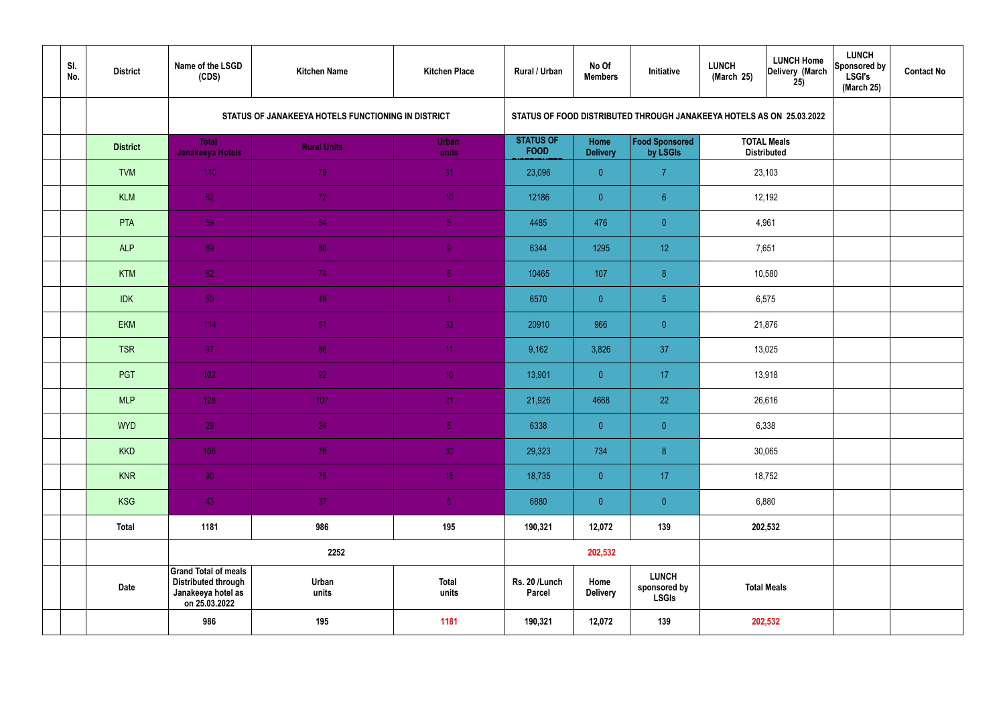| SI.<br>No. | <b>District</b> | Name of the LSGD<br>(CDS)                                                                        | <b>Kitchen Name</b>                                | <b>Kitchen Place</b>  | Rural / Urban                   | No Of<br><b>Members</b> | Initiative                                                           | <b>LUNCH</b><br>(March 25) | <b>LUNCH Home</b><br>Delivery (March<br>25) | <b>LUNCH</b><br>Sponsored by<br><b>LSGI's</b><br>(March 25) | <b>Contact No</b> |
|------------|-----------------|--------------------------------------------------------------------------------------------------|----------------------------------------------------|-----------------------|---------------------------------|-------------------------|----------------------------------------------------------------------|----------------------------|---------------------------------------------|-------------------------------------------------------------|-------------------|
|            |                 |                                                                                                  | STATUS OF JANAKEEYA HOTELS FUNCTIONING IN DISTRICT |                       |                                 |                         | STATUS OF FOOD DISTRIBUTED THROUGH JANAKEEYA HOTELS AS ON 25.03.2022 |                            |                                             |                                                             |                   |
|            | <b>District</b> | <b>Total</b><br><b>Janakeeya Hotels</b>                                                          | <b>Rural Units</b>                                 | <b>Urban</b><br>units | <b>STATUS OF</b><br><b>FOOD</b> | Home<br><b>Delivery</b> | Food Sponsored<br>by LSGIs                                           |                            | <b>TOTAL Meals</b><br><b>Distributed</b>    |                                                             |                   |
|            | <b>TVM</b>      | 110                                                                                              | 79                                                 | 31                    | 23,096                          | $\overline{0}$          | $\overline{7}$                                                       |                            | 23,103                                      |                                                             |                   |
|            | <b>KLM</b>      | 82                                                                                               | 72                                                 | 10 <sup>°</sup>       | 12186                           | $\overline{0}$          | $6^{\circ}$                                                          |                            | 12,192                                      |                                                             |                   |
|            | PTA             | 59                                                                                               | 54                                                 | $\sqrt{5}$            | 4485                            | 476                     | $\overline{0}$                                                       |                            | 4,961                                       |                                                             |                   |
|            | <b>ALP</b>      | 89                                                                                               | 80                                                 | $\overline{9}$        | 6344                            | 1295                    | 12 <sup>°</sup>                                                      | 7,651                      |                                             |                                                             |                   |
|            | <b>KTM</b>      | 82                                                                                               | 74                                                 | 8 <sup>°</sup>        | 10465                           | 107                     | 8                                                                    |                            | 10,580                                      |                                                             |                   |
|            | <b>IDK</b>      | 50                                                                                               | 49                                                 | $\blacktriangleleft$  | 6570                            | $\overline{0}$          | 5 <sub>5</sub>                                                       | 6,575                      |                                             |                                                             |                   |
|            | <b>EKM</b>      | 114                                                                                              | 81                                                 | 33                    | 20910                           | 966                     | $\overline{0}$                                                       | 21,876                     |                                             |                                                             |                   |
|            | <b>TSR</b>      | 97                                                                                               | 86                                                 | 11                    | 9,162                           | 3,826                   | 37                                                                   |                            | 13,025                                      |                                                             |                   |
|            | PGT             | $102$                                                                                            | 92                                                 | 10 <sup>°</sup>       | 13,901                          | $\overline{0}$          | 17                                                                   |                            | 13,918                                      |                                                             |                   |
|            | <b>MLP</b>      | 128                                                                                              | 107                                                | 21                    | 21,926                          | 4668                    | 22                                                                   |                            | 26,616                                      |                                                             |                   |
|            | <b>WYD</b>      | 29                                                                                               | 24                                                 | 5 <sub>1</sub>        | 6338                            | $\mathbf{0}$            | $\overline{0}$                                                       |                            | 6,338                                       |                                                             |                   |
|            | <b>KKD</b>      | 106                                                                                              | 76                                                 | 30 <sup>°</sup>       | 29,323                          | 734                     | $\bf 8$                                                              |                            | 30,065                                      |                                                             |                   |
|            | <b>KNR</b>      | 90 <sub>1</sub>                                                                                  | 75                                                 | 15 <sub>1</sub>       | 18,735                          | $\overline{0}$          | 17                                                                   |                            | 18,752                                      |                                                             |                   |
|            | <b>KSG</b>      | 43                                                                                               | 37                                                 | 6 <sup>1</sup>        | 6880                            | $\overline{0}$          | $\pmb{0}$                                                            |                            | 6,880                                       |                                                             |                   |
|            | <b>Total</b>    | 1181                                                                                             | 986                                                | 195                   | 190,321                         | 12,072                  | 139                                                                  |                            | 202,532                                     |                                                             |                   |
|            |                 |                                                                                                  | 2252                                               |                       |                                 | 202,532                 |                                                                      |                            |                                             |                                                             |                   |
|            | <b>Date</b>     | <b>Grand Total of meals</b><br><b>Distributed through</b><br>Janakeeya hotel as<br>on 25.03.2022 | Urban<br>units                                     | <b>Total</b><br>units | Rs. 20 /Lunch<br><b>Parcel</b>  | Home<br><b>Delivery</b> | <b>LUNCH</b><br>sponsored by<br><b>LSGIs</b>                         | <b>Total Meals</b>         |                                             |                                                             |                   |
|            |                 | 986                                                                                              | 195                                                | 1181                  | 190,321                         | 12,072                  | 139                                                                  |                            | 202,532                                     |                                                             |                   |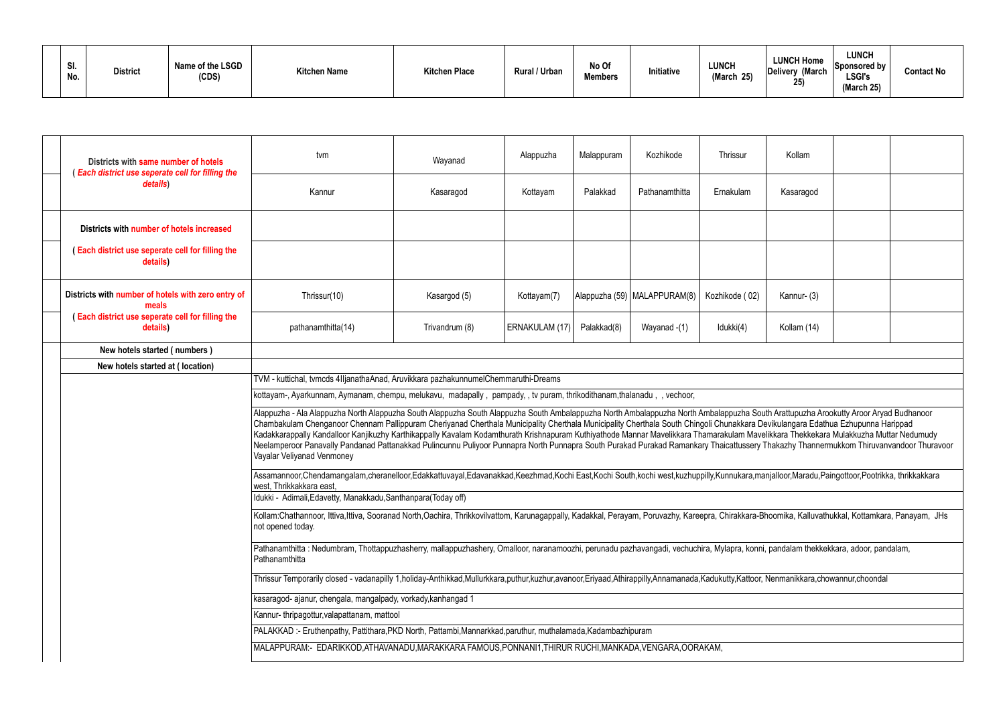| SI.<br>No. | <b>District</b> | Name of the LSGD<br>(CDS) | <b>Kitchen Name</b> | <b>Kitchen Place</b> | <b>Rural / Urban</b> | No Of<br><b>Members</b> | Initiative | <b>LUNCH</b><br>(March 25) | <b>LUNCH Home</b><br>Delivery (March<br>クら<br>ZJ | <b>LUNCH</b><br>Sponsored by<br><b>LSGI's</b><br>(March 25) | Contact No |
|------------|-----------------|---------------------------|---------------------|----------------------|----------------------|-------------------------|------------|----------------------------|--------------------------------------------------|-------------------------------------------------------------|------------|
|------------|-----------------|---------------------------|---------------------|----------------------|----------------------|-------------------------|------------|----------------------------|--------------------------------------------------|-------------------------------------------------------------|------------|

| Districts with same number of hotels<br>(Each district use seperate cell for filling the | tvm                                                                                                                                                                                                                                                                                                                                                                                                                                                                                                                                                                                                                                                                                                                                                                     | Wayanad                                                                                                                | Alappuzha                                                                                                | Malappuram  | Kozhikode                      | Thrissur       | Kollam      |  |  |  |  |  |  |
|------------------------------------------------------------------------------------------|-------------------------------------------------------------------------------------------------------------------------------------------------------------------------------------------------------------------------------------------------------------------------------------------------------------------------------------------------------------------------------------------------------------------------------------------------------------------------------------------------------------------------------------------------------------------------------------------------------------------------------------------------------------------------------------------------------------------------------------------------------------------------|------------------------------------------------------------------------------------------------------------------------|----------------------------------------------------------------------------------------------------------|-------------|--------------------------------|----------------|-------------|--|--|--|--|--|--|
| details)                                                                                 | Kannur                                                                                                                                                                                                                                                                                                                                                                                                                                                                                                                                                                                                                                                                                                                                                                  | Kasaragod                                                                                                              | Kottayam                                                                                                 | Palakkad    | Pathanamthitta                 | Ernakulam      | Kasaragod   |  |  |  |  |  |  |
| Districts with number of hotels increased                                                |                                                                                                                                                                                                                                                                                                                                                                                                                                                                                                                                                                                                                                                                                                                                                                         |                                                                                                                        |                                                                                                          |             |                                |                |             |  |  |  |  |  |  |
| (Each district use seperate cell for filling the<br>details)                             |                                                                                                                                                                                                                                                                                                                                                                                                                                                                                                                                                                                                                                                                                                                                                                         |                                                                                                                        |                                                                                                          |             |                                |                |             |  |  |  |  |  |  |
| Districts with number of hotels with zero entry of<br>meals                              | Thrissur(10)                                                                                                                                                                                                                                                                                                                                                                                                                                                                                                                                                                                                                                                                                                                                                            | Kasargod (5)                                                                                                           | Kottayam(7)                                                                                              |             | Alappuzha (59)   MALAPPURAM(8) | Kozhikode (02) | Kannur- (3) |  |  |  |  |  |  |
| (Each district use seperate cell for filling the<br>details)                             | pathanamthitta(14)                                                                                                                                                                                                                                                                                                                                                                                                                                                                                                                                                                                                                                                                                                                                                      | Trivandrum (8)                                                                                                         | ERNAKULAM (17)                                                                                           | Palakkad(8) | Wayanad -(1)                   | Idukki(4)      | Kollam (14) |  |  |  |  |  |  |
| New hotels started (numbers)                                                             |                                                                                                                                                                                                                                                                                                                                                                                                                                                                                                                                                                                                                                                                                                                                                                         |                                                                                                                        |                                                                                                          |             |                                |                |             |  |  |  |  |  |  |
| New hotels started at (location)                                                         |                                                                                                                                                                                                                                                                                                                                                                                                                                                                                                                                                                                                                                                                                                                                                                         |                                                                                                                        |                                                                                                          |             |                                |                |             |  |  |  |  |  |  |
|                                                                                          |                                                                                                                                                                                                                                                                                                                                                                                                                                                                                                                                                                                                                                                                                                                                                                         | TVM - kuttichal, tvmcds 4lljanathaAnad, Aruvikkara pazhakunnumelChemmaruthi-Dreams                                     |                                                                                                          |             |                                |                |             |  |  |  |  |  |  |
|                                                                                          |                                                                                                                                                                                                                                                                                                                                                                                                                                                                                                                                                                                                                                                                                                                                                                         | kottayam-, Ayarkunnam, Aymanam, chempu, melukavu, madapally, pampady,, tv puram, thrikodithanam, thalanadu, , vechoor, |                                                                                                          |             |                                |                |             |  |  |  |  |  |  |
|                                                                                          | Alappuzha - Ala Alappuzha North Alappuzha South Alappuzha South Alappuzha South Ambalappuzha North Ambalappuzha South Arattupuzha Arookutty Aroor Aryad Budhanoor<br>Chambakulam Chenganoor Chennam Pallippuram Cheriyanad Cherthala Municipality Cherthala Municipality Cherthala South Chingoli Chunakkara Devikulangara Edathua Ezhupunna Harippad<br>Kadakkarappally Kandalloor Kanjikuzhy Karthikappally Kavalam Kodamthurath Krishnapuram Kuthiyathode Mannar Mavelikkara Thamarakulam Mavelikkara Thekkekara Mulakkuzha Muttar Nedumudy<br>Neelamperoor Panavally Pandanad Pattanakkad Pulincunnu Puliyoor Punnapra North Punnapra South Purakad Purakad Ramankary Thaicattussery Thakazhy Thannermukkom Thiruvanvandoor Thuravoor<br>Vayalar Veliyanad Venmoney |                                                                                                                        |                                                                                                          |             |                                |                |             |  |  |  |  |  |  |
|                                                                                          | Assamannoor,Chendamangalam,cheranelloor,Edakkattuvayal,Edavanakkad,Keezhmad,Kochi East,Kochi South,kochi west,kuzhuppilly,Kunnukara,manjalloor,Maradu,Paingottoor,Pootrikka, thrikkakkara<br>west, Thrikkakkara east,                                                                                                                                                                                                                                                                                                                                                                                                                                                                                                                                                   |                                                                                                                        |                                                                                                          |             |                                |                |             |  |  |  |  |  |  |
|                                                                                          | Idukki - Adimali, Edavetty, Manakkadu, Santhanpara (Today off)                                                                                                                                                                                                                                                                                                                                                                                                                                                                                                                                                                                                                                                                                                          |                                                                                                                        |                                                                                                          |             |                                |                |             |  |  |  |  |  |  |
|                                                                                          | Kollam:Chathannoor, Ittiva, Ittiva, Sooranad North, Oachira, Thrikkovilvattom, Karunagappally, Kadakkal, Perayam, Poruvazhy, Kareepra, Chirakkara-Bhoomika, Kalluvathukkal, Kottamkara, Panayam, JHs<br>not opened today.                                                                                                                                                                                                                                                                                                                                                                                                                                                                                                                                               |                                                                                                                        |                                                                                                          |             |                                |                |             |  |  |  |  |  |  |
|                                                                                          | Pathanamthitta: Nedumbram, Thottappuzhasherry, mallappuzhashery, Omalloor, naranamoozhi, perunadu pazhavangadi, vechuchira, Mylapra, konni, pandalam thekkekkara, adoor, pandalam,<br>Pathanamthitta                                                                                                                                                                                                                                                                                                                                                                                                                                                                                                                                                                    |                                                                                                                        |                                                                                                          |             |                                |                |             |  |  |  |  |  |  |
|                                                                                          | Thrissur Temporarily closed - vadanapilly 1,holiday-Anthikkad,Mullurkkara,puthur,kuzhur,avanoor,Eriyaad,Athirappilly,Annamanada,Kadukutty,Kattoor, Nenmanikkara,chowannur,choondal                                                                                                                                                                                                                                                                                                                                                                                                                                                                                                                                                                                      |                                                                                                                        |                                                                                                          |             |                                |                |             |  |  |  |  |  |  |
|                                                                                          | kasaragod- ajanur, chengala, mangalpady, vorkady, kanhangad 1                                                                                                                                                                                                                                                                                                                                                                                                                                                                                                                                                                                                                                                                                                           |                                                                                                                        |                                                                                                          |             |                                |                |             |  |  |  |  |  |  |
|                                                                                          | Kannur-thripagottur, valapattanam, mattool                                                                                                                                                                                                                                                                                                                                                                                                                                                                                                                                                                                                                                                                                                                              |                                                                                                                        |                                                                                                          |             |                                |                |             |  |  |  |  |  |  |
|                                                                                          | PALAKKAD :- Eruthenpathy, Pattithara, PKD North, Pattambi, Mannarkkad, paruthur, muthalamada, Kadambazhipuram                                                                                                                                                                                                                                                                                                                                                                                                                                                                                                                                                                                                                                                           |                                                                                                                        |                                                                                                          |             |                                |                |             |  |  |  |  |  |  |
|                                                                                          |                                                                                                                                                                                                                                                                                                                                                                                                                                                                                                                                                                                                                                                                                                                                                                         |                                                                                                                        | MALAPPURAM:- EDARIKKOD, ATHAVANADU, MARAKKARA FAMOUS, PONNANI1, THIRUR RUCHI, MANKADA, VENGARA, OORAKAM, |             |                                |                |             |  |  |  |  |  |  |

|                                            | Kollam                                                                                                                                                                                            |  |  |  |  |  |  |  |  |  |  |  |  |
|--------------------------------------------|---------------------------------------------------------------------------------------------------------------------------------------------------------------------------------------------------|--|--|--|--|--|--|--|--|--|--|--|--|
|                                            | Kasaragod                                                                                                                                                                                         |  |  |  |  |  |  |  |  |  |  |  |  |
|                                            |                                                                                                                                                                                                   |  |  |  |  |  |  |  |  |  |  |  |  |
|                                            |                                                                                                                                                                                                   |  |  |  |  |  |  |  |  |  |  |  |  |
|                                            | Kannur- (3)                                                                                                                                                                                       |  |  |  |  |  |  |  |  |  |  |  |  |
|                                            | Kollam (14)                                                                                                                                                                                       |  |  |  |  |  |  |  |  |  |  |  |  |
|                                            |                                                                                                                                                                                                   |  |  |  |  |  |  |  |  |  |  |  |  |
|                                            |                                                                                                                                                                                                   |  |  |  |  |  |  |  |  |  |  |  |  |
|                                            |                                                                                                                                                                                                   |  |  |  |  |  |  |  |  |  |  |  |  |
|                                            | uth Arattupuzha Arookutty Aroor Aryad Budhanoor<br>Devikulangara Edathua Ezhupunna Harippad<br>elikkara Thekkekara Mulakkuzha Muttar Nedumudy<br>Thakazhy Thannermukkom Thiruvanvandoor Thuravoor |  |  |  |  |  |  |  |  |  |  |  |  |
|                                            | anjalloor, Maradu, Paingottoor, Pootrikka, thrikkakkara                                                                                                                                           |  |  |  |  |  |  |  |  |  |  |  |  |
|                                            |                                                                                                                                                                                                   |  |  |  |  |  |  |  |  |  |  |  |  |
|                                            | Bhoomika, Kalluvathukkal, Kottamkara, Panayam,  JHs                                                                                                                                               |  |  |  |  |  |  |  |  |  |  |  |  |
| ni, pandalam thekkekkara, adoor, pandalam, |                                                                                                                                                                                                   |  |  |  |  |  |  |  |  |  |  |  |  |
| , Nenmanikkara, chowannur, choondal        |                                                                                                                                                                                                   |  |  |  |  |  |  |  |  |  |  |  |  |
|                                            |                                                                                                                                                                                                   |  |  |  |  |  |  |  |  |  |  |  |  |
|                                            |                                                                                                                                                                                                   |  |  |  |  |  |  |  |  |  |  |  |  |
|                                            |                                                                                                                                                                                                   |  |  |  |  |  |  |  |  |  |  |  |  |
|                                            |                                                                                                                                                                                                   |  |  |  |  |  |  |  |  |  |  |  |  |